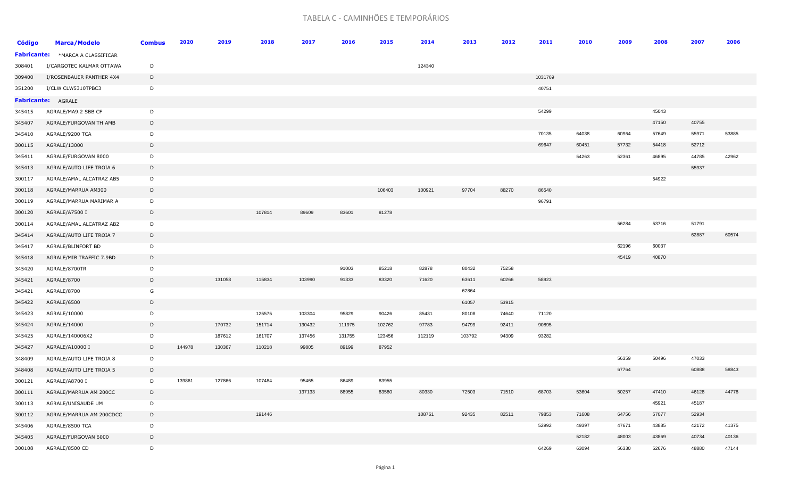## TABELA C - CAMINHÕES E TEMPORÁRIOS

| <b>Código</b> | <b>Marca/Modelo</b>                     | <b>Combus</b> | 2020   | 2019   | 2018   | 2017   | 2016   | 2015   | 2014   | 2013   | 2012  | 2011    | 2010  | 2009  | 2008  | 2007  | 2006  |
|---------------|-----------------------------------------|---------------|--------|--------|--------|--------|--------|--------|--------|--------|-------|---------|-------|-------|-------|-------|-------|
|               | <b>Fabricante:</b> *MARCA A CLASSIFICAR |               |        |        |        |        |        |        |        |        |       |         |       |       |       |       |       |
| 308401        | I/CARGOTEC KALMAR OTTAWA                | D             |        |        |        |        |        |        | 124340 |        |       |         |       |       |       |       |       |
| 309400        | I/ROSENBAUER PANTHER 4X4                | D             |        |        |        |        |        |        |        |        |       | 1031769 |       |       |       |       |       |
| 351200        | I/CLW CLW5310TPBC3                      | D             |        |        |        |        |        |        |        |        |       | 40751   |       |       |       |       |       |
|               | <b>Fabricante: AGRALE</b>               |               |        |        |        |        |        |        |        |        |       |         |       |       |       |       |       |
| 345415        | AGRALE/MA9.2 SBB CF                     | D             |        |        |        |        |        |        |        |        |       | 54299   |       |       | 45043 |       |       |
| 345407        | AGRALE/FURGOVAN TH AMB                  | D             |        |        |        |        |        |        |        |        |       |         |       |       | 47150 | 40755 |       |
| 345410        | AGRALE/9200 TCA                         | D             |        |        |        |        |        |        |        |        |       | 70135   | 64038 | 60964 | 57649 | 55971 | 53885 |
| 300115        | AGRALE/13000                            | D             |        |        |        |        |        |        |        |        |       | 69647   | 60451 | 57732 | 54418 | 52712 |       |
| 345411        | AGRALE/FURGOVAN 8000                    | D             |        |        |        |        |        |        |        |        |       |         | 54263 | 52361 | 46895 | 44785 | 42962 |
| 345413        | AGRALE/AUTO LIFE TROIA 6                | D             |        |        |        |        |        |        |        |        |       |         |       |       |       | 55937 |       |
| 300117        | AGRALE/AMAL ALCATRAZ AB5                | D             |        |        |        |        |        |        |        |        |       |         |       |       | 54922 |       |       |
| 300118        | AGRALE/MARRUA AM300                     | D             |        |        |        |        |        | 106403 | 100921 | 97704  | 88270 | 86540   |       |       |       |       |       |
| 300119        | AGRALE/MARRUA MARIMAR A                 | D             |        |        |        |        |        |        |        |        |       | 96791   |       |       |       |       |       |
| 300120        | AGRALE/A7500 I                          | D             |        |        | 107814 | 89609  | 83601  | 81278  |        |        |       |         |       |       |       |       |       |
| 300114        | AGRALE/AMAL ALCATRAZ AB2                | D             |        |        |        |        |        |        |        |        |       |         |       | 56284 | 53716 | 51791 |       |
| 345414        | AGRALE/AUTO LIFE TROIA 7                | D             |        |        |        |        |        |        |        |        |       |         |       |       |       | 62887 | 60574 |
| 345417        | AGRALE/BLINFORT BD                      | D             |        |        |        |        |        |        |        |        |       |         |       | 62196 | 60037 |       |       |
| 345418        | AGRALE/MIB TRAFFIC 7.9BD                | D             |        |        |        |        |        |        |        |        |       |         |       | 45419 | 40870 |       |       |
| 345420        | AGRALE/8700TR                           | D             |        |        |        |        | 91003  | 85218  | 82878  | 80432  | 75258 |         |       |       |       |       |       |
| 345421        | AGRALE/8700                             | D             |        | 131058 | 115834 | 103990 | 91333  | 83320  | 71620  | 63611  | 60266 | 58923   |       |       |       |       |       |
| 345421        | AGRALE/8700                             | G             |        |        |        |        |        |        |        | 62864  |       |         |       |       |       |       |       |
| 345422        | AGRALE/6500                             | D             |        |        |        |        |        |        |        | 61057  | 53915 |         |       |       |       |       |       |
| 345423        | AGRALE/10000                            | D             |        |        | 125575 | 103304 | 95829  | 90426  | 85431  | 80108  | 74640 | 71120   |       |       |       |       |       |
| 345424        | AGRALE/14000                            | D             |        | 170732 | 151714 | 130432 | 111975 | 102762 | 97783  | 94799  | 92411 | 90895   |       |       |       |       |       |
| 345425        | AGRALE/140006X2                         | D             |        | 187612 | 161707 | 137456 | 131755 | 123456 | 112119 | 103792 | 94309 | 93282   |       |       |       |       |       |
| 345427        | AGRALE/A10000 I                         | D             | 144978 | 130367 | 110218 | 99805  | 89199  | 87952  |        |        |       |         |       |       |       |       |       |
| 348409        | AGRALE/AUTO LIFE TROIA 8                | D             |        |        |        |        |        |        |        |        |       |         |       | 56359 | 50496 | 47033 |       |
| 348408        | AGRALE/AUTO LIFE TROIA 5                | D             |        |        |        |        |        |        |        |        |       |         |       | 67764 |       | 60888 | 58843 |
| 300121        | AGRALE/A8700 I                          | D             | 139861 | 127866 | 107484 | 95465  | 86489  | 83955  |        |        |       |         |       |       |       |       |       |
| 300111        | AGRALE/MARRUA AM 200CC                  | D             |        |        |        | 137133 | 88955  | 83580  | 80330  | 72503  | 71510 | 68703   | 53604 | 50257 | 47410 | 46128 | 44778 |
| 300113        | AGRALE/UNISAUDE UM                      | D             |        |        |        |        |        |        |        |        |       |         |       |       | 45921 | 45187 |       |
| 300112        | AGRALE/MARRUA AM 200CDCC                | D             |        |        | 191446 |        |        |        | 108761 | 92435  | 82511 | 79853   | 71608 | 64756 | 57077 | 52934 |       |
| 345406        | AGRALE/8500 TCA                         | D             |        |        |        |        |        |        |        |        |       | 52992   | 49397 | 47671 | 43885 | 42172 | 41375 |
| 345405        | AGRALE/FURGOVAN 6000                    | D             |        |        |        |        |        |        |        |        |       |         | 52182 | 48003 | 43869 | 40734 | 40136 |
| 300108        | AGRALE/8500 CD                          | D             |        |        |        |        |        |        |        |        |       | 64269   | 63094 | 56330 | 52676 | 48880 | 47144 |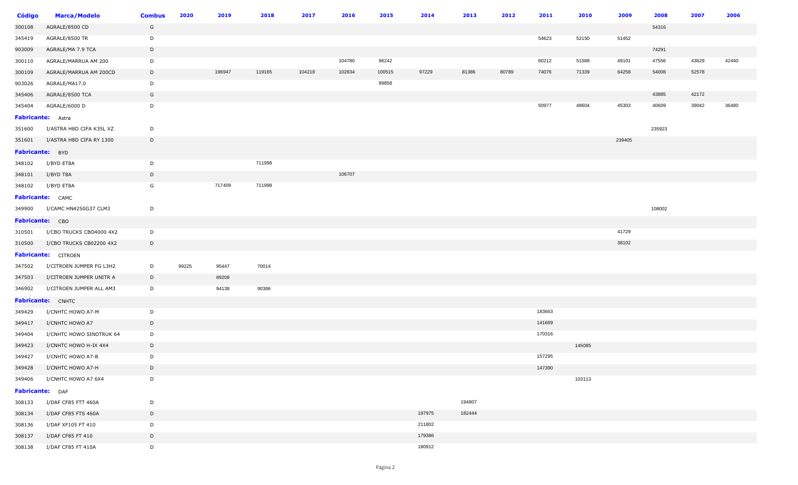| <b>Código</b>     | <b>Marca/Modelo</b>          | <b>Combus</b> | 2020  | 2019   | 2018   | 2017   | 2016   | 2015   | 2014   | 2013   | 2012  | 2011   | 2010   | 2009   | 2008   | 2007  | 2006  |
|-------------------|------------------------------|---------------|-------|--------|--------|--------|--------|--------|--------|--------|-------|--------|--------|--------|--------|-------|-------|
| 300108            | AGRALE/8500 CD               | G             |       |        |        |        |        |        |        |        |       |        |        |        | 54316  |       |       |
| 345419            | AGRALE/8500 TR               | D             |       |        |        |        |        |        |        |        |       | 54623  | 52150  | 51452  |        |       |       |
| 903009            | AGRALE/MA 7.9 TCA            | D             |       |        |        |        |        |        |        |        |       |        |        |        | 74291  |       |       |
| 300110            | AGRALE/MARRUA AM 200         | D             |       |        |        |        | 104780 | 96242  |        |        |       | 60212  | 51588  | 49101  | 47556  | 43629 | 42440 |
| 300109            | AGRALE/MARRUA AM 200CD       | $\mathsf{D}$  |       | 196947 | 119165 | 104218 | 102834 | 100515 | 97229  | 81386  | 80789 | 74076  | 71339  | 64258  | 54008  | 52578 |       |
| 903026            | AGRALE/MA17.0                | D             |       |        |        |        |        | 89858  |        |        |       |        |        |        |        |       |       |
| 345406            | AGRALE/8500 TCA              | G             |       |        |        |        |        |        |        |        |       |        |        |        | 43885  | 42172 |       |
| 345404            | AGRALE/6000 D                | D             |       |        |        |        |        |        |        |        |       | 50977  | 48604  | 45303  | 40609  | 39042 | 36480 |
| Fabricante: Astra |                              |               |       |        |        |        |        |        |        |        |       |        |        |        |        |       |       |
| 351600            | I/ASTRA H8D CIFA K35L XZ     | D             |       |        |        |        |        |        |        |        |       |        |        |        | 235923 |       |       |
| 351601            | I/ASTRA H8D CIFA RY 1300     | D             |       |        |        |        |        |        |        |        |       |        |        | 239405 |        |       |       |
| Fabricante: BYD   |                              |               |       |        |        |        |        |        |        |        |       |        |        |        |        |       |       |
| 348102            | I/BYD ET8A                   | D             |       |        | 711998 |        |        |        |        |        |       |        |        |        |        |       |       |
| 348101            | I/BYD T8A                    | D             |       |        |        |        | 106707 |        |        |        |       |        |        |        |        |       |       |
| 348102            | I/BYD ET8A                   | G             |       | 717409 | 711998 |        |        |        |        |        |       |        |        |        |        |       |       |
|                   | Fabricante: CAMC             |               |       |        |        |        |        |        |        |        |       |        |        |        |        |       |       |
|                   | 349900 I/CAMC HN4250G37 CLM3 | D             |       |        |        |        |        |        |        |        |       |        |        |        | 108002 |       |       |
| Fabricante: CBO   |                              |               |       |        |        |        |        |        |        |        |       |        |        |        |        |       |       |
| 310501            | I/CBO TRUCKS CBO4000 4X2     | D             |       |        |        |        |        |        |        |        |       |        |        | 41729  |        |       |       |
| 310500            | I/CBO TRUCKS CB02200 4X2     | $\mathsf{D}$  |       |        |        |        |        |        |        |        |       |        |        | 38102  |        |       |       |
|                   | Fabricante: CITROEN          |               |       |        |        |        |        |        |        |        |       |        |        |        |        |       |       |
| 347502            | I/CITROEN JUMPER FG L3H2     | D             | 99225 | 95447  | 70014  |        |        |        |        |        |       |        |        |        |        |       |       |
| 347503            | I/CITROEN JUMPER UNITR A     | D             |       | 89208  |        |        |        |        |        |        |       |        |        |        |        |       |       |
| 346902            | I/CITROEN JUMPER ALL AM3     | D             |       | 94138  | 90386  |        |        |        |        |        |       |        |        |        |        |       |       |
|                   | Fabricante: CNHTC            |               |       |        |        |        |        |        |        |        |       |        |        |        |        |       |       |
| 349429            | I/CNHTC HOWO A7-M            | $\mathsf{D}$  |       |        |        |        |        |        |        |        |       | 183663 |        |        |        |       |       |
| 349417            | I/CNHTC HOWO A7              | D             |       |        |        |        |        |        |        |        |       | 141669 |        |        |        |       |       |
| 349404            | I/CNHTC HOWO SINOTRUK 64     | D             |       |        |        |        |        |        |        |        |       | 170316 |        |        |        |       |       |
| 349423            | I/CNHTC HOWO H-IX 4X4        | D             |       |        |        |        |        |        |        |        |       |        | 145085 |        |        |       |       |
| 349427            | I/CNHTC HOWO A7-B            | D             |       |        |        |        |        |        |        |        |       | 157295 |        |        |        |       |       |
| 349428            | I/CNHTC HOWO A7-H            | D             |       |        |        |        |        |        |        |        |       | 147390 |        |        |        |       |       |
| 349406            | I/CNHTC HOWO A7 6X4          | D             |       |        |        |        |        |        |        |        |       |        | 103113 |        |        |       |       |
| Fabricante: DAF   |                              |               |       |        |        |        |        |        |        |        |       |        |        |        |        |       |       |
| 308133            | I/DAF CF85 FTT 460A          | D             |       |        |        |        |        |        |        | 194807 |       |        |        |        |        |       |       |
| 308134            | I/DAF CF85 FTS 460A          | D             |       |        |        |        |        |        | 197975 | 182444 |       |        |        |        |        |       |       |
| 308136            | I/DAF XF105 FT 410           | D             |       |        |        |        |        |        | 211802 |        |       |        |        |        |        |       |       |
| 308137            | I/DAF CF85 FT 410            | D             |       |        |        |        |        |        | 179386 |        |       |        |        |        |        |       |       |
| 308138            | I/DAF CF85 FT 410A           | D             |       |        |        |        |        |        | 180912 |        |       |        |        |        |        |       |       |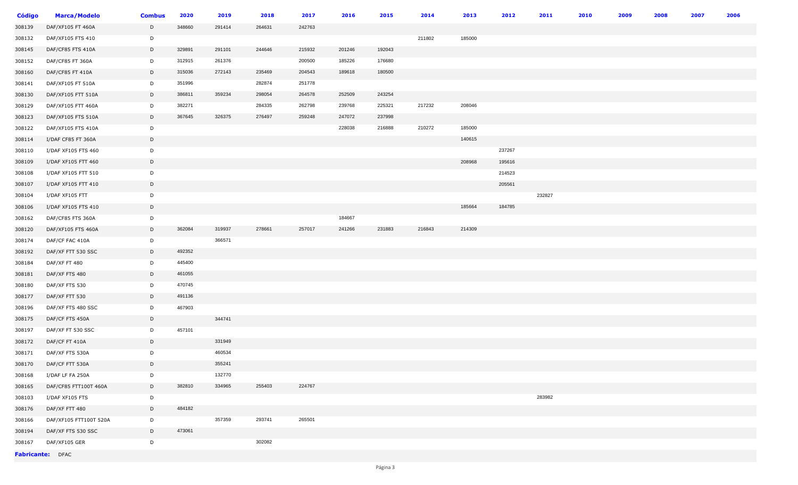| <b>Código</b> | <b>Marca/Modelo</b>    | <b>Combus</b> | 2020   | 2019   | 2018   | 2017   | 2016   | 2015   | 2014   | 2013   | 2012   | 2011   | 2010 | 2009 | 2008 | 2007 | 2006 |
|---------------|------------------------|---------------|--------|--------|--------|--------|--------|--------|--------|--------|--------|--------|------|------|------|------|------|
| 308139        | DAF/XF105 FT 460A      | D             | 348660 | 291414 | 264631 | 242763 |        |        |        |        |        |        |      |      |      |      |      |
| 308132        | DAF/XF105 FTS 410      | D             |        |        |        |        |        |        | 211802 | 185000 |        |        |      |      |      |      |      |
| 308145        | DAF/CF85 FTS 410A      | D             | 329891 | 291101 | 244646 | 215932 | 201246 | 192043 |        |        |        |        |      |      |      |      |      |
| 308152        | DAF/CF85 FT 360A       | D             | 312915 | 261376 |        | 200500 | 185226 | 176680 |        |        |        |        |      |      |      |      |      |
| 308160        | DAF/CF85 FT 410A       | D             | 315036 | 272143 | 235469 | 204543 | 189618 | 180500 |        |        |        |        |      |      |      |      |      |
| 308141        | DAF/XF105 FT 510A      | D             | 351996 |        | 282874 | 251778 |        |        |        |        |        |        |      |      |      |      |      |
| 308130        | DAF/XF105 FTT 510A     | D             | 386811 | 359234 | 298054 | 264578 | 252509 | 243254 |        |        |        |        |      |      |      |      |      |
| 308129        | DAF/XF105 FTT 460A     | D             | 382271 |        | 284335 | 262798 | 239768 | 225321 | 217232 | 208046 |        |        |      |      |      |      |      |
| 308123        | DAF/XF105 FTS 510A     | D             | 367645 | 326375 | 276497 | 259248 | 247072 | 237998 |        |        |        |        |      |      |      |      |      |
| 308122        | DAF/XF105 FTS 410A     | D             |        |        |        |        | 228038 | 216888 | 210272 | 185000 |        |        |      |      |      |      |      |
| 308114        | I/DAF CF85 FT 360A     | D             |        |        |        |        |        |        |        | 140615 |        |        |      |      |      |      |      |
| 308110        | I/DAF XF105 FTS 460    | D             |        |        |        |        |        |        |        |        | 237267 |        |      |      |      |      |      |
| 308109        | I/DAF XF105 FTT 460    | D             |        |        |        |        |        |        |        | 208968 | 195616 |        |      |      |      |      |      |
| 308108        | I/DAF XF105 FTT 510    | D             |        |        |        |        |        |        |        |        | 214523 |        |      |      |      |      |      |
| 308107        | I/DAF XF105 FTT 410    | D             |        |        |        |        |        |        |        |        | 205561 |        |      |      |      |      |      |
| 308104        | I/DAF XF105 FTT        | D             |        |        |        |        |        |        |        |        |        | 232827 |      |      |      |      |      |
| 308106        | I/DAF XF105 FTS 410    | D             |        |        |        |        |        |        |        | 185664 | 184785 |        |      |      |      |      |      |
| 308162        | DAF/CF85 FTS 360A      | D             |        |        |        |        | 184667 |        |        |        |        |        |      |      |      |      |      |
| 308120        | DAF/XF105 FTS 460A     | D             | 362084 | 319937 | 278661 | 257017 | 241266 | 231883 | 216843 | 214309 |        |        |      |      |      |      |      |
| 308174        | DAF/CF FAC 410A        | D             |        | 366571 |        |        |        |        |        |        |        |        |      |      |      |      |      |
| 308192        | DAF/XF FTT 530 SSC     | D             | 492352 |        |        |        |        |        |        |        |        |        |      |      |      |      |      |
| 308184        | DAF/XF FT 480          | D             | 445400 |        |        |        |        |        |        |        |        |        |      |      |      |      |      |
| 308181        | DAF/XF FTS 480         | D             | 461055 |        |        |        |        |        |        |        |        |        |      |      |      |      |      |
| 308180        | DAF/XF FTS 530         | D             | 470745 |        |        |        |        |        |        |        |        |        |      |      |      |      |      |
| 308177        | DAF/XF FTT 530         | D             | 491136 |        |        |        |        |        |        |        |        |        |      |      |      |      |      |
| 308196        | DAF/XF FTS 480 SSC     | D             | 467903 |        |        |        |        |        |        |        |        |        |      |      |      |      |      |
| 308175        | DAF/CF FTS 450A        | D             |        | 344741 |        |        |        |        |        |        |        |        |      |      |      |      |      |
| 308197        | DAF/XF FT 530 SSC      | D             | 457101 |        |        |        |        |        |        |        |        |        |      |      |      |      |      |
| 308172        | DAF/CF FT 410A         | D             |        | 331949 |        |        |        |        |        |        |        |        |      |      |      |      |      |
| 308171        | DAF/XF FTS 530A        | D             |        | 460534 |        |        |        |        |        |        |        |        |      |      |      |      |      |
| 308170        | DAF/CF FTT 530A        | D             |        | 355241 |        |        |        |        |        |        |        |        |      |      |      |      |      |
| 308168        | I/DAF LF FA 250A       | D             |        | 132770 |        |        |        |        |        |        |        |        |      |      |      |      |      |
| 308165        | DAF/CF85 FTT100T 460A  | D             | 382810 | 334965 | 255403 | 224767 |        |        |        |        |        |        |      |      |      |      |      |
| 308103        | I/DAF XF105 FTS        | D             |        |        |        |        |        |        |        |        |        | 283982 |      |      |      |      |      |
| 308176        | DAF/XF FTT 480         | D             | 484182 |        |        |        |        |        |        |        |        |        |      |      |      |      |      |
| 308166        | DAF/XF105 FTT100T 520A | D             |        | 357359 | 293741 | 265501 |        |        |        |        |        |        |      |      |      |      |      |
| 308194        | DAF/XF FTS 530 SSC     | D             | 473061 |        |        |        |        |        |        |        |        |        |      |      |      |      |      |
| 308167        | DAF/XF105 GER          | D             |        |        | 302082 |        |        |        |        |        |        |        |      |      |      |      |      |
|               | Fabricante: DFAC       |               |        |        |        |        |        |        |        |        |        |        |      |      |      |      |      |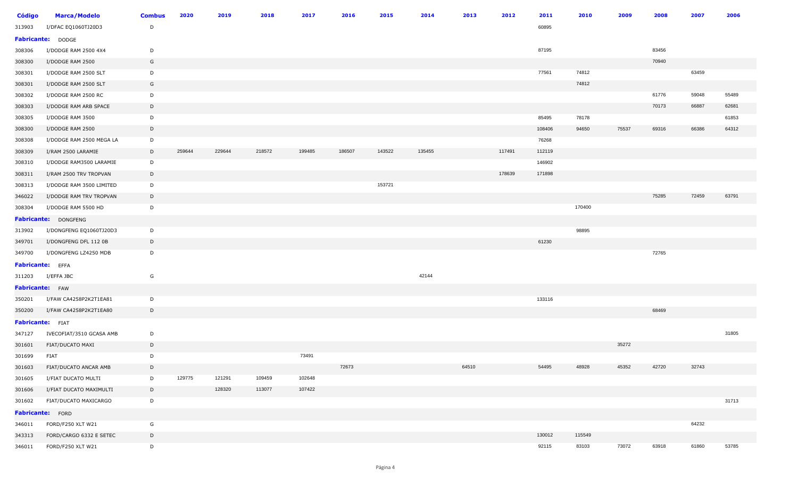| <b>Código</b>           | <b>Marca/Modelo</b>          | <b>Combus</b> | 2020   | 2019   | 2018   | 2017   | 2016   | 2015   | 2014   | 2013  | 2012   | 2011   | 2010   | 2009  | 2008  | 2007  | 2006  |
|-------------------------|------------------------------|---------------|--------|--------|--------|--------|--------|--------|--------|-------|--------|--------|--------|-------|-------|-------|-------|
| 313903                  | I/DFAC EQ1060TJ20D3          | D             |        |        |        |        |        |        |        |       |        | 60895  |        |       |       |       |       |
|                         | Fabricante: DODGE            |               |        |        |        |        |        |        |        |       |        |        |        |       |       |       |       |
| 308306                  | I/DODGE RAM 2500 4X4         | D             |        |        |        |        |        |        |        |       |        | 87195  |        |       | 83456 |       |       |
| 308300                  | I/DODGE RAM 2500             | G             |        |        |        |        |        |        |        |       |        |        |        |       | 70940 |       |       |
| 308301                  | I/DODGE RAM 2500 SLT         | D             |        |        |        |        |        |        |        |       |        | 77561  | 74812  |       |       | 63459 |       |
| 308301                  | I/DODGE RAM 2500 SLT         | G             |        |        |        |        |        |        |        |       |        |        | 74812  |       |       |       |       |
| 308302                  | I/DODGE RAM 2500 RC          | D             |        |        |        |        |        |        |        |       |        |        |        |       | 61776 | 59048 | 55489 |
| 308303                  | I/DODGE RAM ARB SPACE        | D             |        |        |        |        |        |        |        |       |        |        |        |       | 70173 | 66887 | 62681 |
| 308305                  | I/DODGE RAM 3500             | D             |        |        |        |        |        |        |        |       |        | 85495  | 78178  |       |       |       | 61853 |
| 308300                  | I/DODGE RAM 2500             | D             |        |        |        |        |        |        |        |       |        | 108406 | 94650  | 75537 | 69316 | 66386 | 64312 |
| 308308                  | I/DODGE RAM 2500 MEGA LA     | D             |        |        |        |        |        |        |        |       |        | 76268  |        |       |       |       |       |
| 308309                  | I/RAM 2500 LARAMIE           | D             | 259644 | 229644 | 218572 | 199485 | 186507 | 143522 | 135455 |       | 117491 | 112119 |        |       |       |       |       |
| 308310                  | I/DODGE RAM3500 LARAMIE      | D             |        |        |        |        |        |        |        |       |        | 146902 |        |       |       |       |       |
| 308311                  | I/RAM 2500 TRV TROPVAN       | D             |        |        |        |        |        |        |        |       | 178639 | 171898 |        |       |       |       |       |
| 308313                  | I/DODGE RAM 3500 LIMITED     | D             |        |        |        |        |        | 153721 |        |       |        |        |        |       |       |       |       |
| 346022                  | I/DODGE RAM TRV TROPVAN      | D             |        |        |        |        |        |        |        |       |        |        |        |       | 75285 | 72459 | 63791 |
| 308304                  | I/DODGE RAM 5500 HD          | D             |        |        |        |        |        |        |        |       |        |        | 170400 |       |       |       |       |
|                         | Fabricante: DONGFENG         |               |        |        |        |        |        |        |        |       |        |        |        |       |       |       |       |
| 313902                  | I/DONGFENG EQ1060TJ20D3      | D             |        |        |        |        |        |        |        |       |        |        | 98895  |       |       |       |       |
| 349701                  | I/DONGFENG DFL 112 0B        | D             |        |        |        |        |        |        |        |       |        | 61230  |        |       |       |       |       |
| 349700                  | I/DONGFENG LZ4250 MDB        | D             |        |        |        |        |        |        |        |       |        |        |        |       | 72765 |       |       |
| <b>Fabricante:</b> EFFA |                              |               |        |        |        |        |        |        |        |       |        |        |        |       |       |       |       |
| 311203                  | I/EFFA JBC                   | G             |        |        |        |        |        |        | 42144  |       |        |        |        |       |       |       |       |
| Fabricante: FAW         |                              |               |        |        |        |        |        |        |        |       |        |        |        |       |       |       |       |
| 350201                  | I/FAW CA4258P2K2T1EA81       | D             |        |        |        |        |        |        |        |       |        | 133116 |        |       |       |       |       |
| 350200                  | I/FAW CA4258P2K2T1EA80       | D             |        |        |        |        |        |        |        |       |        |        |        |       | 68469 |       |       |
| <b>Fabricante:</b> FIAT |                              |               |        |        |        |        |        |        |        |       |        |        |        |       |       |       |       |
| 347127                  | IVECOFIAT/3510 GCASA AMB     | D             |        |        |        |        |        |        |        |       |        |        |        |       |       |       | 31805 |
| 301601                  | FIAT/DUCATO MAXI             | D             |        |        |        |        |        |        |        |       |        |        |        | 35272 |       |       |       |
| 301699                  | FIAT                         | D             |        |        |        | 73491  |        |        |        |       |        |        |        |       |       |       |       |
|                         | 301603 FIAT/DUCATO ANCAR AMB | $\mathsf{D}$  |        |        |        |        | 72673  |        |        | 64510 |        | 54495  | 48928  | 45352 | 42720 | 32743 |       |
| 301605                  | I/FIAT DUCATO MULTI          | D             | 129775 | 121291 | 109459 | 102648 |        |        |        |       |        |        |        |       |       |       |       |
| 301606                  | I/FIAT DUCATO MAXIMULTI      | D             |        | 128320 | 113077 | 107422 |        |        |        |       |        |        |        |       |       |       |       |
| 301602                  | FIAT/DUCATO MAXICARGO        | D             |        |        |        |        |        |        |        |       |        |        |        |       |       |       | 31713 |
|                         | Fabricante: FORD             |               |        |        |        |        |        |        |        |       |        |        |        |       |       |       |       |
| 346011                  | FORD/F250 XLT W21            | G             |        |        |        |        |        |        |        |       |        |        |        |       |       | 64232 |       |
| 343313                  | FORD/CARGO 6332 E SETEC      | D             |        |        |        |        |        |        |        |       |        | 130012 | 115549 |       |       |       |       |
| 346011                  | FORD/F250 XLT W21            | D             |        |        |        |        |        |        |        |       |        | 92115  | 83103  | 73072 | 63918 | 61860 | 53785 |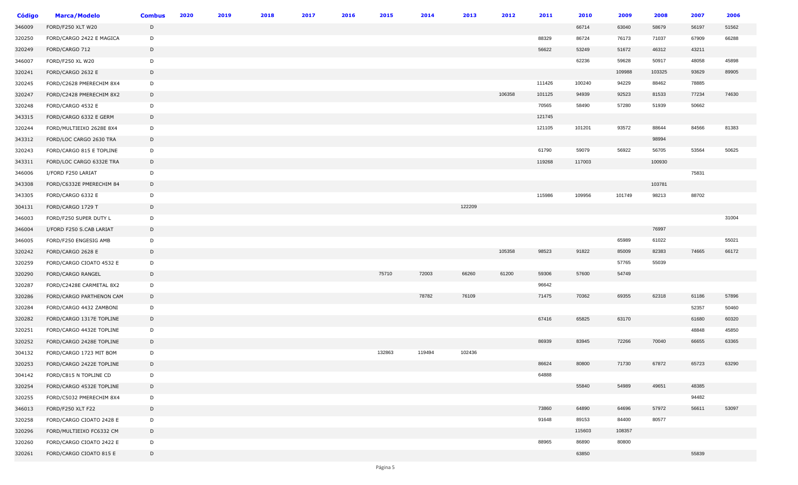| Código | <b>Marca/Modelo</b>      | <b>Combus</b> | 2020 | 2019 | 2018 | 2017 | 2016 | 2015   | 2014   | 2013   | 2012   | 2011   | 2010   | 2009   | 2008   | 2007  | 2006  |
|--------|--------------------------|---------------|------|------|------|------|------|--------|--------|--------|--------|--------|--------|--------|--------|-------|-------|
| 346009 | FORD/F250 XLT W20        | D             |      |      |      |      |      |        |        |        |        |        | 66714  | 63040  | 58679  | 56197 | 51562 |
| 320250 | FORD/CARGO 2422 E MAGICA | D             |      |      |      |      |      |        |        |        |        | 88329  | 86724  | 76173  | 71037  | 67909 | 66288 |
| 320249 | FORD/CARGO 712           | D             |      |      |      |      |      |        |        |        |        | 56622  | 53249  | 51672  | 46312  | 43211 |       |
| 346007 | FORD/F250 XL W20         | D             |      |      |      |      |      |        |        |        |        |        | 62236  | 59628  | 50917  | 48058 | 45898 |
| 320241 | FORD/CARGO 2632 E        | D             |      |      |      |      |      |        |        |        |        |        |        | 109988 | 103325 | 93629 | 89905 |
| 320245 | FORD/C2628 PMERECHIM 8X4 | D             |      |      |      |      |      |        |        |        |        | 111426 | 100240 | 94229  | 88462  | 78885 |       |
| 320247 | FORD/C2428 PMERECHIM 8X2 | D             |      |      |      |      |      |        |        |        | 106358 | 101125 | 94939  | 92523  | 81533  | 77234 | 74630 |
| 320248 | FORD/CARGO 4532 E        | D             |      |      |      |      |      |        |        |        |        | 70565  | 58490  | 57280  | 51939  | 50662 |       |
| 343315 | FORD/CARGO 6332 E GERM   | D             |      |      |      |      |      |        |        |        |        | 121745 |        |        |        |       |       |
| 320244 | FORD/MULTIEIXO 2628E 8X4 | D             |      |      |      |      |      |        |        |        |        | 121105 | 101201 | 93572  | 88644  | 84566 | 81383 |
| 343312 | FORD/LOC CARGO 2630 TRA  | D             |      |      |      |      |      |        |        |        |        |        |        |        | 98994  |       |       |
| 320243 | FORD/CARGO 815 E TOPLINE | D             |      |      |      |      |      |        |        |        |        | 61790  | 59079  | 56922  | 56705  | 53564 | 50625 |
| 343311 | FORD/LOC CARGO 6332E TRA | D             |      |      |      |      |      |        |        |        |        | 119268 | 117003 |        | 100930 |       |       |
| 346006 | I/FORD F250 LARIAT       | D             |      |      |      |      |      |        |        |        |        |        |        |        |        | 75831 |       |
| 343308 | FORD/C6332E PMERECHIM 84 | D             |      |      |      |      |      |        |        |        |        |        |        |        | 103781 |       |       |
| 343305 | FORD/CARGO 6332 E        | D             |      |      |      |      |      |        |        |        |        | 115986 | 109956 | 101749 | 98213  | 88702 |       |
| 304131 | FORD/CARGO 1729 T        | D             |      |      |      |      |      |        |        | 122209 |        |        |        |        |        |       |       |
| 346003 | FORD/F250 SUPER DUTY L   | D             |      |      |      |      |      |        |        |        |        |        |        |        |        |       | 31004 |
| 346004 | I/FORD F250 S.CAB LARIAT | D             |      |      |      |      |      |        |        |        |        |        |        |        | 76997  |       |       |
| 346005 | FORD/F250 ENGESIG AMB    | D             |      |      |      |      |      |        |        |        |        |        |        | 65989  | 61022  |       | 55021 |
| 320242 | FORD/CARGO 2628 E        | D             |      |      |      |      |      |        |        |        | 105358 | 98523  | 91822  | 85009  | 82383  | 74665 | 66172 |
| 320259 | FORD/CARGO CIOATO 4532 E | D             |      |      |      |      |      |        |        |        |        |        |        | 57765  | 55039  |       |       |
| 320290 | FORD/CARGO RANGEL        | D             |      |      |      |      |      | 75710  | 72003  | 66260  | 61200  | 59306  | 57600  | 54749  |        |       |       |
| 320287 | FORD/C2428E CARMETAL 8X2 | D             |      |      |      |      |      |        |        |        |        | 96642  |        |        |        |       |       |
| 320286 | FORD/CARGO PARTHENON CAM | D             |      |      |      |      |      |        | 78782  | 76109  |        | 71475  | 70362  | 69355  | 62318  | 61186 | 57896 |
| 320284 | FORD/CARGO 4432 ZAMBONI  | D             |      |      |      |      |      |        |        |        |        |        |        |        |        | 52357 | 50460 |
| 320282 | FORD/CARGO 1317E TOPLINE | D             |      |      |      |      |      |        |        |        |        | 67416  | 65825  | 63170  |        | 61680 | 60320 |
| 320251 | FORD/CARGO 4432E TOPLINE | D             |      |      |      |      |      |        |        |        |        |        |        |        |        | 48848 | 45850 |
| 320252 | FORD/CARGO 2428E TOPLINE | D             |      |      |      |      |      |        |        |        |        | 86939  | 83945  | 72266  | 70040  | 66655 | 63365 |
| 304132 | FORD/CARGO 1723 MIT BOM  | D             |      |      |      |      |      | 132863 | 119494 | 102436 |        |        |        |        |        |       |       |
| 320253 | FORD/CARGO 2422E TOPLINE | D             |      |      |      |      |      |        |        |        |        | 86624  | 80800  | 71730  | 67872  | 65723 | 63290 |
| 304142 | FORD/C815 N TOPLINE CD   | D             |      |      |      |      |      |        |        |        |        | 64888  |        |        |        |       |       |
| 320254 | FORD/CARGO 4532E TOPLINE | D             |      |      |      |      |      |        |        |        |        |        | 55840  | 54989  | 49651  | 48385 |       |
| 320255 | FORD/C5032 PMERECHIM 8X4 | D             |      |      |      |      |      |        |        |        |        |        |        |        |        | 94482 |       |
| 346013 | <b>FORD/F250 XLT F22</b> | D             |      |      |      |      |      |        |        |        |        | 73860  | 64890  | 64696  | 57972  | 56611 | 53097 |
| 320258 | FORD/CARGO CIOATO 2428 E | D             |      |      |      |      |      |        |        |        |        | 91648  | 89153  | 84400  | 80577  |       |       |
| 320296 | FORD/MULTIEIXO FC6332 CM | D             |      |      |      |      |      |        |        |        |        |        | 115603 | 108357 |        |       |       |
| 320260 | FORD/CARGO CIOATO 2422 E | D             |      |      |      |      |      |        |        |        |        | 88965  | 86890  | 80800  |        |       |       |
| 320261 | FORD/CARGO CIOATO 815 E  | D             |      |      |      |      |      |        |        |        |        |        | 63850  |        |        | 55839 |       |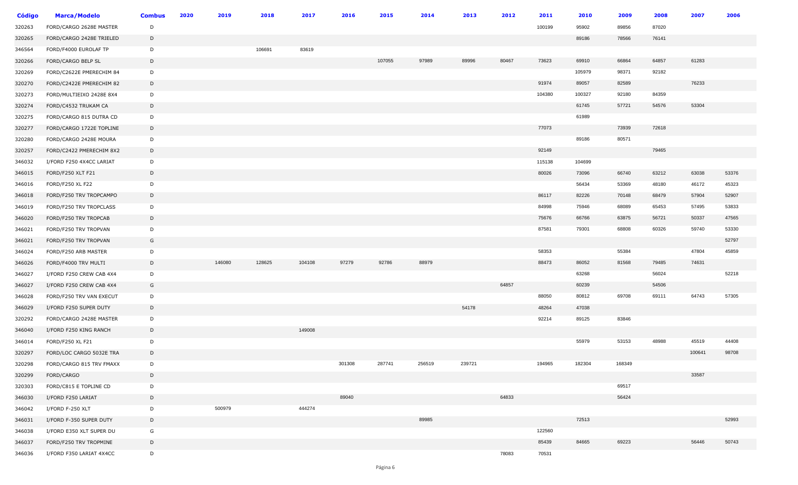| <b>Código</b> | <b>Marca/Modelo</b>      | <b>Combus</b> | 2020 | 2019   | 2018   | 2017   | 2016   | 2015   | 2014   | 2013   | 2012  | 2011   | 2010   | 2009   | 2008  | 2007   | 2006  |
|---------------|--------------------------|---------------|------|--------|--------|--------|--------|--------|--------|--------|-------|--------|--------|--------|-------|--------|-------|
| 320263        | FORD/CARGO 2628E MASTER  | D             |      |        |        |        |        |        |        |        |       | 100199 | 95902  | 89856  | 87020 |        |       |
| 320265        | FORD/CARGO 2428E TRIELED | D             |      |        |        |        |        |        |        |        |       |        | 89186  | 78566  | 76141 |        |       |
| 346564        | FORD/F4000 EUROLAF TP    | D             |      |        | 106691 | 83619  |        |        |        |        |       |        |        |        |       |        |       |
| 320266        | FORD/CARGO BELP SL       | D             |      |        |        |        |        | 107055 | 97989  | 89996  | 80467 | 73623  | 69910  | 66864  | 64857 | 61283  |       |
| 320269        | FORD/C2622E PMERECHIM 84 | D             |      |        |        |        |        |        |        |        |       |        | 105979 | 98371  | 92182 |        |       |
| 320270        | FORD/C2422E PMERECHIM 82 | D             |      |        |        |        |        |        |        |        |       | 91974  | 89057  | 82589  |       | 76233  |       |
| 320273        | FORD/MULTIEIXO 2428E 8X4 | D             |      |        |        |        |        |        |        |        |       | 104380 | 100327 | 92180  | 84359 |        |       |
| 320274        | FORD/C4532 TRUKAM CA     | D             |      |        |        |        |        |        |        |        |       |        | 61745  | 57721  | 54576 | 53304  |       |
| 320275        | FORD/CARGO 815 DUTRA CD  | D             |      |        |        |        |        |        |        |        |       |        | 61989  |        |       |        |       |
| 320277        | FORD/CARGO 1722E TOPLINE | D             |      |        |        |        |        |        |        |        |       | 77073  |        | 73939  | 72618 |        |       |
| 320280        | FORD/CARGO 2428E MOURA   | D             |      |        |        |        |        |        |        |        |       |        | 89186  | 80571  |       |        |       |
| 320257        | FORD/C2422 PMERECHIM 8X2 | D             |      |        |        |        |        |        |        |        |       | 92149  |        |        | 79465 |        |       |
| 346032        | I/FORD F250 4X4CC LARIAT | D             |      |        |        |        |        |        |        |        |       | 115138 | 104699 |        |       |        |       |
| 346015        | FORD/F250 XLT F21        | D             |      |        |        |        |        |        |        |        |       | 80026  | 73096  | 66740  | 63212 | 63038  | 53376 |
| 346016        | FORD/F250 XL F22         | D             |      |        |        |        |        |        |        |        |       |        | 56434  | 53369  | 48180 | 46172  | 45323 |
| 346018        | FORD/F250 TRV TROPCAMPO  | D             |      |        |        |        |        |        |        |        |       | 86117  | 82226  | 70148  | 68479 | 57904  | 52907 |
| 346019        | FORD/F250 TRV TROPCLASS  | D             |      |        |        |        |        |        |        |        |       | 84998  | 75946  | 68089  | 65453 | 57495  | 53833 |
| 346020        | FORD/F250 TRV TROPCAB    | D             |      |        |        |        |        |        |        |        |       | 75676  | 66766  | 63875  | 56721 | 50337  | 47565 |
| 346021        | FORD/F250 TRV TROPVAN    | D             |      |        |        |        |        |        |        |        |       | 87581  | 79301  | 68808  | 60326 | 59740  | 53330 |
| 346021        | FORD/F250 TRV TROPVAN    | G             |      |        |        |        |        |        |        |        |       |        |        |        |       |        | 52797 |
| 346024        | FORD/F250 ARB MASTER     | D             |      |        |        |        |        |        |        |        |       | 58353  |        | 55384  |       | 47804  | 45859 |
| 346026        | FORD/F4000 TRV MULTI     | D             |      | 146080 | 128625 | 104108 | 97279  | 92786  | 88979  |        |       | 88473  | 86052  | 81568  | 79485 | 74631  |       |
| 346027        | I/FORD F250 CREW CAB 4X4 | D             |      |        |        |        |        |        |        |        |       |        | 63268  |        | 56024 |        | 52218 |
| 346027        | I/FORD F250 CREW CAB 4X4 | G             |      |        |        |        |        |        |        |        | 64857 |        | 60239  |        | 54506 |        |       |
| 346028        | FORD/F250 TRV VAN EXECUT | D             |      |        |        |        |        |        |        |        |       | 88050  | 80812  | 69708  | 69111 | 64743  | 57305 |
| 346029        | I/FORD F250 SUPER DUTY   | D             |      |        |        |        |        |        |        | 54178  |       | 48264  | 47038  |        |       |        |       |
| 320292        | FORD/CARGO 2428E MASTER  | D             |      |        |        |        |        |        |        |        |       | 92214  | 89125  | 83846  |       |        |       |
| 346040        | I/FORD F250 KING RANCH   | D             |      |        |        | 149008 |        |        |        |        |       |        |        |        |       |        |       |
| 346014        | FORD/F250 XL F21         | D             |      |        |        |        |        |        |        |        |       |        | 55979  | 53153  | 48988 | 45519  | 44408 |
| 320297        | FORD/LOC CARGO 5032E TRA | D             |      |        |        |        |        |        |        |        |       |        |        |        |       | 100641 | 98708 |
| 320298        | FORD/CARGO 815 TRV FMAXX | D             |      |        |        |        | 301308 | 287741 | 256519 | 239721 |       | 194965 | 182304 | 168349 |       |        |       |
| 320299        | FORD/CARGO               | D             |      |        |        |        |        |        |        |        |       |        |        |        |       | 33587  |       |
| 320303        | FORD/C815 E TOPLINE CD   | D             |      |        |        |        |        |        |        |        |       |        |        | 69517  |       |        |       |
| 346030        | I/FORD F250 LARIAT       | D             |      |        |        |        | 89040  |        |        |        | 64833 |        |        | 56424  |       |        |       |
| 346042        | I/FORD F-250 XLT         | D             |      | 500979 |        | 444274 |        |        |        |        |       |        |        |        |       |        |       |
| 346031        | I/FORD F-350 SUPER DUTY  | D             |      |        |        |        |        |        | 89985  |        |       |        | 72513  |        |       |        | 52993 |
| 346038        | I/FORD E350 XLT SUPER DU | G             |      |        |        |        |        |        |        |        |       | 122560 |        |        |       |        |       |
| 346037        | FORD/F250 TRV TROPMINE   | D             |      |        |        |        |        |        |        |        |       | 85439  | 84665  | 69223  |       | 56446  | 50743 |
| 346036        | I/FORD F350 LARIAT 4X4CC | D             |      |        |        |        |        |        |        |        | 78083 | 70531  |        |        |       |        |       |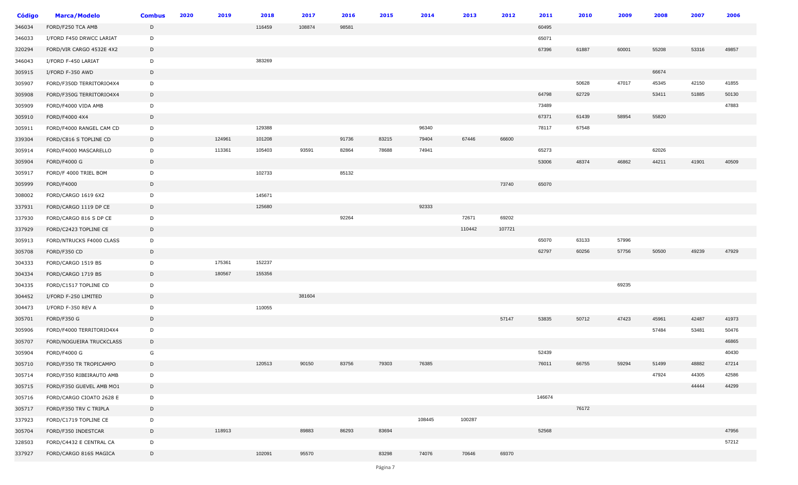| <b>Código</b> | <b>Marca/Modelo</b>      | <b>Combus</b> | 2020 | 2019   | 2018   | 2017   | 2016  | 2015  | 2014   | 2013   | 2012   | 2011   | 2010  | 2009  | 2008  | 2007  | 2006  |
|---------------|--------------------------|---------------|------|--------|--------|--------|-------|-------|--------|--------|--------|--------|-------|-------|-------|-------|-------|
| 346034        | FORD/F250 TCA AMB        | D             |      |        | 116459 | 108874 | 98581 |       |        |        |        | 60495  |       |       |       |       |       |
| 346033        | I/FORD F450 DRWCC LARIAT | D             |      |        |        |        |       |       |        |        |        | 65071  |       |       |       |       |       |
| 320294        | FORD/VIR CARGO 4532E 4X2 | D             |      |        |        |        |       |       |        |        |        | 67396  | 61887 | 60001 | 55208 | 53316 | 49857 |
| 346043        | I/FORD F-450 LARIAT      | D             |      |        | 383269 |        |       |       |        |        |        |        |       |       |       |       |       |
| 305915        | I/FORD F-350 AWD         | D             |      |        |        |        |       |       |        |        |        |        |       |       | 66674 |       |       |
| 305907        | FORD/F350D TERRITORIO4X4 | D             |      |        |        |        |       |       |        |        |        |        | 50628 | 47017 | 45345 | 42150 | 41855 |
| 305908        | FORD/F350G TERRITORIO4X4 | D             |      |        |        |        |       |       |        |        |        | 64798  | 62729 |       | 53411 | 51885 | 50130 |
| 305909        | FORD/F4000 VIDA AMB      | D             |      |        |        |        |       |       |        |        |        | 73489  |       |       |       |       | 47883 |
| 305910        | FORD/F4000 4X4           | D             |      |        |        |        |       |       |        |        |        | 67371  | 61439 | 58954 | 55820 |       |       |
| 305911        | FORD/F4000 RANGEL CAM CD | D             |      |        | 129388 |        |       |       | 96340  |        |        | 78117  | 67548 |       |       |       |       |
| 339304        | FORD/C816 S TOPLINE CD   | D             |      | 124961 | 101208 |        | 91736 | 83215 | 79404  | 67446  | 66600  |        |       |       |       |       |       |
| 305914        | FORD/F4000 MASCARELLO    | D             |      | 113361 | 105403 | 93591  | 82864 | 78688 | 74941  |        |        | 65273  |       |       | 62026 |       |       |
| 305904        | <b>FORD/F4000 G</b>      | D             |      |        |        |        |       |       |        |        |        | 53006  | 48374 | 46862 | 44211 | 41901 | 40509 |
| 305917        | FORD/F 4000 TRIEL BOM    | D             |      |        | 102733 |        | 85132 |       |        |        |        |        |       |       |       |       |       |
| 305999        | FORD/F4000               | D             |      |        |        |        |       |       |        |        | 73740  | 65070  |       |       |       |       |       |
| 308002        | FORD/CARGO 1619 6X2      | D             |      |        | 145671 |        |       |       |        |        |        |        |       |       |       |       |       |
| 337931        | FORD/CARGO 1119 DP CE    | D             |      |        | 125680 |        |       |       | 92333  |        |        |        |       |       |       |       |       |
| 337930        | FORD/CARGO 816 S DP CE   | D             |      |        |        |        | 92264 |       |        | 72671  | 69202  |        |       |       |       |       |       |
| 337929        | FORD/C2423 TOPLINE CE    | D             |      |        |        |        |       |       |        | 110442 | 107721 |        |       |       |       |       |       |
| 305913        | FORD/NTRUCKS F4000 CLASS | D             |      |        |        |        |       |       |        |        |        | 65070  | 63133 | 57996 |       |       |       |
| 305708        | FORD/F350 CD             | D             |      |        |        |        |       |       |        |        |        | 62797  | 60256 | 57756 | 50500 | 49239 | 47929 |
| 304333        | FORD/CARGO 1519 BS       | D             |      | 175361 | 152237 |        |       |       |        |        |        |        |       |       |       |       |       |
| 304334        | FORD/CARGO 1719 BS       | D             |      | 180567 | 155356 |        |       |       |        |        |        |        |       |       |       |       |       |
| 304335        | FORD/C1517 TOPLINE CD    | D             |      |        |        |        |       |       |        |        |        |        |       | 69235 |       |       |       |
| 304452        | I/FORD F-250 LIMITED     | D             |      |        |        | 381604 |       |       |        |        |        |        |       |       |       |       |       |
| 304473        | I/FORD F-350 REV A       | D             |      |        | 110055 |        |       |       |        |        |        |        |       |       |       |       |       |
| 305701        | FORD/F350 G              | D             |      |        |        |        |       |       |        |        | 57147  | 53835  | 50712 | 47423 | 45961 | 42487 | 41973 |
| 305906        | FORD/F4000 TERRITORIO4X4 | D             |      |        |        |        |       |       |        |        |        |        |       |       | 57484 | 53481 | 50476 |
| 305707        | FORD/NOGUEIRA TRUCKCLASS | D             |      |        |        |        |       |       |        |        |        |        |       |       |       |       | 46865 |
| 305904        | FORD/F4000 G             | G             |      |        |        |        |       |       |        |        |        | 52439  |       |       |       |       | 40430 |
| 305710        | FORD/F350 TR TROPICAMPO  | D             |      |        | 120513 | 90150  | 83756 | 79303 | 76385  |        |        | 76011  | 66755 | 59294 | 51499 | 48882 | 47214 |
| 305714        | FORD/F350 RIBEIRAUTO AMB | D             |      |        |        |        |       |       |        |        |        |        |       |       | 47924 | 44305 | 42586 |
| 305715        | FORD/F350 GUEVEL AMB MO1 | D             |      |        |        |        |       |       |        |        |        |        |       |       |       | 44444 | 44299 |
| 305716        | FORD/CARGO CIOATO 2628 E | D             |      |        |        |        |       |       |        |        |        | 146674 |       |       |       |       |       |
| 305717        | FORD/F350 TRV C TRIPLA   | D             |      |        |        |        |       |       |        |        |        |        | 76172 |       |       |       |       |
| 337923        | FORD/C1719 TOPLINE CE    | D             |      |        |        |        |       |       | 108445 | 100287 |        |        |       |       |       |       |       |
| 305704        | FORD/F350 INDESTCAR      | D             |      | 118913 |        | 89883  | 86293 | 83694 |        |        |        | 52568  |       |       |       |       | 47956 |
| 328503        | FORD/C4432 E CENTRAL CA  | D             |      |        |        |        |       |       |        |        |        |        |       |       |       |       | 57212 |
| 337927        | FORD/CARGO 816S MAGICA   | D             |      |        | 102091 | 95570  |       | 83298 | 74076  | 70646  | 69370  |        |       |       |       |       |       |
|               |                          |               |      |        |        |        |       |       |        |        |        |        |       |       |       |       |       |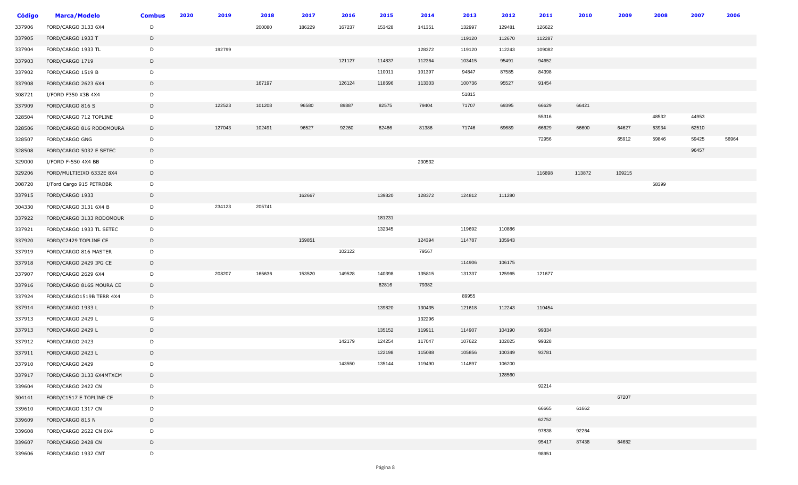| <b>Código</b> | <b>Marca/Modelo</b>      | <b>Combus</b> | 2020 | 2019   | 2018   | 2017   | 2016   | 2015   | 2014   | 2013   | 2012   | 2011   | 2010   | 2009   | 2008  | 2007  | 2006  |
|---------------|--------------------------|---------------|------|--------|--------|--------|--------|--------|--------|--------|--------|--------|--------|--------|-------|-------|-------|
| 337906        | FORD/CARGO 3133 6X4      | D             |      |        | 200080 | 186229 | 167237 | 153428 | 141351 | 132997 | 129481 | 126622 |        |        |       |       |       |
| 337905        | FORD/CARGO 1933 T        | D             |      |        |        |        |        |        |        | 119120 | 112670 | 112287 |        |        |       |       |       |
| 337904        | FORD/CARGO 1933 TL       | D             |      | 192799 |        |        |        |        | 128372 | 119120 | 112243 | 109082 |        |        |       |       |       |
| 337903        | FORD/CARGO 1719          | D             |      |        |        |        | 121127 | 114837 | 112364 | 103415 | 95491  | 94652  |        |        |       |       |       |
| 337902        | FORD/CARGO 1519 B        | D             |      |        |        |        |        | 110011 | 101397 | 94847  | 87585  | 84398  |        |        |       |       |       |
| 337908        | FORD/CARGO 2623 6X4      | D             |      |        | 167197 |        | 126124 | 118696 | 113303 | 100736 | 95527  | 91454  |        |        |       |       |       |
| 308721        | I/FORD F350 X3B 4X4      | D             |      |        |        |        |        |        |        | 51815  |        |        |        |        |       |       |       |
| 337909        | FORD/CARGO 816 S         | D             |      | 122523 | 101208 | 96580  | 89887  | 82575  | 79404  | 71707  | 69395  | 66629  | 66421  |        |       |       |       |
| 328504        | FORD/CARGO 712 TOPLINE   | D             |      |        |        |        |        |        |        |        |        | 55316  |        |        | 48532 | 44953 |       |
| 328506        | FORD/CARGO 816 RODOMOURA | D             |      | 127043 | 102491 | 96527  | 92260  | 82486  | 81386  | 71746  | 69689  | 66629  | 66600  | 64627  | 63934 | 62510 |       |
| 328507        | FORD/CARGO GNG           | D             |      |        |        |        |        |        |        |        |        | 72956  |        | 65912  | 59846 | 59425 | 56964 |
| 328508        | FORD/CARGO 5032 E SETEC  | D             |      |        |        |        |        |        |        |        |        |        |        |        |       | 96457 |       |
| 329000        | I/FORD F-550 4X4 BB      | D             |      |        |        |        |        |        | 230532 |        |        |        |        |        |       |       |       |
| 329206        | FORD/MULTIEIXO 6332E 8X4 | D             |      |        |        |        |        |        |        |        |        | 116898 | 113872 | 109215 |       |       |       |
| 308720        | I/Ford Cargo 915 PETROBR | D             |      |        |        |        |        |        |        |        |        |        |        |        | 58399 |       |       |
| 337915        | FORD/CARGO 1933          | D             |      |        |        | 162667 |        | 139820 | 128372 | 124812 | 111280 |        |        |        |       |       |       |
| 304330        | FORD/CARGO 3131 6X4 B    | D             |      | 234123 | 205741 |        |        |        |        |        |        |        |        |        |       |       |       |
| 337922        | FORD/CARGO 3133 RODOMOUR | D             |      |        |        |        |        | 181231 |        |        |        |        |        |        |       |       |       |
| 337921        | FORD/CARGO 1933 TL SETEC | D             |      |        |        |        |        | 132345 |        | 119692 | 110886 |        |        |        |       |       |       |
| 337920        | FORD/C2429 TOPLINE CE    | D             |      |        |        | 159851 |        |        | 124394 | 114787 | 105943 |        |        |        |       |       |       |
| 337919        | FORD/CARGO 816 MASTER    | D             |      |        |        |        | 102122 |        | 79567  |        |        |        |        |        |       |       |       |
| 337918        | FORD/CARGO 2429 IPG CE   | D             |      |        |        |        |        |        |        | 114906 | 106175 |        |        |        |       |       |       |
| 337907        | FORD/CARGO 2629 6X4      | D             |      | 208207 | 165636 | 153520 | 149528 | 140398 | 135815 | 131337 | 125965 | 121677 |        |        |       |       |       |
| 337916        | FORD/CARGO 816S MOURA CE | D             |      |        |        |        |        | 82816  | 79382  |        |        |        |        |        |       |       |       |
| 337924        | FORD/CARGO1519B TERR 4X4 | D             |      |        |        |        |        |        |        | 89955  |        |        |        |        |       |       |       |
| 337914        | FORD/CARGO 1933 L        | D             |      |        |        |        |        | 139820 | 130435 | 121618 | 112243 | 110454 |        |        |       |       |       |
| 337913        | FORD/CARGO 2429 L        | G             |      |        |        |        |        |        | 132296 |        |        |        |        |        |       |       |       |
| 337913        | FORD/CARGO 2429 L        | D             |      |        |        |        |        | 135152 | 119911 | 114907 | 104190 | 99334  |        |        |       |       |       |
| 337912        | FORD/CARGO 2423          | D             |      |        |        |        | 142179 | 124254 | 117047 | 107622 | 102025 | 99328  |        |        |       |       |       |
| 337911        | FORD/CARGO 2423 L        | D             |      |        |        |        |        | 122198 | 115088 | 105856 | 100349 | 93781  |        |        |       |       |       |
| 337910        | FORD/CARGO 2429          | D             |      |        |        |        | 143550 | 135144 | 119490 | 114897 | 106200 |        |        |        |       |       |       |
| 337917        | FORD/CARGO 3133 6X4MTXCM | D             |      |        |        |        |        |        |        |        | 128560 |        |        |        |       |       |       |
| 339604        | FORD/CARGO 2422 CN       | D             |      |        |        |        |        |        |        |        |        | 92214  |        |        |       |       |       |
| 304141        | FORD/C1517 E TOPLINE CE  | D             |      |        |        |        |        |        |        |        |        |        |        | 67207  |       |       |       |
| 339610        | FORD/CARGO 1317 CN       | D             |      |        |        |        |        |        |        |        |        | 66665  | 61662  |        |       |       |       |
| 339609        | FORD/CARGO 815 N         | D             |      |        |        |        |        |        |        |        |        | 62752  |        |        |       |       |       |
| 339608        | FORD/CARGO 2622 CN 6X4   | D             |      |        |        |        |        |        |        |        |        | 97838  | 92264  |        |       |       |       |
| 339607        | FORD/CARGO 2428 CN       | D             |      |        |        |        |        |        |        |        |        | 95417  | 87438  | 84682  |       |       |       |
| 339606        | FORD/CARGO 1932 CNT      | D             |      |        |        |        |        |        |        |        |        | 98951  |        |        |       |       |       |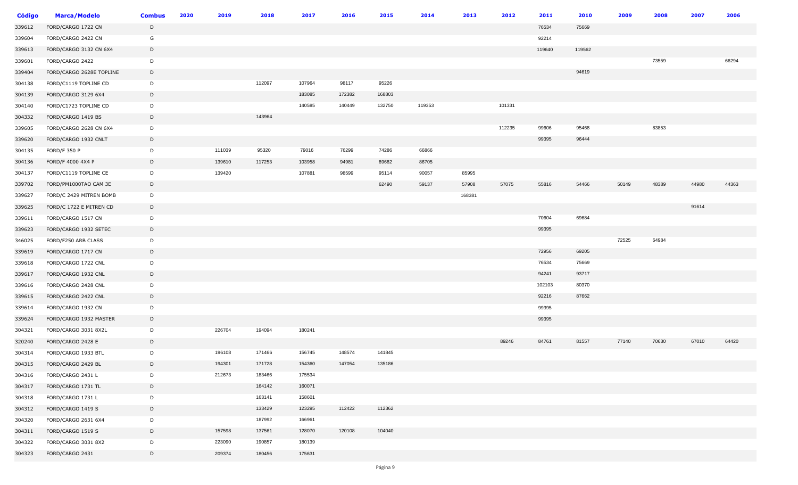| <b>Código</b> | <b>Marca/Modelo</b>      | <b>Combus</b> | 2020 | 2019   | 2018   | 2017   | 2016   | 2015   | 2014   | 2013   | 2012   | 2011   | 2010   | 2009  | 2008  | 2007  | 2006  |
|---------------|--------------------------|---------------|------|--------|--------|--------|--------|--------|--------|--------|--------|--------|--------|-------|-------|-------|-------|
| 339612        | FORD/CARGO 1722 CN       | D             |      |        |        |        |        |        |        |        |        | 76534  | 75669  |       |       |       |       |
| 339604        | FORD/CARGO 2422 CN       | G             |      |        |        |        |        |        |        |        |        | 92214  |        |       |       |       |       |
| 339613        | FORD/CARGO 3132 CN 6X4   | D             |      |        |        |        |        |        |        |        |        | 119640 | 119562 |       |       |       |       |
| 339601        | FORD/CARGO 2422          | D             |      |        |        |        |        |        |        |        |        |        |        |       | 73559 |       | 66294 |
| 339404        | FORD/CARGO 2628E TOPLINE | D             |      |        |        |        |        |        |        |        |        |        | 94619  |       |       |       |       |
| 304138        | FORD/C1119 TOPLINE CD    | D             |      |        | 112097 | 107964 | 98117  | 95226  |        |        |        |        |        |       |       |       |       |
| 304139        | FORD/CARGO 3129 6X4      | D             |      |        |        | 183085 | 172382 | 168803 |        |        |        |        |        |       |       |       |       |
| 304140        | FORD/C1723 TOPLINE CD    | D             |      |        |        | 140585 | 140449 | 132750 | 119353 |        | 101331 |        |        |       |       |       |       |
| 304332        | FORD/CARGO 1419 BS       | D             |      |        | 143964 |        |        |        |        |        |        |        |        |       |       |       |       |
| 339605        | FORD/CARGO 2628 CN 6X4   | D             |      |        |        |        |        |        |        |        | 112235 | 99606  | 95468  |       | 83853 |       |       |
| 339620        | FORD/CARGO 1932 CNLT     | D             |      |        |        |        |        |        |        |        |        | 99395  | 96444  |       |       |       |       |
| 304135        | <b>FORD/F 350 P</b>      | D             |      | 111039 | 95320  | 79016  | 76299  | 74286  | 66866  |        |        |        |        |       |       |       |       |
| 304136        | FORD/F 4000 4X4 P        | D             |      | 139610 | 117253 | 103958 | 94981  | 89682  | 86705  |        |        |        |        |       |       |       |       |
| 304137        | FORD/C1119 TOPLINE CE    | D             |      | 139420 |        | 107881 | 98599  | 95114  | 90057  | 85995  |        |        |        |       |       |       |       |
| 339702        | FORD/PM1000TAO CAM 3E    | D             |      |        |        |        |        | 62490  | 59137  | 57908  | 57075  | 55816  | 54466  | 50149 | 48389 | 44980 | 44363 |
| 339627        | FORD/C 2429 MITREN BOMB  | D             |      |        |        |        |        |        |        | 168381 |        |        |        |       |       |       |       |
| 339625        | FORD/C 1722 E MITREN CD  | D             |      |        |        |        |        |        |        |        |        |        |        |       |       | 91614 |       |
| 339611        | FORD/CARGO 1517 CN       | D             |      |        |        |        |        |        |        |        |        | 70604  | 69684  |       |       |       |       |
| 339623        | FORD/CARGO 1932 SETEC    | D             |      |        |        |        |        |        |        |        |        | 99395  |        |       |       |       |       |
| 346025        | FORD/F250 ARB CLASS      | D             |      |        |        |        |        |        |        |        |        |        |        | 72525 | 64984 |       |       |
| 339619        | FORD/CARGO 1717 CN       | D             |      |        |        |        |        |        |        |        |        | 72956  | 69205  |       |       |       |       |
| 339618        | FORD/CARGO 1722 CNL      | D             |      |        |        |        |        |        |        |        |        | 76534  | 75669  |       |       |       |       |
| 339617        | FORD/CARGO 1932 CNL      | D             |      |        |        |        |        |        |        |        |        | 94241  | 93717  |       |       |       |       |
| 339616        | FORD/CARGO 2428 CNL      | D             |      |        |        |        |        |        |        |        |        | 102103 | 80370  |       |       |       |       |
| 339615        | FORD/CARGO 2422 CNL      | D             |      |        |        |        |        |        |        |        |        | 92216  | 87662  |       |       |       |       |
| 339614        | FORD/CARGO 1932 CN       | D             |      |        |        |        |        |        |        |        |        | 99395  |        |       |       |       |       |
| 339624        | FORD/CARGO 1932 MASTER   | D             |      |        |        |        |        |        |        |        |        | 99395  |        |       |       |       |       |
| 304321        | FORD/CARGO 3031 8X2L     | D             |      | 226704 | 194094 | 180241 |        |        |        |        |        |        |        |       |       |       |       |
| 320240        | FORD/CARGO 2428 E        | D             |      |        |        |        |        |        |        |        | 89246  | 84761  | 81557  | 77140 | 70630 | 67010 | 64420 |
| 304314        | FORD/CARGO 1933 BTL      | D             |      | 196108 | 171466 | 156745 | 148574 | 141845 |        |        |        |        |        |       |       |       |       |
| 304315        | FORD/CARGO 2429 BL       | D             |      | 194301 | 171728 | 154360 | 147054 | 135186 |        |        |        |        |        |       |       |       |       |
| 304316        | FORD/CARGO 2431 L        | D             |      | 212673 | 183466 | 175534 |        |        |        |        |        |        |        |       |       |       |       |
| 304317        | FORD/CARGO 1731 TL       | D             |      |        | 164142 | 160071 |        |        |        |        |        |        |        |       |       |       |       |
| 304318        | FORD/CARGO 1731 L        | D             |      |        | 163141 | 158601 |        |        |        |        |        |        |        |       |       |       |       |
| 304312        | FORD/CARGO 1419 S        | D             |      |        | 133429 | 123295 | 112422 | 112362 |        |        |        |        |        |       |       |       |       |
| 304320        | FORD/CARGO 2631 6X4      | D             |      |        | 187992 | 166961 |        |        |        |        |        |        |        |       |       |       |       |
| 304311        | FORD/CARGO 1519 S        | D             |      | 157598 | 137561 | 128070 | 120108 | 104040 |        |        |        |        |        |       |       |       |       |
| 304322        | FORD/CARGO 3031 8X2      | D             |      | 223090 | 190857 | 180139 |        |        |        |        |        |        |        |       |       |       |       |
| 304323        | FORD/CARGO 2431          | D             |      | 209374 | 180456 | 175631 |        |        |        |        |        |        |        |       |       |       |       |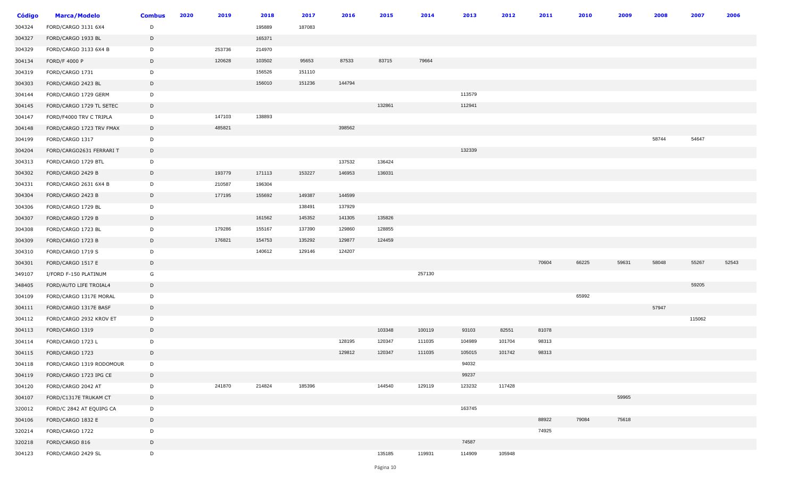| <b>Código</b> | <b>Marca/Modelo</b>      | <b>Combus</b> | 2020 | 2019   | 2018   | 2017   | 2016   | 2015   | 2014   | 2013   | 2012   | 2011  | 2010  | 2009  | 2008  | 2007   | 2006  |
|---------------|--------------------------|---------------|------|--------|--------|--------|--------|--------|--------|--------|--------|-------|-------|-------|-------|--------|-------|
| 304324        | FORD/CARGO 3131 6X4      | D             |      |        | 195889 | 187083 |        |        |        |        |        |       |       |       |       |        |       |
| 304327        | FORD/CARGO 1933 BL       | D             |      |        | 165371 |        |        |        |        |        |        |       |       |       |       |        |       |
| 304329        | FORD/CARGO 3133 6X4 B    | D             |      | 253736 | 214970 |        |        |        |        |        |        |       |       |       |       |        |       |
| 304134        | <b>FORD/F 4000 P</b>     | D             |      | 120628 | 103502 | 95653  | 87533  | 83715  | 79664  |        |        |       |       |       |       |        |       |
| 304319        | FORD/CARGO 1731          | D             |      |        | 156526 | 151110 |        |        |        |        |        |       |       |       |       |        |       |
| 304303        | FORD/CARGO 2423 BL       | D             |      |        | 156010 | 151236 | 144794 |        |        |        |        |       |       |       |       |        |       |
| 304144        | FORD/CARGO 1729 GERM     | D             |      |        |        |        |        |        |        | 113579 |        |       |       |       |       |        |       |
| 304145        | FORD/CARGO 1729 TL SETEC | D             |      |        |        |        |        | 132861 |        | 112941 |        |       |       |       |       |        |       |
| 304147        | FORD/F4000 TRV C TRIPLA  | D             |      | 147103 | 138893 |        |        |        |        |        |        |       |       |       |       |        |       |
| 304148        | FORD/CARGO 1723 TRV FMAX | D             |      | 485821 |        |        | 398562 |        |        |        |        |       |       |       |       |        |       |
| 304199        | FORD/CARGO 1317          | D             |      |        |        |        |        |        |        |        |        |       |       |       | 58744 | 54647  |       |
| 304204        | FORD/CARGO2631 FERRARI T | D             |      |        |        |        |        |        |        | 132339 |        |       |       |       |       |        |       |
| 304313        | FORD/CARGO 1729 BTL      | D             |      |        |        |        | 137532 | 136424 |        |        |        |       |       |       |       |        |       |
| 304302        | FORD/CARGO 2429 B        | D             |      | 193779 | 171113 | 153227 | 146953 | 136031 |        |        |        |       |       |       |       |        |       |
| 304331        | FORD/CARGO 2631 6X4 B    | D             |      | 210587 | 196304 |        |        |        |        |        |        |       |       |       |       |        |       |
| 304304        | FORD/CARGO 2423 B        | D             |      | 177195 | 155692 | 149387 | 144599 |        |        |        |        |       |       |       |       |        |       |
| 304306        | FORD/CARGO 1729 BL       | D             |      |        |        | 138491 | 137929 |        |        |        |        |       |       |       |       |        |       |
| 304307        | FORD/CARGO 1729 B        | D             |      |        | 161562 | 145352 | 141305 | 135826 |        |        |        |       |       |       |       |        |       |
| 304308        | FORD/CARGO 1723 BL       | D             |      | 179286 | 155167 | 137390 | 129860 | 128855 |        |        |        |       |       |       |       |        |       |
| 304309        | FORD/CARGO 1723 B        | D             |      | 176821 | 154753 | 135292 | 129877 | 124459 |        |        |        |       |       |       |       |        |       |
| 304310        | FORD/CARGO 1719 S        | D             |      |        | 140612 | 129146 | 124207 |        |        |        |        |       |       |       |       |        |       |
| 304301        | FORD/CARGO 1517 E        | D             |      |        |        |        |        |        |        |        |        | 70604 | 66225 | 59631 | 58048 | 55267  | 52543 |
| 349107        | I/FORD F-150 PLATINUM    | G             |      |        |        |        |        |        | 257130 |        |        |       |       |       |       |        |       |
| 348405        | FORD/AUTO LIFE TROIAL4   | D             |      |        |        |        |        |        |        |        |        |       |       |       |       | 59205  |       |
| 304109        | FORD/CARGO 1317E MORAL   | D             |      |        |        |        |        |        |        |        |        |       | 65992 |       |       |        |       |
| 304111        | FORD/CARGO 1317E BASF    | D             |      |        |        |        |        |        |        |        |        |       |       |       | 57947 |        |       |
| 304112        | FORD/CARGO 2932 KROV ET  | D             |      |        |        |        |        |        |        |        |        |       |       |       |       | 115062 |       |
| 304113        | FORD/CARGO 1319          | D             |      |        |        |        |        | 103348 | 100119 | 93103  | 82551  | 81078 |       |       |       |        |       |
| 304114        | FORD/CARGO 1723 L        | D             |      |        |        |        | 128195 | 120347 | 111035 | 104989 | 101704 | 98313 |       |       |       |        |       |
| 304115        | FORD/CARGO 1723          | D             |      |        |        |        | 129812 | 120347 | 111035 | 105015 | 101742 | 98313 |       |       |       |        |       |
| 304118        | FORD/CARGO 1319 RODOMOUR | D             |      |        |        |        |        |        |        | 94032  |        |       |       |       |       |        |       |
| 304119        | FORD/CARGO 1723 IPG CE   | D             |      |        |        |        |        |        |        | 99237  |        |       |       |       |       |        |       |
| 304120        | FORD/CARGO 2042 AT       | D             |      | 241870 | 214824 | 185396 |        | 144540 | 129119 | 123232 | 117428 |       |       |       |       |        |       |
| 304107        | FORD/C1317E TRUKAM CT    | D             |      |        |        |        |        |        |        |        |        |       |       | 59965 |       |        |       |
| 320012        | FORD/C 2842 AT EQUIPG CA | D             |      |        |        |        |        |        |        | 163745 |        |       |       |       |       |        |       |
| 304106        | FORD/CARGO 1832 E        | D             |      |        |        |        |        |        |        |        |        | 88922 | 79084 | 75618 |       |        |       |
| 320214        | FORD/CARGO 1722          | D             |      |        |        |        |        |        |        |        |        | 74925 |       |       |       |        |       |
| 320218        | FORD/CARGO 816           | D             |      |        |        |        |        |        |        | 74587  |        |       |       |       |       |        |       |
| 304123        | FORD/CARGO 2429 SL       | D             |      |        |        |        |        | 135185 | 119931 | 114909 | 105948 |       |       |       |       |        |       |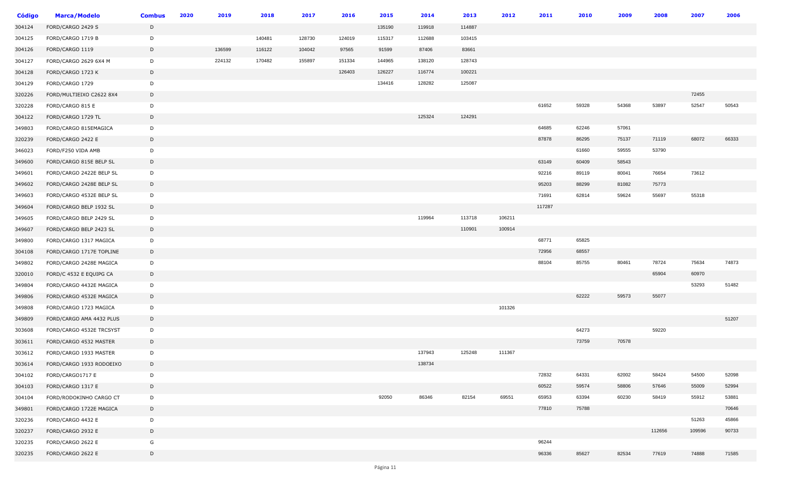| <b>Código</b> | <b>Marca/Modelo</b>      | <b>Combus</b> | 2020 | 2019   | 2018   | 2017   | 2016   | 2015   | 2014   | 2013   | 2012   | 2011   | 2010  | 2009  | 2008   | 2007   | 2006  |
|---------------|--------------------------|---------------|------|--------|--------|--------|--------|--------|--------|--------|--------|--------|-------|-------|--------|--------|-------|
| 304124        | FORD/CARGO 2429 S        | D             |      |        |        |        |        | 135190 | 119918 | 114887 |        |        |       |       |        |        |       |
| 304125        | FORD/CARGO 1719 B        | D             |      |        | 140481 | 128730 | 124019 | 115317 | 112688 | 103415 |        |        |       |       |        |        |       |
| 304126        | FORD/CARGO 1119          | D             |      | 136599 | 116122 | 104042 | 97565  | 91599  | 87406  | 83661  |        |        |       |       |        |        |       |
| 304127        | FORD/CARGO 2629 6X4 M    | D             |      | 224132 | 170482 | 155897 | 151334 | 144965 | 138120 | 128743 |        |        |       |       |        |        |       |
| 304128        | FORD/CARGO 1723 K        | D             |      |        |        |        | 126403 | 126227 | 116774 | 100221 |        |        |       |       |        |        |       |
| 304129        | FORD/CARGO 1729          | D             |      |        |        |        |        | 134416 | 128282 | 125087 |        |        |       |       |        |        |       |
| 320226        | FORD/MULTIEIXO C2622 8X4 | D             |      |        |        |        |        |        |        |        |        |        |       |       |        | 72455  |       |
| 320228        | FORD/CARGO 815 E         | D             |      |        |        |        |        |        |        |        |        | 61652  | 59328 | 54368 | 53897  | 52547  | 50543 |
| 304122        | FORD/CARGO 1729 TL       | D             |      |        |        |        |        |        | 125324 | 124291 |        |        |       |       |        |        |       |
| 349803        | FORD/CARGO 815EMAGICA    | D             |      |        |        |        |        |        |        |        |        | 64685  | 62246 | 57061 |        |        |       |
| 320239        | FORD/CARGO 2422 E        | D             |      |        |        |        |        |        |        |        |        | 87878  | 86295 | 75137 | 71119  | 68072  | 66333 |
| 346023        | FORD/F250 VIDA AMB       | D             |      |        |        |        |        |        |        |        |        |        | 61660 | 59555 | 53790  |        |       |
| 349600        | FORD/CARGO 815E BELP SL  | D             |      |        |        |        |        |        |        |        |        | 63149  | 60409 | 58543 |        |        |       |
| 349601        | FORD/CARGO 2422E BELP SL | D             |      |        |        |        |        |        |        |        |        | 92216  | 89119 | 80041 | 76654  | 73612  |       |
| 349602        | FORD/CARGO 2428E BELP SL | D             |      |        |        |        |        |        |        |        |        | 95203  | 88299 | 81082 | 75773  |        |       |
| 349603        | FORD/CARGO 4532E BELP SL | D             |      |        |        |        |        |        |        |        |        | 71691  | 62814 | 59624 | 55697  | 55318  |       |
| 349604        | FORD/CARGO BELP 1932 SL  | D             |      |        |        |        |        |        |        |        |        | 117287 |       |       |        |        |       |
| 349605        | FORD/CARGO BELP 2429 SL  | D             |      |        |        |        |        |        | 119964 | 113718 | 106211 |        |       |       |        |        |       |
| 349607        | FORD/CARGO BELP 2423 SL  | D             |      |        |        |        |        |        |        | 110901 | 100914 |        |       |       |        |        |       |
| 349800        | FORD/CARGO 1317 MAGICA   | D             |      |        |        |        |        |        |        |        |        | 68771  | 65825 |       |        |        |       |
| 304108        | FORD/CARGO 1717E TOPLINE | D             |      |        |        |        |        |        |        |        |        | 72956  | 68557 |       |        |        |       |
| 349802        | FORD/CARGO 2428E MAGICA  | D             |      |        |        |        |        |        |        |        |        | 88104  | 85755 | 80461 | 78724  | 75634  | 74873 |
| 320010        | FORD/C 4532 E EQUIPG CA  | D             |      |        |        |        |        |        |        |        |        |        |       |       | 65904  | 60970  |       |
| 349804        | FORD/CARGO 4432E MAGICA  | D             |      |        |        |        |        |        |        |        |        |        |       |       |        | 53293  | 51482 |
| 349806        | FORD/CARGO 4532E MAGICA  | D             |      |        |        |        |        |        |        |        |        |        | 62222 | 59573 | 55077  |        |       |
| 349808        | FORD/CARGO 1723 MAGICA   | D             |      |        |        |        |        |        |        |        | 101326 |        |       |       |        |        |       |
| 349809        | FORD/CARGO AMA 4432 PLUS | D             |      |        |        |        |        |        |        |        |        |        |       |       |        |        | 51207 |
| 303608        | FORD/CARGO 4532E TRCSYST | D             |      |        |        |        |        |        |        |        |        |        | 64273 |       | 59220  |        |       |
| 303611        | FORD/CARGO 4532 MASTER   | D             |      |        |        |        |        |        |        |        |        |        | 73759 | 70578 |        |        |       |
| 303612        | FORD/CARGO 1933 MASTER   | D             |      |        |        |        |        |        | 137943 | 125248 | 111367 |        |       |       |        |        |       |
| 303614        | FORD/CARGO 1933 RODOEIXO | D             |      |        |        |        |        |        | 138734 |        |        |        |       |       |        |        |       |
| 304102        | FORD/CARGO1717 E         | D             |      |        |        |        |        |        |        |        |        | 72832  | 64331 | 62002 | 58424  | 54500  | 52098 |
| 304103        | FORD/CARGO 1317 E        | D             |      |        |        |        |        |        |        |        |        | 60522  | 59574 | 58806 | 57646  | 55009  | 52994 |
| 304104        | FORD/RODOKINHO CARGO CT  | D             |      |        |        |        |        | 92050  | 86346  | 82154  | 69551  | 65953  | 63394 | 60230 | 58419  | 55912  | 53881 |
| 349801        | FORD/CARGO 1722E MAGICA  | D             |      |        |        |        |        |        |        |        |        | 77810  | 75788 |       |        |        | 70646 |
| 320236        | FORD/CARGO 4432 E        | D             |      |        |        |        |        |        |        |        |        |        |       |       |        | 51263  | 45866 |
| 320237        | FORD/CARGO 2932 E        | D             |      |        |        |        |        |        |        |        |        |        |       |       | 112656 | 109596 | 90733 |
| 320235        | FORD/CARGO 2622 E        | G             |      |        |        |        |        |        |        |        |        | 96244  |       |       |        |        |       |
| 320235        | FORD/CARGO 2622 E        | D             |      |        |        |        |        |        |        |        |        | 96336  | 85627 | 82534 | 77619  | 74888  | 71585 |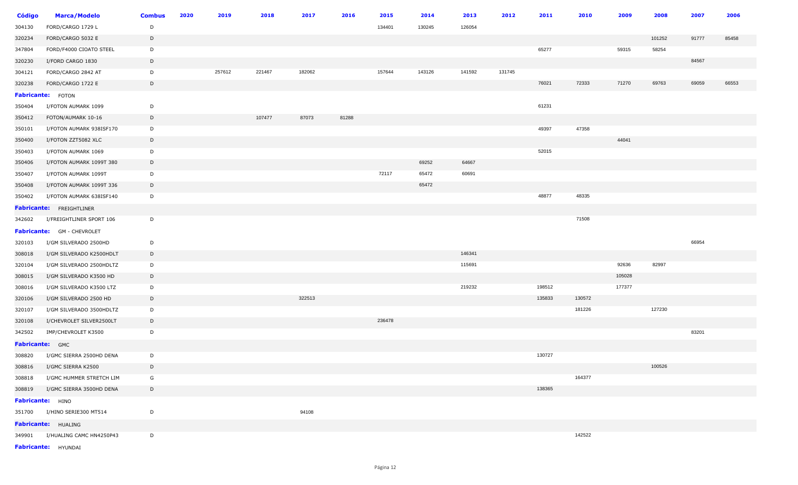| <b>Código</b>   | <b>Marca/Modelo</b>               | <b>Combus</b> | 2020 | 2019   | 2018   | 2017   | 2016  | 2015   | 2014   | 2013   | 2012   | 2011   | 2010   | 2009   | 2008   | 2007  | 2006  |
|-----------------|-----------------------------------|---------------|------|--------|--------|--------|-------|--------|--------|--------|--------|--------|--------|--------|--------|-------|-------|
| 304130          | FORD/CARGO 1729 L                 | D             |      |        |        |        |       | 134401 | 130245 | 126054 |        |        |        |        |        |       |       |
| 320234          | FORD/CARGO 5032 E                 | D             |      |        |        |        |       |        |        |        |        |        |        |        | 101252 | 91777 | 85458 |
| 347804          | FORD/F4000 CIOATO STEEL           | D             |      |        |        |        |       |        |        |        |        | 65277  |        | 59315  | 58254  |       |       |
| 320230          | I/FORD CARGO 1830                 | D             |      |        |        |        |       |        |        |        |        |        |        |        |        | 84567 |       |
| 304121          | FORD/CARGO 2842 AT                | D             |      | 257612 | 221467 | 182062 |       | 157644 | 143126 | 141592 | 131745 |        |        |        |        |       |       |
| 320238          | FORD/CARGO 1722 E                 | D             |      |        |        |        |       |        |        |        |        | 76021  | 72333  | 71270  | 69763  | 69059 | 66553 |
|                 | <b>Fabricante:</b> FOTON          |               |      |        |        |        |       |        |        |        |        |        |        |        |        |       |       |
| 350404          | I/FOTON AUMARK 1099               | D             |      |        |        |        |       |        |        |        |        | 61231  |        |        |        |       |       |
| 350412          | FOTON/AUMARK 10-16                | D             |      |        | 107477 | 87073  | 81288 |        |        |        |        |        |        |        |        |       |       |
| 350101          | I/FOTON AUMARK 938ISF170          | D             |      |        |        |        |       |        |        |        |        | 49397  | 47358  |        |        |       |       |
| 350400          | I/FOTON ZZT5082 XLC               | D             |      |        |        |        |       |        |        |        |        |        |        | 44041  |        |       |       |
| 350403          | I/FOTON AUMARK 1069               | D             |      |        |        |        |       |        |        |        |        | 52015  |        |        |        |       |       |
| 350406          | I/FOTON AUMARK 1099T 380          | D             |      |        |        |        |       |        | 69252  | 64667  |        |        |        |        |        |       |       |
| 350407          | I/FOTON AUMARK 1099T              | D             |      |        |        |        |       | 72117  | 65472  | 60691  |        |        |        |        |        |       |       |
| 350408          | I/FOTON AUMARK 1099T 336          | D             |      |        |        |        |       |        | 65472  |        |        |        |        |        |        |       |       |
| 350402          | I/FOTON AUMARK 638ISF140          | D             |      |        |        |        |       |        |        |        |        | 48877  | 48335  |        |        |       |       |
|                 | <b>Fabricante:</b> FREIGHTLINER   |               |      |        |        |        |       |        |        |        |        |        |        |        |        |       |       |
| 342602          | I/FREIGHTLINER SPORT 106          | D             |      |        |        |        |       |        |        |        |        |        | 71508  |        |        |       |       |
|                 | <b>Fabricante:</b> GM - CHEVROLET |               |      |        |        |        |       |        |        |        |        |        |        |        |        |       |       |
| 320103          | I/GM SILVERADO 2500HD             | D             |      |        |        |        |       |        |        |        |        |        |        |        |        | 66954 |       |
| 308018          | I/GM SILVERADO K2500HDLT          | D             |      |        |        |        |       |        |        | 146341 |        |        |        |        |        |       |       |
| 320104          | I/GM SILVERADO 2500HDLTZ          | D             |      |        |        |        |       |        |        | 115691 |        |        |        | 92636  | 82997  |       |       |
| 308015          | I/GM SILVERADO K3500 HD           | D             |      |        |        |        |       |        |        |        |        |        |        | 105028 |        |       |       |
| 308016          | I/GM SILVERADO K3500 LTZ          | D             |      |        |        |        |       |        |        | 219232 |        | 198512 |        | 177377 |        |       |       |
| 320106          | I/GM SILVERADO 2500 HD            | D             |      |        |        | 322513 |       |        |        |        |        | 135833 | 130572 |        |        |       |       |
| 320107          | I/GM SILVERADO 3500HDLTZ          | D             |      |        |        |        |       |        |        |        |        |        | 181226 |        | 127230 |       |       |
| 320108          | I/CHEVROLET SILVER2500LT          | D             |      |        |        |        |       | 236478 |        |        |        |        |        |        |        |       |       |
| 342502          | IMP/CHEVROLET K3500               | D             |      |        |        |        |       |        |        |        |        |        |        |        |        | 83201 |       |
| Fabricante: GMC |                                   |               |      |        |        |        |       |        |        |        |        |        |        |        |        |       |       |
| 308820          | I/GMC SIERRA 2500HD DENA          | D             |      |        |        |        |       |        |        |        |        | 130727 |        |        |        |       |       |
|                 | 308816 I/GMC SIERRA K2500         | D             |      |        |        |        |       |        |        |        |        |        |        |        | 100526 |       |       |
| 308818          | I/GMC HUMMER STRETCH LIM          | G             |      |        |        |        |       |        |        |        |        |        | 164377 |        |        |       |       |
|                 | 308819 I/GMC SIERRA 3500HD DENA   | D             |      |        |        |        |       |        |        |        |        | 138365 |        |        |        |       |       |
|                 | Fabricante: HINO                  |               |      |        |        |        |       |        |        |        |        |        |        |        |        |       |       |
|                 | 351700 I/HINO SERIE300 MT514      | D             |      |        |        | 94108  |       |        |        |        |        |        |        |        |        |       |       |
|                 | Fabricante: HUALING               |               |      |        |        |        |       |        |        |        |        |        |        |        |        |       |       |
|                 | 349901 I/HUALING CAMC HN4250P43   | D             |      |        |        |        |       |        |        |        |        |        | 142522 |        |        |       |       |
|                 | Fabricante: HYUNDAI               |               |      |        |        |        |       |        |        |        |        |        |        |        |        |       |       |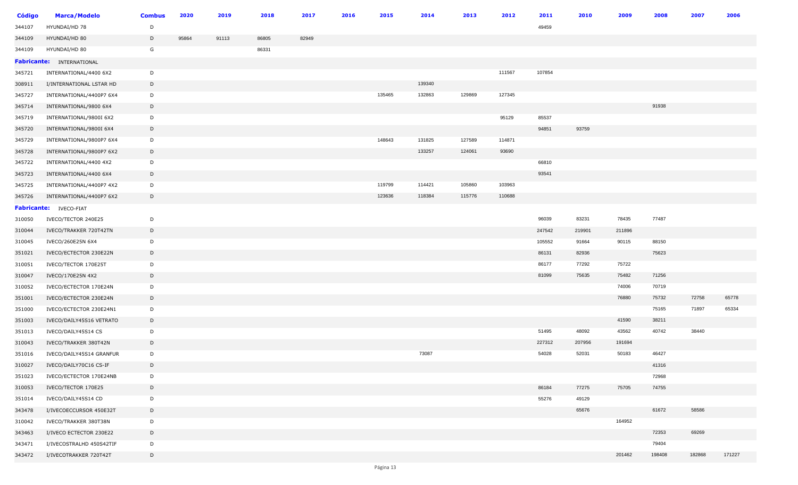| Código | <b>Marca/Modelo</b>              | <b>Combus</b> | 2020  | 2019  | 2018  | 2017  | 2016 | 2015   | 2014   | 2013   | 2012   | 2011   | 2010   | 2009   | 2008   | 2007   | 2006   |
|--------|----------------------------------|---------------|-------|-------|-------|-------|------|--------|--------|--------|--------|--------|--------|--------|--------|--------|--------|
| 344107 | HYUNDAI/HD 78                    | D             |       |       |       |       |      |        |        |        |        | 49459  |        |        |        |        |        |
| 344109 | HYUNDAI/HD 80                    | D             | 95864 | 91113 | 86805 | 82949 |      |        |        |        |        |        |        |        |        |        |        |
| 344109 | HYUNDAI/HD 80                    | G             |       |       | 86331 |       |      |        |        |        |        |        |        |        |        |        |        |
|        | <b>Fabricante: INTERNATIONAL</b> |               |       |       |       |       |      |        |        |        |        |        |        |        |        |        |        |
| 345721 | INTERNATIONAL/4400 6X2           | D             |       |       |       |       |      |        |        |        | 111567 | 107854 |        |        |        |        |        |
| 308911 | I/INTERNATIONAL LSTAR HD         | D             |       |       |       |       |      |        | 139340 |        |        |        |        |        |        |        |        |
| 345727 | INTERNATIONAL/4400P7 6X4         | D             |       |       |       |       |      | 135465 | 132863 | 129869 | 127345 |        |        |        |        |        |        |
| 345714 | INTERNATIONAL/9800 6X4           | D             |       |       |       |       |      |        |        |        |        |        |        |        | 91938  |        |        |
| 345719 | INTERNATIONAL/9800I 6X2          | D             |       |       |       |       |      |        |        |        | 95129  | 85537  |        |        |        |        |        |
| 345720 | INTERNATIONAL/9800I 6X4          | D             |       |       |       |       |      |        |        |        |        | 94851  | 93759  |        |        |        |        |
| 345729 | INTERNATIONAL/9800P7 6X4         | D             |       |       |       |       |      | 148643 | 131825 | 127589 | 114871 |        |        |        |        |        |        |
| 345728 | INTERNATIONAL/9800P7 6X2         | D             |       |       |       |       |      |        | 133257 | 124061 | 93690  |        |        |        |        |        |        |
| 345722 | INTERNATIONAL/4400 4X2           | D             |       |       |       |       |      |        |        |        |        | 66810  |        |        |        |        |        |
| 345723 | INTERNATIONAL/4400 6X4           | D             |       |       |       |       |      |        |        |        |        | 93541  |        |        |        |        |        |
| 345725 | INTERNATIONAL/4400P7 4X2         | D             |       |       |       |       |      | 119799 | 114421 | 105860 | 103963 |        |        |        |        |        |        |
| 345726 | INTERNATIONAL/4400P7 6X2         | D             |       |       |       |       |      | 123636 | 118384 | 115776 | 110688 |        |        |        |        |        |        |
|        | <b>Fabricante:</b> IVECO-FIAT    |               |       |       |       |       |      |        |        |        |        |        |        |        |        |        |        |
| 310050 | IVECO/TECTOR 240E25              | D             |       |       |       |       |      |        |        |        |        | 96039  | 83231  | 78435  | 77487  |        |        |
| 310044 | IVECO/TRAKKER 720T42TN           | D             |       |       |       |       |      |        |        |        |        | 247542 | 219901 | 211896 |        |        |        |
| 310045 | IVECO/260E25N 6X4                | D             |       |       |       |       |      |        |        |        |        | 105552 | 91664  | 90115  | 88150  |        |        |
| 351021 | IVECO/ECTECTOR 230E22N           | D             |       |       |       |       |      |        |        |        |        | 86131  | 82936  |        | 75623  |        |        |
| 310051 | IVECO/TECTOR 170E25T             | D             |       |       |       |       |      |        |        |        |        | 86177  | 77292  | 75722  |        |        |        |
| 310047 | IVECO/170E25N 4X2                | D             |       |       |       |       |      |        |        |        |        | 81099  | 75635  | 75482  | 71256  |        |        |
| 310052 | IVECO/ECTECTOR 170E24N           | D             |       |       |       |       |      |        |        |        |        |        |        | 74006  | 70719  |        |        |
| 351001 | IVECO/ECTECTOR 230E24N           | D             |       |       |       |       |      |        |        |        |        |        |        | 76880  | 75732  | 72758  | 65778  |
| 351000 | IVECO/ECTECTOR 230E24N1          | D             |       |       |       |       |      |        |        |        |        |        |        |        | 75165  | 71897  | 65334  |
| 351003 | IVECO/DAILY45S16 VETRATO         | D             |       |       |       |       |      |        |        |        |        |        |        | 41590  | 38211  |        |        |
| 351013 | IVECO/DAILY45S14 CS              | D             |       |       |       |       |      |        |        |        |        | 51495  | 48092  | 43562  | 40742  | 38440  |        |
| 310043 | IVECO/TRAKKER 380T42N            | D             |       |       |       |       |      |        |        |        |        | 227312 | 207956 | 191694 |        |        |        |
| 351016 | IVECO/DAILY45S14 GRANFUR         | D             |       |       |       |       |      |        | 73087  |        |        | 54028  | 52031  | 50183  | 46427  |        |        |
| 310027 | IVECO/DAILY70C16 CS-IF           | D             |       |       |       |       |      |        |        |        |        |        |        |        | 41316  |        |        |
| 351023 | IVECO/ECTECTOR 170E24NB          | D             |       |       |       |       |      |        |        |        |        |        |        |        | 72968  |        |        |
| 310053 | IVECO/TECTOR 170E25              | D             |       |       |       |       |      |        |        |        |        | 86184  | 77275  | 75705  | 74755  |        |        |
| 351014 | IVECO/DAILY45S14 CD              | D             |       |       |       |       |      |        |        |        |        | 55276  | 49129  |        |        |        |        |
| 343478 | I/IVECOECCURSOR 450E32T          | D             |       |       |       |       |      |        |        |        |        |        | 65676  |        | 61672  | 58586  |        |
| 310042 | IVECO/TRAKKER 380T38N            | D             |       |       |       |       |      |        |        |        |        |        |        | 164952 |        |        |        |
| 343463 | I/IVECO ECTECTOR 230E22          | D             |       |       |       |       |      |        |        |        |        |        |        |        | 72353  | 69269  |        |
| 343471 | I/IVECOSTRALHD 450S42TIF         | D             |       |       |       |       |      |        |        |        |        |        |        |        | 79404  |        |        |
| 343472 | I/IVECOTRAKKER 720T42T           | D             |       |       |       |       |      |        |        |        |        |        |        | 201462 | 198408 | 182868 | 171227 |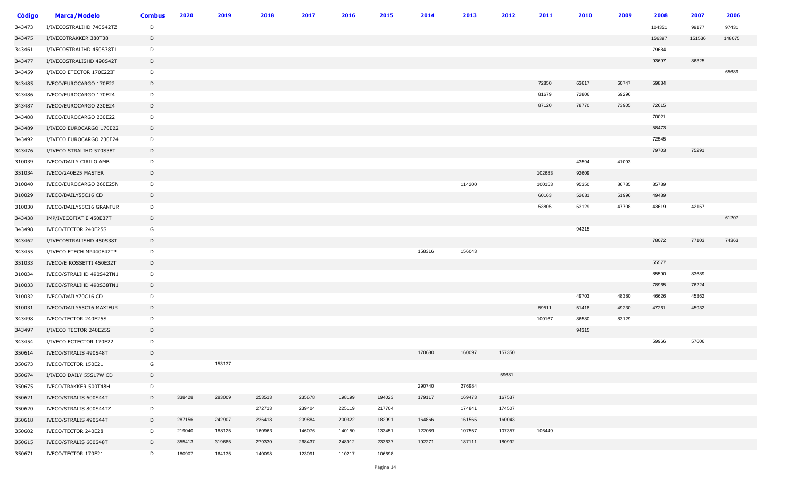| <b>Código</b> | <b>Marca/Modelo</b>      | <b>Combus</b> | 2020   | 2019   | 2018   | 2017   | 2016   | 2015   | 2014   | 2013   | 2012   | 2011   | 2010  | 2009  | 2008   | 2007   | 2006   |
|---------------|--------------------------|---------------|--------|--------|--------|--------|--------|--------|--------|--------|--------|--------|-------|-------|--------|--------|--------|
| 343473        | I/IVECOSTRALIHD 740S42TZ | D             |        |        |        |        |        |        |        |        |        |        |       |       | 104351 | 99177  | 97431  |
| 343475        | I/IVECOTRAKKER 380T38    | D             |        |        |        |        |        |        |        |        |        |        |       |       | 156397 | 151536 | 148075 |
| 343461        | I/IVECOSTRALIHD 450S38T1 | D             |        |        |        |        |        |        |        |        |        |        |       |       | 79684  |        |        |
| 343477        | I/IVECOSTRALISHD 490S42T | D             |        |        |        |        |        |        |        |        |        |        |       |       | 93697  | 86325  |        |
| 343459        | I/IVECO ETECTOR 170E22IF | D             |        |        |        |        |        |        |        |        |        |        |       |       |        |        | 65689  |
| 343485        | IVECO/EUROCARGO 170E22   | D             |        |        |        |        |        |        |        |        |        | 72850  | 63617 | 60747 | 59834  |        |        |
| 343486        | IVECO/EUROCARGO 170E24   | D             |        |        |        |        |        |        |        |        |        | 81679  | 72806 | 69296 |        |        |        |
| 343487        | IVECO/EUROCARGO 230E24   | D             |        |        |        |        |        |        |        |        |        | 87120  | 78770 | 73905 | 72615  |        |        |
| 343488        | IVECO/EUROCARGO 230E22   | D             |        |        |        |        |        |        |        |        |        |        |       |       | 70021  |        |        |
| 343489        | I/IVECO EUROCARGO 170E22 | D             |        |        |        |        |        |        |        |        |        |        |       |       | 58473  |        |        |
| 343492        | I/IVECO EUROCARGO 230E24 | D             |        |        |        |        |        |        |        |        |        |        |       |       | 72545  |        |        |
| 343476        | I/IVECO STRALIHD 570S38T | D             |        |        |        |        |        |        |        |        |        |        |       |       | 79703  | 75291  |        |
| 310039        | IVECO/DAILY CIRILO AMB   | D             |        |        |        |        |        |        |        |        |        |        | 43594 | 41093 |        |        |        |
| 351034        | IVECO/240E25 MASTER      | D             |        |        |        |        |        |        |        |        |        | 102683 | 92609 |       |        |        |        |
| 310040        | IVECO/EUROCARGO 260E25N  | D             |        |        |        |        |        |        |        | 114200 |        | 100153 | 95350 | 86785 | 85789  |        |        |
| 310029        | IVECO/DAILY55C16 CD      | D             |        |        |        |        |        |        |        |        |        | 60163  | 52681 | 51996 | 49489  |        |        |
| 310030        | IVECO/DAILY55C16 GRANFUR | D             |        |        |        |        |        |        |        |        |        | 53805  | 53129 | 47708 | 43619  | 42157  |        |
| 343438        | IMP/IVECOFIAT E 450E37T  | D             |        |        |        |        |        |        |        |        |        |        |       |       |        |        | 61207  |
| 343498        | IVECO/TECTOR 240E25S     | G             |        |        |        |        |        |        |        |        |        |        | 94315 |       |        |        |        |
| 343462        | I/IVECOSTRALISHD 450S38T | D             |        |        |        |        |        |        |        |        |        |        |       |       | 78072  | 77103  | 74363  |
| 343455        | I/IVECO ETECH MP440E42TP | D             |        |        |        |        |        |        | 158316 | 156043 |        |        |       |       |        |        |        |
| 351033        | IVECO/E ROSSETTI 450E32T | D             |        |        |        |        |        |        |        |        |        |        |       |       | 55577  |        |        |
| 310034        | IVECO/STRALIHD 490S42TN1 | D             |        |        |        |        |        |        |        |        |        |        |       |       | 85590  | 83689  |        |
| 310033        | IVECO/STRALIHD 490S38TN1 | D             |        |        |        |        |        |        |        |        |        |        |       |       | 78965  | 76224  |        |
| 310032        | IVECO/DAILY70C16 CD      | D             |        |        |        |        |        |        |        |        |        |        | 49703 | 48380 | 46626  | 45362  |        |
| 310031        | IVECO/DAILY55C16 MAXIFUR | D             |        |        |        |        |        |        |        |        |        | 59511  | 51418 | 49230 | 47261  | 45932  |        |
| 343498        | IVECO/TECTOR 240E25S     | D             |        |        |        |        |        |        |        |        |        | 100167 | 86580 | 83129 |        |        |        |
| 343497        | I/IVECO TECTOR 240E25S   | D             |        |        |        |        |        |        |        |        |        |        | 94315 |       |        |        |        |
| 343454        | I/IVECO ECTECTOR 170E22  | D             |        |        |        |        |        |        |        |        |        |        |       |       | 59966  | 57606  |        |
| 350614        | IVECO/STRALIS 490S48T    | D             |        |        |        |        |        |        | 170680 | 160097 | 157350 |        |       |       |        |        |        |
| 350673        | IVECO/TECTOR 150E21      | G             |        | 153137 |        |        |        |        |        |        |        |        |       |       |        |        |        |
| 350674        | I/IVECO DAILY 55S17W CD  | D             |        |        |        |        |        |        |        |        | 59681  |        |       |       |        |        |        |
| 350675        | IVECO/TRAKKER 500T48H    | D             |        |        |        |        |        |        | 290740 | 276984 |        |        |       |       |        |        |        |
| 350621        | IVECO/STRALIS 600S44T    | D             | 338428 | 283009 | 253513 | 235678 | 198199 | 194023 | 179117 | 169473 | 167537 |        |       |       |        |        |        |
| 350620        | IVECO/STRALIS 800S44TZ   | D             |        |        | 272713 | 239404 | 225119 | 217704 |        | 174841 | 174507 |        |       |       |        |        |        |
| 350618        | IVECO/STRALIS 490S44T    | D             | 287156 | 242907 | 236418 | 209884 | 200322 | 182991 | 164866 | 161565 | 160043 |        |       |       |        |        |        |
| 350602        | IVECO/TECTOR 240E28      | D             | 219040 | 188125 | 160963 | 146076 | 140150 | 133451 | 122089 | 107557 | 107357 | 106449 |       |       |        |        |        |
| 350615        | IVECO/STRALIS 600S48T    | D             | 355413 | 319685 | 279330 | 268437 | 248912 | 233637 | 192271 | 187111 | 180992 |        |       |       |        |        |        |
| 350671        | IVECO/TECTOR 170E21      | D             | 180907 | 164135 | 140098 | 123091 | 110217 | 106698 |        |        |        |        |       |       |        |        |        |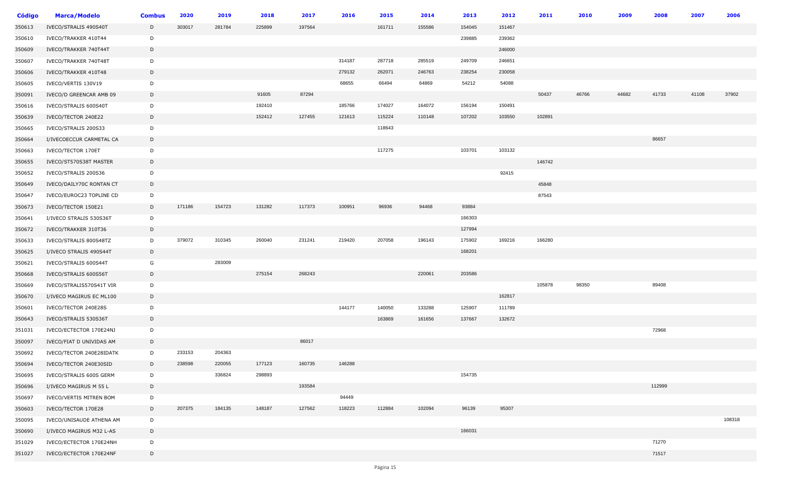| <b>Código</b> | <b>Marca/Modelo</b>      | <b>Combus</b> | 2020   | 2019   | 2018   | 2017   | 2016   | 2015   | 2014   | 2013   | 2012   | 2011   | 2010  | 2009  | 2008   | 2007  | 2006   |
|---------------|--------------------------|---------------|--------|--------|--------|--------|--------|--------|--------|--------|--------|--------|-------|-------|--------|-------|--------|
| 350613        | IVECO/STRALIS 490S40T    | D             | 303017 | 281784 | 225899 | 197564 |        | 161711 | 155586 | 154045 | 151467 |        |       |       |        |       |        |
| 350610        | IVECO/TRAKKER 410T44     | D             |        |        |        |        |        |        |        | 239885 | 239362 |        |       |       |        |       |        |
| 350609        | IVECO/TRAKKER 740T44T    | D             |        |        |        |        |        |        |        |        | 246000 |        |       |       |        |       |        |
| 350607        | IVECO/TRAKKER 740T48T    | D             |        |        |        |        | 314187 | 287718 | 285519 | 249709 | 246651 |        |       |       |        |       |        |
| 350606        | IVECO/TRAKKER 410T48     | D             |        |        |        |        | 279132 | 262071 | 246763 | 238254 | 230058 |        |       |       |        |       |        |
| 350605        | IVECO/VERTIS 130V19      | D             |        |        |        |        | 68655  | 66494  | 64869  | 54212  | 54088  |        |       |       |        |       |        |
| 350091        | IVECO/D GREENCAR AMB 09  | D             |        |        | 91605  | 87294  |        |        |        |        |        | 50437  | 46766 | 44682 | 41733  | 41108 | 37902  |
| 350616        | IVECO/STRALIS 600S40T    | D             |        |        | 192410 |        | 185766 | 174027 | 164072 | 156194 | 150491 |        |       |       |        |       |        |
| 350639        | IVECO/TECTOR 240E22      | D             |        |        | 152412 | 127455 | 121613 | 115224 | 110148 | 107202 | 103550 | 102891 |       |       |        |       |        |
| 350665        | IVECO/STRALIS 200S33     | D             |        |        |        |        |        | 118643 |        |        |        |        |       |       |        |       |        |
| 350664        | I/IVECOECCUR CARMETAL CA | D             |        |        |        |        |        |        |        |        |        |        |       |       | 86657  |       |        |
| 350663        | IVECO/TECTOR 170ET       | D             |        |        |        |        |        | 117275 |        | 103701 | 103132 |        |       |       |        |       |        |
| 350655        | IVECO/ST570S38T MASTER   | D             |        |        |        |        |        |        |        |        |        | 146742 |       |       |        |       |        |
| 350652        | IVECO/STRALIS 200S36     | D             |        |        |        |        |        |        |        |        | 92415  |        |       |       |        |       |        |
| 350649        | IVECO/DAILY70C RONTAN CT | D             |        |        |        |        |        |        |        |        |        | 45848  |       |       |        |       |        |
| 350647        | IVECO/EUROC23 TOPLINE CD | D             |        |        |        |        |        |        |        |        |        | 87543  |       |       |        |       |        |
| 350673        | IVECO/TECTOR 150E21      | D             | 171186 | 154723 | 131282 | 117373 | 100951 | 96936  | 94468  | 93884  |        |        |       |       |        |       |        |
| 350641        | I/IVECO STRALIS 530S36T  | D             |        |        |        |        |        |        |        | 166303 |        |        |       |       |        |       |        |
| 350672        | IVECO/TRAKKER 310T36     | D             |        |        |        |        |        |        |        | 127994 |        |        |       |       |        |       |        |
| 350633        | IVECO/STRALIS 800S48TZ   | D             | 379072 | 310345 | 260040 | 231241 | 219420 | 207058 | 196143 | 175902 | 169216 | 166280 |       |       |        |       |        |
| 350625        | I/IVECO STRALIS 490S44T  | D             |        |        |        |        |        |        |        | 168201 |        |        |       |       |        |       |        |
| 350621        | IVECO/STRALIS 600S44T    | G             |        | 283009 |        |        |        |        |        |        |        |        |       |       |        |       |        |
| 350668        | IVECO/STRALIS 600S56T    | D             |        |        | 275154 | 268243 |        |        | 220061 | 203586 |        |        |       |       |        |       |        |
| 350669        | IVECO/STRALIS570S41T VIR | D             |        |        |        |        |        |        |        |        |        | 105878 | 98350 |       | 89408  |       |        |
| 350670        | I/IVECO MAGIRUS EC ML100 | D             |        |        |        |        |        |        |        |        | 162817 |        |       |       |        |       |        |
| 350601        | IVECO/TECTOR 240E28S     | D             |        |        |        |        | 144177 | 140050 | 133288 | 125907 | 111789 |        |       |       |        |       |        |
| 350643        | IVECO/STRALIS 530S36T    | D             |        |        |        |        |        | 163869 | 161656 | 137667 | 132672 |        |       |       |        |       |        |
| 351031        | IVECO/ECTECTOR 170E24NJ  | D             |        |        |        |        |        |        |        |        |        |        |       |       | 72968  |       |        |
| 350097        | IVECO/FIAT D UNIVIDAS AM | D             |        |        |        | 86017  |        |        |        |        |        |        |       |       |        |       |        |
| 350692        | IVECO/TECTOR 240E28IDATK | D             | 233153 | 204363 |        |        |        |        |        |        |        |        |       |       |        |       |        |
| 350694        | IVECO/TECTOR 240E30SID   | D             | 238598 | 220055 | 177123 | 160735 | 146288 |        |        |        |        |        |       |       |        |       |        |
| 350695        | IVECO/STRALIS 600S GERM  | D             |        | 336824 | 298893 |        |        |        |        | 154735 |        |        |       |       |        |       |        |
| 350696        | I/IVECO MAGIRUS M 55 L   | D             |        |        |        | 193584 |        |        |        |        |        |        |       |       | 112999 |       |        |
| 350697        | IVECO/VERTIS MITREN BOM  | D             |        |        |        |        | 94449  |        |        |        |        |        |       |       |        |       |        |
| 350603        | IVECO/TECTOR 170E28      | D             | 207375 | 184135 | 148187 | 127562 | 118223 | 112884 | 102094 | 96139  | 95307  |        |       |       |        |       |        |
| 350095        | IVECO/UNISAUDE ATHENA AM | D             |        |        |        |        |        |        |        |        |        |        |       |       |        |       | 108318 |
| 350690        | I/IVECO MAGIRUS M32 L-AS | D             |        |        |        |        |        |        |        | 166031 |        |        |       |       |        |       |        |
| 351029        | IVECO/ECTECTOR 170E24NH  | D             |        |        |        |        |        |        |        |        |        |        |       |       | 71270  |       |        |
| 351027        | IVECO/ECTECTOR 170E24NF  | D             |        |        |        |        |        |        |        |        |        |        |       |       | 71517  |       |        |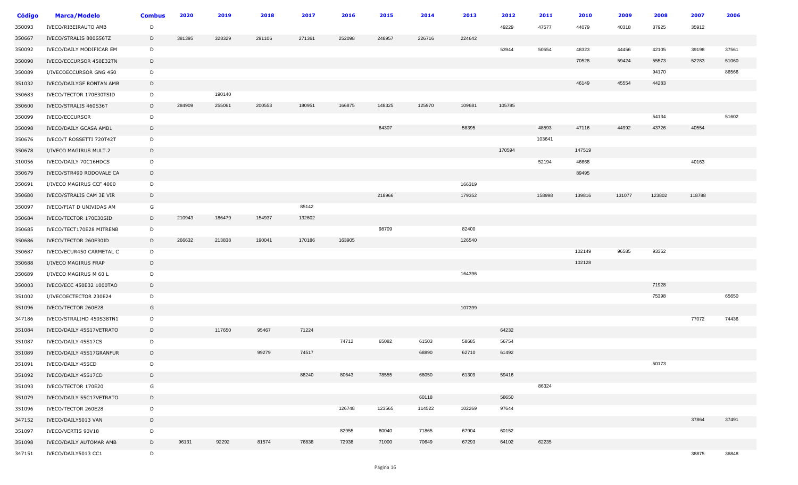| <b>Código</b> | <b>Marca/Modelo</b>      | <b>Combus</b> | 2020   | 2019   | 2018   | 2017   | 2016   | 2015   | 2014   | 2013   | 2012   | 2011   | 2010   | 2009   | 2008   | 2007   | 2006  |
|---------------|--------------------------|---------------|--------|--------|--------|--------|--------|--------|--------|--------|--------|--------|--------|--------|--------|--------|-------|
| 350093        | IVECO/RIBEIRAUTO AMB     | D             |        |        |        |        |        |        |        |        | 49229  | 47577  | 44079  | 40318  | 37925  | 35912  |       |
| 350667        | IVECO/STRALIS 800S56TZ   | D             | 381395 | 328329 | 291106 | 271361 | 252098 | 248957 | 226716 | 224642 |        |        |        |        |        |        |       |
| 350092        | IVECO/DAILY MODIFICAR EM | D             |        |        |        |        |        |        |        |        | 53944  | 50554  | 48323  | 44456  | 42105  | 39198  | 37561 |
| 350090        | IVECO/ECCURSOR 450E32TN  | D             |        |        |        |        |        |        |        |        |        |        | 70528  | 59424  | 55573  | 52283  | 51060 |
| 350089        | I/IVECOECCURSOR GNG 450  | D             |        |        |        |        |        |        |        |        |        |        |        |        | 94170  |        | 86566 |
| 351032        | IVECO/DAILYGF RONTAN AMB | D             |        |        |        |        |        |        |        |        |        |        | 46149  | 45554  | 44283  |        |       |
| 350683        | IVECO/TECTOR 170E30TSID  | D             |        | 190140 |        |        |        |        |        |        |        |        |        |        |        |        |       |
| 350600        | IVECO/STRALIS 460S36T    | D             | 284909 | 255061 | 200553 | 180951 | 166875 | 148325 | 125970 | 109681 | 105785 |        |        |        |        |        |       |
| 350099        | IVECO/ECCURSOR           | D             |        |        |        |        |        |        |        |        |        |        |        |        | 54134  |        | 51602 |
| 350098        | IVECO/DAILY GCASA AMB1   | D             |        |        |        |        |        | 64307  |        | 58395  |        | 48593  | 47116  | 44992  | 43726  | 40554  |       |
| 350676        | IVECO/T ROSSETTI 720T42T | D             |        |        |        |        |        |        |        |        |        | 103641 |        |        |        |        |       |
| 350678        | I/IVECO MAGIRUS MULT.2   | D             |        |        |        |        |        |        |        |        | 170594 |        | 147519 |        |        |        |       |
| 310056        | IVECO/DAILY 70C16HDCS    | D             |        |        |        |        |        |        |        |        |        | 52194  | 46668  |        |        | 40163  |       |
| 350679        | IVECO/STR490 RODOVALE CA | D             |        |        |        |        |        |        |        |        |        |        | 89495  |        |        |        |       |
| 350691        | I/IVECO MAGIRUS CCF 4000 | D             |        |        |        |        |        |        |        | 166319 |        |        |        |        |        |        |       |
| 350680        | IVECO/STRALIS CAM 3E VIR | D             |        |        |        |        |        | 218966 |        | 179352 |        | 158998 | 139816 | 131077 | 123802 | 118788 |       |
| 350097        | IVECO/FIAT D UNIVIDAS AM | G             |        |        |        | 85142  |        |        |        |        |        |        |        |        |        |        |       |
| 350684        | IVECO/TECTOR 170E30SID   | D             | 210943 | 186479 | 154937 | 132602 |        |        |        |        |        |        |        |        |        |        |       |
| 350685        | IVECO/TECT170E28 MITRENB | D             |        |        |        |        |        | 98709  |        | 82400  |        |        |        |        |        |        |       |
| 350686        | IVECO/TECTOR 260E30ID    | D             | 266632 | 213838 | 190041 | 170186 | 163905 |        |        | 126540 |        |        |        |        |        |        |       |
| 350687        | IVECO/ECUR450 CARMETAL C | D             |        |        |        |        |        |        |        |        |        |        | 102149 | 96585  | 93352  |        |       |
| 350688        | I/IVECO MAGIRUS FRAP     | D             |        |        |        |        |        |        |        |        |        |        | 102128 |        |        |        |       |
| 350689        | I/IVECO MAGIRUS M 60 L   | D             |        |        |        |        |        |        |        | 164396 |        |        |        |        |        |        |       |
| 350003        | IVECO/ECC 450E32 1000TAO | D             |        |        |        |        |        |        |        |        |        |        |        |        | 71928  |        |       |
| 351002        | I/IVECOECTECTOR 230E24   | D             |        |        |        |        |        |        |        |        |        |        |        |        | 75398  |        | 65650 |
| 351096        | IVECO/TECTOR 260E28      | G             |        |        |        |        |        |        |        | 107399 |        |        |        |        |        |        |       |
| 347186        | IVECO/STRALIHD 450S38TN1 | D             |        |        |        |        |        |        |        |        |        |        |        |        |        | 77072  | 74436 |
| 351084        | IVECO/DAILY 45S17VETRATO | D             |        | 117650 | 95467  | 71224  |        |        |        |        | 64232  |        |        |        |        |        |       |
| 351087        | IVECO/DAILY 45S17CS      | D             |        |        |        |        | 74712  | 65082  | 61503  | 58685  | 56754  |        |        |        |        |        |       |
| 351089        | IVECO/DAILY 45S17GRANFUR | D             |        |        | 99279  | 74517  |        |        | 68890  | 62710  | 61492  |        |        |        |        |        |       |
| 351091        | IVECO/DAILY 45SCD        | D             |        |        |        |        |        |        |        |        |        |        |        |        | 50173  |        |       |
| 351092        | IVECO/DAILY 45S17CD      | D             |        |        |        | 88240  | 80643  | 78555  | 68050  | 61309  | 59416  |        |        |        |        |        |       |
| 351093        | IVECO/TECTOR 170E20      | G             |        |        |        |        |        |        |        |        |        | 86324  |        |        |        |        |       |
| 351079        | IVECO/DAILY 55C17VETRATO | D             |        |        |        |        |        |        | 60118  |        | 58650  |        |        |        |        |        |       |
| 351096        | IVECO/TECTOR 260E28      | $\mathsf{D}$  |        |        |        |        | 126748 | 123565 | 114522 | 102269 | 97644  |        |        |        |        |        |       |
| 347152        | IVECO/DAILY5013 VAN      | D             |        |        |        |        |        |        |        |        |        |        |        |        |        | 37864  | 37491 |
| 351097        | IVECO/VERTIS 90V18       | D             |        |        |        |        | 82955  | 80040  | 71865  | 67904  | 60152  |        |        |        |        |        |       |
| 351098        | IVECO/DAILY AUTOMAR AMB  | D             | 96131  | 92292  | 81574  | 76838  | 72938  | 71000  | 70649  | 67293  | 64102  | 62235  |        |        |        |        |       |
| 347151        | IVECO/DAILY5013 CC1      | D             |        |        |        |        |        |        |        |        |        |        |        |        |        | 38875  | 36848 |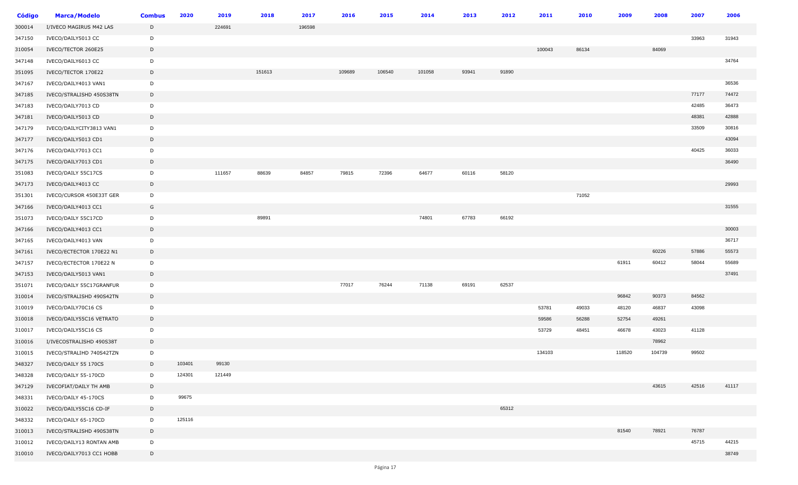| Código | <b>Marca/Modelo</b>      | <b>Combus</b> | 2020   | 2019   | 2018   | 2017   | 2016   | 2015   | 2014   | 2013  | 2012  | 2011   | 2010  | 2009   | 2008   | 2007  | 2006  |
|--------|--------------------------|---------------|--------|--------|--------|--------|--------|--------|--------|-------|-------|--------|-------|--------|--------|-------|-------|
| 300014 | I/IVECO MAGIRUS M42 LAS  | D             |        | 224691 |        | 196598 |        |        |        |       |       |        |       |        |        |       |       |
| 347150 | IVECO/DAILY5013 CC       | D             |        |        |        |        |        |        |        |       |       |        |       |        |        | 33963 | 31943 |
| 310054 | IVECO/TECTOR 260E25      | D             |        |        |        |        |        |        |        |       |       | 100043 | 86134 |        | 84069  |       |       |
| 347148 | IVECO/DAILY6013 CC       | D             |        |        |        |        |        |        |        |       |       |        |       |        |        |       | 34764 |
| 351095 | IVECO/TECTOR 170E22      | $\mathsf{D}$  |        |        | 151613 |        | 109689 | 106540 | 101058 | 93941 | 91890 |        |       |        |        |       |       |
| 347167 | IVECO/DAILY4013 VAN1     | D             |        |        |        |        |        |        |        |       |       |        |       |        |        |       | 36536 |
| 347185 | IVECO/STRALISHD 450S38TN | D             |        |        |        |        |        |        |        |       |       |        |       |        |        | 77177 | 74472 |
| 347183 | IVECO/DAILY7013 CD       | D             |        |        |        |        |        |        |        |       |       |        |       |        |        | 42485 | 36473 |
| 347181 | IVECO/DAILY5013 CD       | D             |        |        |        |        |        |        |        |       |       |        |       |        |        | 48381 | 42888 |
| 347179 | IVECO/DAILYCITY3813 VAN1 | D             |        |        |        |        |        |        |        |       |       |        |       |        |        | 33509 | 30816 |
| 347177 | IVECO/DAILY5013 CD1      | D             |        |        |        |        |        |        |        |       |       |        |       |        |        |       | 43094 |
| 347176 | IVECO/DAILY7013 CC1      | D             |        |        |        |        |        |        |        |       |       |        |       |        |        | 40425 | 36033 |
| 347175 | IVECO/DAILY7013 CD1      | $\mathsf{D}$  |        |        |        |        |        |        |        |       |       |        |       |        |        |       | 36490 |
| 351083 | IVECO/DAILY 55C17CS      | D             |        | 111657 | 88639  | 84857  | 79815  | 72396  | 64677  | 60116 | 58120 |        |       |        |        |       |       |
| 347173 | IVECO/DAILY4013 CC       | D             |        |        |        |        |        |        |        |       |       |        |       |        |        |       | 29993 |
| 351301 | IVECO/CURSOR 450E33T GER | D             |        |        |        |        |        |        |        |       |       |        | 71052 |        |        |       |       |
| 347166 | IVECO/DAILY4013 CC1      | G             |        |        |        |        |        |        |        |       |       |        |       |        |        |       | 31555 |
| 351073 | IVECO/DAILY 55C17CD      | D             |        |        | 89891  |        |        |        | 74801  | 67783 | 66192 |        |       |        |        |       |       |
| 347166 | IVECO/DAILY4013 CC1      | D             |        |        |        |        |        |        |        |       |       |        |       |        |        |       | 30003 |
| 347165 | IVECO/DAILY4013 VAN      | D             |        |        |        |        |        |        |        |       |       |        |       |        |        |       | 36717 |
| 347161 | IVECO/ECTECTOR 170E22 N1 | D             |        |        |        |        |        |        |        |       |       |        |       |        | 60226  | 57886 | 55573 |
| 347157 | IVECO/ECTECTOR 170E22 N  | D             |        |        |        |        |        |        |        |       |       |        |       | 61911  | 60412  | 58044 | 55689 |
| 347153 | IVECO/DAILY5013 VAN1     | D             |        |        |        |        |        |        |        |       |       |        |       |        |        |       | 37491 |
| 351071 | IVECO/DAILY 55C17GRANFUR | D             |        |        |        |        | 77017  | 76244  | 71138  | 69191 | 62537 |        |       |        |        |       |       |
| 310014 | IVECO/STRALISHD 490S42TN | D             |        |        |        |        |        |        |        |       |       |        |       | 96842  | 90373  | 84562 |       |
| 310019 | IVECO/DAILY70C16 CS      | D             |        |        |        |        |        |        |        |       |       | 53781  | 49033 | 48120  | 46837  | 43098 |       |
| 310018 | IVECO/DAILY55C16 VETRATO | D             |        |        |        |        |        |        |        |       |       | 59586  | 56288 | 52754  | 49261  |       |       |
| 310017 | IVECO/DAILY55C16 CS      | D             |        |        |        |        |        |        |        |       |       | 53729  | 48451 | 46678  | 43023  | 41128 |       |
| 310016 | I/IVECOSTRALISHD 490S38T | D             |        |        |        |        |        |        |        |       |       |        |       |        | 78962  |       |       |
| 310015 | IVECO/STRALIHD 740S42TZN | D             |        |        |        |        |        |        |        |       |       | 134103 |       | 118520 | 104739 | 99502 |       |
| 348327 | IVECO/DAILY 55 170CS     | D             | 103401 | 99130  |        |        |        |        |        |       |       |        |       |        |        |       |       |
| 348328 | IVECO/DAILY 55-170CD     | D             | 124301 | 121449 |        |        |        |        |        |       |       |        |       |        |        |       |       |
| 347129 | IVECOFIAT/DAILY TH AMB   | D             |        |        |        |        |        |        |        |       |       |        |       |        | 43615  | 42516 | 41117 |
| 348331 | IVECO/DAILY 45-170CS     | D             | 99675  |        |        |        |        |        |        |       |       |        |       |        |        |       |       |
| 310022 | IVECO/DAILY55C16 CD-IF   | D             |        |        |        |        |        |        |        |       | 65312 |        |       |        |        |       |       |
| 348332 | IVECO/DAILY 65-170CD     | D             | 125116 |        |        |        |        |        |        |       |       |        |       |        |        |       |       |
| 310013 | IVECO/STRALISHD 490S38TN | D             |        |        |        |        |        |        |        |       |       |        |       | 81540  | 78921  | 76787 |       |
| 310012 | IVECO/DAILY13 RONTAN AMB | D             |        |        |        |        |        |        |        |       |       |        |       |        |        | 45715 | 44215 |
| 310010 | IVECO/DAILY7013 CC1 HOBB | D             |        |        |        |        |        |        |        |       |       |        |       |        |        |       | 38749 |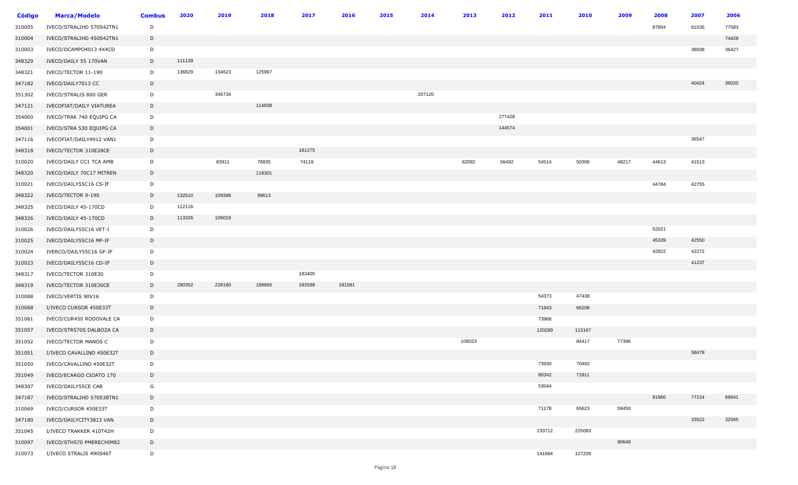| <b>Código</b> | <b>Marca/Modelo</b>         | <b>Combus</b> | 2020   | 2019   | 2018   | 2017   | 2016   | 2015 | 2014   | 2013   | 2012   | 2011   | 2010   | 2009  | 2008  | 2007  | 2006  |
|---------------|-----------------------------|---------------|--------|--------|--------|--------|--------|------|--------|--------|--------|--------|--------|-------|-------|-------|-------|
| 310005        | IVECO/STRALIHD 570S42TN1    | D             |        |        |        |        |        |      |        |        |        |        |        |       | 87804 | 81536 | 77583 |
| 310004        | IVECO/STRALIHD 450S42TN1    | D             |        |        |        |        |        |      |        |        |        |        |        |       |       |       | 74428 |
| 310003        | IVECO/DCAMPO4013 4X4CD      | D             |        |        |        |        |        |      |        |        |        |        |        |       |       | 38508 | 36427 |
| 348329        | IVECO/DAILY 55 170VAN       | D             | 111139 |        |        |        |        |      |        |        |        |        |        |       |       |       |       |
| 348321        | IVECO/TECTOR 11-190         | D             | 136829 | 134623 | 125967 |        |        |      |        |        |        |        |        |       |       |       |       |
| 347182        | IVECO/DAILY7013 CC          | D             |        |        |        |        |        |      |        |        |        |        |        |       |       | 40424 | 36020 |
| 351302        | IVECO/STRALIS 800 GER       | D             |        | 346734 |        |        |        |      | 207120 |        |        |        |        |       |       |       |       |
| 347121        | IVECOFIAT/DAILY VIATUREA    | D             |        |        | 114838 |        |        |      |        |        |        |        |        |       |       |       |       |
| 354000        | IVECO/TRAK 740 EQUIPG CA    | D             |        |        |        |        |        |      |        |        | 277428 |        |        |       |       |       |       |
| 354001        | IVECO/STRA 530 EQUIPG CA    | D             |        |        |        |        |        |      |        |        | 144574 |        |        |       |       |       |       |
| 347116        | IVECOFIAT/DAILY4912 VAN1    | D             |        |        |        |        |        |      |        |        |        |        |        |       |       | 36547 |       |
| 348318        | IVECO/TECTOR 310E28CE       | D             |        |        |        | 181275 |        |      |        |        |        |        |        |       |       |       |       |
| 310020        | IVECO/DAILY CC1 TCA AMB     | D             |        | 83911  | 76835  | 74119  |        |      |        | 62092  | 56492  | 54514  | 50306  | 48217 | 44613 | 41513 |       |
| 348320        | IVECO/DAILY 70C17 MITREN    | D             |        |        | 118301 |        |        |      |        |        |        |        |        |       |       |       |       |
| 310021        | IVECO/DAILY55C16 CS-IF      | D             |        |        |        |        |        |      |        |        |        |        |        |       | 44784 | 42755 |       |
| 348322        | IVECO/TECTOR 9-190          | D             | 132510 | 109398 | 99613  |        |        |      |        |        |        |        |        |       |       |       |       |
| 348325        | IVECO/DAILY 45-170CD        | D             | 112116 |        |        |        |        |      |        |        |        |        |        |       |       |       |       |
| 348326        | IVECO/DAILY 45-170CD        | D             | 113326 | 109019 |        |        |        |      |        |        |        |        |        |       |       |       |       |
| 310026        | IVECO/DAILY55C16 VET-I      | D             |        |        |        |        |        |      |        |        |        |        |        |       | 52021 |       |       |
| 310025        | IVECO/DAILY55C16 MF-IF      | D             |        |        |        |        |        |      |        |        |        |        |        |       | 45339 | 42550 |       |
| 310024        | IVERCO/DAILY55C16 GF-IF     | D             |        |        |        |        |        |      |        |        |        |        |        |       | 42822 | 42272 |       |
| 310023        | IVECO/DAILY55C16 CD-IF      | D             |        |        |        |        |        |      |        |        |        |        |        |       |       | 41237 |       |
| 348317        | IVECO/TECTOR 310E30         | D             |        |        |        | 183400 |        |      |        |        |        |        |        |       |       |       |       |
| 348319        | IVECO/TECTOR 310E30CE       | D             | 280352 | 228180 | 199865 | 183598 | 181581 |      |        |        |        |        |        |       |       |       |       |
| 310088        | IVECO/VERTIS 90V16          | D             |        |        |        |        |        |      |        |        |        | 54373  | 47438  |       |       |       |       |
| 310068        | I/IVECO CURSOR 450E33T      | D             |        |        |        |        |        |      |        |        |        | 71843  | 66208  |       |       |       |       |
| 351061        | IVECO/CUR450 RODOVALE CA    | D             |        |        |        |        |        |      |        |        |        | 73968  |        |       |       |       |       |
| 351057        | IVECO/STR570S DALBOZA CA    | D             |        |        |        |        |        |      |        |        |        | 120289 | 113167 |       |       |       |       |
| 351052        | <b>IVECO/TECTOR MANOS C</b> | D             |        |        |        |        |        |      |        | 108023 |        |        | 84417  | 77396 |       |       |       |
| 351051        | I/IVECO CAVALLINO 450E32T   | D             |        |        |        |        |        |      |        |        |        |        |        |       |       | 58478 |       |
| 351050        | IVECO/CAVALLINO 450E32T     | D             |        |        |        |        |        |      |        |        |        | 73930  | 70492  |       |       |       |       |
| 351049        | IVECO/ECARGO CIOATO 170     | D             |        |        |        |        |        |      |        |        |        | 80342  | 71811  |       |       |       |       |
| 348307        | IVECO/DAILY55CE CAB         | G             |        |        |        |        |        |      |        |        |        | 53044  |        |       |       |       |       |
| 347187        | IVECO/STRALIHD 570S38TN1    | D             |        |        |        |        |        |      |        |        |        |        |        |       | 81960 | 77224 | 69941 |
| 310069        | IVECO/CURSOR 450E33T        | D             |        |        |        |        |        |      |        |        |        | 71178  | 65623  | 59450 |       |       |       |
| 347180        | IVECO/DAILYCITY3813 VAN     | D             |        |        |        |        |        |      |        |        |        |        |        |       |       | 33522 | 32565 |
| 351045        | I/IVECO TRAKKER 410T42H     | D             |        |        |        |        |        |      |        |        |        | 233712 | 225083 |       |       |       |       |
| 310097        | IVECO/STH570 PMERECHIM82    | D             |        |        |        |        |        |      |        |        |        |        |        | 90649 |       |       |       |
| 310073        | I/IVECO STRALIS 490S46T     | D             |        |        |        |        |        |      |        |        |        | 141694 | 127209 |       |       |       |       |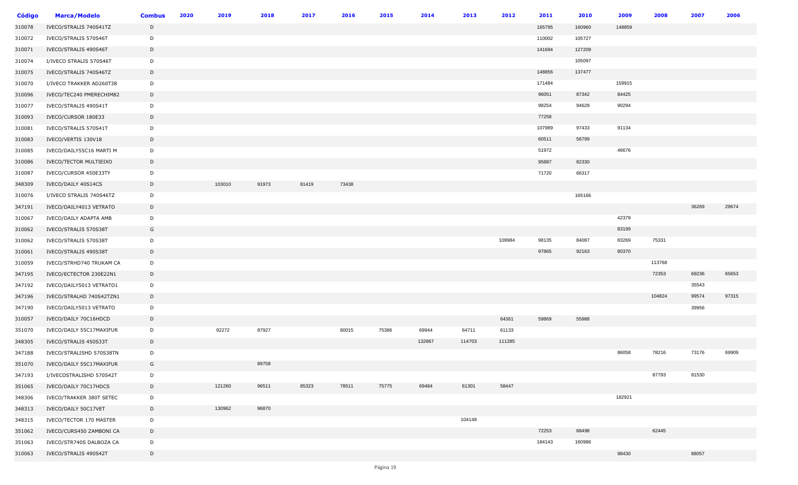| <b>Código</b> | <b>Marca/Modelo</b>      | <b>Combus</b> | 2020 | 2019   | 2018  | 2017  | 2016  | 2015  | 2014   | 2013   | 2012   | 2011   | 2010   | 2009   | 2008   | 2007  | 2006  |
|---------------|--------------------------|---------------|------|--------|-------|-------|-------|-------|--------|--------|--------|--------|--------|--------|--------|-------|-------|
| 310078        | IVECO/STRALIS 740S41TZ   | D             |      |        |       |       |       |       |        |        |        | 165795 | 160960 | 148859 |        |       |       |
| 310072        | IVECO/STRALIS 570S46T    | D             |      |        |       |       |       |       |        |        |        | 110002 | 105727 |        |        |       |       |
| 310071        | IVECO/STRALIS 490S46T    | D             |      |        |       |       |       |       |        |        |        | 141694 | 127209 |        |        |       |       |
| 310074        | I/IVECO STRALIS 570S46T  | D             |      |        |       |       |       |       |        |        |        |        | 105097 |        |        |       |       |
| 310075        | IVECO/STRALIS 740S46TZ   | D             |      |        |       |       |       |       |        |        |        | 148856 | 137477 |        |        |       |       |
| 310070        | I/IVECO TRAKKER AD260T38 | D             |      |        |       |       |       |       |        |        |        | 171484 |        | 159915 |        |       |       |
| 310096        | IVECO/TEC240 PMERECHIM82 | D             |      |        |       |       |       |       |        |        |        | 96051  | 87342  | 84425  |        |       |       |
| 310077        | IVECO/STRALIS 490S41T    | D             |      |        |       |       |       |       |        |        |        | 98254  | 94628  | 90294  |        |       |       |
| 310093        | IVECO/CURSOR 180E33      | D             |      |        |       |       |       |       |        |        |        | 77258  |        |        |        |       |       |
| 310081        | IVECO/STRALIS 570S41T    | D             |      |        |       |       |       |       |        |        |        | 107989 | 97433  | 91134  |        |       |       |
| 310083        | IVECO/VERTIS 130V18      | D             |      |        |       |       |       |       |        |        |        | 60511  | 56799  |        |        |       |       |
| 310085        | IVECO/DAILY55C16 MARTI M | D             |      |        |       |       |       |       |        |        |        | 51972  |        | 46676  |        |       |       |
| 310086        | IVECO/TECTOR MULTIEIXO   | D             |      |        |       |       |       |       |        |        |        | 95887  | 82330  |        |        |       |       |
| 310087        | IVECO/CURSOR 450E33TY    | D             |      |        |       |       |       |       |        |        |        | 71720  | 66317  |        |        |       |       |
| 348309        | IVECO/DAILY 40S14CS      | D             |      | 103010 | 91973 | 81419 | 73438 |       |        |        |        |        |        |        |        |       |       |
| 310076        | I/IVECO STRALIS 740S46TZ | D             |      |        |       |       |       |       |        |        |        |        | 165166 |        |        |       |       |
| 347191        | IVECO/DAILY4013 VETRATO  | D             |      |        |       |       |       |       |        |        |        |        |        |        |        | 36269 | 29674 |
| 310067        | IVECO/DAILY ADAPTA AMB   | D             |      |        |       |       |       |       |        |        |        |        |        | 42379  |        |       |       |
| 310062        | IVECO/STRALIS 570S38T    | G             |      |        |       |       |       |       |        |        |        |        |        | 83199  |        |       |       |
| 310062        | IVECO/STRALIS 570S38T    | D             |      |        |       |       |       |       |        |        | 109984 | 98135  | 84087  | 83269  | 75331  |       |       |
| 310061        | IVECO/STRALIS 490S38T    | D             |      |        |       |       |       |       |        |        |        | 97865  | 92163  | 80370  |        |       |       |
| 310059        | IVECO/STRHD740 TRUKAM CA | D             |      |        |       |       |       |       |        |        |        |        |        |        | 113768 |       |       |
| 347195        | IVECO/ECTECTOR 230E22N1  | D             |      |        |       |       |       |       |        |        |        |        |        |        | 72353  | 69236 | 65653 |
| 347192        | IVECO/DAILY5013 VETRATO1 | D             |      |        |       |       |       |       |        |        |        |        |        |        |        | 35543 |       |
| 347196        | IVECO/STRALHD 740S42TZN1 | D             |      |        |       |       |       |       |        |        |        |        |        |        | 104824 | 99574 | 97315 |
| 347190        | IVECO/DAILY5013 VETRATO  | D             |      |        |       |       |       |       |        |        |        |        |        |        |        | 39956 |       |
| 310057        | IVECO/DAILY 70C16HDCD    | D             |      |        |       |       |       |       |        |        | 64361  | 59869  | 55988  |        |        |       |       |
| 351070        | IVECO/DAILY 55C17MAXIFUR | D             |      | 92272  | 87927 |       | 80015 | 75386 | 69944  | 64711  | 61133  |        |        |        |        |       |       |
| 348305        | IVECO/STRALIS 450S33T    | D             |      |        |       |       |       |       | 132867 | 114703 | 111285 |        |        |        |        |       |       |
| 347188        | IVECO/STRALISHD 570S38TN | D             |      |        |       |       |       |       |        |        |        |        |        | 86058  | 78216  | 73176 | 69909 |
| 351070        | IVECO/DAILY 55C17MAXIFUR | G             |      |        | 89758 |       |       |       |        |        |        |        |        |        |        |       |       |
| 347193        | I/IVECOSTRALISHD 570S42T | D             |      |        |       |       |       |       |        |        |        |        |        |        | 87793  | 81530 |       |
| 351065        | IVECO/DAILY 70C17HDCS    | D             |      | 121260 | 96511 | 85323 | 78511 | 75775 | 69484  | 61301  | 58447  |        |        |        |        |       |       |
| 348306        | IVECO/TRAKKER 380T SETEC | D             |      |        |       |       |       |       |        |        |        |        |        | 182921 |        |       |       |
| 348313        | IVECO/DAILY 50C17VET     | D             |      | 130962 | 96870 |       |       |       |        |        |        |        |        |        |        |       |       |
| 348315        | IVECO/TECTOR 170 MASTER  | D             |      |        |       |       |       |       |        | 104148 |        |        |        |        |        |       |       |
| 351062        | IVECO/CURS450 ZAMBONI CA | D             |      |        |       |       |       |       |        |        |        | 72253  | 68498  |        | 62445  |       |       |
| 351063        | IVECO/STR740S DALBOZA CA | D             |      |        |       |       |       |       |        |        |        | 184143 | 160986 |        |        |       |       |
| 310063        | IVECO/STRALIS 490S42T    | D             |      |        |       |       |       |       |        |        |        |        |        | 98430  |        | 88057 |       |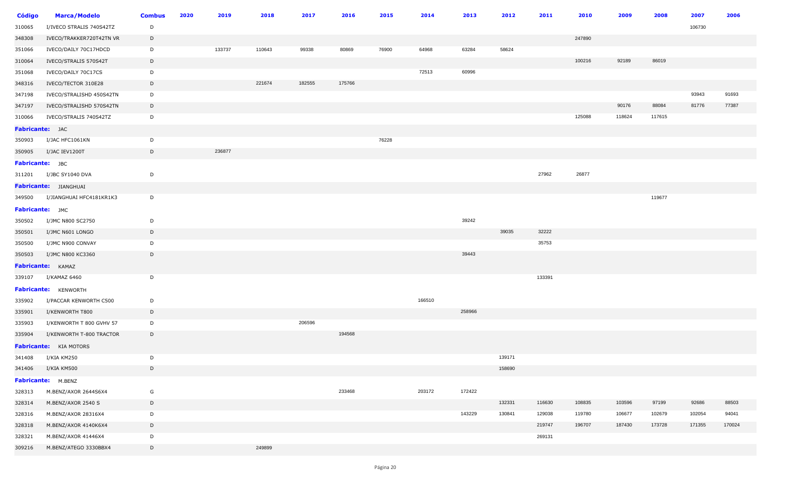| <b>Código</b>   | <b>Marca/Modelo</b>             | <b>Combus</b> | 2020 | 2019   | 2018   | 2017   | 2016   | 2015  | 2014   | 2013   | 2012   | 2011   | 2010   | 2009   | 2008   | 2007   | 2006   |
|-----------------|---------------------------------|---------------|------|--------|--------|--------|--------|-------|--------|--------|--------|--------|--------|--------|--------|--------|--------|
| 310065          | I/IVECO STRALIS 740S42TZ        | D             |      |        |        |        |        |       |        |        |        |        |        |        |        | 106730 |        |
| 348308          | IVECO/TRAKKER720T42TN VR        | D             |      |        |        |        |        |       |        |        |        |        | 247890 |        |        |        |        |
| 351066          | IVECO/DAILY 70C17HDCD           | D             |      | 133737 | 110643 | 99338  | 80869  | 76900 | 64968  | 63284  | 58624  |        |        |        |        |        |        |
| 310064          | IVECO/STRALIS 570S42T           | D             |      |        |        |        |        |       |        |        |        |        | 100216 | 92189  | 86019  |        |        |
| 351068          | IVECO/DAILY 70C17CS             | D             |      |        |        |        |        |       | 72513  | 60996  |        |        |        |        |        |        |        |
| 348316          | IVECO/TECTOR 310E28             | D             |      |        | 221674 | 182555 | 175766 |       |        |        |        |        |        |        |        |        |        |
| 347198          | IVECO/STRALISHD 450S42TN        | D             |      |        |        |        |        |       |        |        |        |        |        |        |        | 93943  | 91693  |
| 347197          | IVECO/STRALISHD 570S42TN        | D             |      |        |        |        |        |       |        |        |        |        |        | 90176  | 88084  | 81776  | 77387  |
| 310066          | IVECO/STRALIS 740S42TZ          | D             |      |        |        |        |        |       |        |        |        |        | 125088 | 118624 | 117615 |        |        |
| Fabricante: JAC |                                 |               |      |        |        |        |        |       |        |        |        |        |        |        |        |        |        |
| 350903          | I/JAC HFC1061KN                 | D             |      |        |        |        |        | 76228 |        |        |        |        |        |        |        |        |        |
| 350905          | I/JAC IEV1200T                  | D             |      | 236877 |        |        |        |       |        |        |        |        |        |        |        |        |        |
| Fabricante: JBC |                                 |               |      |        |        |        |        |       |        |        |        |        |        |        |        |        |        |
| 311201          | I/JBC SY1040 DVA                | D             |      |        |        |        |        |       |        |        |        | 27962  | 26877  |        |        |        |        |
|                 | Fabricante: JIANGHUAI           |               |      |        |        |        |        |       |        |        |        |        |        |        |        |        |        |
|                 | 349500 I/JIANGHUAI HFC4181KR1K3 | D             |      |        |        |        |        |       |        |        |        |        |        |        | 119677 |        |        |
| Fabricante: JMC |                                 |               |      |        |        |        |        |       |        |        |        |        |        |        |        |        |        |
| 350502          | I/JMC N800 SC2750               | D             |      |        |        |        |        |       |        | 39242  |        |        |        |        |        |        |        |
| 350501          | I/JMC N601 LONGO                | D             |      |        |        |        |        |       |        |        | 39035  | 32222  |        |        |        |        |        |
| 350500          | I/JMC N900 CONVAY               | D             |      |        |        |        |        |       |        |        |        | 35753  |        |        |        |        |        |
| 350503          | I/JMC N800 KC3360               | D             |      |        |        |        |        |       |        | 39443  |        |        |        |        |        |        |        |
|                 | <b>Fabricante:</b> KAMAZ        |               |      |        |        |        |        |       |        |        |        |        |        |        |        |        |        |
| 339107          | I/KAMAZ 6460                    | D             |      |        |        |        |        |       |        |        |        | 133391 |        |        |        |        |        |
|                 | Fabricante: KENWORTH            |               |      |        |        |        |        |       |        |        |        |        |        |        |        |        |        |
| 335902          | I/PACCAR KENWORTH C500          | D             |      |        |        |        |        |       | 166510 |        |        |        |        |        |        |        |        |
| 335901          | I/KENWORTH T800                 | D             |      |        |        |        |        |       |        | 258966 |        |        |        |        |        |        |        |
| 335903          | I/KENWORTH T 800 GVHV 57        | D             |      |        |        | 206596 |        |       |        |        |        |        |        |        |        |        |        |
| 335904          | I/KENWORTH T-800 TRACTOR        | D             |      |        |        |        | 194568 |       |        |        |        |        |        |        |        |        |        |
|                 | <b>Fabricante:</b> KIA MOTORS   |               |      |        |        |        |        |       |        |        |        |        |        |        |        |        |        |
| 341408          | I/KIA KM250                     | D             |      |        |        |        |        |       |        |        | 139171 |        |        |        |        |        |        |
| 341406          | I/KIA KM500                     | D             |      |        |        |        |        |       |        |        | 158690 |        |        |        |        |        |        |
|                 | Fabricante: M.BENZ              |               |      |        |        |        |        |       |        |        |        |        |        |        |        |        |        |
| 328313          | M.BENZ/AXOR 2644S6X4            | G             |      |        |        |        | 233468 |       | 203172 | 172422 |        |        |        |        |        |        |        |
| 328314          | M.BENZ/AXOR 2540 S              | D             |      |        |        |        |        |       |        |        | 132331 | 116630 | 108835 | 103596 | 97199  | 92686  | 88503  |
| 328316          | M.BENZ/AXOR 28316X4             | D             |      |        |        |        |        |       |        | 143229 | 130841 | 129038 | 119780 | 106677 | 102679 | 102054 | 94041  |
| 328318          | M.BENZ/AXOR 4140K6X4            | D             |      |        |        |        |        |       |        |        |        | 219747 | 196707 | 187430 | 173728 | 171355 | 170024 |
| 328321          | M.BENZ/AXOR 41446X4             | D             |      |        |        |        |        |       |        |        |        | 269131 |        |        |        |        |        |
| 309216          | M.BENZ/ATEGO 3330BBX4           | D             |      |        | 249899 |        |        |       |        |        |        |        |        |        |        |        |        |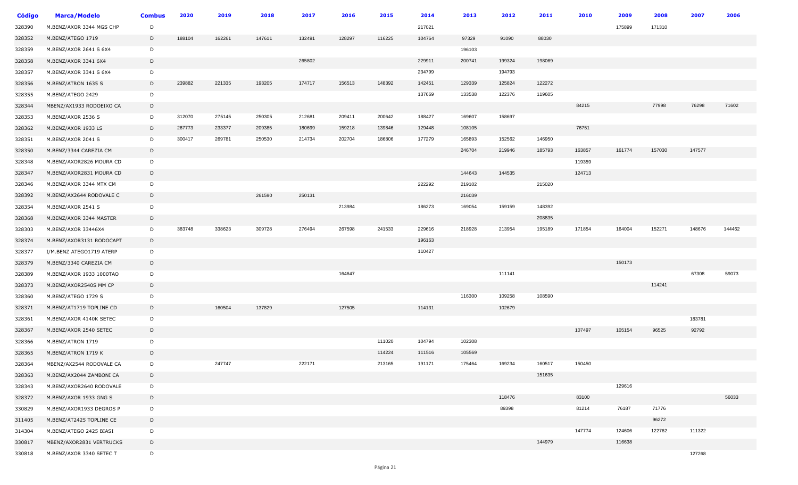| <b>Código</b> | <b>Marca/Modelo</b>      | <b>Combus</b> | 2020   | 2019   | 2018   | 2017   | 2016   | 2015   | 2014   | 2013   | 2012   | 2011   | 2010   | 2009   | 2008   | 2007   | 2006   |
|---------------|--------------------------|---------------|--------|--------|--------|--------|--------|--------|--------|--------|--------|--------|--------|--------|--------|--------|--------|
| 328390        | M.BENZ/AXOR 3344 MGS CHP | D             |        |        |        |        |        |        | 217021 |        |        |        |        | 175899 | 171310 |        |        |
| 328352        | M.BENZ/ATEGO 1719        | D             | 188104 | 162261 | 147611 | 132491 | 128297 | 116225 | 104764 | 97329  | 91090  | 88030  |        |        |        |        |        |
| 328359        | M.BENZ/AXOR 2641 S 6X4   | D             |        |        |        |        |        |        |        | 196103 |        |        |        |        |        |        |        |
| 328358        | M.BENZ/AXOR 3341 6X4     | D             |        |        |        | 265802 |        |        | 229911 | 200741 | 199324 | 198069 |        |        |        |        |        |
| 328357        | M.BENZ/AXOR 3341 S 6X4   | D             |        |        |        |        |        |        | 234799 |        | 194793 |        |        |        |        |        |        |
| 328356        | M.BENZ/ATRON 1635 S      | D             | 239882 | 221335 | 193205 | 174717 | 156513 | 148392 | 142451 | 129339 | 125824 | 122272 |        |        |        |        |        |
| 328355        | M.BENZ/ATEGO 2429        | D             |        |        |        |        |        |        | 137669 | 133538 | 122376 | 119605 |        |        |        |        |        |
| 328344        | MBENZ/AX1933 RODOEIXO CA | D             |        |        |        |        |        |        |        |        |        |        | 84215  |        | 77998  | 76298  | 71602  |
| 328353        | M.BENZ/AXOR 2536 S       | D             | 312070 | 275145 | 250305 | 212681 | 209411 | 200642 | 188427 | 169607 | 158697 |        |        |        |        |        |        |
| 328362        | M.BENZ/AXOR 1933 LS      | D             | 267773 | 233377 | 209385 | 180699 | 159218 | 139846 | 129448 | 108105 |        |        | 76751  |        |        |        |        |
| 328351        | M.BENZ/AXOR 2041 S       | D             | 300417 | 269781 | 250530 | 214734 | 202704 | 186806 | 177279 | 165893 | 152562 | 146950 |        |        |        |        |        |
| 328350        | M.BENZ/3344 CAREZIA CM   | D             |        |        |        |        |        |        |        | 246704 | 219946 | 185793 | 163857 | 161774 | 157030 | 147577 |        |
| 328348        | M.BENZ/AXOR2826 MOURA CD | D             |        |        |        |        |        |        |        |        |        |        | 119359 |        |        |        |        |
| 328347        | M.BENZ/AXOR2831 MOURA CD | D             |        |        |        |        |        |        |        | 144643 | 144535 |        | 124713 |        |        |        |        |
| 328346        | M.BENZ/AXOR 3344 MTX CM  | D             |        |        |        |        |        |        | 222292 | 219102 |        | 215020 |        |        |        |        |        |
| 328392        | M.BENZ/AX2644 RODOVALE C | D             |        |        | 261590 | 250131 |        |        |        | 216039 |        |        |        |        |        |        |        |
| 328354        | M.BENZ/AXOR 2541 S       | D             |        |        |        |        | 213984 |        | 186273 | 169054 | 159159 | 148392 |        |        |        |        |        |
| 328368        | M.BENZ/AXOR 3344 MASTER  | D             |        |        |        |        |        |        |        |        |        | 208835 |        |        |        |        |        |
| 328303        | M.BENZ/AXOR 33446X4      | D             | 383748 | 338623 | 309728 | 276494 | 267598 | 241533 | 229616 | 218928 | 213954 | 195189 | 171854 | 164004 | 152271 | 148676 | 144462 |
| 328374        | M.BENZ/AXOR3131 RODOCAPT | D             |        |        |        |        |        |        | 196163 |        |        |        |        |        |        |        |        |
| 328377        | I/M.BENZ ATEGO1719 ATERP | D             |        |        |        |        |        |        | 110427 |        |        |        |        |        |        |        |        |
| 328379        | M.BENZ/3340 CAREZIA CM   | D             |        |        |        |        |        |        |        |        |        |        |        | 150173 |        |        |        |
| 328389        | M.BENZ/AXOR 1933 1000TAO | D             |        |        |        |        | 164647 |        |        |        | 111141 |        |        |        |        | 67308  | 59073  |
| 328373        | M.BENZ/AXOR2540S MM CP   | D             |        |        |        |        |        |        |        |        |        |        |        |        | 114241 |        |        |
| 328360        | M.BENZ/ATEGO 1729 S      | D             |        |        |        |        |        |        |        | 116300 | 109258 | 108590 |        |        |        |        |        |
| 328371        | M.BENZ/AT1719 TOPLINE CD | D             |        | 160504 | 137829 |        | 127505 |        | 114131 |        | 102679 |        |        |        |        |        |        |
| 328361        | M.BENZ/AXOR 4140K SETEC  | D             |        |        |        |        |        |        |        |        |        |        |        |        |        | 183781 |        |
| 328367        | M.BENZ/AXOR 2540 SETEC   | D             |        |        |        |        |        |        |        |        |        |        | 107497 | 105154 | 96525  | 92792  |        |
| 328366        | M.BENZ/ATRON 1719        | D             |        |        |        |        |        | 111020 | 104794 | 102308 |        |        |        |        |        |        |        |
| 328365        | M.BENZ/ATRON 1719 K      | D             |        |        |        |        |        | 114224 | 111516 | 105569 |        |        |        |        |        |        |        |
| 328364        | MBENZ/AX2544 RODOVALE CA | D             |        | 247747 |        | 222171 |        | 213165 | 191171 | 175464 | 169234 | 160517 | 150450 |        |        |        |        |
| 328363        | M.BENZ/AX2044 ZAMBONI CA | D             |        |        |        |        |        |        |        |        |        | 151635 |        |        |        |        |        |
| 328343        | M.BENZ/AXOR2640 RODOVALE | D             |        |        |        |        |        |        |        |        |        |        |        | 129616 |        |        |        |
| 328372        | M.BENZ/AXOR 1933 GNG S   | D             |        |        |        |        |        |        |        |        | 118476 |        | 83100  |        |        |        | 56033  |
| 330829        | M.BENZ/AXOR1933 DEGROS P | D             |        |        |        |        |        |        |        |        | 89398  |        | 81214  | 76187  | 71776  |        |        |
| 311405        | M.BENZ/AT2425 TOPLINE CE | D             |        |        |        |        |        |        |        |        |        |        |        |        | 96272  |        |        |
| 314304        | M.BENZ/ATEGO 2425 BIASI  | D             |        |        |        |        |        |        |        |        |        |        | 147774 | 124606 | 122762 | 111322 |        |
| 330817        | MBENZ/AXOR2831 VERTRUCKS | D             |        |        |        |        |        |        |        |        |        | 144979 |        | 116638 |        |        |        |
| 330818        | M.BENZ/AXOR 3340 SETEC T | D             |        |        |        |        |        |        |        |        |        |        |        |        |        | 127268 |        |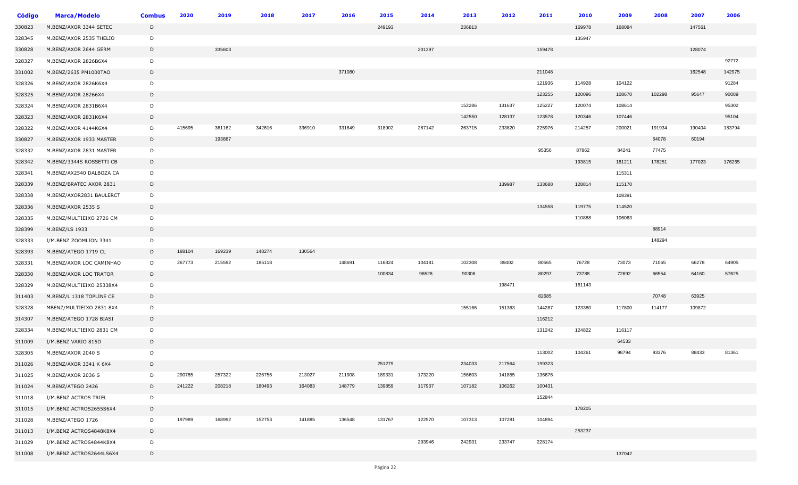| <b>Código</b> | <b>Marca/Modelo</b>      | <b>Combus</b> | 2020   | 2019   | 2018   | 2017   | 2016   | 2015   | 2014   | 2013   | 2012   | 2011   | 2010   | 2009   | 2008   | 2007   | 2006   |
|---------------|--------------------------|---------------|--------|--------|--------|--------|--------|--------|--------|--------|--------|--------|--------|--------|--------|--------|--------|
| 330823        | M.BENZ/AXOR 3344 SETEC   | D             |        |        |        |        |        | 249193 |        | 236813 |        |        | 169978 | 168084 |        | 147561 |        |
| 328345        | M.BENZ/AXOR 2535 THELIO  | D             |        |        |        |        |        |        |        |        |        |        | 135947 |        |        |        |        |
| 330828        | M.BENZ/AXOR 2644 GERM    | D             |        | 335603 |        |        |        |        | 201397 |        |        | 159478 |        |        |        | 128074 |        |
| 328327        | M.BENZ/AXOR 2826B6X4     | D             |        |        |        |        |        |        |        |        |        |        |        |        |        |        | 92772  |
| 331002        | M.BENZ/2635 PM1000TAO    | D             |        |        |        |        | 371080 |        |        |        |        | 211048 |        |        |        | 162548 | 142975 |
| 328326        | M.BENZ/AXOR 2826K6X4     | D             |        |        |        |        |        |        |        |        |        | 121936 | 114928 | 104122 |        |        | 91284  |
| 328325        | M.BENZ/AXOR 28266X4      | D             |        |        |        |        |        |        |        |        |        | 123255 | 120096 | 108670 | 102298 | 95647  | 90089  |
| 328324        | M.BENZ/AXOR 2831B6X4     | D             |        |        |        |        |        |        |        | 152286 | 131637 | 125227 | 120074 | 108614 |        |        | 95302  |
| 328323        | M.BENZ/AXOR 2831K6X4     | D             |        |        |        |        |        |        |        | 142550 | 128137 | 123578 | 120346 | 107446 |        |        | 95104  |
| 328322        | M.BENZ/AXOR 4144K6X4     | D             | 415695 | 361162 | 342616 | 336910 | 331849 | 318902 | 287142 | 263715 | 233820 | 225976 | 214257 | 200021 | 191934 | 190404 | 183794 |
| 330827        | M.BENZ/AXOR 1933 MASTER  | D             |        | 193887 |        |        |        |        |        |        |        |        |        |        | 64078  | 60194  |        |
| 328332        | M.BENZ/AXOR 2831 MASTER  | D             |        |        |        |        |        |        |        |        |        | 95356  | 87862  | 84241  | 77475  |        |        |
| 328342        | M.BENZ/3344S ROSSETTI CB | D             |        |        |        |        |        |        |        |        |        |        | 193815 | 181211 | 178251 | 177023 | 176265 |
| 328341        | M.BENZ/AX2540 DALBOZA CA | D             |        |        |        |        |        |        |        |        |        |        |        | 115311 |        |        |        |
| 328339        | M.BENZ/BRATEC AXOR 2831  | D             |        |        |        |        |        |        |        |        | 139987 | 133688 | 128814 | 115170 |        |        |        |
| 328338        | M.BENZ/AXOR2831 BAULERCT | D             |        |        |        |        |        |        |        |        |        |        |        | 108391 |        |        |        |
| 328336        | M.BENZ/AXOR 2535 S       | D             |        |        |        |        |        |        |        |        |        | 134558 | 119775 | 114520 |        |        |        |
| 328335        | M.BENZ/MULTIEIXO 2726 CM | D             |        |        |        |        |        |        |        |        |        |        | 110888 | 106063 |        |        |        |
| 328399        | M.BENZ/LS 1933           | D             |        |        |        |        |        |        |        |        |        |        |        |        | 88914  |        |        |
| 328333        | I/M.BENZ ZOOMLION 3341   | D             |        |        |        |        |        |        |        |        |        |        |        |        | 148294 |        |        |
| 328393        | M.BENZ/ATEGO 1719 CL     | D             | 188104 | 169239 | 148274 | 130564 |        |        |        |        |        |        |        |        |        |        |        |
| 328331        | M.BENZ/AXOR LOC CAMINHAO | D             | 267773 | 215592 | 185118 |        | 148691 | 116824 | 104181 | 102308 | 89402  | 80565  | 76728  | 73073  | 71065  | 66278  | 64905  |
| 328330        | M.BENZ/AXOR LOC TRATOR   | D             |        |        |        |        |        | 100834 | 96528  | 90306  |        | 80297  | 73788  | 72692  | 66554  | 64160  | 57625  |
| 328329        | M.BENZ/MULTIEIXO 25338X4 | D             |        |        |        |        |        |        |        |        | 198471 |        | 161143 |        |        |        |        |
| 311403        | M.BENZ/L 1318 TOPLINE CE | D             |        |        |        |        |        |        |        |        |        | 82685  |        |        | 70748  | 63925  |        |
| 328328        | MBENZ/MULTIEIXO 2831 8X4 | D             |        |        |        |        |        |        |        | 155166 | 151363 | 144287 | 123380 | 117800 | 114177 | 109872 |        |
| 314307        | M.BENZ/ATEGO 1728 BIASI  | D             |        |        |        |        |        |        |        |        |        | 116212 |        |        |        |        |        |
| 328334        | M.BENZ/MULTIEIXO 2831 CM | D             |        |        |        |        |        |        |        |        |        | 131242 | 124822 | 116117 |        |        |        |
| 311009        | I/M.BENZ VARIO 815D      | D             |        |        |        |        |        |        |        |        |        |        |        | 64533  |        |        |        |
| 328305        | M.BENZ/AXOR 2040 S       | D             |        |        |        |        |        |        |        |        |        | 113002 | 104261 | 98794  | 93376  | 88433  | 81361  |
| 311026        | M.BENZ/AXOR 3341 K 6X4   | D             |        |        |        |        |        | 251279 |        | 234033 | 217564 | 199323 |        |        |        |        |        |
| 311025        | M.BENZ/AXOR 2036 S       | D             | 290785 | 257322 | 226756 | 213027 | 211908 | 189331 | 173220 | 156603 | 141855 | 136676 |        |        |        |        |        |
| 311024        | M.BENZ/ATEGO 2426        | D             | 241222 | 208218 | 180493 | 164083 | 148779 | 139859 | 117937 | 107182 | 106262 | 100431 |        |        |        |        |        |
| 311018        | I/M.BENZ ACTROS TRIEL    | D             |        |        |        |        |        |        |        |        |        | 152844 |        |        |        |        |        |
| 311015        | I/M.BENZ ACTROS2655S6X4  | D             |        |        |        |        |        |        |        |        |        |        | 178205 |        |        |        |        |
| 311028        | M.BENZ/ATEGO 1726        | D             | 197989 | 168992 | 152753 | 141885 | 136548 | 131767 | 122570 | 107313 | 107281 | 104894 |        |        |        |        |        |
| 311013        | I/M.BENZ ACTROS4848K8X4  | D             |        |        |        |        |        |        |        |        |        |        | 253237 |        |        |        |        |
| 311029        | I/M.BENZ ACTROS4844K8X4  | D             |        |        |        |        |        |        | 293946 | 242931 | 233747 | 228174 |        |        |        |        |        |
| 311008        | I/M.BENZ ACTROS2644LS6X4 | D             |        |        |        |        |        |        |        |        |        |        |        | 137042 |        |        |        |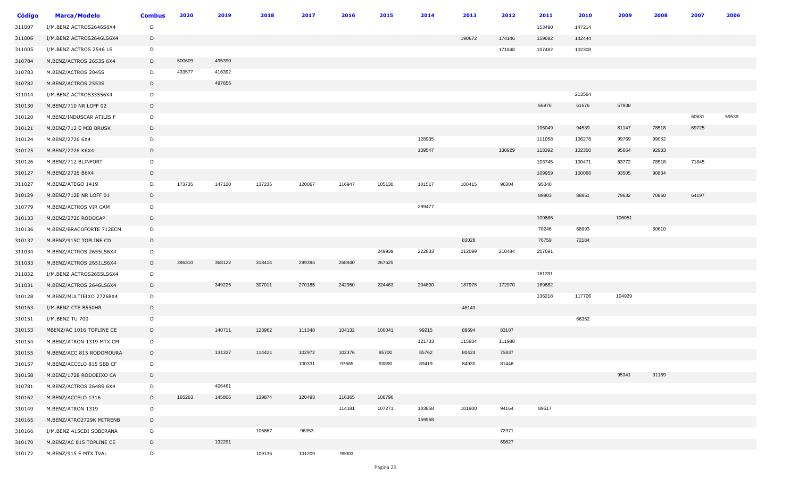| Código | <b>Marca/Modelo</b>      | <b>Combus</b> | 2020   | 2019   | 2018   | 2017   | 2016   | 2015   | 2014   | 2013   | 2012   | 2011   | 2010   | 2009   | 2008  | 2007  | 2006  |
|--------|--------------------------|---------------|--------|--------|--------|--------|--------|--------|--------|--------|--------|--------|--------|--------|-------|-------|-------|
| 311007 | I/M.BENZ ACTROS2646S6X4  | D             |        |        |        |        |        |        |        |        |        | 153490 | 147214 |        |       |       |       |
| 311006 | I/M.BENZ ACTROS2646LS6X4 | D             |        |        |        |        |        |        |        | 190672 | 174146 | 159692 | 142444 |        |       |       |       |
| 311005 | I/M.BENZ ACTROS 2546 LS  | D             |        |        |        |        |        |        |        |        | 171848 | 107482 | 102308 |        |       |       |       |
| 310784 | M.BENZ/ACTROS 2653S 6X4  | D             | 500609 | 495390 |        |        |        |        |        |        |        |        |        |        |       |       |       |
| 310783 | M.BENZ/ACTROS 2045S      | D             | 433577 | 416392 |        |        |        |        |        |        |        |        |        |        |       |       |       |
| 310782 | M.BENZ/ACTROS 2553S      | D             |        | 497656 |        |        |        |        |        |        |        |        |        |        |       |       |       |
| 311014 | I/M.BENZ ACTROS33556X4   | D             |        |        |        |        |        |        |        |        |        |        | 213564 |        |       |       |       |
| 310130 | M.BENZ/710 NR LOFF 02    | D             |        |        |        |        |        |        |        |        |        | 66976  | 61676  | 57938  |       |       |       |
| 310120 | M.BENZ/INDUSCAR ATILIS F | D             |        |        |        |        |        |        |        |        |        |        |        |        |       | 60631 | 59539 |
| 310121 | M.BENZ/712 E MIB BRUSK   | D             |        |        |        |        |        |        |        |        |        | 105049 | 94539  | 81147  | 78518 | 69725 |       |
| 310124 | M.BENZ/2726 6X4          | D             |        |        |        |        |        |        | 128935 |        |        | 111058 | 106278 | 99769  | 99052 |       |       |
| 310125 | M.BENZ/2726 K6X4         | D             |        |        |        |        |        |        | 139547 |        | 130929 | 113392 | 102350 | 95664  | 92933 |       |       |
| 310126 | M.BENZ/712 BLINFORT      | D             |        |        |        |        |        |        |        |        |        | 103745 | 100471 | 83772  | 78518 | 71845 |       |
| 310127 | M.BENZ/2726 B6X4         | D             |        |        |        |        |        |        |        |        |        | 109959 | 100066 | 93505  | 90834 |       |       |
| 311027 | M.BENZ/ATEGO 1419        | D             | 173735 | 147120 | 137235 | 120067 | 116947 | 105130 | 101517 | 100415 | 96304  | 95040  |        |        |       |       |       |
| 310129 | M.BENZ/712E NR LOFF 01   | D             |        |        |        |        |        |        |        |        |        | 89803  | 88851  | 79632  | 70860 | 64197 |       |
| 310779 | M.BENZ/ACTROS VIR CAM    | D             |        |        |        |        |        |        | 299477 |        |        |        |        |        |       |       |       |
| 310133 | M.BENZ/2726 RODOCAP      | D             |        |        |        |        |        |        |        |        |        | 109866 |        | 106051 |       |       |       |
| 310136 | M.BENZ/BRACOFORTE 712ECM | D             |        |        |        |        |        |        |        |        |        | 70246  | 68993  |        | 60610 |       |       |
| 310137 | M.BENZ/915C TOPLINE CD   | D             |        |        |        |        |        |        |        | 83028  |        | 76759  | 72184  |        |       |       |       |
| 311034 | M.BENZ/ACTROS 2655LS6X4  | D             |        |        |        |        |        | 249939 | 222833 | 212099 | 210484 | 207691 |        |        |       |       |       |
| 311033 | M.BENZ/ACTROS 2651LS6X4  | D             | 396310 | 368122 | 318414 | 299394 | 268940 | 267625 |        |        |        |        |        |        |       |       |       |
| 311032 | I/M.BENZ ACTROS2655LS6X4 | D             |        |        |        |        |        |        |        |        |        | 161391 |        |        |       |       |       |
| 311031 | M.BENZ/ACTROS 2646LS6X4  | D             |        | 349225 | 307011 | 270185 | 242950 | 224463 | 204800 | 187978 | 172970 | 169682 |        |        |       |       |       |
| 310128 | M.BENZ/MULTIEIXO 27268X4 | D             |        |        |        |        |        |        |        |        |        | 136218 | 117706 | 104929 |       |       |       |
| 310163 | I/M.BENZ CTE B550HR      | D             |        |        |        |        |        |        |        | 48143  |        |        |        |        |       |       |       |
| 310151 | I/M.BENZ TU 700          | D             |        |        |        |        |        |        |        |        |        |        | 66352  |        |       |       |       |
| 310153 | MBENZ/AC 1016 TOPLINE CE | D             |        | 140711 | 123962 | 111348 | 104132 | 100041 | 99215  | 88694  | 83107  |        |        |        |       |       |       |
| 310154 | M.BENZ/ATRON 1319 MTX CM | D             |        |        |        |        |        |        | 121733 | 115934 | 111988 |        |        |        |       |       |       |
| 310155 | M.BENZ/ACC 815 RODOMOURA | D             |        | 131337 | 114421 | 102972 | 102376 | 95700  | 85762  | 80424  | 75837  |        |        |        |       |       |       |
| 310157 | M.BENZ/ACCELO 815 SBB CF | D             |        |        |        | 100331 | 97665  | 93890  | 89419  | 84930  | 81446  |        |        |        |       |       |       |
| 310158 | M.BENZ/1728 RODOEIXO CA  | D             |        |        |        |        |        |        |        |        |        |        |        | 95341  | 91189 |       |       |
| 310781 | M.BENZ/ACTROS 2648S 6X4  | D             |        | 406461 |        |        |        |        |        |        |        |        |        |        |       |       |       |
| 310162 | M.BENZ/ACCELO 1316       | D             | 165263 | 145806 | 139874 | 120493 | 116365 | 106796 |        |        |        |        |        |        |       |       |       |
| 310149 | M.BENZ/ATRON 1319        | D             |        |        |        |        | 114181 | 107271 | 103858 | 101900 | 94164  | 89517  |        |        |       |       |       |
| 310165 | M.BENZ/ATRO2729K MITRENB | D             |        |        |        |        |        |        | 159568 |        |        |        |        |        |       |       |       |
| 310166 | I/M.BENZ 415CDI SOBERANA | D             |        |        | 105867 | 96353  |        |        |        |        | 72971  |        |        |        |       |       |       |
| 310170 | M.BENZ/AC 815 TOPLINE CE | D             |        | 132291 |        |        |        |        |        |        | 69827  |        |        |        |       |       |       |
| 310172 | M.BENZ/915 E MTX TVAL    | D             |        |        | 109136 | 101209 | 99003  |        |        |        |        |        |        |        |       |       |       |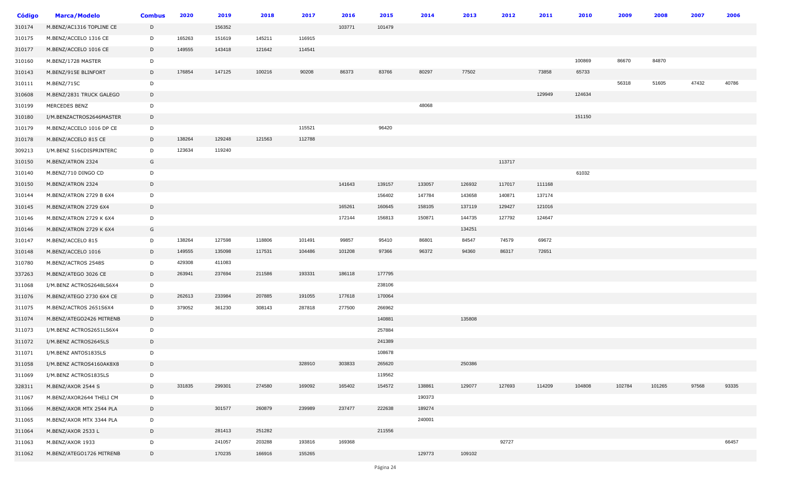| Código | <b>Marca/Modelo</b>      | <b>Combus</b> | 2020   | 2019   | 2018   | 2017   | 2016   | 2015   | 2014   | 2013   | 2012   | 2011   | 2010   | 2009   | 2008   | 2007  | 2006  |
|--------|--------------------------|---------------|--------|--------|--------|--------|--------|--------|--------|--------|--------|--------|--------|--------|--------|-------|-------|
| 310174 | M.BENZ/AC1316 TOPLINE CE | D             |        | 156352 |        |        | 103771 | 101479 |        |        |        |        |        |        |        |       |       |
| 310175 | M.BENZ/ACCELO 1316 CE    | D             | 165263 | 151619 | 145211 | 116915 |        |        |        |        |        |        |        |        |        |       |       |
| 310177 | M.BENZ/ACCELO 1016 CE    | D             | 149555 | 143418 | 121642 | 114541 |        |        |        |        |        |        |        |        |        |       |       |
| 310160 | M.BENZ/1728 MASTER       | D             |        |        |        |        |        |        |        |        |        |        | 100869 | 86670  | 84870  |       |       |
| 310143 | M.BENZ/915E BLINFORT     | D             | 176854 | 147125 | 100216 | 90208  | 86373  | 83766  | 80297  | 77502  |        | 73858  | 65733  |        |        |       |       |
| 310111 | M.BENZ/715C              | D             |        |        |        |        |        |        |        |        |        |        |        | 56318  | 51605  | 47432 | 40786 |
| 310608 | M.BENZ/2831 TRUCK GALEGO | D             |        |        |        |        |        |        |        |        |        | 129949 | 124634 |        |        |       |       |
| 310199 | MERCEDES BENZ            | D             |        |        |        |        |        |        | 48068  |        |        |        |        |        |        |       |       |
| 310180 | I/M.BENZACTROS2646MASTER | D             |        |        |        |        |        |        |        |        |        |        | 151150 |        |        |       |       |
| 310179 | M.BENZ/ACCELO 1016 DP CE | D             |        |        |        | 115521 |        | 96420  |        |        |        |        |        |        |        |       |       |
| 310178 | M.BENZ/ACCELO 815 CE     | D             | 138264 | 129248 | 121563 | 112788 |        |        |        |        |        |        |        |        |        |       |       |
| 309213 | I/M.BENZ 516CDISPRINTERC | D             | 123634 | 119240 |        |        |        |        |        |        |        |        |        |        |        |       |       |
| 310150 | M.BENZ/ATRON 2324        | G             |        |        |        |        |        |        |        |        | 113717 |        |        |        |        |       |       |
| 310140 | M.BENZ/710 DINGO CD      | D             |        |        |        |        |        |        |        |        |        |        | 61032  |        |        |       |       |
| 310150 | M.BENZ/ATRON 2324        | D             |        |        |        |        | 141643 | 139157 | 133057 | 126932 | 117017 | 111168 |        |        |        |       |       |
| 310144 | M.BENZ/ATRON 2729 B 6X4  | D             |        |        |        |        |        | 156402 | 147784 | 143658 | 140871 | 137174 |        |        |        |       |       |
| 310145 | M.BENZ/ATRON 2729 6X4    | D             |        |        |        |        | 165261 | 160645 | 158105 | 137119 | 129427 | 121016 |        |        |        |       |       |
| 310146 | M.BENZ/ATRON 2729 K 6X4  | D             |        |        |        |        | 172144 | 156813 | 150871 | 144735 | 127792 | 124647 |        |        |        |       |       |
| 310146 | M.BENZ/ATRON 2729 K 6X4  | G             |        |        |        |        |        |        |        | 134251 |        |        |        |        |        |       |       |
| 310147 | M.BENZ/ACCELO 815        | D             | 138264 | 127598 | 118806 | 101491 | 99857  | 95410  | 86801  | 84547  | 74579  | 69672  |        |        |        |       |       |
| 310148 | M.BENZ/ACCELO 1016       | D             | 149555 | 135098 | 117531 | 104486 | 101208 | 97366  | 96372  | 94360  | 86317  | 72651  |        |        |        |       |       |
| 310780 | M.BENZ/ACTROS 2548S      | D             | 429308 | 411083 |        |        |        |        |        |        |        |        |        |        |        |       |       |
| 337263 | M.BENZ/ATEGO 3026 CE     | D             | 263941 | 237694 | 211586 | 193331 | 186118 | 177795 |        |        |        |        |        |        |        |       |       |
| 311068 | I/M.BENZ ACTROS2648LS6X4 | D             |        |        |        |        |        | 238106 |        |        |        |        |        |        |        |       |       |
| 311076 | M.BENZ/ATEGO 2730 6X4 CE | D             | 262613 | 233984 | 207885 | 191055 | 177618 | 170064 |        |        |        |        |        |        |        |       |       |
| 311075 | M.BENZ/ACTROS 2651S6X4   | D             | 379052 | 361230 | 308143 | 287818 | 277500 | 266962 |        |        |        |        |        |        |        |       |       |
| 311074 | M.BENZ/ATEGO2426 MITRENB | $\mathsf{D}$  |        |        |        |        |        | 140881 |        | 135808 |        |        |        |        |        |       |       |
| 311073 | I/M.BENZ ACTROS2651LS6X4 | D             |        |        |        |        |        | 257884 |        |        |        |        |        |        |        |       |       |
| 311072 | I/M.BENZ ACTROS2645LS    | D             |        |        |        |        |        | 241389 |        |        |        |        |        |        |        |       |       |
| 311071 | I/M.BENZ ANTOS1835LS     | D             |        |        |        |        |        | 108678 |        |        |        |        |        |        |        |       |       |
| 311058 | I/M.BENZ ACTROS4160AK8X8 | D             |        |        |        | 328910 | 303833 | 265620 |        | 250386 |        |        |        |        |        |       |       |
| 311069 | I/M.BENZ ACTROS1835LS    | D             |        |        |        |        |        | 119562 |        |        |        |        |        |        |        |       |       |
| 328311 | M.BENZ/AXOR 2544 S       | D             | 331835 | 299301 | 274580 | 169092 | 165402 | 154572 | 138861 | 129077 | 127693 | 114209 | 104808 | 102784 | 101265 | 97568 | 93335 |
| 311067 | M.BENZ/AXOR2644 THELI CM | D             |        |        |        |        |        |        | 190373 |        |        |        |        |        |        |       |       |
| 311066 | M.BENZ/AXOR MTX 2544 PLA | D             |        | 301577 | 260879 | 239989 | 237477 | 222638 | 189274 |        |        |        |        |        |        |       |       |
| 311065 | M.BENZ/AXOR MTX 3344 PLA | D             |        |        |        |        |        |        | 240001 |        |        |        |        |        |        |       |       |
| 311064 | M.BENZ/AXOR 2533 L       | D             |        | 281413 | 251282 |        |        | 211556 |        |        |        |        |        |        |        |       |       |
| 311063 | M.BENZ/AXOR 1933         | D             |        | 241057 | 203288 | 193816 | 169368 |        |        |        | 92727  |        |        |        |        |       | 66457 |
| 311062 | M.BENZ/ATEGO1726 MITRENB | D             |        | 170235 | 166916 | 155265 |        |        | 129773 | 109102 |        |        |        |        |        |       |       |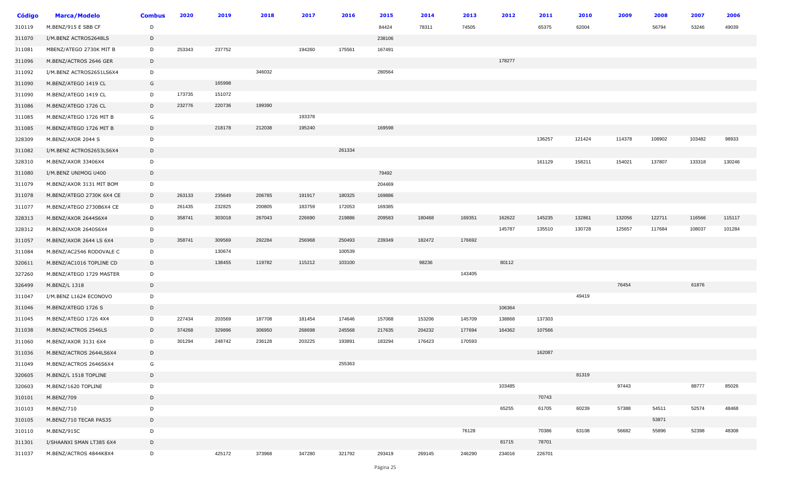| Código | <b>Marca/Modelo</b>       | <b>Combus</b> | 2020   | 2019   | 2018   | 2017   | 2016   | 2015   | 2014   | 2013   | 2012   | 2011   | 2010   | 2009   | 2008   | 2007   | 2006   |
|--------|---------------------------|---------------|--------|--------|--------|--------|--------|--------|--------|--------|--------|--------|--------|--------|--------|--------|--------|
| 310119 | M.BENZ/915 E SBB CF       | D             |        |        |        |        |        | 84424  | 78311  | 74505  |        | 65375  | 62004  |        | 56794  | 53246  | 49039  |
| 311070 | I/M.BENZ ACTROS2648LS     | D             |        |        |        |        |        | 238106 |        |        |        |        |        |        |        |        |        |
| 311081 | MBENZ/ATEGO 2730K MIT B   | D             | 253343 | 237752 |        | 194260 | 175561 | 167491 |        |        |        |        |        |        |        |        |        |
| 311096 | M.BENZ/ACTROS 2646 GER    | D             |        |        |        |        |        |        |        |        | 178277 |        |        |        |        |        |        |
| 311092 | I/M.BENZ ACTROS2651LS6X4  | D             |        |        | 346032 |        |        | 280564 |        |        |        |        |        |        |        |        |        |
| 311090 | M.BENZ/ATEGO 1419 CL      | G             |        | 165998 |        |        |        |        |        |        |        |        |        |        |        |        |        |
| 311090 | M.BENZ/ATEGO 1419 CL      | D             | 173735 | 151072 |        |        |        |        |        |        |        |        |        |        |        |        |        |
| 311086 | M.BENZ/ATEGO 1726 CL      | D             | 232776 | 220736 | 199390 |        |        |        |        |        |        |        |        |        |        |        |        |
| 311085 | M.BENZ/ATEGO 1726 MIT B   | G             |        |        |        | 193378 |        |        |        |        |        |        |        |        |        |        |        |
| 311085 | M.BENZ/ATEGO 1726 MIT B   | D             |        | 218178 | 212038 | 195240 |        | 169598 |        |        |        |        |        |        |        |        |        |
| 328309 | M.BENZ/AXOR 2044 S        | D             |        |        |        |        |        |        |        |        |        | 136257 | 121424 | 114378 | 108902 | 103482 | 98933  |
| 311082 | I/M.BENZ ACTROS2653LS6X4  | D             |        |        |        |        | 261334 |        |        |        |        |        |        |        |        |        |        |
| 328310 | M.BENZ/AXOR 33406X4       | D             |        |        |        |        |        |        |        |        |        | 161129 | 158211 | 154021 | 137807 | 133318 | 130246 |
| 311080 | I/M.BENZ UNIMOG U400      | D             |        |        |        |        |        | 79492  |        |        |        |        |        |        |        |        |        |
| 311079 | M.BENZ/AXOR 3131 MIT BOM  | D             |        |        |        |        |        | 204469 |        |        |        |        |        |        |        |        |        |
| 311078 | M.BENZ/ATEGO 2730K 6X4 CE | D             | 263133 | 235649 | 206785 | 191917 | 180325 | 169886 |        |        |        |        |        |        |        |        |        |
| 311077 | M.BENZ/ATEGO 2730B6X4 CE  | D             | 261435 | 232825 | 200805 | 183759 | 172053 | 169385 |        |        |        |        |        |        |        |        |        |
| 328313 | M.BENZ/AXOR 2644S6X4      | D             | 358741 | 303018 | 267043 | 226690 | 219886 | 209583 | 180468 | 169351 | 162622 | 145235 | 132861 | 132056 | 122711 | 116566 | 115117 |
| 328312 | M.BENZ/AXOR 2640S6X4      | D             |        |        |        |        |        |        |        |        | 145787 | 135510 | 130728 | 125657 | 117684 | 108037 | 101284 |
| 311057 | M.BENZ/AXOR 2644 LS 6X4   | D             | 358741 | 309569 | 292284 | 256968 | 250493 | 239349 | 182472 | 176692 |        |        |        |        |        |        |        |
| 311084 | M.BENZ/AC2546 RODOVALE C  | D             |        | 130674 |        |        | 100539 |        |        |        |        |        |        |        |        |        |        |
| 320611 | M.BENZ/AC1016 TOPLINE CD  | D             |        | 138455 | 119782 | 115212 | 103100 |        | 98236  |        | 80112  |        |        |        |        |        |        |
| 327260 | M.BENZ/ATEGO 1729 MASTER  | D             |        |        |        |        |        |        |        | 143405 |        |        |        |        |        |        |        |
| 326499 | M.BENZ/L 1318             | D             |        |        |        |        |        |        |        |        |        |        |        | 76454  |        | 61876  |        |
| 311047 | I/M.BENZ L1624 ECONOVO    | D             |        |        |        |        |        |        |        |        |        |        | 49419  |        |        |        |        |
| 311046 | M.BENZ/ATEGO 1726 S       | D             |        |        |        |        |        |        |        |        | 106364 |        |        |        |        |        |        |
| 311045 | M.BENZ/ATEGO 1726 4X4     | D             | 227434 | 203569 | 187708 | 181454 | 174646 | 157068 | 153206 | 145709 | 138868 | 137303 |        |        |        |        |        |
| 311038 | M.BENZ/ACTROS 2546LS      | D             | 374268 | 329896 | 306950 | 268698 | 245568 | 217635 | 204232 | 177694 | 164362 | 107566 |        |        |        |        |        |
| 311060 | M.BENZ/AXOR 3131 6X4      | D             | 301294 | 248742 | 236128 | 203225 | 193891 | 183294 | 176423 | 170593 |        |        |        |        |        |        |        |
| 311036 | M.BENZ/ACTROS 2644LS6X4   | D             |        |        |        |        |        |        |        |        |        | 162087 |        |        |        |        |        |
| 311049 | M.BENZ/ACTROS 2646S6X4    | G             |        |        |        |        | 255363 |        |        |        |        |        |        |        |        |        |        |
| 320605 | M.BENZ/L 1518 TOPLINE     | D             |        |        |        |        |        |        |        |        |        |        | 81319  |        |        |        |        |
| 320603 | M.BENZ/1620 TOPLINE       | D             |        |        |        |        |        |        |        |        | 103485 |        |        | 97443  |        | 88777  | 85026  |
| 310101 | M.BENZ/709                | D             |        |        |        |        |        |        |        |        |        | 70743  |        |        |        |        |        |
| 310103 | M.BENZ/710                | D             |        |        |        |        |        |        |        |        | 65255  | 61705  | 60239  | 57388  | 54511  | 52574  | 48468  |
| 310105 | M.BENZ/710 TECAR PAS35    | D             |        |        |        |        |        |        |        |        |        |        |        |        | 53871  |        |        |
| 310110 | M.BENZ/915C               | D             |        |        |        |        |        |        |        | 76128  |        | 70386  | 63108  | 56682  | 55896  | 52398  | 48308  |
| 311301 | I/SHAANXI SMAN LT385 6X4  | D             |        |        |        |        |        |        |        |        | 81715  | 78701  |        |        |        |        |        |
| 311037 | M.BENZ/ACTROS 4844K8X4    | D             |        | 425172 | 373968 | 347280 | 321792 | 293419 | 269145 | 246290 | 234016 | 226701 |        |        |        |        |        |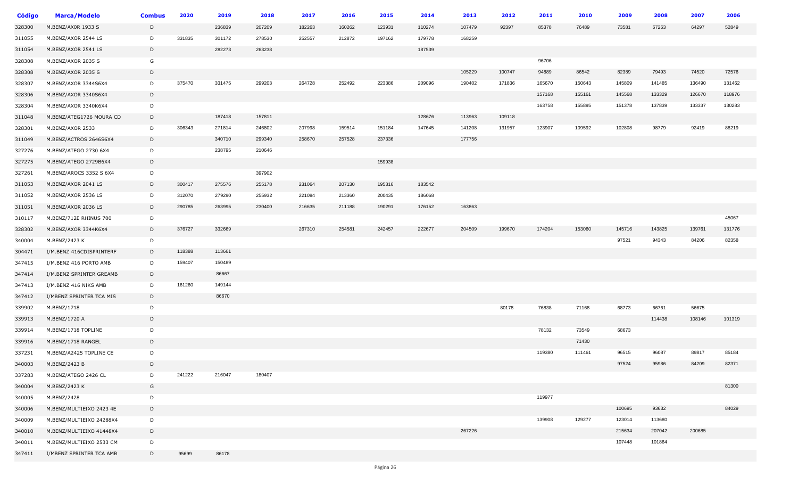| Código | <b>Marca/Modelo</b>      | <b>Combus</b> | 2020   | 2019   | 2018   | 2017   | 2016   | 2015   | 2014   | 2013   | 2012   | 2011   | 2010   | 2009   | 2008   | 2007   | 2006   |
|--------|--------------------------|---------------|--------|--------|--------|--------|--------|--------|--------|--------|--------|--------|--------|--------|--------|--------|--------|
| 328300 | M.BENZ/AX0R 1933 S       | D             |        | 236839 | 207209 | 182263 | 160262 | 123931 | 110274 | 107479 | 92397  | 85378  | 76489  | 73581  | 67263  | 64297  | 52849  |
| 311055 | M.BENZ/AXOR 2544 LS      | D             | 331835 | 301172 | 278530 | 252557 | 212872 | 197162 | 179778 | 168259 |        |        |        |        |        |        |        |
| 311054 | M.BENZ/AXOR 2541 LS      | D             |        | 282273 | 263238 |        |        |        | 187539 |        |        |        |        |        |        |        |        |
| 328308 | M.BENZ/AXOR 2035 S       | G             |        |        |        |        |        |        |        |        |        | 96706  |        |        |        |        |        |
| 328308 | M.BENZ/AXOR 2035 S       | D             |        |        |        |        |        |        |        | 105229 | 100747 | 94889  | 86542  | 82389  | 79493  | 74520  | 72576  |
| 328307 | M.BENZ/AXOR 3344S6X4     | D             | 375470 | 331475 | 299203 | 264728 | 252492 | 223386 | 209096 | 190402 | 171836 | 165670 | 150643 | 145809 | 141485 | 136490 | 131462 |
| 328306 | M.BENZ/AXOR 3340S6X4     | D             |        |        |        |        |        |        |        |        |        | 157168 | 155161 | 145568 | 133329 | 126670 | 118976 |
| 328304 | M.BENZ/AXOR 3340K6X4     | D             |        |        |        |        |        |        |        |        |        | 163758 | 155895 | 151378 | 137839 | 133337 | 130283 |
| 311048 | M.BENZ/ATEG1726 MOURA CD | D             |        | 187418 | 157811 |        |        |        | 128676 | 113963 | 109118 |        |        |        |        |        |        |
| 328301 | M.BENZ/AXOR 2533         | D             | 306343 | 271814 | 246802 | 207998 | 159514 | 151184 | 147645 | 141208 | 131957 | 123907 | 109592 | 102808 | 98779  | 92419  | 88219  |
| 311049 | M.BENZ/ACTROS 2646S6X4   | D             |        | 340710 | 299340 | 258670 | 257528 | 237336 |        | 177756 |        |        |        |        |        |        |        |
| 327276 | M.BENZ/ATEGO 2730 6X4    | D             |        | 238795 | 210646 |        |        |        |        |        |        |        |        |        |        |        |        |
| 327275 | M.BENZ/ATEGO 2729B6X4    | D             |        |        |        |        |        | 159938 |        |        |        |        |        |        |        |        |        |
| 327261 | M.BENZ/AROCS 3352 S 6X4  | D             |        |        | 397902 |        |        |        |        |        |        |        |        |        |        |        |        |
| 311053 | M.BENZ/AXOR 2041 LS      | D             | 300417 | 275576 | 255178 | 231064 | 207130 | 195316 | 183542 |        |        |        |        |        |        |        |        |
| 311052 | M.BENZ/AXOR 2536 LS      | D             | 312070 | 279290 | 255932 | 221084 | 213360 | 200435 | 186068 |        |        |        |        |        |        |        |        |
| 311051 | M.BENZ/AXOR 2036 LS      | D             | 290785 | 263995 | 230400 | 216635 | 211188 | 190291 | 176152 | 163863 |        |        |        |        |        |        |        |
| 310117 | M.BENZ/712E RHINUS 700   | D             |        |        |        |        |        |        |        |        |        |        |        |        |        |        | 45067  |
| 328302 | M.BENZ/AXOR 3344K6X4     | D             | 376727 | 332669 |        | 267310 | 254581 | 242457 | 222677 | 204509 | 199670 | 174204 | 153060 | 145716 | 143825 | 139761 | 131776 |
| 340004 | M.BENZ/2423 K            | D             |        |        |        |        |        |        |        |        |        |        |        | 97521  | 94343  | 84206  | 82358  |
| 304471 | I/M.BENZ 416CDISPRINTERF | D             | 118388 | 113661 |        |        |        |        |        |        |        |        |        |        |        |        |        |
| 347415 | I/M.BENZ 416 PORTO AMB   | D             | 159407 | 150489 |        |        |        |        |        |        |        |        |        |        |        |        |        |
| 347414 | I/M.BENZ SPRINTER GREAMB | D             |        | 86667  |        |        |        |        |        |        |        |        |        |        |        |        |        |
| 347413 | I/M.BENZ 416 NIKS AMB    | D             | 161260 | 149144 |        |        |        |        |        |        |        |        |        |        |        |        |        |
| 347412 | I/MBENZ SPRINTER TCA MIS | D             |        | 86670  |        |        |        |        |        |        |        |        |        |        |        |        |        |
| 339902 | M.BENZ/1718              | D             |        |        |        |        |        |        |        |        | 80178  | 76838  | 71168  | 68773  | 66761  | 56675  |        |
| 339913 | M.BENZ/1720 A            | D             |        |        |        |        |        |        |        |        |        |        |        |        | 114438 | 108146 | 101319 |
| 339914 | M.BENZ/1718 TOPLINE      | D             |        |        |        |        |        |        |        |        |        | 78132  | 73549  | 68673  |        |        |        |
| 339916 | M.BENZ/1718 RANGEL       | D             |        |        |        |        |        |        |        |        |        |        | 71430  |        |        |        |        |
| 337231 | M.BENZ/A2425 TOPLINE CE  | D             |        |        |        |        |        |        |        |        |        | 119380 | 111461 | 96515  | 96087  | 89817  | 85184  |
| 340003 | M.BENZ/2423 B            | D             |        |        |        |        |        |        |        |        |        |        |        | 97524  | 95986  | 84209  | 82371  |
| 337283 | M.BENZ/ATEGO 2426 CL     | D             | 241222 | 216047 | 180407 |        |        |        |        |        |        |        |        |        |        |        |        |
| 340004 | M.BENZ/2423 K            | G             |        |        |        |        |        |        |        |        |        |        |        |        |        |        | 81300  |
| 340005 | M.BENZ/2428              | D             |        |        |        |        |        |        |        |        |        | 119977 |        |        |        |        |        |
| 340006 | M.BENZ/MULTIEIXO 2423 4E | D             |        |        |        |        |        |        |        |        |        |        |        | 100695 | 93632  |        | 84029  |
| 340009 | M.BENZ/MULTIEIXO 24288X4 | D             |        |        |        |        |        |        |        |        |        | 139908 | 129277 | 123014 | 113680 |        |        |
| 340010 | M.BENZ/MULTIEIXO 41448X4 | D             |        |        |        |        |        |        |        | 267226 |        |        |        | 215634 | 207042 | 200685 |        |
| 340011 | M.BENZ/MULTIEIXO 2533 CM | D             |        |        |        |        |        |        |        |        |        |        |        | 107448 | 101864 |        |        |
| 347411 | I/MBENZ SPRINTER TCA AMB | D             | 95699  | 86178  |        |        |        |        |        |        |        |        |        |        |        |        |        |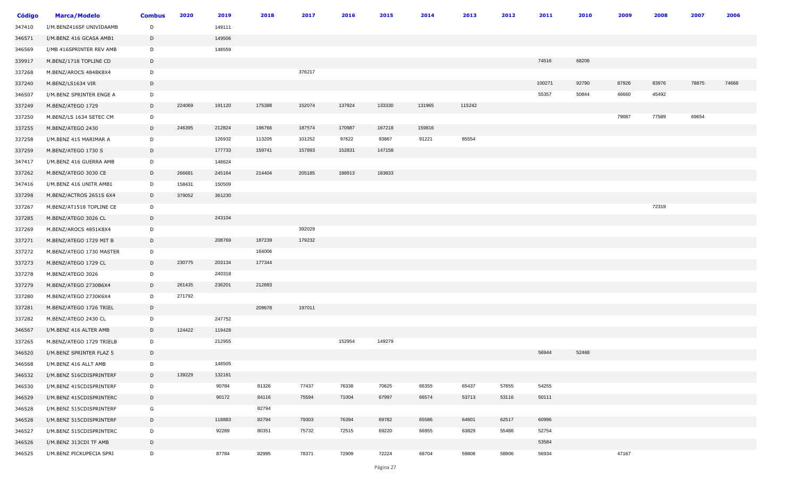| <b>Código</b> | <b>Marca/Modelo</b>      | <b>Combus</b> | 2020   | 2019   | 2018   | 2017   | 2016   | 2015   | 2014   | 2013   | 2012  | 2011   | 2010  | 2009  | 2008  | 2007  | 2006  |
|---------------|--------------------------|---------------|--------|--------|--------|--------|--------|--------|--------|--------|-------|--------|-------|-------|-------|-------|-------|
| 347410        | I/M.BENZ416SF UNIVIDAAMB | D             |        | 149111 |        |        |        |        |        |        |       |        |       |       |       |       |       |
| 346571        | I/M.BENZ 416 GCASA AMB1  | D             |        | 149506 |        |        |        |        |        |        |       |        |       |       |       |       |       |
| 346569        | I/MB 416SPRINTER REV AMB | D             |        | 148559 |        |        |        |        |        |        |       |        |       |       |       |       |       |
| 339917        | M.BENZ/1718 TOPLINE CD   | D             |        |        |        |        |        |        |        |        |       | 74516  | 68206 |       |       |       |       |
| 337268        | M.BENZ/AROCS 4848K8X4    | D             |        |        |        | 376217 |        |        |        |        |       |        |       |       |       |       |       |
| 337240        | M.BENZ/LS1634 VIR        | D             |        |        |        |        |        |        |        |        |       | 100271 | 92790 | 87926 | 83976 | 78875 | 74668 |
| 346507        | I/M.BENZ SPRINTER ENGE A | D             |        |        |        |        |        |        |        |        |       | 55357  | 50844 | 46660 | 45492 |       |       |
| 337249        | M.BENZ/ATEGO 1729        | D             | 224069 | 191120 | 175388 | 152074 | 137924 | 133330 | 131965 | 115242 |       |        |       |       |       |       |       |
| 337250        | M.BENZ/LS 1634 SETEC CM  | D             |        |        |        |        |        |        |        |        |       |        |       | 79087 | 77589 | 69654 |       |
| 337255        | M.BENZ/ATEGO 2430        | D             | 246395 | 212824 | 196766 | 187574 | 170987 | 167218 | 159816 |        |       |        |       |       |       |       |       |
| 337258        | I/M.BENZ 415 MARIMAR A   | D             |        | 126932 | 113205 | 101252 | 97622  | 93867  | 91221  | 85554  |       |        |       |       |       |       |       |
| 337259        | M.BENZ/ATEGO 1730 S      | D             |        | 177733 | 159741 | 157893 | 152831 | 147158 |        |        |       |        |       |       |       |       |       |
| 347417        | I/M.BENZ 416 GUERRA AMB  | D             |        | 148624 |        |        |        |        |        |        |       |        |       |       |       |       |       |
| 337262        | M.BENZ/ATEGO 3030 CE     | D             | 266681 | 245164 | 214404 | 205185 | 188913 | 183833 |        |        |       |        |       |       |       |       |       |
| 347416        | I/M.BENZ 416 UNITR AMB1  | D             | 158431 | 150509 |        |        |        |        |        |        |       |        |       |       |       |       |       |
| 337298        | M.BENZ/ACTROS 2651S 6X4  | D             | 379052 | 361230 |        |        |        |        |        |        |       |        |       |       |       |       |       |
| 337267        | M.BENZ/AT1518 TOPLINE CE | D             |        |        |        |        |        |        |        |        |       |        |       |       | 72319 |       |       |
| 337285        | M.BENZ/ATEGO 3026 CL     | D             |        | 243104 |        |        |        |        |        |        |       |        |       |       |       |       |       |
| 337269        | M.BENZ/AROCS 4851K8X4    | D             |        |        |        | 392029 |        |        |        |        |       |        |       |       |       |       |       |
| 337271        | M.BENZ/ATEGO 1729 MIT B  | D             |        | 208769 | 187239 | 179232 |        |        |        |        |       |        |       |       |       |       |       |
| 337272        | M.BENZ/ATEGO 1730 MASTER | D             |        |        | 164006 |        |        |        |        |        |       |        |       |       |       |       |       |
| 337273        | M.BENZ/ATEGO 1729 CL     | D             | 230775 | 203134 | 177344 |        |        |        |        |        |       |        |       |       |       |       |       |
| 337278        | M.BENZ/ATEGO 3026        | D             |        | 240318 |        |        |        |        |        |        |       |        |       |       |       |       |       |
| 337279        | M.BENZ/ATEGO 2730B6X4    | D             | 261435 | 236201 | 212893 |        |        |        |        |        |       |        |       |       |       |       |       |
| 337280        | M.BENZ/ATEGO 2730K6X4    | D             | 271792 |        |        |        |        |        |        |        |       |        |       |       |       |       |       |
| 337281        | M.BENZ/ATEGO 1726 TRIEL  | D             |        |        | 209678 | 197011 |        |        |        |        |       |        |       |       |       |       |       |
| 337282        | M.BENZ/ATEGO 2430 CL     | D             |        | 247752 |        |        |        |        |        |        |       |        |       |       |       |       |       |
| 346567        | I/M.BENZ 416 ALTER AMB   | D             | 124422 | 119428 |        |        |        |        |        |        |       |        |       |       |       |       |       |
| 337265        | M.BENZ/ATEGO 1729 TRIELB | D             |        | 212955 |        |        | 152954 | 149279 |        |        |       |        |       |       |       |       |       |
| 346520        | I/M.BENZ SPRINTER FLAZ 5 | D             |        |        |        |        |        |        |        |        |       | 56944  | 52468 |       |       |       |       |
| 346568        | I/M.BENZ 416 ALLT AMB    | D             |        | 148505 |        |        |        |        |        |        |       |        |       |       |       |       |       |
| 346532        | I/M.BENZ 516CDISPRINTERF | D             | 139229 | 132181 |        |        |        |        |        |        |       |        |       |       |       |       |       |
| 346530        | I/M.BENZ 415CDISPRINTERF | D             |        | 90784  | 81326  | 77437  | 76338  | 70625  | 66355  | 65437  | 57855 | 54255  |       |       |       |       |       |
| 346529        | I/M.BENZ 415CDISPRINTERC | D             |        | 90172  | 84116  | 75594  | 71004  | 67997  | 66574  | 53713  | 53116 | 50111  |       |       |       |       |       |
| 346528        | I/M.BENZ 515CDISPRINTERF | G             |        |        | 82794  |        |        |        |        |        |       |        |       |       |       |       |       |
| 346528        | I/M.BENZ 515CDISPRINTERF | D             |        | 118883 | 82794  | 79303  | 76394  | 69782  | 65586  | 64601  | 62517 | 60996  |       |       |       |       |       |
| 346527        | I/M.BENZ 515CDISPRINTERC | D             |        | 92289  | 80351  | 75732  | 72515  | 69220  | 66955  | 63829  | 55488 | 52754  |       |       |       |       |       |
| 346526        | I/M.BENZ 313CDI TF AMB   | $\mathsf{D}$  |        |        |        |        |        |        |        |        |       | 53584  |       |       |       |       |       |
| 346525        | I/M.BENZ PICKUPECIA SPRI | D             |        | 87784  | 82995  | 78371  | 72909  | 72224  | 68704  | 59806  | 58906 | 56934  |       | 47167 |       |       |       |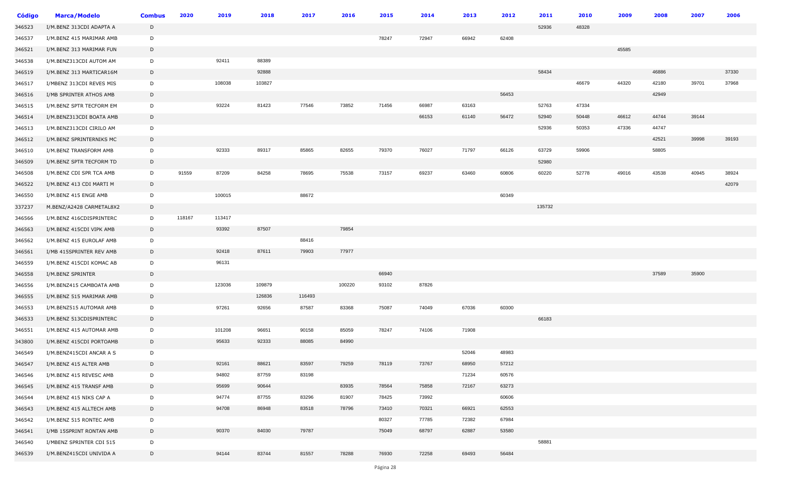| <b>Código</b> | <b>Marca/Modelo</b>      | <b>Combus</b> | 2020   | 2019   | 2018   | 2017   | 2016   | 2015  | 2014  | 2013  | 2012  | 2011   | 2010  | 2009  | 2008  | 2007  | 2006  |
|---------------|--------------------------|---------------|--------|--------|--------|--------|--------|-------|-------|-------|-------|--------|-------|-------|-------|-------|-------|
| 346523        | I/M.BENZ 313CDI ADAPTA A | D             |        |        |        |        |        |       |       |       |       | 52936  | 48328 |       |       |       |       |
| 346537        | I/M.BENZ 415 MARIMAR AMB | D             |        |        |        |        |        | 78247 | 72947 | 66942 | 62408 |        |       |       |       |       |       |
| 346521        | I/M.BENZ 313 MARIMAR FUN | D             |        |        |        |        |        |       |       |       |       |        |       | 45585 |       |       |       |
| 346538        | I/M.BENZ313CDI AUTOM AM  | D             |        | 92411  | 88389  |        |        |       |       |       |       |        |       |       |       |       |       |
| 346519        | I/M.BENZ 313 MARTICAR16M | D             |        |        | 92888  |        |        |       |       |       |       | 58434  |       |       | 46886 |       | 37330 |
| 346517        | I/MBENZ 313CDI REVES MIS | D             |        | 108038 | 103827 |        |        |       |       |       |       |        | 46679 | 44320 | 42180 | 39701 | 37968 |
| 346516        | I/MB SPRINTER ATHOS AMB  | D             |        |        |        |        |        |       |       |       | 56453 |        |       |       | 42949 |       |       |
| 346515        | I/M.BENZ SPTR TECFORM EM | D             |        | 93224  | 81423  | 77546  | 73852  | 71456 | 66987 | 63163 |       | 52763  | 47334 |       |       |       |       |
| 346514        | I/M.BENZ313CDI BOATA AMB | D             |        |        |        |        |        |       | 66153 | 61140 | 56472 | 52940  | 50448 | 46612 | 44744 | 39144 |       |
| 346513        | I/M.BENZ313CDI CIRILO AM | D             |        |        |        |        |        |       |       |       |       | 52936  | 50353 | 47336 | 44747 |       |       |
| 346512        | I/M.BENZ SPRINTERNIKS MC | D             |        |        |        |        |        |       |       |       |       |        |       |       | 42521 | 39998 | 39193 |
| 346510        | I/M.BENZ TRANSFORM AMB   | D             |        | 92333  | 89317  | 85865  | 82655  | 79370 | 76027 | 71797 | 66126 | 63729  | 59906 |       | 58805 |       |       |
| 346509        | I/M.BENZ SPTR TECFORM TD | D             |        |        |        |        |        |       |       |       |       | 52980  |       |       |       |       |       |
| 346508        | I/M.BENZ CDI SPR TCA AMB | D             | 91559  | 87209  | 84258  | 78695  | 75538  | 73157 | 69237 | 63460 | 60806 | 60220  | 52778 | 49016 | 43538 | 40945 | 38924 |
| 346522        | I/M.BENZ 413 CDI MARTI M | D             |        |        |        |        |        |       |       |       |       |        |       |       |       |       | 42079 |
| 346550        | I/M.BENZ 415 ENGE AMB    | D             |        | 100015 |        | 88672  |        |       |       |       | 60349 |        |       |       |       |       |       |
| 337237        | M.BENZ/A2428 CARMETAL8X2 | D             |        |        |        |        |        |       |       |       |       | 135732 |       |       |       |       |       |
| 346566        | I/M.BENZ 416CDISPRINTERC | D             | 118167 | 113417 |        |        |        |       |       |       |       |        |       |       |       |       |       |
| 346563        | I/M.BENZ 415CDI VIPK AMB | D             |        | 93392  | 87507  |        | 79854  |       |       |       |       |        |       |       |       |       |       |
| 346562        | I/M.BENZ 415 EUROLAF AMB | D             |        |        |        | 88416  |        |       |       |       |       |        |       |       |       |       |       |
| 346561        | I/MB 415SPRINTER REV AMB | D             |        | 92418  | 87611  | 79903  | 77977  |       |       |       |       |        |       |       |       |       |       |
| 346559        | I/M.BENZ 415CDI KOMAC AB | D             |        | 96131  |        |        |        |       |       |       |       |        |       |       |       |       |       |
| 346558        | I/M.BENZ SPRINTER        | D             |        |        |        |        |        | 66940 |       |       |       |        |       |       | 37589 | 35900 |       |
| 346556        | I/M.BENZ415 CAMBOATA AMB | D             |        | 123036 | 109879 |        | 100220 | 93102 | 87826 |       |       |        |       |       |       |       |       |
| 346555        | I/M.BENZ 515 MARIMAR AMB | D             |        |        | 126836 | 116493 |        |       |       |       |       |        |       |       |       |       |       |
| 346553        | I/M.BENZ515 AUTOMAR AMB  | D             |        | 97261  | 92656  | 87587  | 83368  | 75087 | 74049 | 67036 | 60300 |        |       |       |       |       |       |
| 346533        | I/M.BENZ 513CDISPRINTERC | D             |        |        |        |        |        |       |       |       |       | 66183  |       |       |       |       |       |
| 346551        | I/M.BENZ 415 AUTOMAR AMB | D             |        | 101208 | 96651  | 90158  | 85059  | 78247 | 74106 | 71908 |       |        |       |       |       |       |       |
| 343800        | I/M.BENZ 415CDI PORTOAMB | D             |        | 95633  | 92333  | 88085  | 84990  |       |       |       |       |        |       |       |       |       |       |
| 346549        | I/M.BENZ415CDI ANCAR A S | D             |        |        |        |        |        |       |       | 52046 | 48983 |        |       |       |       |       |       |
| 346547        | I/M.BENZ 415 ALTER AMB   | D             |        | 92161  | 88621  | 83597  | 79259  | 78119 | 73767 | 68950 | 57212 |        |       |       |       |       |       |
| 346546        | I/M.BENZ 415 REVESC AMB  | D             |        | 94802  | 87759  | 83198  |        |       |       | 71234 | 60576 |        |       |       |       |       |       |
| 346545        | I/M.BENZ 415 TRANSF AMB  | D             |        | 95699  | 90644  |        | 83935  | 78564 | 75858 | 72167 | 63273 |        |       |       |       |       |       |
| 346544        | I/M.BENZ 415 NIKS CAP A  | D             |        | 94774  | 87755  | 83296  | 81907  | 78425 | 73992 |       | 60606 |        |       |       |       |       |       |
| 346543        | I/M.BENZ 415 ALLTECH AMB | D             |        | 94708  | 86948  | 83518  | 78796  | 73410 | 70321 | 66921 | 62553 |        |       |       |       |       |       |
| 346542        | I/M.BENZ 515 RONTEC AMB  | D             |        |        |        |        |        | 80327 | 77785 | 72382 | 67984 |        |       |       |       |       |       |
| 346541        | I/MB 15SPRINT RONTAN AMB | D             |        | 90370  | 84030  | 79787  |        | 75049 | 68797 | 62887 | 53580 |        |       |       |       |       |       |
| 346540        | I/MBENZ SPRINTER CDI 515 | D             |        |        |        |        |        |       |       |       |       | 58881  |       |       |       |       |       |
| 346539        | I/M.BENZ415CDI UNIVIDA A | D             |        | 94144  | 83744  | 81557  | 78288  | 76930 | 72258 | 69493 | 56484 |        |       |       |       |       |       |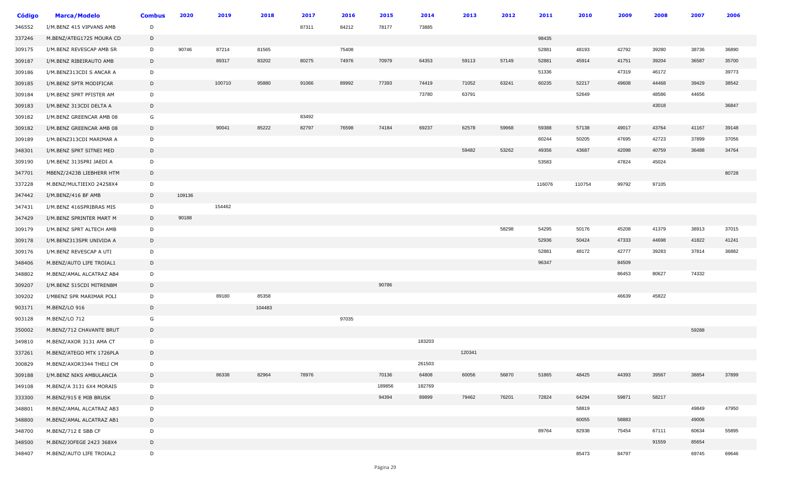| Código | <b>Marca/Modelo</b>      | <b>Combus</b> | 2020   | 2019   | 2018   | 2017  | 2016  | 2015   | 2014   | 2013   | 2012  | 2011   | 2010   | 2009  | 2008  | 2007  | 2006  |
|--------|--------------------------|---------------|--------|--------|--------|-------|-------|--------|--------|--------|-------|--------|--------|-------|-------|-------|-------|
| 346552 | I/M.BENZ 415 VIPVANS AMB | D             |        |        |        | 87311 | 84212 | 78177  | 73885  |        |       |        |        |       |       |       |       |
| 337246 | M.BENZ/ATEG1725 MOURA CD | D             |        |        |        |       |       |        |        |        |       | 98435  |        |       |       |       |       |
| 309175 | I/M.BENZ REVESCAP AMB SR | D             | 90746  | 87214  | 81565  |       | 75408 |        |        |        |       | 52881  | 48193  | 42792 | 39280 | 38736 | 36890 |
| 309187 | I/M.BENZ RIBEIRAUTO AMB  | D             |        | 89317  | 83202  | 80275 | 74976 | 70979  | 64353  | 59113  | 57149 | 52881  | 45914  | 41751 | 39204 | 36587 | 35700 |
| 309186 | I/M.BENZ313CDI S ANCAR A | D             |        |        |        |       |       |        |        |        |       | 51336  |        | 47319 | 46172 |       | 39773 |
| 309185 | I/M.BENZ SPTR MODIFICAR  | D             |        | 100710 | 95880  | 91066 | 89992 | 77393  | 74419  | 71052  | 63241 | 60235  | 52217  | 49608 | 44468 | 39429 | 38542 |
| 309184 | I/M.BENZ SPRT PFISTER AM | D             |        |        |        |       |       |        | 73780  | 63791  |       |        | 52649  |       | 48586 | 44656 |       |
| 309183 | I/M.BENZ 313CDI DELTA A  | D             |        |        |        |       |       |        |        |        |       |        |        |       | 43018 |       | 36847 |
| 309182 | I/M.BENZ GREENCAR AMB 08 | G             |        |        |        | 83492 |       |        |        |        |       |        |        |       |       |       |       |
| 309182 | I/M.BENZ GREENCAR AMB 08 | D             |        | 90041  | 85222  | 82797 | 76598 | 74184  | 69237  | 62578  | 59968 | 59388  | 57138  | 49017 | 43764 | 41167 | 39148 |
| 309189 | I/M.BENZ313CDI MARIMAR A | D             |        |        |        |       |       |        |        |        |       | 60244  | 50205  | 47695 | 42723 | 37899 | 37056 |
| 348301 | I/M.BENZ SPRT SITNEI MED | D             |        |        |        |       |       |        |        | 59482  | 53262 | 49356  | 43687  | 42098 | 40759 | 36488 | 34764 |
| 309190 | I/M.BENZ 313SPRI JAEDI A | D             |        |        |        |       |       |        |        |        |       | 53583  |        | 47824 | 45024 |       |       |
| 347701 | MBENZ/2423B LIEBHERR HTM | D             |        |        |        |       |       |        |        |        |       |        |        |       |       |       | 80728 |
| 337228 | M.BENZ/MULTIEIXO 24258X4 | D             |        |        |        |       |       |        |        |        |       | 116076 | 110754 | 99792 | 97105 |       |       |
| 347442 | I/M.BENZ/416 BF AMB      | D             | 109136 |        |        |       |       |        |        |        |       |        |        |       |       |       |       |
| 347431 | I/M.BENZ 416SPRIBRAS MIS | D             |        | 154462 |        |       |       |        |        |        |       |        |        |       |       |       |       |
| 347429 | I/M.BENZ SPRINTER MART M | D             | 90188  |        |        |       |       |        |        |        |       |        |        |       |       |       |       |
| 309179 | I/M.BENZ SPRT ALTECH AMB | D             |        |        |        |       |       |        |        |        | 58298 | 54295  | 50176  | 45208 | 41379 | 38913 | 37015 |
| 309178 | I/M.BENZ313SPR UNIVIDA A | D             |        |        |        |       |       |        |        |        |       | 52936  | 50424  | 47333 | 44698 | 41822 | 41241 |
| 309176 | I/M.BENZ REVESCAP A UTI  | D             |        |        |        |       |       |        |        |        |       | 52881  | 48172  | 42777 | 39283 | 37814 | 36882 |
| 348406 | M.BENZ/AUTO LIFE TROIAL1 | D             |        |        |        |       |       |        |        |        |       | 96347  |        | 84509 |       |       |       |
| 348802 | M.BENZ/AMAL ALCATRAZ AB4 | D             |        |        |        |       |       |        |        |        |       |        |        | 86453 | 80627 | 74332 |       |
| 309207 | I/M.BENZ 515CDI MITRENBM | D             |        |        |        |       |       | 90786  |        |        |       |        |        |       |       |       |       |
| 309202 | I/MBENZ SPR MARIMAR POLI | D             |        | 89180  | 85358  |       |       |        |        |        |       |        |        | 46639 | 45822 |       |       |
| 903171 | M.BENZ/LO 916            | D             |        |        | 104483 |       |       |        |        |        |       |        |        |       |       |       |       |
| 903128 | M.BENZ/LO 712            | G             |        |        |        |       | 97035 |        |        |        |       |        |        |       |       |       |       |
| 350002 | M.BENZ/712 CHAVANTE BRUT | D             |        |        |        |       |       |        |        |        |       |        |        |       |       | 59288 |       |
| 349810 | M.BENZ/AXOR 3131 AMA CT  | D             |        |        |        |       |       |        | 183203 |        |       |        |        |       |       |       |       |
| 337261 | M.BENZ/ATEGO MTX 1726PLA | D             |        |        |        |       |       |        |        | 120341 |       |        |        |       |       |       |       |
| 300829 | M.BENZ/AXOR3344 THELI CM | D             |        |        |        |       |       |        | 261503 |        |       |        |        |       |       |       |       |
| 309188 | I/M.BENZ NIKS AMBULANCIA | D             |        | 86338  | 82964  | 78976 |       | 70136  | 64808  | 60056  | 56870 | 51865  | 48425  | 44393 | 39567 | 38854 | 37899 |
| 349108 | M.BENZ/A 3131 6X4 MORAIS | D             |        |        |        |       |       | 189856 | 182769 |        |       |        |        |       |       |       |       |
| 333300 | M.BENZ/915 E MIB BRUSK   | D             |        |        |        |       |       | 94394  | 89899  | 79462  | 76201 | 72824  | 64294  | 59871 | 58217 |       |       |
| 348801 | M.BENZ/AMAL ALCATRAZ AB3 | D             |        |        |        |       |       |        |        |        |       |        | 58819  |       |       | 49849 | 47950 |
| 348800 | M.BENZ/AMAL ALCATRAZ AB1 | D             |        |        |        |       |       |        |        |        |       |        | 60055  | 58883 |       | 49006 |       |
| 348700 | M.BENZ/712 E SBB CF      | D             |        |        |        |       |       |        |        |        |       | 89764  | 82938  | 75454 | 67111 | 60634 | 55895 |
| 348500 | M.BENZ/JOFEGE 2423 368X4 | D             |        |        |        |       |       |        |        |        |       |        |        |       | 91559 | 85654 |       |
| 348407 | M.BENZ/AUTO LIFE TROIAL2 | D             |        |        |        |       |       |        |        |        |       |        | 85473  | 84797 |       | 69745 | 69646 |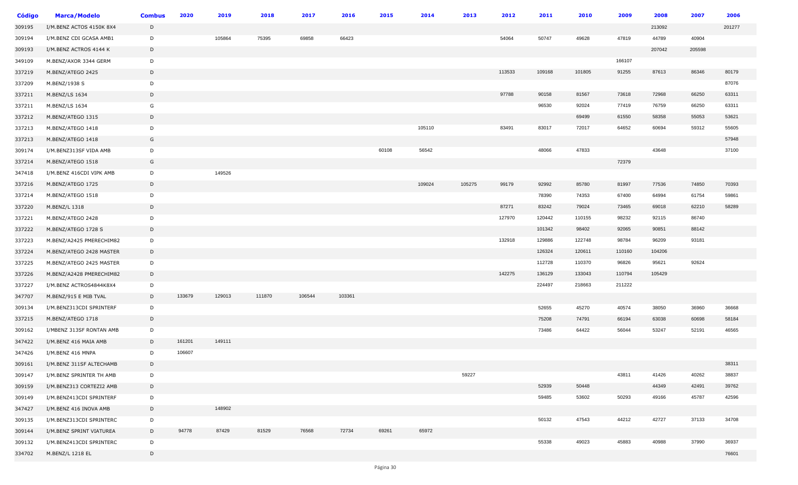| <b>Código</b> | <b>Marca/Modelo</b>      | <b>Combus</b> | 2020   | 2019   | 2018   | 2017   | 2016   | 2015  | 2014   | 2013   | 2012   | 2011   | 2010   | 2009   | 2008   | 2007   | 2006   |
|---------------|--------------------------|---------------|--------|--------|--------|--------|--------|-------|--------|--------|--------|--------|--------|--------|--------|--------|--------|
| 309195        | I/M.BENZ ACTOS 4150K 8X4 | D             |        |        |        |        |        |       |        |        |        |        |        |        | 213092 |        | 201277 |
| 309194        | I/M.BENZ CDI GCASA AMB1  | D             |        | 105864 | 75395  | 69858  | 66423  |       |        |        | 54064  | 50747  | 49628  | 47819  | 44789  | 40904  |        |
| 309193        | I/M.BENZ ACTROS 4144 K   | D             |        |        |        |        |        |       |        |        |        |        |        |        | 207042 | 205598 |        |
| 349109        | M.BENZ/AXOR 3344 GERM    | D             |        |        |        |        |        |       |        |        |        |        |        | 166107 |        |        |        |
| 337219        | M.BENZ/ATEGO 2425        | D             |        |        |        |        |        |       |        |        | 113533 | 109168 | 101805 | 91255  | 87613  | 86346  | 80179  |
| 337209        | M.BENZ/1938 S            | D             |        |        |        |        |        |       |        |        |        |        |        |        |        |        | 87076  |
| 337211        | M.BENZ/LS 1634           | D             |        |        |        |        |        |       |        |        | 97788  | 90158  | 81567  | 73618  | 72968  | 66250  | 63311  |
| 337211        | M.BENZ/LS 1634           | G             |        |        |        |        |        |       |        |        |        | 96530  | 92024  | 77419  | 76759  | 66250  | 63311  |
| 337212        | M.BENZ/ATEGO 1315        | D             |        |        |        |        |        |       |        |        |        |        | 69499  | 61550  | 58358  | 55053  | 53621  |
| 337213        | M.BENZ/ATEGO 1418        | D             |        |        |        |        |        |       | 105110 |        | 83491  | 83017  | 72017  | 64652  | 60694  | 59312  | 55605  |
| 337213        | M.BENZ/ATEGO 1418        | G             |        |        |        |        |        |       |        |        |        |        |        |        |        |        | 57948  |
| 309174        | I/M.BENZ313SF VIDA AMB   | D             |        |        |        |        |        | 60108 | 56542  |        |        | 48066  | 47833  |        | 43648  |        | 37100  |
| 337214        | M.BENZ/ATEGO 1518        | G             |        |        |        |        |        |       |        |        |        |        |        | 72379  |        |        |        |
| 347418        | I/M.BENZ 416CDI VIPK AMB | D             |        | 149526 |        |        |        |       |        |        |        |        |        |        |        |        |        |
| 337216        | M.BENZ/ATEGO 1725        | D             |        |        |        |        |        |       | 109024 | 105275 | 99179  | 92992  | 85780  | 81997  | 77536  | 74850  | 70393  |
| 337214        | M.BENZ/ATEGO 1518        | D             |        |        |        |        |        |       |        |        |        | 78390  | 74353  | 67400  | 64994  | 61754  | 59861  |
| 337220        | M.BENZ/L 1318            | D             |        |        |        |        |        |       |        |        | 87271  | 83242  | 79024  | 73465  | 69018  | 62210  | 58289  |
| 337221        | M.BENZ/ATEGO 2428        | D             |        |        |        |        |        |       |        |        | 127970 | 120442 | 110155 | 98232  | 92115  | 86740  |        |
| 337222        | M.BENZ/ATEGO 1728 S      | D             |        |        |        |        |        |       |        |        |        | 101342 | 98402  | 92065  | 90851  | 88142  |        |
| 337223        | M.BENZ/A2425 PMERECHIM82 | D             |        |        |        |        |        |       |        |        | 132918 | 129886 | 122748 | 98784  | 96209  | 93181  |        |
| 337224        | M.BENZ/ATEGO 2428 MASTER | D             |        |        |        |        |        |       |        |        |        | 126324 | 120611 | 110160 | 104206 |        |        |
| 337225        | M.BENZ/ATEGO 2425 MASTER | D             |        |        |        |        |        |       |        |        |        | 112728 | 110370 | 96826  | 95621  | 92624  |        |
| 337226        | M.BENZ/A2428 PMERECHIM82 | D             |        |        |        |        |        |       |        |        | 142275 | 136129 | 133043 | 110794 | 105429 |        |        |
| 337227        | I/M.BENZ ACTROS4844K8X4  | D             |        |        |        |        |        |       |        |        |        | 224497 | 218663 | 211222 |        |        |        |
| 347707        | M.BENZ/915 E MIB TVAL    | D             | 133679 | 129013 | 111870 | 106544 | 103361 |       |        |        |        |        |        |        |        |        |        |
| 309134        | I/M.BENZ313CDI SPRINTERF | D             |        |        |        |        |        |       |        |        |        | 52655  | 45270  | 40574  | 38050  | 36960  | 36668  |
| 337215        | M.BENZ/ATEGO 1718        | D             |        |        |        |        |        |       |        |        |        | 75208  | 74791  | 66194  | 63038  | 60698  | 58184  |
| 309162        | I/MBENZ 313SF RONTAN AMB | D             |        |        |        |        |        |       |        |        |        | 73486  | 64422  | 56044  | 53247  | 52191  | 46565  |
| 347422        | I/M.BENZ 416 MAIA AMB    | D             | 161201 | 149111 |        |        |        |       |        |        |        |        |        |        |        |        |        |
| 347426        | I/M.BENZ 416 MNPA        | D             | 106607 |        |        |        |        |       |        |        |        |        |        |        |        |        |        |
| 309161        | I/M.BENZ 311SF ALTECHAMB | D             |        |        |        |        |        |       |        |        |        |        |        |        |        |        | 38311  |
| 309147        | I/M.BENZ SPRINTER TH AMB | D             |        |        |        |        |        |       |        | 59227  |        |        |        | 43811  | 41426  | 40262  | 38837  |
| 309159        | I/M.BENZ313 CORTEZI2 AMB | D             |        |        |        |        |        |       |        |        |        | 52939  | 50448  |        | 44349  | 42491  | 39762  |
| 309149        | I/M.BENZ413CDI SPRINTERF | D             |        |        |        |        |        |       |        |        |        | 59485  | 53602  | 50293  | 49166  | 45787  | 42596  |
| 347427        | I/M.BENZ 416 INOVA AMB   | D             |        | 148902 |        |        |        |       |        |        |        |        |        |        |        |        |        |
| 309135        | I/M.BENZ313CDI SPRINTERC | D             |        |        |        |        |        |       |        |        |        | 50132  | 47543  | 44212  | 42727  | 37133  | 34708  |
| 309144        | I/M.BENZ SPRINT VIATUREA | D             | 94778  | 87429  | 81529  | 76568  | 72734  | 69261 | 65972  |        |        |        |        |        |        |        |        |
| 309132        | I/M.BENZ413CDI SPRINTERC | D             |        |        |        |        |        |       |        |        |        | 55338  | 49023  | 45883  | 40988  | 37990  | 36937  |
| 334702        | M.BENZ/L 1218 EL         | D             |        |        |        |        |        |       |        |        |        |        |        |        |        |        | 76601  |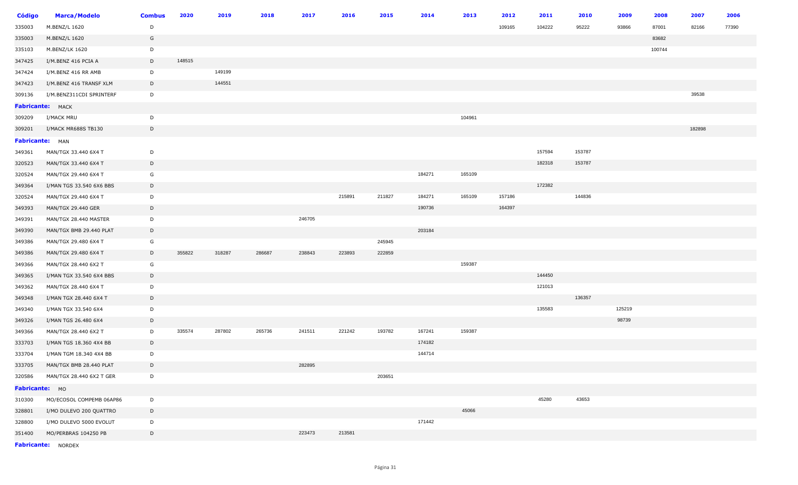| <b>Código</b>   | <b>Marca/Modelo</b>             | <b>Combus</b> | 2020   | 2019   | 2018   | 2017   | 2016   | 2015   | 2014   | 2013   | 2012   | 2011   | 2010   | 2009   | 2008   | 2007   | 2006  |
|-----------------|---------------------------------|---------------|--------|--------|--------|--------|--------|--------|--------|--------|--------|--------|--------|--------|--------|--------|-------|
| 335003          | M.BENZ/L 1620                   | D             |        |        |        |        |        |        |        |        | 109165 | 104222 | 95222  | 93866  | 87001  | 82166  | 77390 |
| 335003          | M.BENZ/L 1620                   | G             |        |        |        |        |        |        |        |        |        |        |        |        | 83682  |        |       |
| 335103          | M.BENZ/LK 1620                  | D             |        |        |        |        |        |        |        |        |        |        |        |        | 100744 |        |       |
| 347425          | I/M.BENZ 416 PCIA A             | D             | 148515 |        |        |        |        |        |        |        |        |        |        |        |        |        |       |
| 347424          | I/M.BENZ 416 RR AMB             | D             |        | 149199 |        |        |        |        |        |        |        |        |        |        |        |        |       |
| 347423          | I/M.BENZ 416 TRANSF XLM         | D             |        | 144551 |        |        |        |        |        |        |        |        |        |        |        |        |       |
| 309136          | I/M.BENZ311CDI SPRINTERF        | D             |        |        |        |        |        |        |        |        |        |        |        |        |        | 39538  |       |
|                 | Fabricante: MACK                |               |        |        |        |        |        |        |        |        |        |        |        |        |        |        |       |
| 309209          | I/MACK MRU                      | D             |        |        |        |        |        |        |        | 104961 |        |        |        |        |        |        |       |
| 309201          | I/MACK MR688S TB130             | D             |        |        |        |        |        |        |        |        |        |        |        |        |        | 182898 |       |
| Fabricante: MAN |                                 |               |        |        |        |        |        |        |        |        |        |        |        |        |        |        |       |
| 349361          | MAN/TGX 33.440 6X4 T            | D             |        |        |        |        |        |        |        |        |        | 157594 | 153787 |        |        |        |       |
| 320523          | MAN/TGX 33.440 6X4 T            | D             |        |        |        |        |        |        |        |        |        | 182318 | 153787 |        |        |        |       |
| 320524          | MAN/TGX 29.440 6X4 T            | G             |        |        |        |        |        |        | 184271 | 165109 |        |        |        |        |        |        |       |
| 349364          | I/MAN TGS 33.540 6X6 BBS        | D             |        |        |        |        |        |        |        |        |        | 172382 |        |        |        |        |       |
| 320524          | MAN/TGX 29.440 6X4 T            | D             |        |        |        |        | 215891 | 211827 | 184271 | 165109 | 157186 |        | 144836 |        |        |        |       |
| 349393          | MAN/TGX 29.440 GER              | D             |        |        |        |        |        |        | 190736 |        | 164397 |        |        |        |        |        |       |
| 349391          | MAN/TGX 28.440 MASTER           | D             |        |        |        | 246705 |        |        |        |        |        |        |        |        |        |        |       |
| 349390          | MAN/TGX BMB 29.440 PLAT         | D             |        |        |        |        |        |        | 203184 |        |        |        |        |        |        |        |       |
| 349386          | MAN/TGX 29.480 6X4 T            | G             |        |        |        |        |        | 245945 |        |        |        |        |        |        |        |        |       |
| 349386          | MAN/TGX 29.480 6X4 T            | $\mathsf{D}$  | 355822 | 318287 | 286687 | 238843 | 223893 | 222859 |        |        |        |        |        |        |        |        |       |
| 349366          | MAN/TGX 28.440 6X2 T            | G             |        |        |        |        |        |        |        | 159387 |        |        |        |        |        |        |       |
| 349365          | I/MAN TGX 33.540 6X4 BBS        | D             |        |        |        |        |        |        |        |        |        | 144450 |        |        |        |        |       |
| 349362          | MAN/TGX 28.440 6X4 T            | D             |        |        |        |        |        |        |        |        |        | 121013 |        |        |        |        |       |
| 349348          | I/MAN TGX 28.440 6X4 T          | D             |        |        |        |        |        |        |        |        |        |        | 136357 |        |        |        |       |
| 349340          | I/MAN TGX 33.540 6X4            | D             |        |        |        |        |        |        |        |        |        | 135583 |        | 125219 |        |        |       |
| 349326          | I/MAN TGS 26.480 6X4            | $\mathsf{D}$  |        |        |        |        |        |        |        |        |        |        |        | 98739  |        |        |       |
| 349366          | MAN/TGX 28.440 6X2 T            | D             | 335574 | 287802 | 265736 | 241511 | 221242 | 193782 | 167241 | 159387 |        |        |        |        |        |        |       |
| 333703          | I/MAN TGS 18.360 4X4 BB         | D             |        |        |        |        |        |        | 174182 |        |        |        |        |        |        |        |       |
| 333704          | I/MAN TGM 18.340 4X4 BB         | D             |        |        |        |        |        |        | 144714 |        |        |        |        |        |        |        |       |
| 333705          | MAN/TGX BMB 28.440 PLAT         | D             |        |        |        | 282895 |        |        |        |        |        |        |        |        |        |        |       |
|                 | 320586 MAN/TGX 28.440 6X2 T GER | D             |        |        |        |        |        | 203651 |        |        |        |        |        |        |        |        |       |
| Fabricante: MO  |                                 |               |        |        |        |        |        |        |        |        |        |        |        |        |        |        |       |
| 310300          | MO/ECOSOL COMPEMB 06AP86        | D             |        |        |        |        |        |        |        |        |        | 45280  | 43653  |        |        |        |       |
| 328801          | I/MO DULEVO 200 QUATTRO         | D             |        |        |        |        |        |        |        | 45066  |        |        |        |        |        |        |       |
| 328800          | I/MO DULEVO 5000 EVOLUT         | D             |        |        |        |        |        |        | 171442 |        |        |        |        |        |        |        |       |
| 351400          | MO/PERBRAS 104250 PB            | D             |        |        |        | 223473 | 213581 |        |        |        |        |        |        |        |        |        |       |
|                 |                                 |               |        |        |        |        |        |        |        |        |        |        |        |        |        |        |       |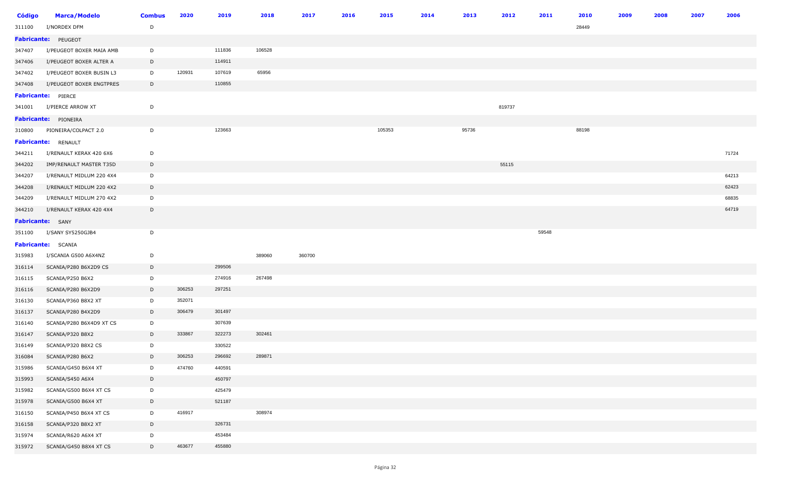| <b>Código</b>           | <b>Marca/Modelo</b>        | <b>Combus</b> | 2020   | 2019   | 2018   | 2017   | 2016 | 2015   | 2014 | 2013  | 2012   | 2011  | 2010  | 2009 | 2008 | 2007 | 2006  |
|-------------------------|----------------------------|---------------|--------|--------|--------|--------|------|--------|------|-------|--------|-------|-------|------|------|------|-------|
| 311100                  | I/NORDEX DFM               | D             |        |        |        |        |      |        |      |       |        |       | 28449 |      |      |      |       |
|                         | Fabricante: PEUGEOT        |               |        |        |        |        |      |        |      |       |        |       |       |      |      |      |       |
| 347407                  | I/PEUGEOT BOXER MAIA AMB   | D             |        | 111836 | 106528 |        |      |        |      |       |        |       |       |      |      |      |       |
| 347406                  | I/PEUGEOT BOXER ALTER A    | D             |        | 114911 |        |        |      |        |      |       |        |       |       |      |      |      |       |
| 347402                  | I/PEUGEOT BOXER BUSIN L3   | D             | 120931 | 107619 | 65956  |        |      |        |      |       |        |       |       |      |      |      |       |
| 347408                  | I/PEUGEOT BOXER ENGTPRES   | D             |        | 110855 |        |        |      |        |      |       |        |       |       |      |      |      |       |
|                         | Fabricante: PIERCE         |               |        |        |        |        |      |        |      |       |        |       |       |      |      |      |       |
| 341001                  | I/PIERCE ARROW XT          | D             |        |        |        |        |      |        |      |       | 819737 |       |       |      |      |      |       |
|                         | Fabricante: PIONEIRA       |               |        |        |        |        |      |        |      |       |        |       |       |      |      |      |       |
| 310800                  | PIONEIRA/COLPACT 2.0       | D             |        | 123663 |        |        |      | 105353 |      | 95736 |        |       | 88198 |      |      |      |       |
|                         | <b>Fabricante: RENAULT</b> |               |        |        |        |        |      |        |      |       |        |       |       |      |      |      |       |
| 344211                  | I/RENAULT KERAX 420 6X6    | D             |        |        |        |        |      |        |      |       |        |       |       |      |      |      | 71724 |
| 344202                  | IMP/RENAULT MASTER T35D    | D             |        |        |        |        |      |        |      |       | 55115  |       |       |      |      |      |       |
| 344207                  | I/RENAULT MIDLUM 220 4X4   | D             |        |        |        |        |      |        |      |       |        |       |       |      |      |      | 64213 |
| 344208                  | I/RENAULT MIDLUM 220 4X2   | D             |        |        |        |        |      |        |      |       |        |       |       |      |      |      | 62423 |
| 344209                  | I/RENAULT MIDLUM 270 4X2   | D             |        |        |        |        |      |        |      |       |        |       |       |      |      |      | 68835 |
| 344210                  | I/RENAULT KERAX 420 4X4    | D             |        |        |        |        |      |        |      |       |        |       |       |      |      |      | 64719 |
| <b>Fabricante:</b> SANY |                            |               |        |        |        |        |      |        |      |       |        |       |       |      |      |      |       |
| 351100                  | I/SANY SY5250GJB4          | D             |        |        |        |        |      |        |      |       |        | 59548 |       |      |      |      |       |
|                         | Fabricante: SCANIA         |               |        |        |        |        |      |        |      |       |        |       |       |      |      |      |       |
| 315983                  | I/SCANIA G500 A6X4NZ       | D             |        |        | 389060 | 360700 |      |        |      |       |        |       |       |      |      |      |       |
| 316114                  | SCANIA/P280 B6X2D9 CS      | D             |        | 299506 |        |        |      |        |      |       |        |       |       |      |      |      |       |
| 316115                  | SCANIA/P250 B6X2           | D             |        | 274916 | 267498 |        |      |        |      |       |        |       |       |      |      |      |       |
| 316116                  | SCANIA/P280 B6X2D9         | D             | 306253 | 297251 |        |        |      |        |      |       |        |       |       |      |      |      |       |
| 316130                  | SCANIA/P360 B8X2 XT        | D             | 352071 |        |        |        |      |        |      |       |        |       |       |      |      |      |       |
| 316137                  | SCANIA/P280 B4X2D9         | D             | 306479 | 301497 |        |        |      |        |      |       |        |       |       |      |      |      |       |
| 316140                  | SCANIA/P280 B6X4D9 XT CS   | D             |        | 307639 |        |        |      |        |      |       |        |       |       |      |      |      |       |
| 316147                  | SCANIA/P320 B8X2           | D             | 333867 | 322273 | 302461 |        |      |        |      |       |        |       |       |      |      |      |       |
| 316149                  | SCANIA/P320 B8X2 CS        | D             |        | 330522 |        |        |      |        |      |       |        |       |       |      |      |      |       |
| 316084                  | SCANIA/P280 B6X2           | D             | 306253 | 296692 | 289871 |        |      |        |      |       |        |       |       |      |      |      |       |
| 315986                  | SCANIA/G450 B6X4 XT        | D             | 474760 | 440591 |        |        |      |        |      |       |        |       |       |      |      |      |       |
| 315993                  | SCANIA/S450 A6X4           | D             |        | 450797 |        |        |      |        |      |       |        |       |       |      |      |      |       |
| 315982                  | SCANIA/G500 B6X4 XT CS     | D             |        | 425479 |        |        |      |        |      |       |        |       |       |      |      |      |       |
| 315978                  | SCANIA/G500 B6X4 XT        | D             |        | 521187 |        |        |      |        |      |       |        |       |       |      |      |      |       |
| 316150                  | SCANIA/P450 B6X4 XT CS     | D             | 416917 |        | 308974 |        |      |        |      |       |        |       |       |      |      |      |       |
| 316158                  | SCANIA/P320 B8X2 XT        | D             |        | 326731 |        |        |      |        |      |       |        |       |       |      |      |      |       |
| 315974                  | SCANIA/R620 A6X4 XT        | D             |        | 453484 |        |        |      |        |      |       |        |       |       |      |      |      |       |
| 315972                  | SCANIA/G450 B8X4 XT CS     | D             | 463677 | 455880 |        |        |      |        |      |       |        |       |       |      |      |      |       |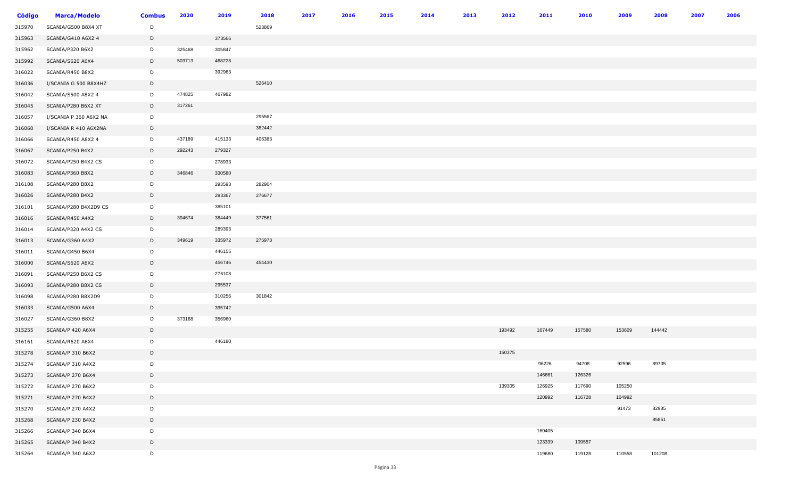| <b>Código</b> | <b>Marca/Modelo</b>    | <b>Combus</b> | 2020   | 2019   | 2018   | 2017 | 2016 | 2015 | 2014 | 2013 | 2012   | 2011   | 2010   | 2009   | 2008   | 2007 | 2006 |
|---------------|------------------------|---------------|--------|--------|--------|------|------|------|------|------|--------|--------|--------|--------|--------|------|------|
| 315970        | SCANIA/G500 B8X4 XT    | D             |        |        | 523869 |      |      |      |      |      |        |        |        |        |        |      |      |
| 315963        | SCANIA/G410 A6X2 4     | D             |        | 373566 |        |      |      |      |      |      |        |        |        |        |        |      |      |
| 315962        | SCANIA/P320 B6X2       | D             | 325468 | 305847 |        |      |      |      |      |      |        |        |        |        |        |      |      |
| 315992        | SCANIA/S620 A6X4       | D             | 503713 | 468228 |        |      |      |      |      |      |        |        |        |        |        |      |      |
| 316022        | SCANIA/R450 B8X2       | D             |        | 392963 |        |      |      |      |      |      |        |        |        |        |        |      |      |
| 316036        | I/SCANIA G 500 B8X4HZ  | D             |        |        | 526410 |      |      |      |      |      |        |        |        |        |        |      |      |
| 316042        | SCANIA/S500 A8X2 4     | D             | 474825 | 467982 |        |      |      |      |      |      |        |        |        |        |        |      |      |
| 316045        | SCANIA/P280 B6X2 XT    | D             | 317261 |        |        |      |      |      |      |      |        |        |        |        |        |      |      |
| 316057        | I/SCANIA P 360 A6X2 NA | D             |        |        | 295567 |      |      |      |      |      |        |        |        |        |        |      |      |
| 316060        | I/SCANIA R 410 A6X2NA  | $\mathsf{D}$  |        |        | 382442 |      |      |      |      |      |        |        |        |        |        |      |      |
| 316066        | SCANIA/R450 A8X2 4     | D             | 437189 | 415133 | 406383 |      |      |      |      |      |        |        |        |        |        |      |      |
| 316067        | SCANIA/P250 B4X2       | D             | 292243 | 279327 |        |      |      |      |      |      |        |        |        |        |        |      |      |
| 316072        | SCANIA/P250 B4X2 CS    | D             |        | 278933 |        |      |      |      |      |      |        |        |        |        |        |      |      |
| 316083        | SCANIA/P360 B8X2       | D             | 346846 | 330580 |        |      |      |      |      |      |        |        |        |        |        |      |      |
| 316108        | SCANIA/P280 B8X2       | D             |        | 293593 | 282904 |      |      |      |      |      |        |        |        |        |        |      |      |
| 316026        | SCANIA/P280 B4X2       | D             |        | 293367 | 276677 |      |      |      |      |      |        |        |        |        |        |      |      |
| 316101        | SCANIA/P280 B4X2D9 CS  | D             |        | 385101 |        |      |      |      |      |      |        |        |        |        |        |      |      |
| 316016        | SCANIA/R450 A4X2       | D             | 394674 | 384449 | 377561 |      |      |      |      |      |        |        |        |        |        |      |      |
| 316014        | SCANIA/P320 A4X2 CS    | D             |        | 289393 |        |      |      |      |      |      |        |        |        |        |        |      |      |
| 316013        | SCANIA/G360 A4X2       | D             | 349619 | 335972 | 275973 |      |      |      |      |      |        |        |        |        |        |      |      |
| 316011        | SCANIA/G450 B6X4       | D             |        | 446155 |        |      |      |      |      |      |        |        |        |        |        |      |      |
| 316000        | SCANIA/S620 A6X2       | D             |        | 456746 | 454430 |      |      |      |      |      |        |        |        |        |        |      |      |
| 316091        | SCANIA/P250 B6X2 CS    | D             |        | 276108 |        |      |      |      |      |      |        |        |        |        |        |      |      |
| 316093        | SCANIA/P280 B8X2 CS    | D             |        | 295537 |        |      |      |      |      |      |        |        |        |        |        |      |      |
| 316098        | SCANIA/P280 B8X2D9     | D             |        | 310256 | 301842 |      |      |      |      |      |        |        |        |        |        |      |      |
| 316033        | SCANIA/G500 A6X4       | D             |        | 395742 |        |      |      |      |      |      |        |        |        |        |        |      |      |
| 316027        | SCANIA/G360 B8X2       | D             | 373168 | 356960 |        |      |      |      |      |      |        |        |        |        |        |      |      |
| 315255        | SCANIA/P 420 A6X4      | D             |        |        |        |      |      |      |      |      | 193492 | 167449 | 157580 | 153609 | 144442 |      |      |
| 316161        | SCANIA/R620 A6X4       | D             |        | 446180 |        |      |      |      |      |      |        |        |        |        |        |      |      |
| 315278        | SCANIA/P 310 B6X2      | D             |        |        |        |      |      |      |      |      | 150375 |        |        |        |        |      |      |
| 315274        | SCANIA/P 310 A4X2      | D             |        |        |        |      |      |      |      |      |        | 96226  | 94708  | 92596  | 89735  |      |      |
| 315273        | SCANIA/P 270 B6X4      | D             |        |        |        |      |      |      |      |      |        | 146661 | 126326 |        |        |      |      |
| 315272        | SCANIA/P 270 B6X2      | D             |        |        |        |      |      |      |      |      | 139305 | 126925 | 117690 | 105250 |        |      |      |
| 315271        | SCANIA/P 270 B4X2      | D             |        |        |        |      |      |      |      |      |        | 120992 | 116728 | 104992 |        |      |      |
| 315270        | SCANIA/P 270 A4X2      | D             |        |        |        |      |      |      |      |      |        |        |        | 91473  | 82985  |      |      |
| 315268        | SCANIA/P 230 B4X2      | D             |        |        |        |      |      |      |      |      |        |        |        |        | 85851  |      |      |
| 315266        | SCANIA/P 340 B6X4      | D             |        |        |        |      |      |      |      |      |        | 160405 |        |        |        |      |      |
| 315265        | SCANIA/P 340 B4X2      | D             |        |        |        |      |      |      |      |      |        | 123339 | 109557 |        |        |      |      |
| 315264        | SCANIA/P 340 A6X2      | D             |        |        |        |      |      |      |      |      |        | 119680 | 119128 | 110558 | 101208 |      |      |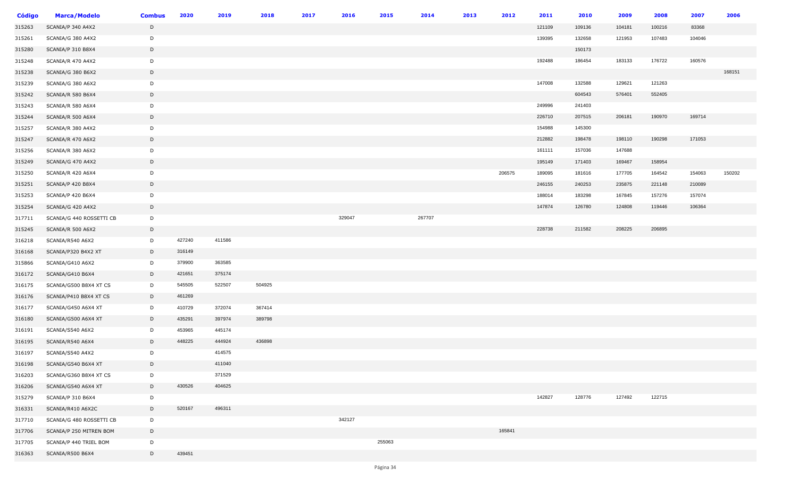| <b>Código</b> | <b>Marca/Modelo</b>      | <b>Combus</b> | 2020   | 2019   | 2018   | 2017 | 2016   | 2015   | 2014   | 2013 | 2012   | 2011   | 2010   | 2009   | 2008   | 2007   | 2006   |
|---------------|--------------------------|---------------|--------|--------|--------|------|--------|--------|--------|------|--------|--------|--------|--------|--------|--------|--------|
| 315263        | SCANIA/P 340 A4X2        | D             |        |        |        |      |        |        |        |      |        | 121109 | 109136 | 104181 | 100216 | 83368  |        |
| 315261        | SCANIA/G 380 A4X2        | D             |        |        |        |      |        |        |        |      |        | 139395 | 132658 | 121953 | 107483 | 104046 |        |
| 315280        | SCANIA/P 310 B8X4        | D             |        |        |        |      |        |        |        |      |        |        | 150173 |        |        |        |        |
| 315248        | SCANIA/R 470 A4X2        | D             |        |        |        |      |        |        |        |      |        | 192488 | 186454 | 183133 | 176722 | 160576 |        |
| 315238        | SCANIA/G 380 B6X2        | $\mathsf{D}$  |        |        |        |      |        |        |        |      |        |        |        |        |        |        | 168151 |
| 315239        | SCANIA/G 380 A6X2        | D             |        |        |        |      |        |        |        |      |        | 147008 | 132588 | 129621 | 121263 |        |        |
| 315242        | SCANIA/R 580 B6X4        | $\mathsf{D}$  |        |        |        |      |        |        |        |      |        |        | 604543 | 576401 | 552405 |        |        |
| 315243        | SCANIA/R 580 A6X4        | D             |        |        |        |      |        |        |        |      |        | 249996 | 241403 |        |        |        |        |
| 315244        | SCANIA/R 500 A6X4        | D             |        |        |        |      |        |        |        |      |        | 226710 | 207515 | 206181 | 190970 | 169714 |        |
| 315257        | SCANIA/R 380 A4X2        | D             |        |        |        |      |        |        |        |      |        | 154988 | 145300 |        |        |        |        |
| 315247        | SCANIA/R 470 A6X2        | D             |        |        |        |      |        |        |        |      |        | 212882 | 198478 | 198110 | 190298 | 171053 |        |
| 315256        | SCANIA/R 380 A6X2        | D             |        |        |        |      |        |        |        |      |        | 161111 | 157036 | 147688 |        |        |        |
| 315249        | SCANIA/G 470 A4X2        | D             |        |        |        |      |        |        |        |      |        | 195149 | 171403 | 169467 | 158954 |        |        |
| 315250        | SCANIA/R 420 A6X4        | D             |        |        |        |      |        |        |        |      | 206575 | 189095 | 181616 | 177705 | 164542 | 154063 | 150202 |
| 315251        | SCANIA/P 420 B8X4        | D             |        |        |        |      |        |        |        |      |        | 246155 | 240253 | 235875 | 221148 | 210089 |        |
| 315253        | SCANIA/P 420 B6X4        | D             |        |        |        |      |        |        |        |      |        | 188014 | 183298 | 167845 | 157276 | 157074 |        |
| 315254        | SCANIA/G 420 A4X2        | D             |        |        |        |      |        |        |        |      |        | 147874 | 126780 | 124808 | 119446 | 106364 |        |
| 317711        | SCANIA/G 440 ROSSETTI CB | D             |        |        |        |      | 329047 |        | 267707 |      |        |        |        |        |        |        |        |
| 315245        | SCANIA/R 500 A6X2        | D             |        |        |        |      |        |        |        |      |        | 228738 | 211582 | 208225 | 206895 |        |        |
| 316218        | SCANIA/R540 A6X2         | D             | 427240 | 411586 |        |      |        |        |        |      |        |        |        |        |        |        |        |
| 316168        | SCANIA/P320 B4X2 XT      | D             | 316149 |        |        |      |        |        |        |      |        |        |        |        |        |        |        |
| 315866        | SCANIA/G410 A6X2         | D             | 379900 | 363585 |        |      |        |        |        |      |        |        |        |        |        |        |        |
| 316172        | SCANIA/G410 B6X4         | D             | 421651 | 375174 |        |      |        |        |        |      |        |        |        |        |        |        |        |
| 316175        | SCANIA/G500 B8X4 XT CS   | D             | 545505 | 522507 | 504925 |      |        |        |        |      |        |        |        |        |        |        |        |
| 316176        | SCANIA/P410 B8X4 XT CS   | D             | 461269 |        |        |      |        |        |        |      |        |        |        |        |        |        |        |
| 316177        | SCANIA/G450 A6X4 XT      | D             | 410729 | 372074 | 367414 |      |        |        |        |      |        |        |        |        |        |        |        |
| 316180        | SCANIA/G500 A6X4 XT      | D             | 435291 | 397974 | 389798 |      |        |        |        |      |        |        |        |        |        |        |        |
| 316191        | SCANIA/S540 A6X2         | D             | 453965 | 445174 |        |      |        |        |        |      |        |        |        |        |        |        |        |
| 316195        | SCANIA/R540 A6X4         | D             | 448225 | 444924 | 436898 |      |        |        |        |      |        |        |        |        |        |        |        |
| 316197        | SCANIA/S540 A4X2         | D             |        | 414575 |        |      |        |        |        |      |        |        |        |        |        |        |        |
| 316198        | SCANIA/G540 B6X4 XT      | D             |        | 411040 |        |      |        |        |        |      |        |        |        |        |        |        |        |
| 316203        | SCANIA/G360 B8X4 XT CS   | D             |        | 371529 |        |      |        |        |        |      |        |        |        |        |        |        |        |
| 316206        | SCANIA/G540 A6X4 XT      | D             | 430526 | 404625 |        |      |        |        |        |      |        |        |        |        |        |        |        |
| 315279        | SCANIA/P 310 B6X4        | D             |        |        |        |      |        |        |        |      |        | 142827 | 128776 | 127492 | 122715 |        |        |
| 316331        | SCANIA/R410 A6X2C        | D             | 520167 | 496311 |        |      |        |        |        |      |        |        |        |        |        |        |        |
| 317710        | SCANIA/G 480 ROSSETTI CB | D             |        |        |        |      | 342127 |        |        |      |        |        |        |        |        |        |        |
| 317706        | SCANIA/P 250 MITREN BOM  | D             |        |        |        |      |        |        |        |      | 165841 |        |        |        |        |        |        |
| 317705        | SCANIA/P 440 TRIEL BOM   | D             |        |        |        |      |        | 255063 |        |      |        |        |        |        |        |        |        |
| 316363        | SCANIA/R500 B6X4         | D             | 439451 |        |        |      |        |        |        |      |        |        |        |        |        |        |        |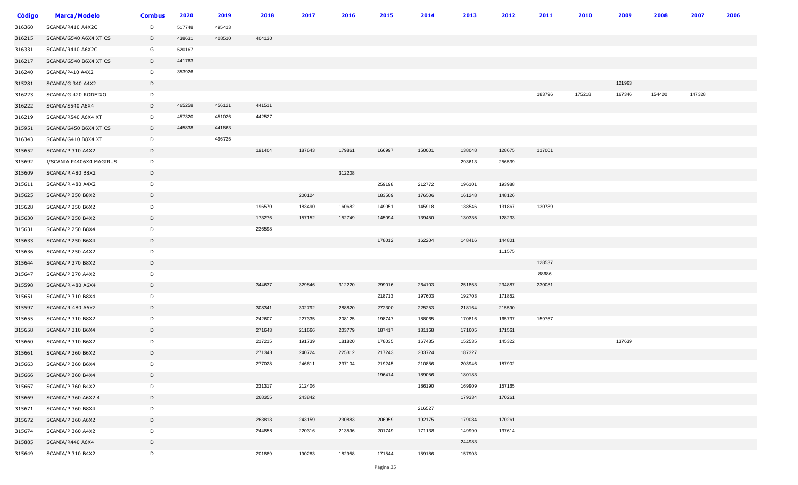| Código | <b>Marca/Modelo</b>      | <b>Combus</b> | 2020   | 2019   | 2018   | 2017   | 2016   | 2015   | 2014   | 2013   | 2012   | 2011   | 2010   | 2009   | 2008   | 2007   | 2006 |
|--------|--------------------------|---------------|--------|--------|--------|--------|--------|--------|--------|--------|--------|--------|--------|--------|--------|--------|------|
| 316360 | SCANIA/R410 A4X2C        | D             | 517748 | 495413 |        |        |        |        |        |        |        |        |        |        |        |        |      |
| 316215 | SCANIA/G540 A6X4 XT CS   | D             | 438631 | 408510 | 404130 |        |        |        |        |        |        |        |        |        |        |        |      |
| 316331 | SCANIA/R410 A6X2C        | G             | 520167 |        |        |        |        |        |        |        |        |        |        |        |        |        |      |
| 316217 | SCANIA/G540 B6X4 XT CS   | D             | 441763 |        |        |        |        |        |        |        |        |        |        |        |        |        |      |
| 316240 | SCANIA/P410 A4X2         | D             | 353926 |        |        |        |        |        |        |        |        |        |        |        |        |        |      |
| 315281 | SCANIA/G 340 A4X2        | D             |        |        |        |        |        |        |        |        |        |        |        | 121963 |        |        |      |
| 316223 | SCANIA/G 420 RODEIXO     | D             |        |        |        |        |        |        |        |        |        | 183796 | 175218 | 167346 | 154420 | 147328 |      |
| 316222 | SCANIA/S540 A6X4         | D             | 465258 | 456121 | 441511 |        |        |        |        |        |        |        |        |        |        |        |      |
| 316219 | SCANIA/R540 A6X4 XT      | D             | 457320 | 451026 | 442527 |        |        |        |        |        |        |        |        |        |        |        |      |
| 315951 | SCANIA/G450 B6X4 XT CS   | D             | 445838 | 441863 |        |        |        |        |        |        |        |        |        |        |        |        |      |
| 316343 | SCANIA/G410 B8X4 XT      | D             |        | 496735 |        |        |        |        |        |        |        |        |        |        |        |        |      |
| 315652 | SCANIA/P 310 A4X2        | D             |        |        | 191404 | 187643 | 179861 | 166997 | 150001 | 138048 | 128675 | 117001 |        |        |        |        |      |
| 315692 | I/SCANIA P4406X4 MAGIRUS | D             |        |        |        |        |        |        |        | 293613 | 256539 |        |        |        |        |        |      |
| 315609 | SCANIA/R 480 B8X2        | D             |        |        |        |        | 312208 |        |        |        |        |        |        |        |        |        |      |
| 315611 | SCANIA/R 480 A4X2        | D             |        |        |        |        |        | 259198 | 212772 | 196101 | 193988 |        |        |        |        |        |      |
| 315625 | SCANIA/P 250 B8X2        | D             |        |        |        | 200124 |        | 183509 | 176506 | 161248 | 148126 |        |        |        |        |        |      |
| 315628 | SCANIA/P 250 B6X2        | D             |        |        | 196570 | 183490 | 160682 | 149051 | 145918 | 138546 | 131867 | 130789 |        |        |        |        |      |
| 315630 | SCANIA/P 250 B4X2        | D             |        |        | 173276 | 157152 | 152749 | 145094 | 139450 | 130335 | 128233 |        |        |        |        |        |      |
| 315631 | SCANIA/P 250 B8X4        | D             |        |        | 236598 |        |        |        |        |        |        |        |        |        |        |        |      |
| 315633 | SCANIA/P 250 B6X4        | D             |        |        |        |        |        | 178012 | 162204 | 148416 | 144801 |        |        |        |        |        |      |
| 315636 | SCANIA/P 250 A4X2        | D             |        |        |        |        |        |        |        |        | 111575 |        |        |        |        |        |      |
| 315644 | SCANIA/P 270 B8X2        | D             |        |        |        |        |        |        |        |        |        | 128537 |        |        |        |        |      |
| 315647 | SCANIA/P 270 A4X2        | D             |        |        |        |        |        |        |        |        |        | 88686  |        |        |        |        |      |
| 315598 | SCANIA/R 480 A6X4        | D             |        |        | 344637 | 329846 | 312220 | 299016 | 264103 | 251853 | 234887 | 230081 |        |        |        |        |      |
| 315651 | SCANIA/P 310 B8X4        | D             |        |        |        |        |        | 218713 | 197603 | 192703 | 171852 |        |        |        |        |        |      |
| 315597 | SCANIA/R 480 A6X2        | D             |        |        | 308341 | 302792 | 288820 | 272300 | 225253 | 218164 | 215590 |        |        |        |        |        |      |
| 315655 | SCANIA/P 310 B8X2        | D             |        |        | 242607 | 227335 | 208125 | 198747 | 188065 | 170816 | 165737 | 159757 |        |        |        |        |      |
| 315658 | SCANIA/P 310 B6X4        | D             |        |        | 271643 | 211666 | 203779 | 187417 | 181168 | 171605 | 171561 |        |        |        |        |        |      |
| 315660 | SCANIA/P 310 B6X2        | D             |        |        | 217215 | 191739 | 181820 | 178035 | 167435 | 152535 | 145322 |        |        | 137639 |        |        |      |
| 315661 | SCANIA/P 360 B6X2        | D             |        |        | 271348 | 240724 | 225312 | 217243 | 203724 | 187327 |        |        |        |        |        |        |      |
| 315663 | SCANIA/P 360 B6X4        | D             |        |        | 277028 | 246611 | 237104 | 219245 | 210856 | 203946 | 187902 |        |        |        |        |        |      |
| 315666 | SCANIA/P 360 B4X4        | D             |        |        |        |        |        | 196414 | 189056 | 180183 |        |        |        |        |        |        |      |
| 315667 | SCANIA/P 360 B4X2        | D             |        |        | 231317 | 212406 |        |        | 186190 | 169909 | 157165 |        |        |        |        |        |      |
| 315669 | SCANIA/P 360 A6X2 4      | D             |        |        | 268355 | 243842 |        |        |        | 179334 | 170261 |        |        |        |        |        |      |
| 315671 | SCANIA/P 360 B8X4        | D             |        |        |        |        |        |        | 216527 |        |        |        |        |        |        |        |      |
| 315672 | SCANIA/P 360 A6X2        | D             |        |        | 263813 | 243159 | 230883 | 206959 | 192175 | 179084 | 170261 |        |        |        |        |        |      |
| 315674 | SCANIA/P 360 A4X2        | D             |        |        | 244858 | 220316 | 213596 | 201749 | 171138 | 149990 | 137614 |        |        |        |        |        |      |
| 315885 | SCANIA/R440 A6X4         | D             |        |        |        |        |        |        |        | 244983 |        |        |        |        |        |        |      |
| 315649 | SCANIA/P 310 B4X2        | D             |        |        | 201889 | 190283 | 182958 | 171544 | 159186 | 157903 |        |        |        |        |        |        |      |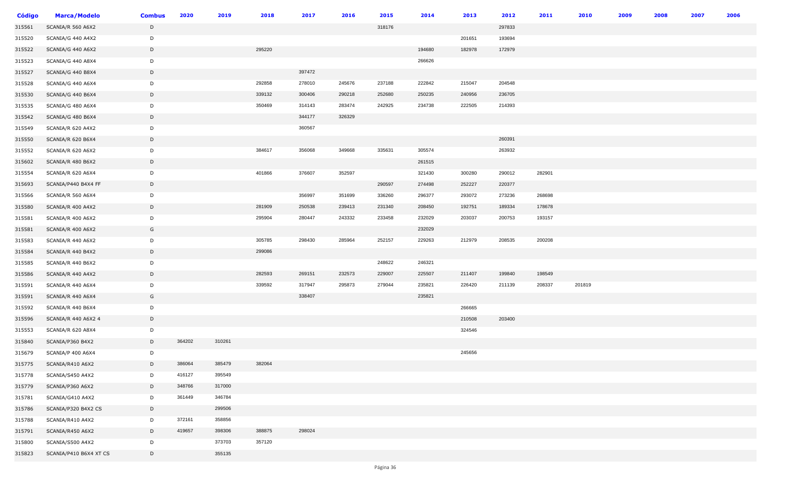| <b>Código</b> | <b>Marca/Modelo</b>    | <b>Combus</b> | 2020   | 2019   | 2018   | 2017   | 2016   | 2015   | 2014   | 2013   | 2012   | 2011   | 2010   | 2009 | 2008 | 2007 | 2006 |
|---------------|------------------------|---------------|--------|--------|--------|--------|--------|--------|--------|--------|--------|--------|--------|------|------|------|------|
| 315561        | SCANIA/R 560 A6X2      | D             |        |        |        |        |        | 318176 |        |        | 297833 |        |        |      |      |      |      |
| 315520        | SCANIA/G 440 A4X2      | D             |        |        |        |        |        |        |        | 201651 | 193694 |        |        |      |      |      |      |
| 315522        | SCANIA/G 440 A6X2      | D             |        |        | 295220 |        |        |        | 194680 | 182978 | 172979 |        |        |      |      |      |      |
| 315523        | SCANIA/G 440 A8X4      | D             |        |        |        |        |        |        | 266626 |        |        |        |        |      |      |      |      |
| 315527        | SCANIA/G 440 B8X4      | D             |        |        |        | 397472 |        |        |        |        |        |        |        |      |      |      |      |
| 315528        | SCANIA/G 440 A6X4      | D             |        |        | 292858 | 278010 | 245676 | 237188 | 222842 | 215047 | 204548 |        |        |      |      |      |      |
| 315530        | SCANIA/G 440 B6X4      | D             |        |        | 339132 | 300406 | 290218 | 252680 | 250235 | 240956 | 236705 |        |        |      |      |      |      |
| 315535        | SCANIA/G 480 A6X4      | D             |        |        | 350469 | 314143 | 283474 | 242925 | 234738 | 222505 | 214393 |        |        |      |      |      |      |
| 315542        | SCANIA/G 480 B6X4      | D             |        |        |        | 344177 | 326329 |        |        |        |        |        |        |      |      |      |      |
| 315549        | SCANIA/R 620 A4X2      | D             |        |        |        | 360567 |        |        |        |        |        |        |        |      |      |      |      |
| 315550        | SCANIA/R 620 B6X4      | $\mathsf{D}$  |        |        |        |        |        |        |        |        | 260391 |        |        |      |      |      |      |
| 315552        | SCANIA/R 620 A6X2      | D             |        |        | 384617 | 356068 | 349668 | 335631 | 305574 |        | 263932 |        |        |      |      |      |      |
| 315602        | SCANIA/R 480 B6X2      | D             |        |        |        |        |        |        | 261515 |        |        |        |        |      |      |      |      |
| 315554        | SCANIA/R 620 A6X4      | D             |        |        | 401866 | 376607 | 352597 |        | 321430 | 300280 | 290012 | 282901 |        |      |      |      |      |
| 315693        | SCANIA/P440 B4X4 FF    | D             |        |        |        |        |        | 290597 | 274498 | 252227 | 220377 |        |        |      |      |      |      |
| 315566        | SCANIA/R 560 A6X4      | D             |        |        |        | 356997 | 351699 | 336260 | 296377 | 293072 | 273236 | 268698 |        |      |      |      |      |
| 315580        | SCANIA/R 400 A4X2      | D             |        |        | 281909 | 250538 | 239413 | 231340 | 208450 | 192751 | 189334 | 178678 |        |      |      |      |      |
| 315581        | SCANIA/R 400 A6X2      | D             |        |        | 295904 | 280447 | 243332 | 233458 | 232029 | 203037 | 200753 | 193157 |        |      |      |      |      |
| 315581        | SCANIA/R 400 A6X2      | G             |        |        |        |        |        |        | 232029 |        |        |        |        |      |      |      |      |
| 315583        | SCANIA/R 440 A6X2      | D             |        |        | 305785 | 298430 | 285964 | 252157 | 229263 | 212979 | 208535 | 200208 |        |      |      |      |      |
| 315584        | SCANIA/R 440 B4X2      | D             |        |        | 299086 |        |        |        |        |        |        |        |        |      |      |      |      |
| 315585        | SCANIA/R 440 B6X2      | D             |        |        |        |        |        | 248622 | 246321 |        |        |        |        |      |      |      |      |
| 315586        | SCANIA/R 440 A4X2      | D             |        |        | 282593 | 269151 | 232573 | 229007 | 225507 | 211407 | 199840 | 198549 |        |      |      |      |      |
| 315591        | SCANIA/R 440 A6X4      | D             |        |        | 339592 | 317947 | 295873 | 279044 | 235821 | 226420 | 211139 | 208337 | 201819 |      |      |      |      |
| 315591        | SCANIA/R 440 A6X4      | G             |        |        |        | 338407 |        |        | 235821 |        |        |        |        |      |      |      |      |
| 315592        | SCANIA/R 440 B6X4      | D             |        |        |        |        |        |        |        | 266665 |        |        |        |      |      |      |      |
| 315596        | SCANIA/R 440 A6X2 4    | D             |        |        |        |        |        |        |        | 210508 | 203400 |        |        |      |      |      |      |
| 315553        | SCANIA/R 620 A8X4      | D             |        |        |        |        |        |        |        | 324546 |        |        |        |      |      |      |      |
| 315840        | SCANIA/P360 B4X2       | D             | 364202 | 310261 |        |        |        |        |        |        |        |        |        |      |      |      |      |
| 315679        | SCANIA/P 400 A6X4      | D             |        |        |        |        |        |        |        | 245656 |        |        |        |      |      |      |      |
| 315775        | SCANIA/R410 A6X2       | D             | 386064 | 385479 | 382064 |        |        |        |        |        |        |        |        |      |      |      |      |
| 315778        | SCANIA/S450 A4X2       | D             | 416127 | 395549 |        |        |        |        |        |        |        |        |        |      |      |      |      |
| 315779        | SCANIA/P360 A6X2       | D             | 348766 | 317000 |        |        |        |        |        |        |        |        |        |      |      |      |      |
| 315781        | SCANIA/G410 A4X2       | D             | 361449 | 346784 |        |        |        |        |        |        |        |        |        |      |      |      |      |
| 315786        | SCANIA/P320 B4X2 CS    | D             |        | 299506 |        |        |        |        |        |        |        |        |        |      |      |      |      |
| 315788        | SCANIA/R410 A4X2       | D             | 372161 | 358856 |        |        |        |        |        |        |        |        |        |      |      |      |      |
| 315791        | SCANIA/R450 A6X2       | D             | 419657 | 398306 | 388875 | 298024 |        |        |        |        |        |        |        |      |      |      |      |
| 315800        | SCANIA/S500 A4X2       | D             |        | 373703 | 357120 |        |        |        |        |        |        |        |        |      |      |      |      |
| 315823        | SCANIA/P410 B6X4 XT CS | D             |        | 355135 |        |        |        |        |        |        |        |        |        |      |      |      |      |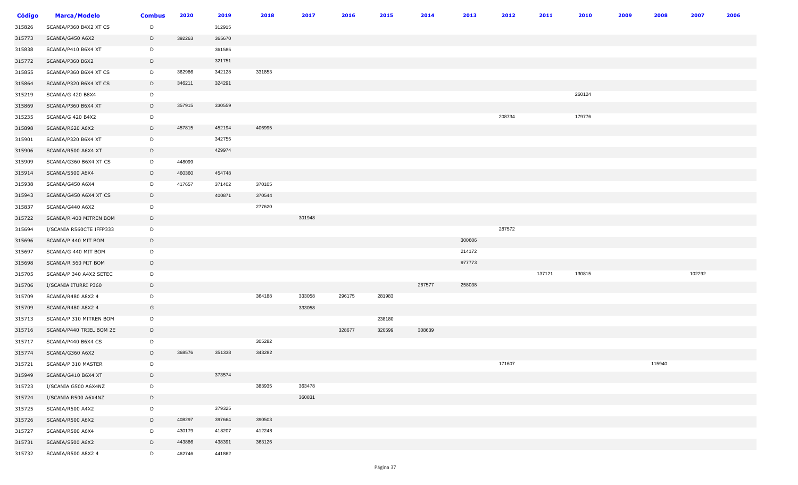| <b>Código</b> | <b>Marca/Modelo</b>      | <b>Combus</b> | 2020   | 2019   | 2018   | 2017   | 2016   | 2015   | 2014   | 2013   | 2012   | 2011   | 2010   | 2009 | 2008   | 2007   | 2006 |
|---------------|--------------------------|---------------|--------|--------|--------|--------|--------|--------|--------|--------|--------|--------|--------|------|--------|--------|------|
| 315826        | SCANIA/P360 B4X2 XT CS   | D             |        | 312915 |        |        |        |        |        |        |        |        |        |      |        |        |      |
| 315773        | SCANIA/G450 A6X2         | D             | 392263 | 365670 |        |        |        |        |        |        |        |        |        |      |        |        |      |
| 315838        | SCANIA/P410 B6X4 XT      | D             |        | 361585 |        |        |        |        |        |        |        |        |        |      |        |        |      |
| 315772        | SCANIA/P360 B6X2         | D             |        | 321751 |        |        |        |        |        |        |        |        |        |      |        |        |      |
| 315855        | SCANIA/P360 B6X4 XT CS   | D             | 362986 | 342128 | 331853 |        |        |        |        |        |        |        |        |      |        |        |      |
| 315864        | SCANIA/P320 B6X4 XT CS   | D             | 346211 | 324291 |        |        |        |        |        |        |        |        |        |      |        |        |      |
| 315219        | SCANIA/G 420 B8X4        | D             |        |        |        |        |        |        |        |        |        |        | 260124 |      |        |        |      |
| 315869        | SCANIA/P360 B6X4 XT      | D             | 357915 | 330559 |        |        |        |        |        |        |        |        |        |      |        |        |      |
| 315235        | SCANIA/G 420 B4X2        | D             |        |        |        |        |        |        |        |        | 208734 |        | 179776 |      |        |        |      |
| 315898        | SCANIA/R620 A6X2         | D             | 457815 | 452194 | 406995 |        |        |        |        |        |        |        |        |      |        |        |      |
| 315901        | SCANIA/P320 B6X4 XT      | D             |        | 342755 |        |        |        |        |        |        |        |        |        |      |        |        |      |
| 315906        | SCANIA/R500 A6X4 XT      | D             |        | 429974 |        |        |        |        |        |        |        |        |        |      |        |        |      |
| 315909        | SCANIA/G360 B6X4 XT CS   | D             | 448099 |        |        |        |        |        |        |        |        |        |        |      |        |        |      |
| 315914        | SCANIA/S500 A6X4         | D             | 460360 | 454748 |        |        |        |        |        |        |        |        |        |      |        |        |      |
| 315938        | SCANIA/G450 A6X4         | D             | 417657 | 371402 | 370105 |        |        |        |        |        |        |        |        |      |        |        |      |
| 315943        | SCANIA/G450 A6X4 XT CS   | D             |        | 400871 | 370544 |        |        |        |        |        |        |        |        |      |        |        |      |
| 315837        | SCANIA/G440 A6X2         | D             |        |        | 277620 |        |        |        |        |        |        |        |        |      |        |        |      |
| 315722        | SCANIA/R 400 MITREN BOM  | D             |        |        |        | 301948 |        |        |        |        |        |        |        |      |        |        |      |
| 315694        | I/SCANIA R560CTE IFFP333 | D             |        |        |        |        |        |        |        |        | 287572 |        |        |      |        |        |      |
| 315696        | SCANIA/P 440 MIT BOM     | D             |        |        |        |        |        |        |        | 300606 |        |        |        |      |        |        |      |
| 315697        | SCANIA/G 440 MIT BOM     | D             |        |        |        |        |        |        |        | 214172 |        |        |        |      |        |        |      |
| 315698        | SCANIA/R 560 MIT BOM     | $\mathsf{D}$  |        |        |        |        |        |        |        | 977773 |        |        |        |      |        |        |      |
| 315705        | SCANIA/P 340 A4X2 SETEC  | D             |        |        |        |        |        |        |        |        |        | 137121 | 130815 |      |        | 102292 |      |
| 315706        | I/SCANIA ITURRI P360     | D             |        |        |        |        |        |        | 267577 | 258038 |        |        |        |      |        |        |      |
| 315709        | SCANIA/R480 A8X2 4       | D             |        |        | 364188 | 333058 | 296175 | 281983 |        |        |        |        |        |      |        |        |      |
| 315709        | SCANIA/R480 A8X2 4       | G             |        |        |        | 333058 |        |        |        |        |        |        |        |      |        |        |      |
| 315713        | SCANIA/P 310 MITREN BOM  | D             |        |        |        |        |        | 238180 |        |        |        |        |        |      |        |        |      |
| 315716        | SCANIA/P440 TRIEL BOM 2E | D             |        |        |        |        | 328677 | 320599 | 308639 |        |        |        |        |      |        |        |      |
| 315717        | SCANIA/P440 B6X4 CS      | D             |        |        | 305282 |        |        |        |        |        |        |        |        |      |        |        |      |
| 315774        | SCANIA/G360 A6X2         | D             | 368576 | 351338 | 343282 |        |        |        |        |        |        |        |        |      |        |        |      |
| 315721        | SCANIA/P 310 MASTER      | D             |        |        |        |        |        |        |        |        | 171607 |        |        |      | 115940 |        |      |
| 315949        | SCANIA/G410 B6X4 XT      | D             |        | 373574 |        |        |        |        |        |        |        |        |        |      |        |        |      |
| 315723        | I/SCANIA G500 A6X4NZ     | D             |        |        | 383935 | 363478 |        |        |        |        |        |        |        |      |        |        |      |
| 315724        | I/SCANIA R500 A6X4NZ     | D             |        |        |        | 360831 |        |        |        |        |        |        |        |      |        |        |      |
| 315725        | SCANIA/R500 A4X2         | D             |        | 379325 |        |        |        |        |        |        |        |        |        |      |        |        |      |
| 315726        | SCANIA/R500 A6X2         | D             | 408297 | 397664 | 390503 |        |        |        |        |        |        |        |        |      |        |        |      |
| 315727        | SCANIA/R500 A6X4         | D             | 430179 | 418207 | 412248 |        |        |        |        |        |        |        |        |      |        |        |      |
| 315731        | SCANIA/S500 A6X2         | D             | 443886 | 438391 | 363126 |        |        |        |        |        |        |        |        |      |        |        |      |
| 315732        | SCANIA/R500 A8X2 4       | D             | 462746 | 441862 |        |        |        |        |        |        |        |        |        |      |        |        |      |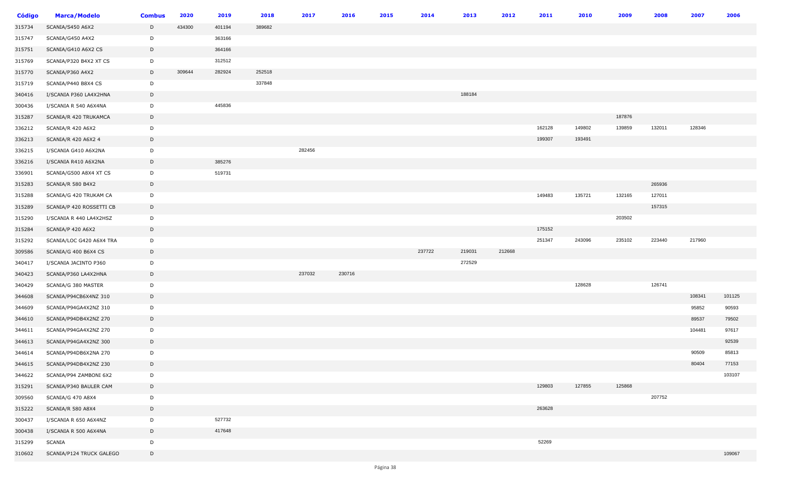| <b>Código</b> | <b>Marca/Modelo</b>      | <b>Combus</b> | 2020   | 2019   | 2018   | 2017   | 2016   | 2015 | 2014   | 2013   | 2012   | 2011   | 2010   | 2009   | 2008   | 2007   | 2006   |
|---------------|--------------------------|---------------|--------|--------|--------|--------|--------|------|--------|--------|--------|--------|--------|--------|--------|--------|--------|
| 315734        | SCANIA/S450 A6X2         | D             | 434300 | 401194 | 389682 |        |        |      |        |        |        |        |        |        |        |        |        |
| 315747        | SCANIA/G450 A4X2         | D             |        | 363166 |        |        |        |      |        |        |        |        |        |        |        |        |        |
| 315751        | SCANIA/G410 A6X2 CS      | D             |        | 364166 |        |        |        |      |        |        |        |        |        |        |        |        |        |
| 315769        | SCANIA/P320 B4X2 XT CS   | D             |        | 312512 |        |        |        |      |        |        |        |        |        |        |        |        |        |
| 315770        | SCANIA/P360 A4X2         | D             | 309644 | 282924 | 252518 |        |        |      |        |        |        |        |        |        |        |        |        |
| 315719        | SCANIA/P440 B8X4 CS      | D             |        |        | 337848 |        |        |      |        |        |        |        |        |        |        |        |        |
| 340416        | I/SCANIA P360 LA4X2HNA   | D             |        |        |        |        |        |      |        | 188184 |        |        |        |        |        |        |        |
| 300436        | I/SCANIA R 540 A6X4NA    | D             |        | 445836 |        |        |        |      |        |        |        |        |        |        |        |        |        |
| 315287        | SCANIA/R 420 TRUKAMCA    | D             |        |        |        |        |        |      |        |        |        |        |        | 187876 |        |        |        |
| 336212        | SCANIA/R 420 A6X2        | D             |        |        |        |        |        |      |        |        |        | 162128 | 149802 | 139859 | 132011 | 128346 |        |
| 336213        | SCANIA/R 420 A6X2 4      | D             |        |        |        |        |        |      |        |        |        | 199307 | 193491 |        |        |        |        |
| 336215        | I/SCANIA G410 A6X2NA     | D             |        |        |        | 282456 |        |      |        |        |        |        |        |        |        |        |        |
| 336216        | I/SCANIA R410 A6X2NA     | D             |        | 385276 |        |        |        |      |        |        |        |        |        |        |        |        |        |
| 336901        | SCANIA/G500 A8X4 XT CS   | D             |        | 519731 |        |        |        |      |        |        |        |        |        |        |        |        |        |
| 315283        | SCANIA/R 580 B4X2        | D             |        |        |        |        |        |      |        |        |        |        |        |        | 265936 |        |        |
| 315288        | SCANIA/G 420 TRUKAM CA   | D             |        |        |        |        |        |      |        |        |        | 149483 | 135721 | 132165 | 127011 |        |        |
| 315289        | SCANIA/P 420 ROSSETTI CB | D             |        |        |        |        |        |      |        |        |        |        |        |        | 157315 |        |        |
| 315290        | I/SCANIA R 440 LA4X2HSZ  | D             |        |        |        |        |        |      |        |        |        |        |        | 203502 |        |        |        |
| 315284        | SCANIA/P 420 A6X2        | $\mathsf D$   |        |        |        |        |        |      |        |        |        | 175152 |        |        |        |        |        |
| 315292        | SCANIA/LOC G420 A6X4 TRA | D             |        |        |        |        |        |      |        |        |        | 251347 | 243096 | 235102 | 223440 | 217960 |        |
| 309586        | SCANIA/G 400 B6X4 CS     | D             |        |        |        |        |        |      | 237722 | 219031 | 212668 |        |        |        |        |        |        |
| 340417        | I/SCANIA JACINTO P360    | D             |        |        |        |        |        |      |        | 272529 |        |        |        |        |        |        |        |
| 340423        | SCANIA/P360 LA4X2HNA     | D             |        |        |        | 237032 | 230716 |      |        |        |        |        |        |        |        |        |        |
| 340429        | SCANIA/G 380 MASTER      | D             |        |        |        |        |        |      |        |        |        |        | 128628 |        | 126741 |        |        |
| 344608        | SCANIA/P94CB6X4NZ 310    | D             |        |        |        |        |        |      |        |        |        |        |        |        |        | 108341 | 101125 |
| 344609        | SCANIA/P94GA4X2NZ 310    | D             |        |        |        |        |        |      |        |        |        |        |        |        |        | 95852  | 90593  |
| 344610        | SCANIA/P94DB4X2NZ 270    | D             |        |        |        |        |        |      |        |        |        |        |        |        |        | 89537  | 79502  |
| 344611        | SCANIA/P94GA4X2NZ 270    | D             |        |        |        |        |        |      |        |        |        |        |        |        |        | 104481 | 97617  |
| 344613        | SCANIA/P94GA4X2NZ 300    | D             |        |        |        |        |        |      |        |        |        |        |        |        |        |        | 92539  |
| 344614        | SCANIA/P94DB6X2NA 270    | D             |        |        |        |        |        |      |        |        |        |        |        |        |        | 90509  | 85813  |
| 344615        | SCANIA/P94DB4X2NZ 230    | D             |        |        |        |        |        |      |        |        |        |        |        |        |        | 80404  | 77153  |
| 344622        | SCANIA/P94 ZAMBONI 6X2   | D             |        |        |        |        |        |      |        |        |        |        |        |        |        |        | 103107 |
| 315291        | SCANIA/P340 BAULER CAM   | D             |        |        |        |        |        |      |        |        |        | 129803 | 127855 | 125868 |        |        |        |
| 309560        | SCANIA/G 470 A8X4        | D             |        |        |        |        |        |      |        |        |        |        |        |        | 207752 |        |        |
| 315222        | SCANIA/R 580 A8X4        | D             |        |        |        |        |        |      |        |        |        | 263628 |        |        |        |        |        |
| 300437        | I/SCANIA R 650 A6X4NZ    | D             |        | 527732 |        |        |        |      |        |        |        |        |        |        |        |        |        |
| 300438        | I/SCANIA R 500 A6X4NA    | D             |        | 417648 |        |        |        |      |        |        |        |        |        |        |        |        |        |
| 315299        | SCANIA                   | D             |        |        |        |        |        |      |        |        |        | 52269  |        |        |        |        |        |
| 310602        | SCANIA/P124 TRUCK GALEGO | D             |        |        |        |        |        |      |        |        |        |        |        |        |        |        | 109067 |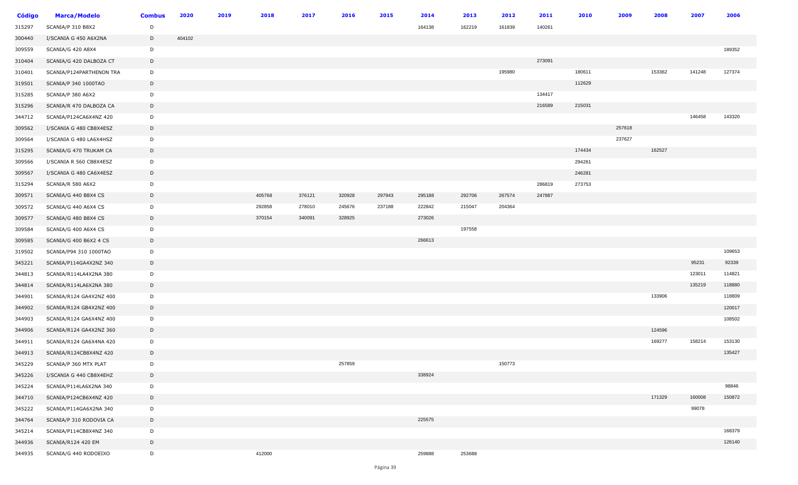| <b>Código</b> | <b>Marca/Modelo</b>      | <b>Combus</b> | 2020   | 2019 | 2018   | 2017   | 2016   | 2015   | 2014   | 2013   | 2012   | 2011   | 2010   | 2009   | 2008   | 2007   | 2006   |
|---------------|--------------------------|---------------|--------|------|--------|--------|--------|--------|--------|--------|--------|--------|--------|--------|--------|--------|--------|
| 315297        | SCANIA/P 310 B8X2        | D             |        |      |        |        |        |        | 164138 | 162219 | 161839 | 140261 |        |        |        |        |        |
| 300440        | I/SCANIA G 450 A6X2NA    | D             | 404102 |      |        |        |        |        |        |        |        |        |        |        |        |        |        |
| 309559        | SCANIA/G 420 A8X4        | D             |        |      |        |        |        |        |        |        |        |        |        |        |        |        | 189352 |
| 310404        | SCANIA/G 420 DALBOZA CT  | D             |        |      |        |        |        |        |        |        |        | 273091 |        |        |        |        |        |
| 310401        | SCANIA/P124PARTHENON TRA | D             |        |      |        |        |        |        |        |        | 195980 |        | 180611 |        | 153362 | 141248 | 127374 |
| 319501        | SCANIA/P 340 1000TAO     | D             |        |      |        |        |        |        |        |        |        |        | 112629 |        |        |        |        |
| 315285        | SCANIA/P 380 A6X2        | D             |        |      |        |        |        |        |        |        |        | 134417 |        |        |        |        |        |
| 315296        | SCANIA/R 470 DALBOZA CA  | D             |        |      |        |        |        |        |        |        |        | 216589 | 215031 |        |        |        |        |
| 344712        | SCANIA/P124CA6X4NZ 420   | D             |        |      |        |        |        |        |        |        |        |        |        |        |        | 146458 | 143320 |
| 309562        | I/SCANIA G 480 CB8X4ESZ  | D             |        |      |        |        |        |        |        |        |        |        |        | 257618 |        |        |        |
| 309564        | I/SCANIA G 480 LA6X4HSZ  | D             |        |      |        |        |        |        |        |        |        |        |        | 237627 |        |        |        |
| 315295        | SCANIA/G 470 TRUKAM CA   | D             |        |      |        |        |        |        |        |        |        |        | 174434 |        | 162527 |        |        |
| 309566        | I/SCANIA R 560 CB8X4ESZ  | D             |        |      |        |        |        |        |        |        |        |        | 294261 |        |        |        |        |
| 309567        | I/SCANIA G 480 CA6X4ESZ  | D             |        |      |        |        |        |        |        |        |        |        | 246281 |        |        |        |        |
| 315294        | SCANIA/R 580 A6X2        | D             |        |      |        |        |        |        |        |        |        | 286819 | 273753 |        |        |        |        |
| 309571        | SCANIA/G 440 B8X4 CS     | D             |        |      | 405768 | 376121 | 320928 | 297943 | 295188 | 292706 | 267574 | 247887 |        |        |        |        |        |
| 309572        | SCANIA/G 440 A6X4 CS     | D             |        |      | 292858 | 278010 | 245676 | 237188 | 222842 | 215047 | 204364 |        |        |        |        |        |        |
| 309577        | SCANIA/G 480 B8X4 CS     | D             |        |      | 370154 | 340091 | 328925 |        | 273026 |        |        |        |        |        |        |        |        |
| 309584        | SCANIA/G 400 A6X4 CS     | D             |        |      |        |        |        |        |        | 197558 |        |        |        |        |        |        |        |
| 309585        | SCANIA/G 400 B6X2 4 CS   | D             |        |      |        |        |        |        | 266613 |        |        |        |        |        |        |        |        |
| 319502        | SCANIA/P94 310 1000TAO   | D             |        |      |        |        |        |        |        |        |        |        |        |        |        |        | 109653 |
| 345221        | SCANIA/P114GA4X2NZ 340   | D             |        |      |        |        |        |        |        |        |        |        |        |        |        | 95231  | 92339  |
| 344813        | SCANIA/R114LA4X2NA 380   | D             |        |      |        |        |        |        |        |        |        |        |        |        |        | 123011 | 114821 |
| 344814        | SCANIA/R114LA6X2NA 380   | D             |        |      |        |        |        |        |        |        |        |        |        |        |        | 135219 | 118880 |
| 344901        | SCANIA/R124 GA4X2NZ 400  | D             |        |      |        |        |        |        |        |        |        |        |        |        | 133906 |        | 118809 |
| 344902        | SCANIA/R124 GB4X2NZ 400  | D             |        |      |        |        |        |        |        |        |        |        |        |        |        |        | 120017 |
| 344903        | SCANIA/R124 GA6X4NZ 400  | D             |        |      |        |        |        |        |        |        |        |        |        |        |        |        | 108502 |
| 344906        | SCANIA/R124 GA4X2NZ 360  | D             |        |      |        |        |        |        |        |        |        |        |        |        | 124596 |        |        |
| 344911        | SCANIA/R124 GA6X4NA 420  | D             |        |      |        |        |        |        |        |        |        |        |        |        | 169277 | 158214 | 153130 |
| 344913        | SCANIA/R124CB8X4NZ 420   | $\mathsf{D}$  |        |      |        |        |        |        |        |        |        |        |        |        |        |        | 135427 |
| 345229        | SCANIA/P 360 MTX PLAT    | D             |        |      |        |        | 257859 |        |        |        | 150773 |        |        |        |        |        |        |
| 345226        | I/SCANIA G 440 CB8X4EHZ  | D             |        |      |        |        |        |        | 338924 |        |        |        |        |        |        |        |        |
| 345224        | SCANIA/P114LA6X2NA 340   | D             |        |      |        |        |        |        |        |        |        |        |        |        |        |        | 98846  |
| 344710        | SCANIA/P124CB6X4NZ 420   | D             |        |      |        |        |        |        |        |        |        |        |        |        | 171329 | 160008 | 150872 |
| 345222        | SCANIA/P114GA6X2NA 340   | D             |        |      |        |        |        |        |        |        |        |        |        |        |        | 99078  |        |
| 344764        | SCANIA/P 310 RODOVIA CA  | D             |        |      |        |        |        |        | 225575 |        |        |        |        |        |        |        |        |
| 345214        | SCANIA/P114CB8X4NZ 340   | D             |        |      |        |        |        |        |        |        |        |        |        |        |        |        | 168379 |
| 344936        | SCANIA/R124 420 EM       | D             |        |      |        |        |        |        |        |        |        |        |        |        |        |        | 126140 |
| 344935        | SCANIA/G 440 RODOEIXO    | D             |        |      | 412000 |        |        |        | 259888 | 253688 |        |        |        |        |        |        |        |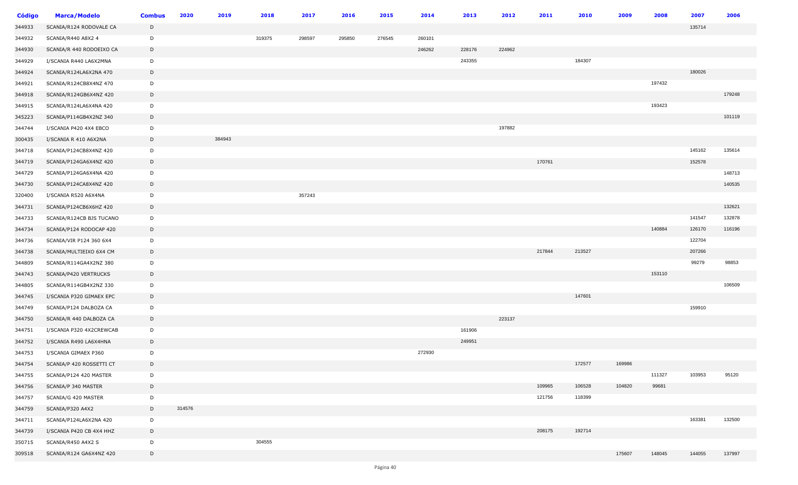| <b>Código</b> | <b>Marca/Modelo</b>      | <b>Combus</b> | 2020   | 2019   | 2018   | 2017   | 2016   | 2015   | 2014   | 2013   | 2012   | 2011   | 2010   | 2009   | 2008   | 2007   | 2006   |
|---------------|--------------------------|---------------|--------|--------|--------|--------|--------|--------|--------|--------|--------|--------|--------|--------|--------|--------|--------|
| 344933        | SCANIA/R124 RODOVALE CA  | D             |        |        |        |        |        |        |        |        |        |        |        |        |        | 135714 |        |
| 344932        | SCANIA/R440 A8X2 4       | D             |        |        | 319375 | 298597 | 295850 | 276545 | 260101 |        |        |        |        |        |        |        |        |
| 344930        | SCANIA/R 440 RODOEIXO CA | D             |        |        |        |        |        |        | 246262 | 228176 | 224962 |        |        |        |        |        |        |
| 344929        | I/SCANIA R440 LA6X2MNA   | D             |        |        |        |        |        |        |        | 243355 |        |        | 184307 |        |        |        |        |
| 344924        | SCANIA/R124LA6X2NA 470   | D             |        |        |        |        |        |        |        |        |        |        |        |        |        | 180026 |        |
| 344921        | SCANIA/R124CB8X4NZ 470   | D             |        |        |        |        |        |        |        |        |        |        |        |        | 197432 |        |        |
| 344918        | SCANIA/R124GB6X4NZ 420   | D             |        |        |        |        |        |        |        |        |        |        |        |        |        |        | 179248 |
| 344915        | SCANIA/R124LA6X4NA 420   | D             |        |        |        |        |        |        |        |        |        |        |        |        | 193423 |        |        |
| 345223        | SCANIA/P114GB4X2NZ 340   | D             |        |        |        |        |        |        |        |        |        |        |        |        |        |        | 101119 |
| 344744        | I/SCANIA P420 4X4 EBCO   | D             |        |        |        |        |        |        |        |        | 197882 |        |        |        |        |        |        |
| 300435        | I/SCANIA R 410 A6X2NA    | D             |        | 384943 |        |        |        |        |        |        |        |        |        |        |        |        |        |
| 344718        | SCANIA/P124CB8X4NZ 420   | D             |        |        |        |        |        |        |        |        |        |        |        |        |        | 145162 | 135614 |
| 344719        | SCANIA/P124GA6X4NZ 420   | D             |        |        |        |        |        |        |        |        |        | 170761 |        |        |        | 152578 |        |
| 344729        | SCANIA/P124GA6X4NA 420   | D             |        |        |        |        |        |        |        |        |        |        |        |        |        |        | 148713 |
| 344730        | SCANIA/P124CA8X4NZ 420   | D             |        |        |        |        |        |        |        |        |        |        |        |        |        |        | 140535 |
| 320400        | I/SCANIA R520 A6X4NA     | D             |        |        |        | 357243 |        |        |        |        |        |        |        |        |        |        |        |
| 344731        | SCANIA/P124CB6X6HZ 420   | D             |        |        |        |        |        |        |        |        |        |        |        |        |        |        | 132621 |
| 344733        | SCANIA/R124CB BJS TUCANO | D             |        |        |        |        |        |        |        |        |        |        |        |        |        | 141547 | 132878 |
| 344734        | SCANIA/P124 RODOCAP 420  | D             |        |        |        |        |        |        |        |        |        |        |        |        | 140884 | 126170 | 116196 |
| 344736        | SCANIA/VIR P124 360 6X4  | D             |        |        |        |        |        |        |        |        |        |        |        |        |        | 122704 |        |
| 344738        | SCANIA/MULTIEIXO 6X4 CM  | D             |        |        |        |        |        |        |        |        |        | 217844 | 213527 |        |        | 207266 |        |
| 344809        | SCANIA/R114GA4X2NZ 380   | D             |        |        |        |        |        |        |        |        |        |        |        |        |        | 99279  | 98853  |
| 344743        | SCANIA/P420 VERTRUCKS    | D             |        |        |        |        |        |        |        |        |        |        |        |        | 153110 |        |        |
| 344805        | SCANIA/R114GB4X2NZ 330   | D             |        |        |        |        |        |        |        |        |        |        |        |        |        |        | 106509 |
| 344745        | I/SCANIA P320 GIMAEX EPC | D             |        |        |        |        |        |        |        |        |        |        | 147601 |        |        |        |        |
| 344749        | SCANIA/P124 DALBOZA CA   | D             |        |        |        |        |        |        |        |        |        |        |        |        |        | 159910 |        |
| 344750        | SCANIA/R 440 DALBOZA CA  | D             |        |        |        |        |        |        |        |        | 223137 |        |        |        |        |        |        |
| 344751        | I/SCANIA P320 4X2CREWCAB | D             |        |        |        |        |        |        |        | 161906 |        |        |        |        |        |        |        |
| 344752        | I/SCANIA R490 LA6X4HNA   | D             |        |        |        |        |        |        |        | 249951 |        |        |        |        |        |        |        |
| 344753        | I/SCANIA GIMAEX P360     | D             |        |        |        |        |        |        | 272930 |        |        |        |        |        |        |        |        |
| 344754        | SCANIA/P 420 ROSSETTI CT | D             |        |        |        |        |        |        |        |        |        |        | 172577 | 169986 |        |        |        |
| 344755        | SCANIA/P124 420 MASTER   | D             |        |        |        |        |        |        |        |        |        |        |        |        | 111327 | 103953 | 95120  |
| 344756        | SCANIA/P 340 MASTER      | D             |        |        |        |        |        |        |        |        |        | 109965 | 106528 | 104820 | 99681  |        |        |
| 344757        | SCANIA/G 420 MASTER      | D             |        |        |        |        |        |        |        |        |        | 121756 | 118399 |        |        |        |        |
| 344759        | SCANIA/P320 A4X2         | D             | 314576 |        |        |        |        |        |        |        |        |        |        |        |        |        |        |
| 344711        | SCANIA/P124LA6X2NA 420   | D             |        |        |        |        |        |        |        |        |        |        |        |        |        | 163381 | 132500 |
| 344739        | I/SCANIA P420 CB 4X4 HHZ | D             |        |        |        |        |        |        |        |        |        | 208175 | 192714 |        |        |        |        |
| 350715        | SCANIA/R450 A4X2 S       | D             |        |        | 304555 |        |        |        |        |        |        |        |        |        |        |        |        |
| 309518        | SCANIA/R124 GA6X4NZ 420  | D             |        |        |        |        |        |        |        |        |        |        |        | 175607 | 148045 | 144055 | 137997 |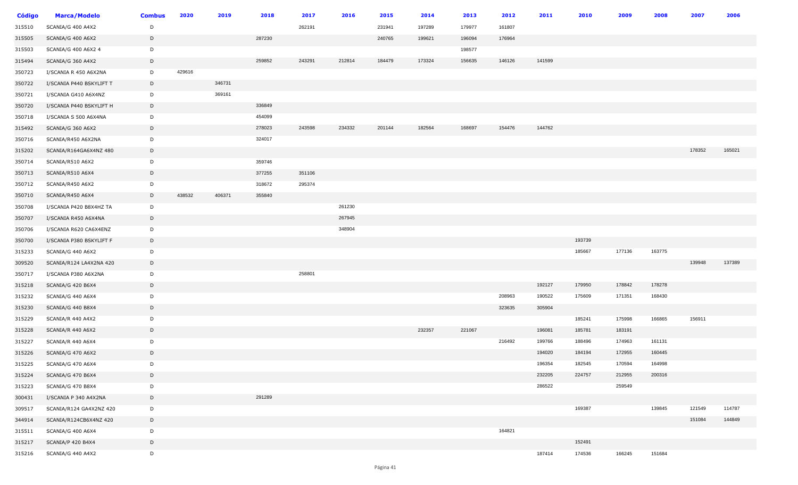| <b>Código</b> | <b>Marca/Modelo</b>      | <b>Combus</b> | 2020   | 2019   | 2018   | 2017   | 2016   | 2015   | 2014   | 2013   | 2012   | 2011   | 2010   | 2009   | 2008   | 2007   | 2006   |
|---------------|--------------------------|---------------|--------|--------|--------|--------|--------|--------|--------|--------|--------|--------|--------|--------|--------|--------|--------|
| 315510        | SCANIA/G 400 A4X2        | D             |        |        |        | 262191 |        | 231941 | 197289 | 179977 | 161807 |        |        |        |        |        |        |
| 315505        | SCANIA/G 400 A6X2        | D             |        |        | 287230 |        |        | 240765 | 199621 | 196094 | 176964 |        |        |        |        |        |        |
| 315503        | SCANIA/G 400 A6X2 4      | D             |        |        |        |        |        |        |        | 198577 |        |        |        |        |        |        |        |
| 315494        | SCANIA/G 360 A4X2        | D             |        |        | 259852 | 243291 | 212814 | 184479 | 173324 | 156635 | 146126 | 141599 |        |        |        |        |        |
| 350723        | I/SCANIA R 450 A6X2NA    | D             | 429616 |        |        |        |        |        |        |        |        |        |        |        |        |        |        |
| 350722        | I/SCANIA P440 BSKYLIFT T | D             |        | 346731 |        |        |        |        |        |        |        |        |        |        |        |        |        |
| 350721        | I/SCANIA G410 A6X4NZ     | D             |        | 369161 |        |        |        |        |        |        |        |        |        |        |        |        |        |
| 350720        | I/SCANIA P440 BSKYLIFT H | D             |        |        | 336849 |        |        |        |        |        |        |        |        |        |        |        |        |
| 350718        | I/SCANIA S 500 A6X4NA    | D             |        |        | 454099 |        |        |        |        |        |        |        |        |        |        |        |        |
| 315492        | SCANIA/G 360 A6X2        | D             |        |        | 278023 | 243598 | 234332 | 201144 | 182564 | 168697 | 154476 | 144762 |        |        |        |        |        |
| 350716        | SCANIA/R450 A6X2NA       | D             |        |        | 324017 |        |        |        |        |        |        |        |        |        |        |        |        |
| 315202        | SCANIA/R164GA6X4NZ 480   | D             |        |        |        |        |        |        |        |        |        |        |        |        |        | 178352 | 165021 |
| 350714        | SCANIA/R510 A6X2         | D             |        |        | 359746 |        |        |        |        |        |        |        |        |        |        |        |        |
| 350713        | SCANIA/R510 A6X4         | D             |        |        | 377255 | 351106 |        |        |        |        |        |        |        |        |        |        |        |
| 350712        | SCANIA/R450 A6X2         | D             |        |        | 318672 | 295374 |        |        |        |        |        |        |        |        |        |        |        |
| 350710        | SCANIA/R450 A6X4         | D             | 438532 | 406371 | 355840 |        |        |        |        |        |        |        |        |        |        |        |        |
| 350708        | I/SCANIA P420 B8X4HZ TA  | D             |        |        |        |        | 261230 |        |        |        |        |        |        |        |        |        |        |
| 350707        | I/SCANIA R450 A6X4NA     | D             |        |        |        |        | 267945 |        |        |        |        |        |        |        |        |        |        |
| 350706        | I/SCANIA R620 CA6X4ENZ   | D             |        |        |        |        | 348904 |        |        |        |        |        |        |        |        |        |        |
| 350700        | I/SCANIA P380 BSKYLIFT F | D             |        |        |        |        |        |        |        |        |        |        | 193739 |        |        |        |        |
| 315233        | SCANIA/G 440 A6X2        | D             |        |        |        |        |        |        |        |        |        |        | 185667 | 177136 | 163775 |        |        |
| 309520        | SCANIA/R124 LA4X2NA 420  | D             |        |        |        |        |        |        |        |        |        |        |        |        |        | 139948 | 137389 |
| 350717        | I/SCANIA P380 A6X2NA     | D             |        |        |        | 258801 |        |        |        |        |        |        |        |        |        |        |        |
| 315218        | SCANIA/G 420 B6X4        | D             |        |        |        |        |        |        |        |        |        | 192127 | 179950 | 178842 | 178278 |        |        |
| 315232        | SCANIA/G 440 A6X4        | D             |        |        |        |        |        |        |        |        | 208963 | 190522 | 175609 | 171351 | 168430 |        |        |
| 315230        | SCANIA/G 440 B8X4        | D             |        |        |        |        |        |        |        |        | 323635 | 305904 |        |        |        |        |        |
| 315229        | SCANIA/R 440 A4X2        | D             |        |        |        |        |        |        |        |        |        |        | 185241 | 175998 | 166865 | 156911 |        |
| 315228        | SCANIA/R 440 A6X2        | D             |        |        |        |        |        |        | 232357 | 221067 |        | 196081 | 185781 | 183191 |        |        |        |
| 315227        | SCANIA/R 440 A6X4        | D             |        |        |        |        |        |        |        |        | 216492 | 199766 | 188496 | 174963 | 161131 |        |        |
| 315226        | SCANIA/G 470 A6X2        | D             |        |        |        |        |        |        |        |        |        | 194020 | 184194 | 172955 | 160445 |        |        |
| 315225        | SCANIA/G 470 A6X4        | D             |        |        |        |        |        |        |        |        |        | 196354 | 182545 | 170594 | 164998 |        |        |
| 315224        | SCANIA/G 470 B6X4        | D             |        |        |        |        |        |        |        |        |        | 232205 | 224757 | 212955 | 200316 |        |        |
| 315223        | SCANIA/G 470 B8X4        | D             |        |        |        |        |        |        |        |        |        | 286522 |        | 259549 |        |        |        |
| 300431        | I/SCANIA P 340 A4X2NA    | D             |        |        | 291289 |        |        |        |        |        |        |        |        |        |        |        |        |
| 309517        | SCANIA/R124 GA4X2NZ 420  | D             |        |        |        |        |        |        |        |        |        |        | 169387 |        | 139845 | 121549 | 114787 |
| 344914        | SCANIA/R124CB6X4NZ 420   | D             |        |        |        |        |        |        |        |        |        |        |        |        |        | 151084 | 144849 |
| 315511        | SCANIA/G 400 A6X4        | D             |        |        |        |        |        |        |        |        | 164821 |        |        |        |        |        |        |
| 315217        | SCANIA/P 420 B4X4        | D             |        |        |        |        |        |        |        |        |        |        | 152491 |        |        |        |        |
| 315216        | SCANIA/G 440 A4X2        | D             |        |        |        |        |        |        |        |        |        | 187414 | 174536 | 166245 | 151684 |        |        |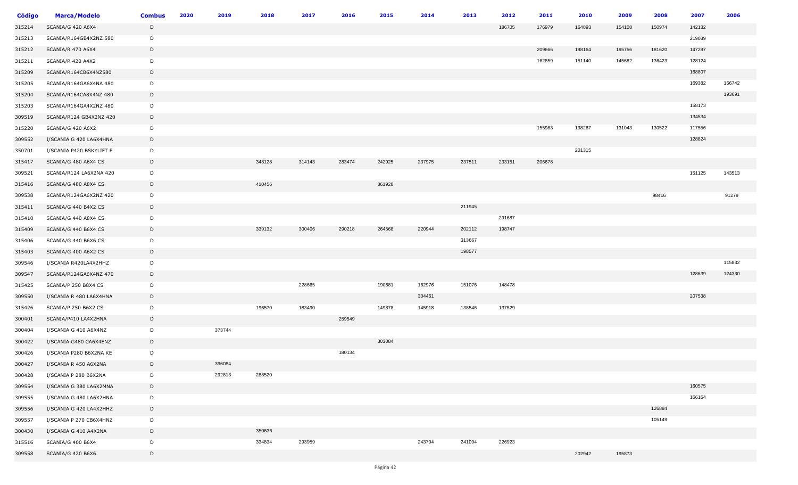| <b>Código</b> | <b>Marca/Modelo</b>      | <b>Combus</b> | 2020 | 2019   | 2018   | 2017   | 2016   | 2015   | 2014   | 2013   | 2012   | 2011   | 2010   | 2009   | 2008   | 2007   | 2006   |
|---------------|--------------------------|---------------|------|--------|--------|--------|--------|--------|--------|--------|--------|--------|--------|--------|--------|--------|--------|
| 315214        | SCANIA/G 420 A6X4        | D             |      |        |        |        |        |        |        |        | 186705 | 176979 | 164893 | 154108 | 150974 | 142132 |        |
| 315213        | SCANIA/R164GB4X2NZ 580   | D             |      |        |        |        |        |        |        |        |        |        |        |        |        | 219039 |        |
| 315212        | SCANIA/R 470 A6X4        | D             |      |        |        |        |        |        |        |        |        | 209666 | 198164 | 195756 | 181620 | 147297 |        |
| 315211        | SCANIA/R 420 A4X2        | D             |      |        |        |        |        |        |        |        |        | 162859 | 151140 | 145682 | 136423 | 128124 |        |
| 315209        | SCANIA/R164CB6X4NZ580    | D             |      |        |        |        |        |        |        |        |        |        |        |        |        | 168807 |        |
| 315205        | SCANIA/R164GA6X4NA 480   | D             |      |        |        |        |        |        |        |        |        |        |        |        |        | 169382 | 166742 |
| 315204        | SCANIA/R164CA8X4NZ 480   | D             |      |        |        |        |        |        |        |        |        |        |        |        |        |        | 193691 |
| 315203        | SCANIA/R164GA4X2NZ 480   | D             |      |        |        |        |        |        |        |        |        |        |        |        |        | 158173 |        |
| 309519        | SCANIA/R124 GB4X2NZ 420  | D             |      |        |        |        |        |        |        |        |        |        |        |        |        | 134534 |        |
| 315220        | SCANIA/G 420 A6X2        | D             |      |        |        |        |        |        |        |        |        | 155983 | 138267 | 131043 | 130522 | 117556 |        |
| 309552        | I/SCANIA G 420 LA6X4HNA  | D             |      |        |        |        |        |        |        |        |        |        |        |        |        | 128824 |        |
| 350701        | I/SCANIA P420 BSKYLIFT F | D             |      |        |        |        |        |        |        |        |        |        | 201315 |        |        |        |        |
| 315417        | SCANIA/G 480 A6X4 CS     | D             |      |        | 348128 | 314143 | 283474 | 242925 | 237975 | 237511 | 233151 | 206678 |        |        |        |        |        |
| 309521        | SCANIA/R124 LA6X2NA 420  | D             |      |        |        |        |        |        |        |        |        |        |        |        |        | 151125 | 143513 |
| 315416        | SCANIA/G 480 A8X4 CS     | D             |      |        | 410456 |        |        | 361928 |        |        |        |        |        |        |        |        |        |
| 309538        | SCANIA/R124GA6X2NZ 420   | D             |      |        |        |        |        |        |        |        |        |        |        |        | 98416  |        | 91279  |
| 315411        | SCANIA/G 440 B4X2 CS     | D             |      |        |        |        |        |        |        | 211945 |        |        |        |        |        |        |        |
| 315410        | SCANIA/G 440 A8X4 CS     | D             |      |        |        |        |        |        |        |        | 291687 |        |        |        |        |        |        |
| 315409        | SCANIA/G 440 B6X4 CS     | D             |      |        | 339132 | 300406 | 290218 | 264568 | 220944 | 202112 | 198747 |        |        |        |        |        |        |
| 315406        | SCANIA/G 440 B6X6 CS     | D             |      |        |        |        |        |        |        | 313667 |        |        |        |        |        |        |        |
| 315403        | SCANIA/G 400 A6X2 CS     | D             |      |        |        |        |        |        |        | 198577 |        |        |        |        |        |        |        |
| 309546        | I/SCANIA R420LA4X2HHZ    | D             |      |        |        |        |        |        |        |        |        |        |        |        |        |        | 115832 |
| 309547        | SCANIA/R124GA6X4NZ 470   | D             |      |        |        |        |        |        |        |        |        |        |        |        |        | 128639 | 124330 |
| 315425        | SCANIA/P 250 B8X4 CS     | D             |      |        |        | 228665 |        | 190681 | 162976 | 151076 | 148478 |        |        |        |        |        |        |
| 309550        | I/SCANIA R 480 LA6X4HNA  | D             |      |        |        |        |        |        | 304461 |        |        |        |        |        |        | 207538 |        |
| 315426        | SCANIA/P 250 B6X2 CS     | D             |      |        | 196570 | 183490 |        | 149878 | 145918 | 138546 | 137529 |        |        |        |        |        |        |
| 300401        | SCANIA/P410 LA4X2HNA     | D             |      |        |        |        | 259549 |        |        |        |        |        |        |        |        |        |        |
| 300404        | I/SCANIA G 410 A6X4NZ    | D             |      | 373744 |        |        |        |        |        |        |        |        |        |        |        |        |        |
| 300422        | I/SCANIA G480 CA6X4ENZ   | D             |      |        |        |        |        | 303084 |        |        |        |        |        |        |        |        |        |
| 300426        | I/SCANIA P280 B6X2NA KE  | D             |      |        |        |        | 180134 |        |        |        |        |        |        |        |        |        |        |
| 300427        | I/SCANIA R 450 A6X2NA    | D             |      | 396084 |        |        |        |        |        |        |        |        |        |        |        |        |        |
| 300428        | I/SCANIA P 280 B6X2NA    | D             |      | 292813 | 288520 |        |        |        |        |        |        |        |        |        |        |        |        |
| 309554        | I/SCANIA G 380 LA6X2MNA  | D             |      |        |        |        |        |        |        |        |        |        |        |        |        | 160575 |        |
| 309555        | I/SCANIA G 480 LA6X2HNA  | D             |      |        |        |        |        |        |        |        |        |        |        |        |        | 166164 |        |
| 309556        | I/SCANIA G 420 LA4X2HHZ  | D             |      |        |        |        |        |        |        |        |        |        |        |        | 126884 |        |        |
| 309557        | I/SCANIA P 270 CB6X4HNZ  | D             |      |        |        |        |        |        |        |        |        |        |        |        | 105149 |        |        |
| 300430        | I/SCANIA G 410 A4X2NA    | D             |      |        | 350636 |        |        |        |        |        |        |        |        |        |        |        |        |
| 315516        | SCANIA/G 400 B6X4        | D             |      |        | 334834 | 293959 |        |        | 243704 | 241094 | 226923 |        |        |        |        |        |        |
| 309558        | SCANIA/G 420 B6X6        | D             |      |        |        |        |        |        |        |        |        |        | 202942 | 195873 |        |        |        |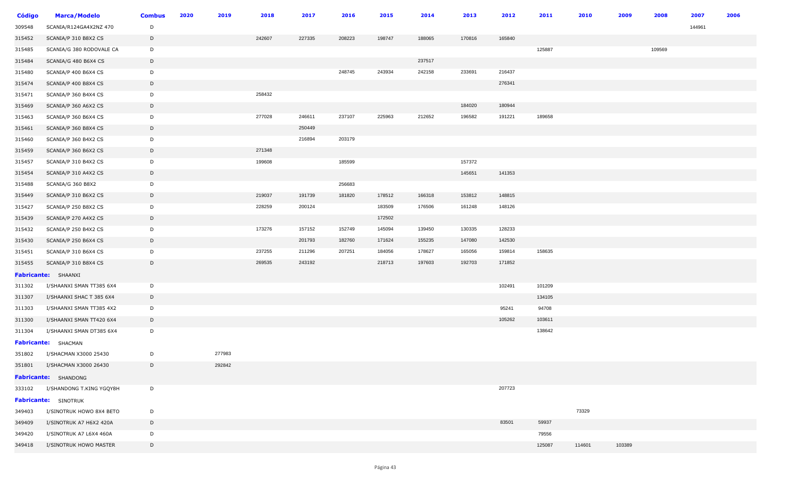| <b>Código</b> | <b>Marca/Modelo</b>             | <b>Combus</b> | 2020 | 2019   | 2018   | 2017   | 2016   | 2015   | 2014   | 2013   | 2012   | 2011   | 2010   | 2009   | 2008   | 2007   | 2006 |
|---------------|---------------------------------|---------------|------|--------|--------|--------|--------|--------|--------|--------|--------|--------|--------|--------|--------|--------|------|
| 309548        | SCANIA/R124GA4X2NZ 470          | D             |      |        |        |        |        |        |        |        |        |        |        |        |        | 144961 |      |
| 315452        | SCANIA/P 310 B8X2 CS            | D             |      |        | 242607 | 227335 | 208223 | 198747 | 188065 | 170816 | 165840 |        |        |        |        |        |      |
| 315485        | SCANIA/G 380 RODOVALE CA        | D             |      |        |        |        |        |        |        |        |        | 125887 |        |        | 109569 |        |      |
| 315484        | SCANIA/G 480 B6X4 CS            | D             |      |        |        |        |        |        | 237517 |        |        |        |        |        |        |        |      |
| 315480        | SCANIA/P 400 B6X4 CS            | D             |      |        |        |        | 248745 | 243934 | 242158 | 233691 | 216437 |        |        |        |        |        |      |
| 315474        | SCANIA/P 400 B8X4 CS            | D             |      |        |        |        |        |        |        |        | 276341 |        |        |        |        |        |      |
| 315471        | SCANIA/P 360 B4X4 CS            | D             |      |        | 258432 |        |        |        |        |        |        |        |        |        |        |        |      |
| 315469        | SCANIA/P 360 A6X2 CS            | D             |      |        |        |        |        |        |        | 184020 | 180944 |        |        |        |        |        |      |
| 315463        | SCANIA/P 360 B6X4 CS            | D             |      |        | 277028 | 246611 | 237107 | 225963 | 212652 | 196582 | 191221 | 189658 |        |        |        |        |      |
| 315461        | SCANIA/P 360 B8X4 CS            | D             |      |        |        | 250449 |        |        |        |        |        |        |        |        |        |        |      |
| 315460        | SCANIA/P 360 B4X2 CS            | D             |      |        |        | 216894 | 203179 |        |        |        |        |        |        |        |        |        |      |
| 315459        | SCANIA/P 360 B6X2 CS            | D             |      |        | 271348 |        |        |        |        |        |        |        |        |        |        |        |      |
| 315457        | SCANIA/P 310 B4X2 CS            | D             |      |        | 199608 |        | 185599 |        |        | 157372 |        |        |        |        |        |        |      |
| 315454        | SCANIA/P 310 A4X2 CS            | $\mathsf{D}$  |      |        |        |        |        |        |        | 145651 | 141353 |        |        |        |        |        |      |
| 315488        | SCANIA/G 360 B8X2               | D             |      |        |        |        | 256683 |        |        |        |        |        |        |        |        |        |      |
| 315449        | SCANIA/P 310 B6X2 CS            | D             |      |        | 219037 | 191739 | 181820 | 178512 | 166318 | 153812 | 148815 |        |        |        |        |        |      |
| 315427        | SCANIA/P 250 B8X2 CS            | D             |      |        | 228259 | 200124 |        | 183509 | 176506 | 161248 | 148126 |        |        |        |        |        |      |
| 315439        | SCANIA/P 270 A4X2 CS            | D             |      |        |        |        |        | 172502 |        |        |        |        |        |        |        |        |      |
| 315432        | SCANIA/P 250 B4X2 CS            | D             |      |        | 173276 | 157152 | 152749 | 145094 | 139450 | 130335 | 128233 |        |        |        |        |        |      |
| 315430        | SCANIA/P 250 B6X4 CS            | D             |      |        |        | 201793 | 182760 | 171624 | 155235 | 147080 | 142530 |        |        |        |        |        |      |
| 315451        | SCANIA/P 310 B6X4 CS            | D             |      |        | 237255 | 211296 | 207251 | 184056 | 178627 | 165056 | 159814 | 158635 |        |        |        |        |      |
| 315455        | SCANIA/P 310 B8X4 CS            | D             |      |        | 269535 | 243192 |        | 218713 | 197603 | 192703 | 171852 |        |        |        |        |        |      |
|               | Fabricante: SHAANXI             |               |      |        |        |        |        |        |        |        |        |        |        |        |        |        |      |
| 311302        | I/SHAANXI SMAN TT385 6X4        | D             |      |        |        |        |        |        |        |        | 102491 | 101209 |        |        |        |        |      |
| 311307        | I/SHAANXI SHAC T 385 6X4        | D             |      |        |        |        |        |        |        |        |        | 134105 |        |        |        |        |      |
| 311303        | I/SHAANXI SMAN TT385 4X2        | D             |      |        |        |        |        |        |        |        | 95241  | 94708  |        |        |        |        |      |
| 311300        | I/SHAANXI SMAN TT420 6X4        | D             |      |        |        |        |        |        |        |        | 105262 | 103611 |        |        |        |        |      |
| 311304        | I/SHAANXI SMAN DT385 6X4        | D             |      |        |        |        |        |        |        |        |        | 138642 |        |        |        |        |      |
|               | Fabricante: SHACMAN             |               |      |        |        |        |        |        |        |        |        |        |        |        |        |        |      |
| 351802        | I/SHACMAN X3000 25430           | D             |      | 277983 |        |        |        |        |        |        |        |        |        |        |        |        |      |
| 351801        | I/SHACMAN X3000 26430           | D             |      | 292842 |        |        |        |        |        |        |        |        |        |        |        |        |      |
|               | <b>Fabricante:</b> SHANDONG     |               |      |        |        |        |        |        |        |        |        |        |        |        |        |        |      |
|               | 333102 I/SHANDONG T.KING YGQY8H | D             |      |        |        |        |        |        |        |        | 207723 |        |        |        |        |        |      |
|               | <b>Fabricante:</b> SINOTRUK     |               |      |        |        |        |        |        |        |        |        |        |        |        |        |        |      |
| 349403        | I/SINOTRUK HOWO 8X4 BETO        | D             |      |        |        |        |        |        |        |        |        |        | 73329  |        |        |        |      |
| 349409        | I/SINOTRUK A7 H6X2 420A         | D             |      |        |        |        |        |        |        |        | 83501  | 59937  |        |        |        |        |      |
| 349420        | I/SINOTRUK A7 L6X4 460A         | D             |      |        |        |        |        |        |        |        |        | 79556  |        |        |        |        |      |
| 349418        | I/SINOTRUK HOWO MASTER          | D             |      |        |        |        |        |        |        |        |        | 125087 | 114601 | 103389 |        |        |      |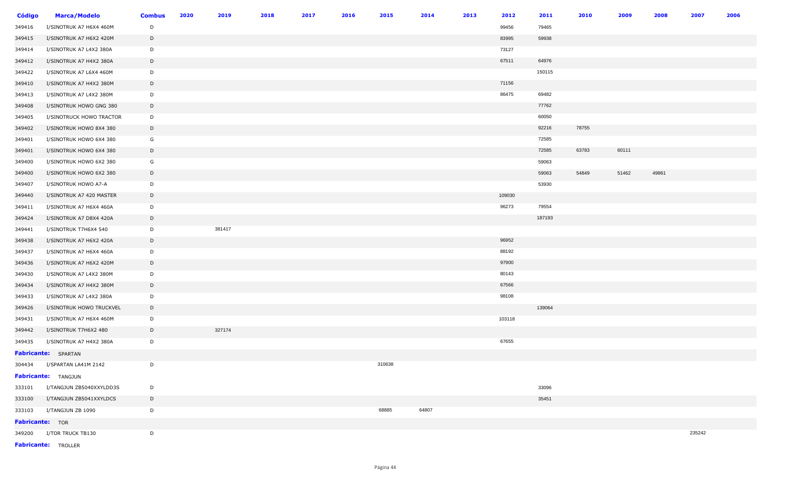| <b>Código</b>   | <b>Marca/Modelo</b>        | <b>Combus</b> | 2020 | 2019   | 2018 | 2017 | 2016 | 2015   | 2014  | 2013 | 2012   | 2011   | 2010  | 2009  | 2008  | 2007   | 2006 |
|-----------------|----------------------------|---------------|------|--------|------|------|------|--------|-------|------|--------|--------|-------|-------|-------|--------|------|
| 349416          | I/SINOTRUK A7 H6X4 460M    | D             |      |        |      |      |      |        |       |      | 99456  | 79465  |       |       |       |        |      |
| 349415          | I/SINOTRUK A7 H6X2 420M    | D             |      |        |      |      |      |        |       |      | 83995  | 59938  |       |       |       |        |      |
| 349414          | I/SINOTRUK A7 L4X2 380A    | D             |      |        |      |      |      |        |       |      | 73127  |        |       |       |       |        |      |
| 349412          | I/SINOTRUK A7 H4X2 380A    | D             |      |        |      |      |      |        |       |      | 67511  | 64976  |       |       |       |        |      |
| 349422          | I/SINOTRUK A7 L6X4 460M    | D             |      |        |      |      |      |        |       |      |        | 150115 |       |       |       |        |      |
| 349410          | I/SINOTRUK A7 H4X2 380M    | D             |      |        |      |      |      |        |       |      | 71156  |        |       |       |       |        |      |
| 349413          | I/SINOTRUK A7 L4X2 380M    | D             |      |        |      |      |      |        |       |      | 86475  | 69482  |       |       |       |        |      |
| 349408          | I/SINOTRUK HOWO GNG 380    | $\mathsf{D}$  |      |        |      |      |      |        |       |      |        | 77762  |       |       |       |        |      |
| 349405          | I/SINOTRUCK HOWO TRACTOR   | D             |      |        |      |      |      |        |       |      |        | 60050  |       |       |       |        |      |
| 349402          | I/SINOTRUK HOWO 8X4 380    | D             |      |        |      |      |      |        |       |      |        | 92216  | 78755 |       |       |        |      |
| 349401          | I/SINOTRUK HOWO 6X4 380    | G             |      |        |      |      |      |        |       |      |        | 72585  |       |       |       |        |      |
| 349401          | I/SINOTRUK HOWO 6X4 380    | D             |      |        |      |      |      |        |       |      |        | 72585  | 63783 | 60111 |       |        |      |
| 349400          | I/SINOTRUK HOWO 6X2 380    | G             |      |        |      |      |      |        |       |      |        | 59063  |       |       |       |        |      |
| 349400          | I/SINOTRUK HOWO 6X2 380    | D             |      |        |      |      |      |        |       |      |        | 59063  | 54849 | 51462 | 49861 |        |      |
| 349407          | I/SINOTRUK HOWO A7-A       | D             |      |        |      |      |      |        |       |      |        | 53930  |       |       |       |        |      |
| 349440          | I/SINOTRUK A7 420 MASTER   | D             |      |        |      |      |      |        |       |      | 109030 |        |       |       |       |        |      |
| 349411          | I/SINOTRUK A7 H6X4 460A    | D             |      |        |      |      |      |        |       |      | 96273  | 79554  |       |       |       |        |      |
| 349424          | I/SINOTRUK A7 D8X4 420A    | D             |      |        |      |      |      |        |       |      |        | 187193 |       |       |       |        |      |
| 349441          | I/SINOTRUK T7H6X4 540      | D             |      | 381417 |      |      |      |        |       |      |        |        |       |       |       |        |      |
| 349438          | I/SINOTRUK A7 H6X2 420A    | D             |      |        |      |      |      |        |       |      | 96952  |        |       |       |       |        |      |
| 349437          | I/SINOTRUK A7 H6X4 460A    | D             |      |        |      |      |      |        |       |      | 88192  |        |       |       |       |        |      |
| 349436          | I/SINOTRUK A7 H6X2 420M    | D             |      |        |      |      |      |        |       |      | 97900  |        |       |       |       |        |      |
| 349430          | I/SINOTRUK A7 L4X2 380M    | D             |      |        |      |      |      |        |       |      | 80143  |        |       |       |       |        |      |
| 349434          | I/SINOTRUK A7 H4X2 380M    | D             |      |        |      |      |      |        |       |      | 67566  |        |       |       |       |        |      |
| 349433          | I/SINOTRUK A7 L4X2 380A    | D             |      |        |      |      |      |        |       |      | 98108  |        |       |       |       |        |      |
| 349426          | I/SINOTRUK HOWO TRUCKVEL   | D             |      |        |      |      |      |        |       |      |        | 139064 |       |       |       |        |      |
| 349431          | I/SINOTRUK A7 H6X4 460M    | D             |      |        |      |      |      |        |       |      | 103118 |        |       |       |       |        |      |
| 349442          | I/SINOTRUK T7H6X2 480      | D             |      | 327174 |      |      |      |        |       |      |        |        |       |       |       |        |      |
| 349435          | I/SINOTRUK A7 H4X2 380A    | D             |      |        |      |      |      |        |       |      | 67655  |        |       |       |       |        |      |
|                 | <b>Fabricante:</b> SPARTAN |               |      |        |      |      |      |        |       |      |        |        |       |       |       |        |      |
| 304434          | I/SPARTAN LA41M 2142       | D             |      |        |      |      |      | 310638 |       |      |        |        |       |       |       |        |      |
|                 | Fabricante: TANGJUN        |               |      |        |      |      |      |        |       |      |        |        |       |       |       |        |      |
| 333101          | I/TANGJUN ZB5040XXYLDD3S   | D             |      |        |      |      |      |        |       |      |        | 33096  |       |       |       |        |      |
| 333100          | I/TANGJUN ZB5041XXYLDCS    | D             |      |        |      |      |      |        |       |      |        | 35451  |       |       |       |        |      |
|                 | 333103 I/TANGJUN ZB 1090   | D             |      |        |      |      |      | 68885  | 64807 |      |        |        |       |       |       |        |      |
| Fabricante: TOR |                            |               |      |        |      |      |      |        |       |      |        |        |       |       |       |        |      |
|                 | 349200 I/TOR TRUCK TB130   | D             |      |        |      |      |      |        |       |      |        |        |       |       |       | 235242 |      |
|                 | <b>Fabricante:</b> TROLLER |               |      |        |      |      |      |        |       |      |        |        |       |       |       |        |      |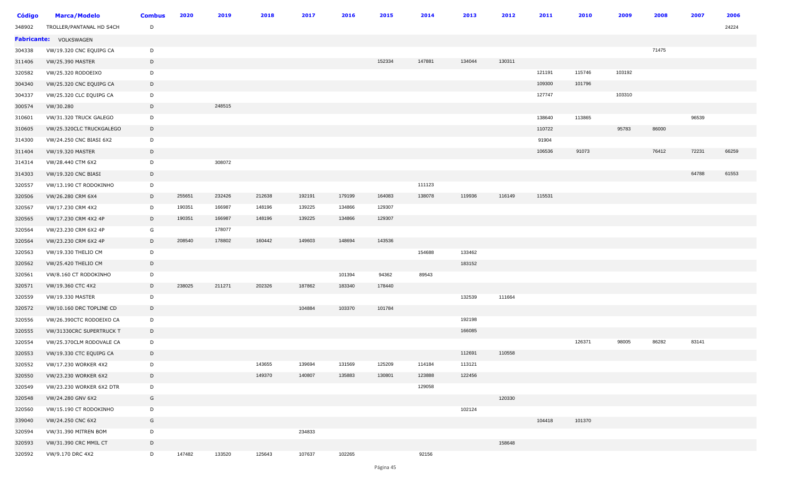| <b>Código</b> | <b>Marca/Modelo</b>      | <b>Combus</b> | 2020   | 2019   | 2018   | 2017   | 2016   | 2015   | 2014   | 2013   | 2012   | 2011   | 2010   | 2009   | 2008  | 2007  | 2006  |
|---------------|--------------------------|---------------|--------|--------|--------|--------|--------|--------|--------|--------|--------|--------|--------|--------|-------|-------|-------|
| 348902        | TROLLER/PANTANAL HD S4CH | D             |        |        |        |        |        |        |        |        |        |        |        |        |       |       | 24224 |
|               | Fabricante: VOLKSWAGEN   |               |        |        |        |        |        |        |        |        |        |        |        |        |       |       |       |
| 304338        | VW/19.320 CNC EQUIPG CA  | D             |        |        |        |        |        |        |        |        |        |        |        |        | 71475 |       |       |
| 311406        | <b>VW/25.390 MASTER</b>  | D             |        |        |        |        |        | 152334 | 147881 | 134044 | 130311 |        |        |        |       |       |       |
| 320582        | VW/25.320 RODOEIXO       | D             |        |        |        |        |        |        |        |        |        | 121191 | 115746 | 103192 |       |       |       |
| 304340        | VW/25.320 CNC EQUIPG CA  | D             |        |        |        |        |        |        |        |        |        | 109300 | 101796 |        |       |       |       |
| 304337        | VW/25.320 CLC EQUIPG CA  | D             |        |        |        |        |        |        |        |        |        | 127747 |        | 103310 |       |       |       |
| 300574        | VW/30.280                | D             |        | 248515 |        |        |        |        |        |        |        |        |        |        |       |       |       |
| 310601        | VW/31.320 TRUCK GALEGO   | D             |        |        |        |        |        |        |        |        |        | 138640 | 113865 |        |       | 96539 |       |
| 310605        | VW/25.320CLC TRUCKGALEGO | D             |        |        |        |        |        |        |        |        |        | 110722 |        | 95783  | 86000 |       |       |
| 314300        | VW/24.250 CNC BIASI 6X2  | D             |        |        |        |        |        |        |        |        |        | 91904  |        |        |       |       |       |
| 311404        | VW/19.320 MASTER         | D             |        |        |        |        |        |        |        |        |        | 106536 | 91073  |        | 76412 | 72231 | 66259 |
| 314314        | VW/28.440 CTM 6X2        | D             |        | 308072 |        |        |        |        |        |        |        |        |        |        |       |       |       |
| 314303        | VW/19.320 CNC BIASI      | D             |        |        |        |        |        |        |        |        |        |        |        |        |       | 64788 | 61553 |
| 320557        | VW/13.190 CT RODOKINHO   | D             |        |        |        |        |        |        | 111123 |        |        |        |        |        |       |       |       |
| 320506        | VW/26.280 CRM 6X4        | D             | 255651 | 232426 | 212638 | 192191 | 179199 | 164083 | 138078 | 119936 | 116149 | 115531 |        |        |       |       |       |
| 320567        | VW/17.230 CRM 4X2        | D             | 190351 | 166987 | 148196 | 139225 | 134866 | 129307 |        |        |        |        |        |        |       |       |       |
| 320565        | VW/17.230 CRM 4X2 4P     | D             | 190351 | 166987 | 148196 | 139225 | 134866 | 129307 |        |        |        |        |        |        |       |       |       |
| 320564        | VW/23.230 CRM 6X2 4P     | G             |        | 178077 |        |        |        |        |        |        |        |        |        |        |       |       |       |
| 320564        | VW/23.230 CRM 6X2 4P     | D             | 208540 | 178802 | 160442 | 149603 | 148694 | 143536 |        |        |        |        |        |        |       |       |       |
| 320563        | VW/19.330 THELIO CM      | D             |        |        |        |        |        |        | 154688 | 133462 |        |        |        |        |       |       |       |
| 320562        | VW/25.420 THELIO CM      | D             |        |        |        |        |        |        |        | 183152 |        |        |        |        |       |       |       |
| 320561        | VW/8.160 CT RODOKINHO    | D             |        |        |        |        | 101394 | 94362  | 89543  |        |        |        |        |        |       |       |       |
| 320571        | VW/19.360 CTC 4X2        | D             | 238025 | 211271 | 202326 | 187862 | 183340 | 178440 |        |        |        |        |        |        |       |       |       |
| 320559        | VW/19.330 MASTER         | D             |        |        |        |        |        |        |        | 132539 | 111664 |        |        |        |       |       |       |
| 320572        | VW/10.160 DRC TOPLINE CD | D             |        |        |        | 104884 | 103370 | 101784 |        |        |        |        |        |        |       |       |       |
| 320556        | VW/26.390CTC RODOEIXO CA | D             |        |        |        |        |        |        |        | 192198 |        |        |        |        |       |       |       |
| 320555        | VW/31330CRC SUPERTRUCK T | D             |        |        |        |        |        |        |        | 166085 |        |        |        |        |       |       |       |
| 320554        | VW/25.370CLM RODOVALE CA | D             |        |        |        |        |        |        |        |        |        |        | 126371 | 98005  | 86282 | 83141 |       |
| 320553        | VW/19.330 CTC EQUIPG CA  | D             |        |        |        |        |        |        |        | 112691 | 110558 |        |        |        |       |       |       |
| 320552        | VW/17.230 WORKER 4X2     | D             |        |        | 143655 | 139694 | 131569 | 125209 | 114184 | 113121 |        |        |        |        |       |       |       |
| 320550        | VW/23.230 WORKER 6X2     | D             |        |        | 149370 | 140807 | 135883 | 130801 | 123888 | 122456 |        |        |        |        |       |       |       |
| 320549        | VW/23.230 WORKER 6X2 DTR | D             |        |        |        |        |        |        | 129058 |        |        |        |        |        |       |       |       |
| 320548        | VW/24.280 GNV 6X2        | G             |        |        |        |        |        |        |        |        | 120330 |        |        |        |       |       |       |
| 320560        | VW/15.190 CT RODOKINHO   | D             |        |        |        |        |        |        |        | 102124 |        |        |        |        |       |       |       |
| 339040        | VW/24.250 CNC 6X2        | G             |        |        |        |        |        |        |        |        |        | 104418 | 101370 |        |       |       |       |
| 320594        | VW/31.390 MITREN BOM     | D             |        |        |        | 234833 |        |        |        |        |        |        |        |        |       |       |       |
| 320593        | VW/31.390 CRC MMIL CT    | D             |        |        |        |        |        |        |        |        | 158648 |        |        |        |       |       |       |
| 320592        | VW/9.170 DRC 4X2         | D             | 147482 | 133520 | 125643 | 107637 | 102265 |        | 92156  |        |        |        |        |        |       |       |       |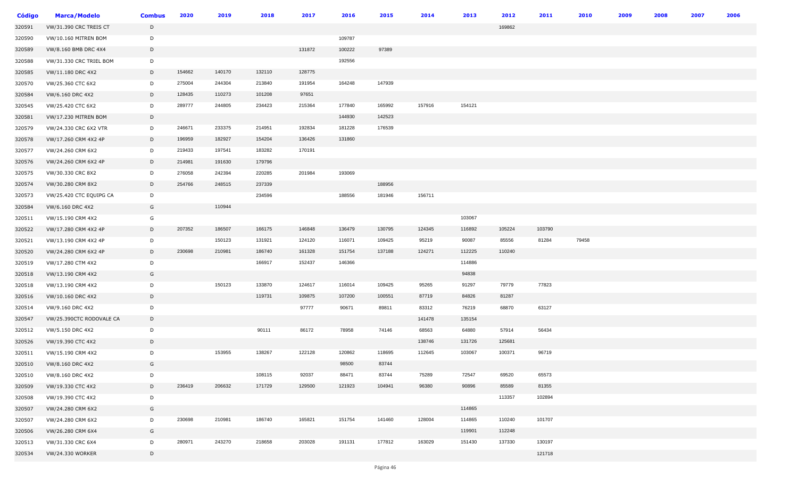| <b>Código</b> | <b>Marca/Modelo</b>      | <b>Combus</b> | 2020   | 2019   | 2018   | 2017   | 2016   | 2015   | 2014   | 2013   | 2012   | 2011   | 2010  | 2009 | 2008 | 2007 | 2006 |
|---------------|--------------------------|---------------|--------|--------|--------|--------|--------|--------|--------|--------|--------|--------|-------|------|------|------|------|
| 320591        | VW/31.390 CRC TREIS CT   | D             |        |        |        |        |        |        |        |        | 169862 |        |       |      |      |      |      |
| 320590        | VW/10.160 MITREN BOM     | D             |        |        |        |        | 109787 |        |        |        |        |        |       |      |      |      |      |
| 320589        | VW/8.160 BMB DRC 4X4     | D             |        |        |        | 131872 | 100222 | 97389  |        |        |        |        |       |      |      |      |      |
| 320588        | VW/31.330 CRC TRIEL BOM  | D             |        |        |        |        | 192556 |        |        |        |        |        |       |      |      |      |      |
| 320585        | VW/11.180 DRC 4X2        | D             | 154662 | 140170 | 132110 | 128775 |        |        |        |        |        |        |       |      |      |      |      |
| 320570        | VW/25.360 CTC 6X2        | D             | 275004 | 244304 | 213840 | 191954 | 164248 | 147939 |        |        |        |        |       |      |      |      |      |
| 320584        | VW/6.160 DRC 4X2         | D             | 128435 | 110273 | 101208 | 97651  |        |        |        |        |        |        |       |      |      |      |      |
| 320545        | VW/25.420 CTC 6X2        | D             | 289777 | 244805 | 234423 | 215364 | 177840 | 165992 | 157916 | 154121 |        |        |       |      |      |      |      |
| 320581        | VW/17.230 MITREN BOM     | D             |        |        |        |        | 144930 | 142523 |        |        |        |        |       |      |      |      |      |
| 320579        | VW/24.330 CRC 6X2 VTR    | D             | 246671 | 233375 | 214951 | 192834 | 181228 | 176539 |        |        |        |        |       |      |      |      |      |
| 320578        | VW/17.260 CRM 4X2 4P     | D             | 196959 | 182927 | 154204 | 136426 | 131860 |        |        |        |        |        |       |      |      |      |      |
| 320577        | VW/24.260 CRM 6X2        | D             | 219433 | 197541 | 183282 | 170191 |        |        |        |        |        |        |       |      |      |      |      |
| 320576        | VW/24.260 CRM 6X2 4P     | D             | 214981 | 191630 | 179796 |        |        |        |        |        |        |        |       |      |      |      |      |
| 320575        | VW/30.330 CRC 8X2        | D             | 276058 | 242394 | 220285 | 201984 | 193069 |        |        |        |        |        |       |      |      |      |      |
| 320574        | VW/30.280 CRM 8X2        | D             | 254766 | 248515 | 237339 |        |        | 188956 |        |        |        |        |       |      |      |      |      |
| 320573        | VW/25.420 CTC EQUIPG CA  | D             |        |        | 234596 |        | 188556 | 181946 | 156711 |        |        |        |       |      |      |      |      |
| 320584        | VW/6.160 DRC 4X2         | G             |        | 110944 |        |        |        |        |        |        |        |        |       |      |      |      |      |
| 320511        | VW/15.190 CRM 4X2        | G             |        |        |        |        |        |        |        | 103067 |        |        |       |      |      |      |      |
| 320522        | VW/17.280 CRM 4X2 4P     | D             | 207352 | 186507 | 166175 | 146848 | 136479 | 130795 | 124345 | 116892 | 105224 | 103790 |       |      |      |      |      |
| 320521        | VW/13.190 CRM 4X2 4P     | D             |        | 150123 | 131921 | 124120 | 116071 | 109425 | 95219  | 90087  | 85556  | 81284  | 79458 |      |      |      |      |
| 320520        | VW/24.280 CRM 6X2 4P     | D             | 230698 | 210981 | 186740 | 161328 | 151754 | 137188 | 124271 | 112225 | 110240 |        |       |      |      |      |      |
| 320519        | VW/17.280 CTM 4X2        | D             |        |        | 166917 | 152437 | 146366 |        |        | 114886 |        |        |       |      |      |      |      |
| 320518        | VW/13.190 CRM 4X2        | G             |        |        |        |        |        |        |        | 94838  |        |        |       |      |      |      |      |
| 320518        | VW/13.190 CRM 4X2        | D             |        | 150123 | 133870 | 124617 | 116014 | 109425 | 95265  | 91297  | 79779  | 77823  |       |      |      |      |      |
| 320516        | VW/10.160 DRC 4X2        | D             |        |        | 119731 | 109875 | 107200 | 100551 | 87719  | 84826  | 81287  |        |       |      |      |      |      |
| 320514        | VW/9.160 DRC 4X2         | D             |        |        |        | 97777  | 90671  | 89811  | 83312  | 76219  | 68870  | 63127  |       |      |      |      |      |
| 320547        | VW/25.390CTC RODOVALE CA | D             |        |        |        |        |        |        | 141478 | 135154 |        |        |       |      |      |      |      |
| 320512        | VW/5.150 DRC 4X2         | D             |        |        | 90111  | 86172  | 78958  | 74146  | 68563  | 64880  | 57914  | 56434  |       |      |      |      |      |
| 320526        | VW/19.390 CTC 4X2        | D             |        |        |        |        |        |        | 138746 | 131726 | 125681 |        |       |      |      |      |      |
| 320511        | VW/15.190 CRM 4X2        | D             |        | 153955 | 138267 | 122128 | 120862 | 118695 | 112645 | 103067 | 100371 | 96719  |       |      |      |      |      |
| 320510        | VW/8.160 DRC 4X2         | G             |        |        |        |        | 98500  | 83744  |        |        |        |        |       |      |      |      |      |
| 320510        | VW/8.160 DRC 4X2         | D             |        |        | 108115 | 92037  | 88471  | 83744  | 75289  | 72547  | 69520  | 65573  |       |      |      |      |      |
| 320509        | VW/19.330 CTC 4X2        | D             | 236419 | 206632 | 171729 | 129500 | 121923 | 104941 | 96380  | 90896  | 85589  | 81355  |       |      |      |      |      |
| 320508        | VW/19.390 CTC 4X2        | D             |        |        |        |        |        |        |        |        | 113357 | 102894 |       |      |      |      |      |
| 320507        | VW/24.280 CRM 6X2        | G             |        |        |        |        |        |        |        | 114865 |        |        |       |      |      |      |      |
| 320507        | VW/24.280 CRM 6X2        | D             | 230698 | 210981 | 186740 | 165821 | 151754 | 141460 | 128004 | 114865 | 110240 | 101707 |       |      |      |      |      |
| 320506        | VW/26.280 CRM 6X4        | G             |        |        |        |        |        |        |        | 119901 | 112248 |        |       |      |      |      |      |
| 320513        | VW/31.330 CRC 6X4        | D             | 280971 | 243270 | 218658 | 203028 | 191131 | 177812 | 163029 | 151430 | 137330 | 130197 |       |      |      |      |      |
| 320534        | VW/24.330 WORKER         | D             |        |        |        |        |        |        |        |        |        | 121718 |       |      |      |      |      |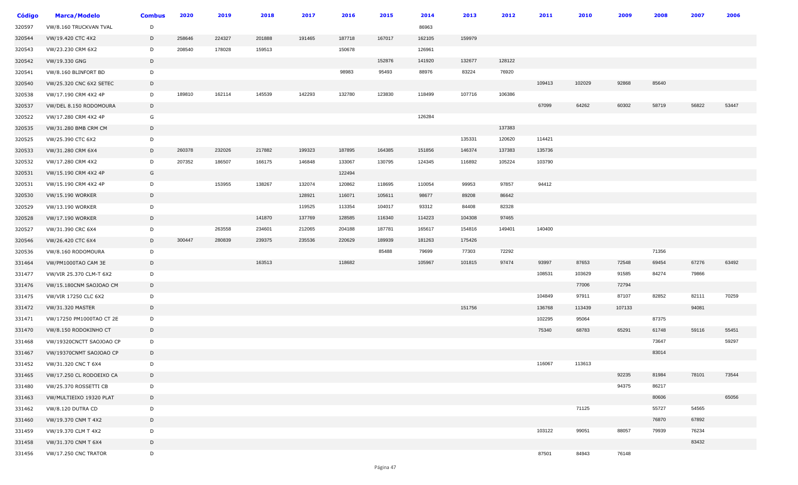| <b>Código</b> | <b>Marca/Modelo</b>      | <b>Combus</b> | 2020   | 2019   | 2018   | 2017   | 2016   | 2015   | 2014   | 2013   | 2012   | 2011   | 2010   | 2009   | 2008  | 2007  | 2006  |
|---------------|--------------------------|---------------|--------|--------|--------|--------|--------|--------|--------|--------|--------|--------|--------|--------|-------|-------|-------|
| 320597        | VW/8.160 TRUCKVAN TVAL   | D             |        |        |        |        |        |        | 86963  |        |        |        |        |        |       |       |       |
| 320544        | VW/19.420 CTC 4X2        | D             | 258646 | 224327 | 201888 | 191465 | 187718 | 167017 | 162105 | 159979 |        |        |        |        |       |       |       |
| 320543        | VW/23.230 CRM 6X2        | D             | 208540 | 178028 | 159513 |        | 150678 |        | 126961 |        |        |        |        |        |       |       |       |
| 320542        | VW/19.330 GNG            | D             |        |        |        |        |        | 152876 | 141920 | 132677 | 128122 |        |        |        |       |       |       |
| 320541        | VW/8.160 BLINFORT BD     | D             |        |        |        |        | 98983  | 95493  | 88976  | 83224  | 76920  |        |        |        |       |       |       |
| 320540        | VW/25.320 CNC 6X2 SETEC  | D             |        |        |        |        |        |        |        |        |        | 109413 | 102029 | 92868  | 85640 |       |       |
| 320538        | VW/17.190 CRM 4X2 4P     | D             | 189810 | 162114 | 145539 | 142293 | 132780 | 123830 | 118499 | 107716 | 106386 |        |        |        |       |       |       |
| 320537        | VW/DEL 8.150 RODOMOURA   | D             |        |        |        |        |        |        |        |        |        | 67099  | 64262  | 60302  | 58719 | 56822 | 53447 |
| 320522        | VW/17.280 CRM 4X2 4P     | G             |        |        |        |        |        |        | 126284 |        |        |        |        |        |       |       |       |
| 320535        | VW/31.280 BMB CRM CM     | D             |        |        |        |        |        |        |        |        | 137383 |        |        |        |       |       |       |
| 320525        | VW/25.390 CTC 6X2        | D             |        |        |        |        |        |        |        | 135331 | 120620 | 114421 |        |        |       |       |       |
| 320533        | VW/31.280 CRM 6X4        | D             | 260378 | 232026 | 217882 | 199323 | 187895 | 164385 | 151856 | 146374 | 137383 | 135736 |        |        |       |       |       |
| 320532        | VW/17.280 CRM 4X2        | D             | 207352 | 186507 | 166175 | 146848 | 133067 | 130795 | 124345 | 116892 | 105224 | 103790 |        |        |       |       |       |
| 320531        | VW/15.190 CRM 4X2 4P     | G             |        |        |        |        | 122494 |        |        |        |        |        |        |        |       |       |       |
| 320531        | VW/15.190 CRM 4X2 4P     | D             |        | 153955 | 138267 | 132074 | 120862 | 118695 | 110054 | 99953  | 97857  | 94412  |        |        |       |       |       |
| 320530        | <b>VW/15.190 WORKER</b>  | D             |        |        |        | 128921 | 116071 | 105611 | 98677  | 89208  | 86642  |        |        |        |       |       |       |
| 320529        | <b>VW/13.190 WORKER</b>  | D             |        |        |        | 119525 | 113354 | 104017 | 93312  | 84408  | 82328  |        |        |        |       |       |       |
| 320528        | <b>VW/17.190 WORKER</b>  | D             |        |        | 141870 | 137769 | 128585 | 116340 | 114223 | 104308 | 97465  |        |        |        |       |       |       |
| 320527        | VW/31.390 CRC 6X4        | D             |        | 263558 | 234601 | 212065 | 204188 | 187781 | 165617 | 154816 | 149401 | 140400 |        |        |       |       |       |
| 320546        | VW/26.420 CTC 6X4        | D             | 300447 | 280839 | 239375 | 235536 | 220629 | 189939 | 181263 | 175426 |        |        |        |        |       |       |       |
| 320536        | VW/8.160 RODOMOURA       | D             |        |        |        |        |        | 85488  | 79699  | 77303  | 72292  |        |        |        | 71356 |       |       |
| 331464        | VW/PM1000TAO CAM 3E      | D             |        |        | 163513 |        | 118682 |        | 105967 | 101815 | 97474  | 93997  | 87653  | 72548  | 69454 | 67276 | 63492 |
| 331477        | VW/VIR 25.370 CLM-T 6X2  | D             |        |        |        |        |        |        |        |        |        | 108531 | 103629 | 91585  | 84274 | 79866 |       |
| 331476        | VW/15.180CNM SAOJOAO CM  | D             |        |        |        |        |        |        |        |        |        |        | 77006  | 72794  |       |       |       |
| 331475        | VW/VIR 17250 CLC 6X2     | D             |        |        |        |        |        |        |        |        |        | 104849 | 97911  | 87107  | 82852 | 82111 | 70259 |
| 331472        | VW/31.320 MASTER         | D             |        |        |        |        |        |        |        | 151756 |        | 136768 | 113439 | 107133 |       | 94081 |       |
| 331471        | VW/17250 PM1000TAO CT 2E | D             |        |        |        |        |        |        |        |        |        | 102295 | 95064  |        | 87375 |       |       |
| 331470        | VW/8.150 RODOKINHO CT    | D             |        |        |        |        |        |        |        |        |        | 75340  | 68783  | 65291  | 61748 | 59116 | 55451 |
| 331468        | VW/19320CNCTT SAOJOAO CP | D             |        |        |        |        |        |        |        |        |        |        |        |        | 73647 |       | 59297 |
| 331467        | VW/19370CNMT SAOJOAO CP  | D             |        |        |        |        |        |        |        |        |        |        |        |        | 83014 |       |       |
| 331452        | VW/31.320 CNC T 6X4      | D             |        |        |        |        |        |        |        |        |        | 116067 | 113613 |        |       |       |       |
| 331465        | VW/17.250 CL RODOEIXO CA | D             |        |        |        |        |        |        |        |        |        |        |        | 92235  | 81984 | 78101 | 73544 |
| 331480        | VW/25.370 ROSSETTI CB    | D             |        |        |        |        |        |        |        |        |        |        |        | 94375  | 86217 |       |       |
| 331463        | VW/MULTIEIXO 19320 PLAT  | D             |        |        |        |        |        |        |        |        |        |        |        |        | 80606 |       | 65056 |
| 331462        | VW/8.120 DUTRA CD        | D             |        |        |        |        |        |        |        |        |        |        | 71125  |        | 55727 | 54565 |       |
| 331460        | VW/19.370 CNM T 4X2      | D             |        |        |        |        |        |        |        |        |        |        |        |        | 76870 | 67892 |       |
| 331459        | VW/19.370 CLM T 4X2      | D             |        |        |        |        |        |        |        |        |        | 103122 | 99051  | 88057  | 79939 | 76234 |       |
| 331458        | VW/31.370 CNM T 6X4      | D             |        |        |        |        |        |        |        |        |        |        |        |        |       | 83432 |       |
| 331456        | VW/17.250 CNC TRATOR     | D             |        |        |        |        |        |        |        |        |        | 87501  | 84943  | 76148  |       |       |       |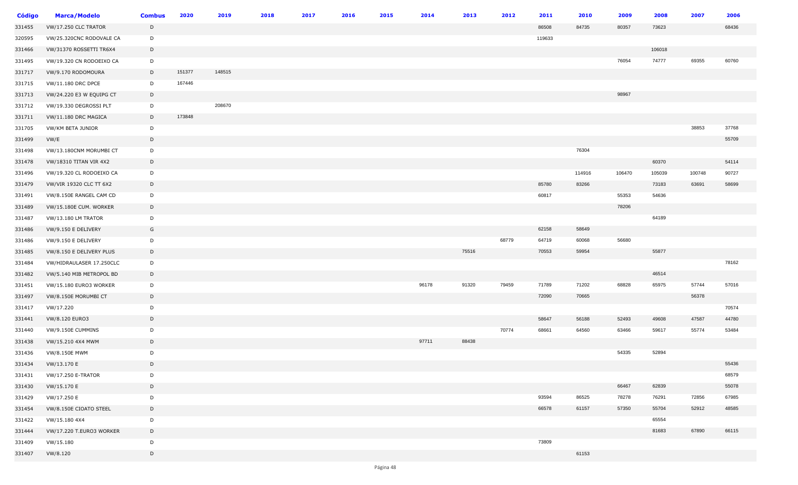| Código | <b>Marca/Modelo</b>         | <b>Combus</b> | 2020   | 2019   | 2018 | 2017 | 2016 | 2015 | 2014  | 2013  | 2012  | 2011   | 2010   | 2009   | 2008   | 2007   | 2006  |
|--------|-----------------------------|---------------|--------|--------|------|------|------|------|-------|-------|-------|--------|--------|--------|--------|--------|-------|
| 331455 | <b>VW/17.250 CLC TRATOR</b> | D             |        |        |      |      |      |      |       |       |       | 86508  | 84735  | 80357  | 73623  |        | 68436 |
| 320595 | VW/25.320CNC RODOVALE CA    | D             |        |        |      |      |      |      |       |       |       | 119633 |        |        |        |        |       |
| 331466 | VW/31370 ROSSETTI TR6X4     | D             |        |        |      |      |      |      |       |       |       |        |        |        | 106018 |        |       |
| 331495 | VW/19.320 CN RODOEIXO CA    | D             |        |        |      |      |      |      |       |       |       |        |        | 76054  | 74777  | 69355  | 60760 |
| 331717 | VW/9.170 RODOMOURA          | D             | 151377 | 148515 |      |      |      |      |       |       |       |        |        |        |        |        |       |
| 331715 | VW/11.180 DRC DPCE          | D             | 167446 |        |      |      |      |      |       |       |       |        |        |        |        |        |       |
| 331713 | VW/24.220 E3 W EQUIPG CT    | D             |        |        |      |      |      |      |       |       |       |        |        | 98967  |        |        |       |
| 331712 | VW/19.330 DEGROSSI PLT      | D             |        | 208670 |      |      |      |      |       |       |       |        |        |        |        |        |       |
| 331711 | VW/11.180 DRC MAGICA        | D             | 173848 |        |      |      |      |      |       |       |       |        |        |        |        |        |       |
| 331705 | VW/KM BETA JUNIOR           | D             |        |        |      |      |      |      |       |       |       |        |        |        |        | 38853  | 37768 |
| 331499 | VW/E                        | D             |        |        |      |      |      |      |       |       |       |        |        |        |        |        | 55709 |
| 331498 | VW/13.180CNM MORUMBI CT     | D             |        |        |      |      |      |      |       |       |       |        | 76304  |        |        |        |       |
| 331478 | VW/18310 TITAN VIR 4X2      | D             |        |        |      |      |      |      |       |       |       |        |        |        | 60370  |        | 54114 |
| 331496 | VW/19.320 CL RODOEIXO CA    | D             |        |        |      |      |      |      |       |       |       |        | 114916 | 106470 | 105039 | 100748 | 90727 |
| 331479 | VW/VIR 19320 CLC TT 6X2     | D             |        |        |      |      |      |      |       |       |       | 85780  | 83266  |        | 73183  | 63691  | 58699 |
| 331491 | VW/8.150E RANGEL CAM CD     | D             |        |        |      |      |      |      |       |       |       | 60817  |        | 55353  | 54636  |        |       |
| 331489 | VW/15.180E CUM. WORKER      | D             |        |        |      |      |      |      |       |       |       |        |        | 78206  |        |        |       |
| 331487 | <b>VW/13.180 LM TRATOR</b>  | D             |        |        |      |      |      |      |       |       |       |        |        |        | 64189  |        |       |
| 331486 | VW/9.150 E DELIVERY         | G             |        |        |      |      |      |      |       |       |       | 62158  | 58649  |        |        |        |       |
| 331486 | VW/9.150 E DELIVERY         | D             |        |        |      |      |      |      |       |       | 68779 | 64719  | 60068  | 56680  |        |        |       |
| 331485 | VW/8.150 E DELIVERY PLUS    | D             |        |        |      |      |      |      |       | 75516 |       | 70553  | 59954  |        | 55877  |        |       |
| 331484 | VW/HIDRAULASER 17.250CLC    | D             |        |        |      |      |      |      |       |       |       |        |        |        |        |        | 78162 |
| 331482 | VW/5.140 MIB METROPOL BD    | D             |        |        |      |      |      |      |       |       |       |        |        |        | 46514  |        |       |
| 331451 | VW/15.180 EURO3 WORKER      | D             |        |        |      |      |      |      | 96178 | 91320 | 79459 | 71789  | 71202  | 68828  | 65975  | 57744  | 57016 |
| 331497 | VW/8.150E MORUMBI CT        | D             |        |        |      |      |      |      |       |       |       | 72090  | 70665  |        |        | 56378  |       |
| 331417 | VW/17.220                   | D             |        |        |      |      |      |      |       |       |       |        |        |        |        |        | 70574 |
| 331441 | VW/8.120 EURO3              | D             |        |        |      |      |      |      |       |       |       | 58647  | 56188  | 52493  | 49608  | 47587  | 44780 |
| 331440 | VW/9.150E CUMMINS           | D             |        |        |      |      |      |      |       |       | 70774 | 68661  | 64560  | 63466  | 59617  | 55774  | 53484 |
| 331438 | VW/15.210 4X4 MWM           | D             |        |        |      |      |      |      | 97711 | 88438 |       |        |        |        |        |        |       |
| 331436 | VW/8.150E MWM               | D             |        |        |      |      |      |      |       |       |       |        |        | 54335  | 52894  |        |       |
| 331434 | VW/13.170 E                 | D             |        |        |      |      |      |      |       |       |       |        |        |        |        |        | 55436 |
| 331431 | VW/17.250 E-TRATOR          | D             |        |        |      |      |      |      |       |       |       |        |        |        |        |        | 68579 |
| 331430 | VW/15.170 E                 | D             |        |        |      |      |      |      |       |       |       |        |        | 66467  | 62839  |        | 55078 |
| 331429 | VW/17.250 E                 | D             |        |        |      |      |      |      |       |       |       | 93594  | 86525  | 78278  | 76291  | 72856  | 67985 |
| 331454 | VW/8.150E CIOATO STEEL      | D             |        |        |      |      |      |      |       |       |       | 66578  | 61157  | 57350  | 55704  | 52912  | 48585 |
| 331422 | VW/15.180 4X4               | D             |        |        |      |      |      |      |       |       |       |        |        |        | 65554  |        |       |
| 331444 | VW/17.220 T.EURO3 WORKER    | D             |        |        |      |      |      |      |       |       |       |        |        |        | 81683  | 67890  | 66115 |
| 331409 | VW/15.180                   | D             |        |        |      |      |      |      |       |       |       | 73809  |        |        |        |        |       |
| 331407 | VW/8.120                    | D             |        |        |      |      |      |      |       |       |       |        | 61153  |        |        |        |       |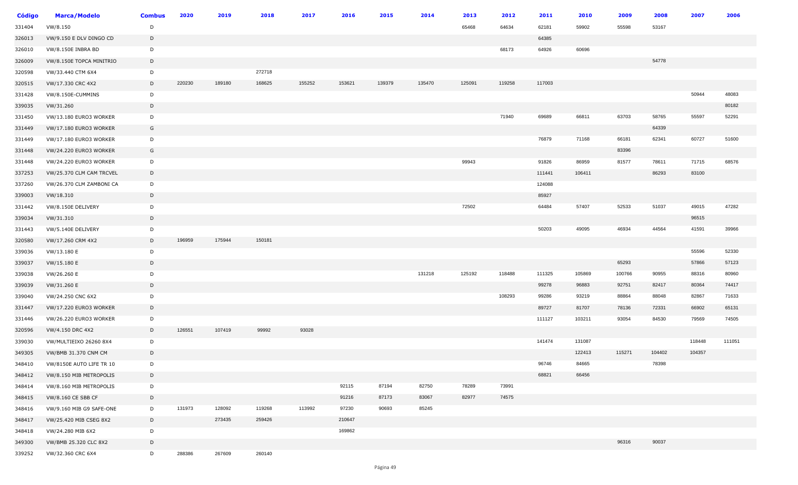| Código | <b>Marca/Modelo</b>      | <b>Combus</b> | 2020   | 2019   | 2018   | 2017   | 2016   | 2015   | 2014   | 2013   | 2012   | 2011   | 2010   | 2009   | 2008   | 2007   | 2006   |
|--------|--------------------------|---------------|--------|--------|--------|--------|--------|--------|--------|--------|--------|--------|--------|--------|--------|--------|--------|
| 331404 | VW/8.150                 | D             |        |        |        |        |        |        |        | 65468  | 64634  | 62181  | 59902  | 55598  | 53167  |        |        |
| 326013 | VW/9.150 E DLV DINGO CD  | D             |        |        |        |        |        |        |        |        |        | 64385  |        |        |        |        |        |
| 326010 | VW/8.150E INBRA BD       | D             |        |        |        |        |        |        |        |        | 68173  | 64926  | 60696  |        |        |        |        |
| 326009 | VW/8.150E TOPCA MINITRIO | D             |        |        |        |        |        |        |        |        |        |        |        |        | 54778  |        |        |
| 320598 | VW/33.440 CTM 6X4        | D             |        |        | 272718 |        |        |        |        |        |        |        |        |        |        |        |        |
| 320515 | VW/17.330 CRC 4X2        | D             | 220230 | 189180 | 168625 | 155252 | 153621 | 139379 | 135470 | 125091 | 119258 | 117003 |        |        |        |        |        |
| 331428 | VW/8.150E-CUMMINS        | D             |        |        |        |        |        |        |        |        |        |        |        |        |        | 50944  | 48083  |
| 339035 | VW/31.260                | D             |        |        |        |        |        |        |        |        |        |        |        |        |        |        | 80182  |
| 331450 | VW/13.180 EURO3 WORKER   | D             |        |        |        |        |        |        |        |        | 71940  | 69689  | 66811  | 63703  | 58765  | 55597  | 52291  |
| 331449 | VW/17.180 EURO3 WORKER   | G             |        |        |        |        |        |        |        |        |        |        |        |        | 64339  |        |        |
| 331449 | VW/17.180 EURO3 WORKER   | D             |        |        |        |        |        |        |        |        |        | 76879  | 71168  | 66181  | 62341  | 60727  | 51600  |
| 331448 | VW/24.220 EURO3 WORKER   | G             |        |        |        |        |        |        |        |        |        |        |        | 83396  |        |        |        |
| 331448 | VW/24.220 EURO3 WORKER   | D             |        |        |        |        |        |        |        | 99943  |        | 91826  | 86959  | 81577  | 78611  | 71715  | 68576  |
| 337253 | VW/25.370 CLM CAM TRCVEL | D             |        |        |        |        |        |        |        |        |        | 111441 | 106411 |        | 86293  | 83100  |        |
| 337260 | VW/26.370 CLM ZAMBONI CA | D             |        |        |        |        |        |        |        |        |        | 124088 |        |        |        |        |        |
| 339003 | VW/18.310                | D             |        |        |        |        |        |        |        |        |        | 85927  |        |        |        |        |        |
| 331442 | VW/8.150E DELIVERY       | D             |        |        |        |        |        |        |        | 72502  |        | 64484  | 57407  | 52533  | 51037  | 49015  | 47282  |
| 339034 | VW/31.310                | D             |        |        |        |        |        |        |        |        |        |        |        |        |        | 96515  |        |
| 331443 | VW/5.140E DELIVERY       | D             |        |        |        |        |        |        |        |        |        | 50203  | 49095  | 46934  | 44564  | 41591  | 39966  |
| 320580 | VW/17.260 CRM 4X2        | D             | 196959 | 175944 | 150181 |        |        |        |        |        |        |        |        |        |        |        |        |
| 339036 | VW/13.180 E              | D             |        |        |        |        |        |        |        |        |        |        |        |        |        | 55596  | 52330  |
| 339037 | VW/15.180 E              | D             |        |        |        |        |        |        |        |        |        |        |        | 65293  |        | 57866  | 57123  |
| 339038 | VW/26.260 E              | D             |        |        |        |        |        |        | 131218 | 125192 | 118488 | 111325 | 105869 | 100766 | 90955  | 88316  | 80960  |
| 339039 | VW/31.260 E              | D             |        |        |        |        |        |        |        |        |        | 99278  | 96883  | 92751  | 82417  | 80364  | 74417  |
| 339040 | VW/24.250 CNC 6X2        | D             |        |        |        |        |        |        |        |        | 108293 | 99286  | 93219  | 88864  | 88048  | 82867  | 71633  |
| 331447 | VW/17.220 EURO3 WORKER   | D             |        |        |        |        |        |        |        |        |        | 89727  | 81707  | 78136  | 72331  | 66902  | 65131  |
| 331446 | VW/26.220 EURO3 WORKER   | D             |        |        |        |        |        |        |        |        |        | 111127 | 103211 | 93054  | 84530  | 79569  | 74505  |
| 320596 | VW/4.150 DRC 4X2         | D             | 126551 | 107419 | 99992  | 93028  |        |        |        |        |        |        |        |        |        |        |        |
| 339030 | VW/MULTIEIXO 26260 8X4   | D             |        |        |        |        |        |        |        |        |        | 141474 | 131087 |        |        | 118448 | 111051 |
| 349305 | VW/BMB 31.370 CNM CM     | D             |        |        |        |        |        |        |        |        |        |        | 122413 | 115271 | 104402 | 104357 |        |
| 348410 | VW/8150E AUTO LIFE TR 10 | D             |        |        |        |        |        |        |        |        |        | 96746  | 84665  |        | 78398  |        |        |
| 348412 | VW/8.150 MIB METROPOLIS  | D             |        |        |        |        |        |        |        |        |        | 68821  | 66456  |        |        |        |        |
| 348414 | VW/8.160 MIB METROPOLIS  | D             |        |        |        |        | 92115  | 87194  | 82750  | 78289  | 73991  |        |        |        |        |        |        |
| 348415 | VW/8.160 CE SBB CF       | D             |        |        |        |        | 91216  | 87173  | 83067  | 82977  | 74575  |        |        |        |        |        |        |
| 348416 | VW/9.160 MIB G9 SAFE-ONE | D             | 131973 | 128092 | 119268 | 113992 | 97230  | 90693  | 85245  |        |        |        |        |        |        |        |        |
| 348417 | VW/25.420 MIB CSEG 8X2   | D             |        | 273435 | 259426 |        | 210647 |        |        |        |        |        |        |        |        |        |        |
| 348418 | VW/24.280 MIB 6X2        | D             |        |        |        |        | 169862 |        |        |        |        |        |        |        |        |        |        |
| 349300 | VW/BMB 25.320 CLC 8X2    | D             |        |        |        |        |        |        |        |        |        |        |        | 96316  | 90037  |        |        |
| 339252 | VW/32.360 CRC 6X4        | D             | 288386 | 267609 | 260140 |        |        |        |        |        |        |        |        |        |        |        |        |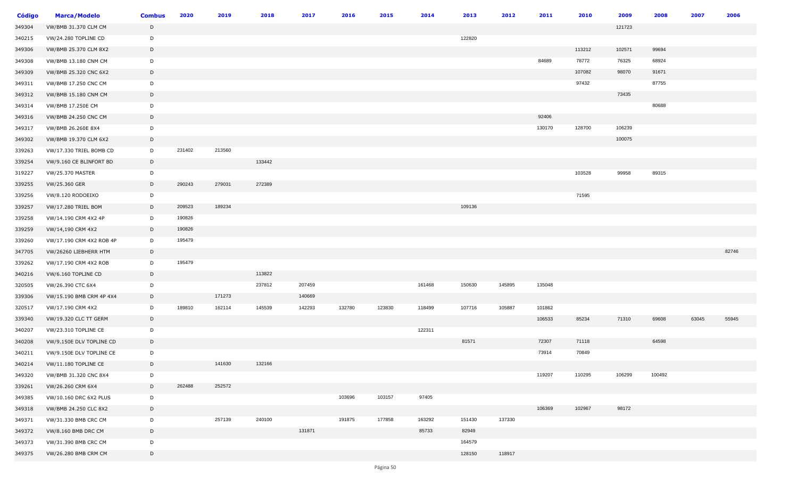| <b>Código</b> | <b>Marca/Modelo</b>         | <b>Combus</b> | 2020   | 2019   | 2018   | 2017   | 2016   | 2015   | 2014   | 2013   | 2012   | 2011   | 2010   | 2009   | 2008   | 2007  | 2006  |
|---------------|-----------------------------|---------------|--------|--------|--------|--------|--------|--------|--------|--------|--------|--------|--------|--------|--------|-------|-------|
| 349304        | VW/BMB 31.370 CLM CM        | D             |        |        |        |        |        |        |        |        |        |        |        | 121723 |        |       |       |
| 340215        | VW/24.280 TOPLINE CD        | D             |        |        |        |        |        |        |        | 122820 |        |        |        |        |        |       |       |
| 349306        | VW/BMB 25.370 CLM 8X2       | D             |        |        |        |        |        |        |        |        |        |        | 113212 | 102571 | 99694  |       |       |
| 349308        | VW/BMB 13.180 CNM CM        | D             |        |        |        |        |        |        |        |        |        | 84689  | 78772  | 76325  | 68924  |       |       |
| 349309        | VW/BMB 25.320 CNC 6X2       | D             |        |        |        |        |        |        |        |        |        |        | 107082 | 98070  | 91671  |       |       |
| 349311        | VW/BMB 17.250 CNC CM        | D             |        |        |        |        |        |        |        |        |        |        | 97432  |        | 87755  |       |       |
| 349312        | VW/BMB 15.180 CNM CM        | D             |        |        |        |        |        |        |        |        |        |        |        | 73435  |        |       |       |
| 349314        | VW/BMB 17.250E CM           | D             |        |        |        |        |        |        |        |        |        |        |        |        | 80688  |       |       |
| 349316        | <b>VW/BMB 24.250 CNC CM</b> | D             |        |        |        |        |        |        |        |        |        | 92406  |        |        |        |       |       |
| 349317        | VW/BMB 26.260E 8X4          | D             |        |        |        |        |        |        |        |        |        | 130170 | 128700 | 106239 |        |       |       |
| 349302        | VW/BMB 19.370 CLM 6X2       | D             |        |        |        |        |        |        |        |        |        |        |        | 100075 |        |       |       |
| 339263        | VW/17.330 TRIEL BOMB CD     | D             | 231402 | 213560 |        |        |        |        |        |        |        |        |        |        |        |       |       |
| 339254        | VW/9.160 CE BLINFORT BD     | D             |        |        | 133442 |        |        |        |        |        |        |        |        |        |        |       |       |
| 319227        | <b>VW/25.370 MASTER</b>     | D             |        |        |        |        |        |        |        |        |        |        | 103528 | 99958  | 89315  |       |       |
| 339255        | VW/25.360 GER               | D             | 290243 | 279031 | 272389 |        |        |        |        |        |        |        |        |        |        |       |       |
| 339256        | VW/8.120 RODOEIXO           | D             |        |        |        |        |        |        |        |        |        |        | 71595  |        |        |       |       |
| 339257        | VW/17.280 TRIEL BOM         | D             | 209523 | 189234 |        |        |        |        |        | 109136 |        |        |        |        |        |       |       |
| 339258        | VW/14.190 CRM 4X2 4P        | D             | 190826 |        |        |        |        |        |        |        |        |        |        |        |        |       |       |
| 339259        | VW/14,190 CRM 4X2           | D             | 190826 |        |        |        |        |        |        |        |        |        |        |        |        |       |       |
| 339260        | VW/17.190 CRM 4X2 ROB 4P    | D             | 195479 |        |        |        |        |        |        |        |        |        |        |        |        |       |       |
| 347705        | VW/26260 LIEBHERR HTM       | D             |        |        |        |        |        |        |        |        |        |        |        |        |        |       | 82746 |
| 339262        | VW/17.190 CRM 4X2 ROB       | D             | 195479 |        |        |        |        |        |        |        |        |        |        |        |        |       |       |
| 340216        | VW/6.160 TOPLINE CD         | D             |        |        | 113822 |        |        |        |        |        |        |        |        |        |        |       |       |
| 320505        | VW/26.390 CTC 6X4           | D             |        |        | 237812 | 207459 |        |        | 161468 | 150630 | 145895 | 135048 |        |        |        |       |       |
| 339306        | VW/15.190 BMB CRM 4P 4X4    | D             |        | 171273 |        | 140669 |        |        |        |        |        |        |        |        |        |       |       |
| 320517        | VW/17.190 CRM 4X2           | D             | 189810 | 162114 | 145539 | 142293 | 132780 | 123830 | 118499 | 107716 | 105887 | 101862 |        |        |        |       |       |
| 339340        | VW/19.320 CLC TT GERM       | D             |        |        |        |        |        |        |        |        |        | 106533 | 85234  | 71310  | 69608  | 63045 | 55945 |
| 340207        | VW/23.310 TOPLINE CE        | D             |        |        |        |        |        |        | 122311 |        |        |        |        |        |        |       |       |
| 340208        | VW/9.150E DLV TOPLINE CD    | D             |        |        |        |        |        |        |        | 81571  |        | 72307  | 71118  |        | 64598  |       |       |
| 340211        | VW/9.150E DLV TOPLINE CE    | D             |        |        |        |        |        |        |        |        |        | 73914  | 70849  |        |        |       |       |
| 340214        | VW/11.180 TOPLINE CE        | D             |        | 141630 | 132166 |        |        |        |        |        |        |        |        |        |        |       |       |
| 349320        | VW/BMB 31.320 CNC 8X4       | D             |        |        |        |        |        |        |        |        |        | 119207 | 110295 | 106299 | 100492 |       |       |
| 339261        | VW/26.260 CRM 6X4           | D             | 262488 | 252572 |        |        |        |        |        |        |        |        |        |        |        |       |       |
| 349385        | VW/10.160 DRC 6X2 PLUS      | D             |        |        |        |        | 103696 | 103157 | 97405  |        |        |        |        |        |        |       |       |
| 349318        | VW/BMB 24.250 CLC 8X2       | D             |        |        |        |        |        |        |        |        |        | 106369 | 102967 | 98172  |        |       |       |
| 349371        | VW/31.330 BMB CRC CM        | D             |        | 257139 | 240100 |        | 191875 | 177858 | 163292 | 151430 | 137330 |        |        |        |        |       |       |
| 349372        | VW/8.160 BMB DRC CM         | D             |        |        |        | 131871 |        |        | 85733  | 82949  |        |        |        |        |        |       |       |
| 349373        | VW/31.390 BMB CRC CM        | D             |        |        |        |        |        |        |        | 164579 |        |        |        |        |        |       |       |
| 349375        | VW/26.280 BMB CRM CM        | D             |        |        |        |        |        |        |        | 128150 | 118917 |        |        |        |        |       |       |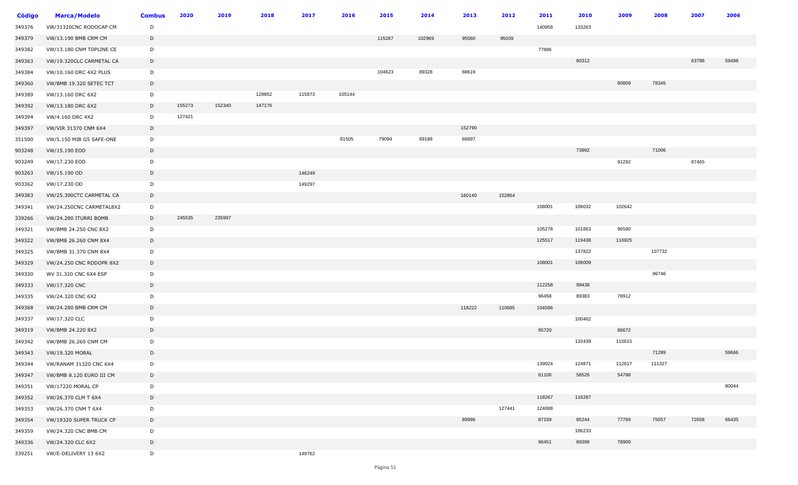| <b>Código</b> | <b>Marca/Modelo</b>      | <b>Combus</b> | 2020   | 2019   | 2018   | 2017   | 2016   | 2015   | 2014   | 2013   | 2012   | 2011   | 2010   | 2009   | 2008   | 2007  | 2006  |
|---------------|--------------------------|---------------|--------|--------|--------|--------|--------|--------|--------|--------|--------|--------|--------|--------|--------|-------|-------|
| 349376        | VW/31320CNC RODOCAP CM   | D             |        |        |        |        |        |        |        |        |        | 140958 | 133263 |        |        |       |       |
| 349379        | VW/13.190 BMB CRM CM     | D             |        |        |        |        |        | 115267 | 102969 | 95560  | 95039  |        |        |        |        |       |       |
| 349382        | VW/13.180 CNM TOPLINE CE | D             |        |        |        |        |        |        |        |        |        | 77896  |        |        |        |       |       |
| 349363        | VW/19.320CLC CARMETAL CA | D             |        |        |        |        |        |        |        |        |        |        | 80312  |        |        | 63798 | 59498 |
| 349384        | VW/10.160 DRC 4X2 PLUS   | D             |        |        |        |        |        | 104623 | 89328  | 88619  |        |        |        |        |        |       |       |
| 349360        | VW/BMB 19.320 SETEC TCT  | D             |        |        |        |        |        |        |        |        |        |        |        | 80809  | 78345  |       |       |
| 349389        | VW/13.160 DRC 6X2        | D             |        |        | 128852 | 115873 | 105144 |        |        |        |        |        |        |        |        |       |       |
| 349392        | VW/13.180 DRC 6X2        | D             | 155273 | 152340 | 147176 |        |        |        |        |        |        |        |        |        |        |       |       |
| 349394        | VW/4.160 DRC 4X2         | D             | 127421 |        |        |        |        |        |        |        |        |        |        |        |        |       |       |
| 349397        | VW/VIR 31370 CNM 6X4     | D             |        |        |        |        |        |        |        | 152790 |        |        |        |        |        |       |       |
| 351500        | VW/5.150 MIB G5 SAFE-ONE | D             |        |        |        |        | 81505  | 79094  | 69188  | 68897  |        |        |        |        |        |       |       |
| 903248        | VW/15.190 EOD            | D             |        |        |        |        |        |        |        |        |        |        | 73992  |        | 71006  |       |       |
| 903249        | VW/17.230 EOD            | D             |        |        |        |        |        |        |        |        |        |        |        | 91292  |        | 87465 |       |
| 903263        | VW/15.190 OD             | D             |        |        |        | 146249 |        |        |        |        |        |        |        |        |        |       |       |
| 903362        | VW/17.230 OD             | D             |        |        |        | 149297 |        |        |        |        |        |        |        |        |        |       |       |
| 349383        | VW/25.390CTC CARMETAL CA | D             |        |        |        |        |        |        |        | 160140 | 152864 |        |        |        |        |       |       |
| 349341        | VW/24.250CNC CARMETAL8X2 | D             |        |        |        |        |        |        |        |        |        | 108001 | 106032 | 102642 |        |       |       |
| 339266        | VW/24.280 ITURRI BOMB    | D             | 245535 | 235997 |        |        |        |        |        |        |        |        |        |        |        |       |       |
| 349321        | VW/BMB 24.250 CNC 8X2    | $\mathsf{D}$  |        |        |        |        |        |        |        |        |        | 105278 | 101863 | 96590  |        |       |       |
| 349322        | VW/BMB 26.260 CNM 8X4    | D             |        |        |        |        |        |        |        |        |        | 125517 | 119438 | 116925 |        |       |       |
| 349325        | VW/BMB 31.370 CNM 8X4    | D             |        |        |        |        |        |        |        |        |        |        | 137822 |        | 107732 |       |       |
| 349329        | VW/24.250 CNC RODOPR 8X2 | D             |        |        |        |        |        |        |        |        |        | 108001 | 106009 |        |        |       |       |
| 349330        | WV 31.320 CNC 6X4 ESP    | D             |        |        |        |        |        |        |        |        |        |        |        |        | 96746  |       |       |
| 349333        | VW/17.320 CNC            | D             |        |        |        |        |        |        |        |        |        | 112258 | 99438  |        |        |       |       |
| 349335        | VW/24.320 CNC 6X2        | $\mathsf{D}$  |        |        |        |        |        |        |        |        |        | 96458  | 89383  | 78912  |        |       |       |
| 349368        | VW/24.280 BMB CRM CM     | D             |        |        |        |        |        |        |        | 118222 | 110685 | 104586 |        |        |        |       |       |
| 349337        | VW/17.320 CLC            | D             |        |        |        |        |        |        |        |        |        |        | 100462 |        |        |       |       |
| 349319        | VW/BMB 24.220 8X2        | D             |        |        |        |        |        |        |        |        |        | 95720  |        | 86672  |        |       |       |
| 349342        | VW/BMB 26.260 CNM CM     | D             |        |        |        |        |        |        |        |        |        |        | 132439 | 115615 |        |       |       |
| 349343        | VW/19.320 MORAL          | D             |        |        |        |        |        |        |        |        |        |        |        |        | 71289  |       | 59666 |
| 349344        | VW/RANAM 31320 CNC 6X4   | D             |        |        |        |        |        |        |        |        |        | 139024 | 124871 | 112617 | 111327 |       |       |
| 349347        | VW/BMB 8.120 EURO III CM | D             |        |        |        |        |        |        |        |        |        | 61106  | 58526  | 54788  |        |       |       |
| 349351        | <b>VW/17220 MORAL CP</b> | D             |        |        |        |        |        |        |        |        |        |        |        |        |        |       | 80044 |
| 349352        | VW/26.370 CLM T 6X4      | D             |        |        |        |        |        |        |        |        |        | 118267 | 116287 |        |        |       |       |
| 349353        | VW/26.370 CNM T 6X4      | D             |        |        |        |        |        |        |        |        | 127441 | 124088 |        |        |        |       |       |
| 349354        | VW/19320 SUPER TRUCK CP  | D             |        |        |        |        |        |        |        | 89996  |        | 87159  | 85244  | 77769  | 75057  | 72658 | 66435 |
| 349359        | VW/24.320 CNC BMB CM     | D             |        |        |        |        |        |        |        |        |        |        | 106233 |        |        |       |       |
| 349336        | VW/24.320 CLC 6X2        | D             |        |        |        |        |        |        |        |        |        | 96451  | 89396  | 78900  |        |       |       |
| 339251        | VW/E-DELIVERY 13 6X2     | D             |        |        |        | 149762 |        |        |        |        |        |        |        |        |        |       |       |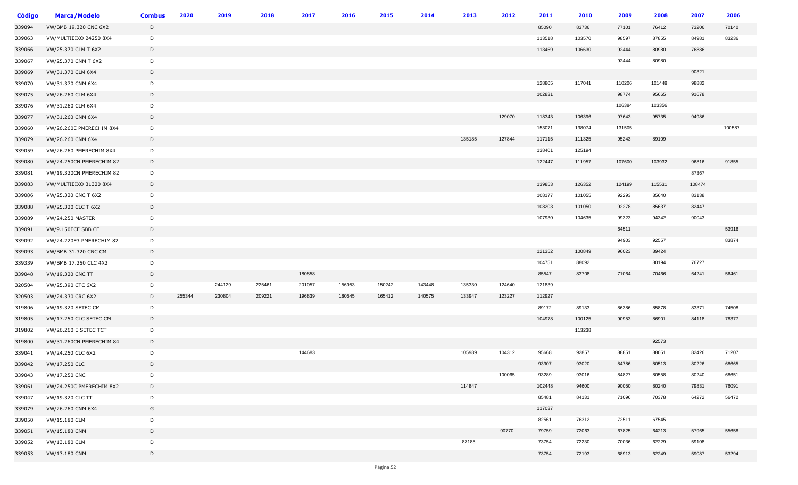| <b>Código</b> | <b>Marca/Modelo</b>          | <b>Combus</b> | 2020   | 2019   | 2018   | 2017   | 2016   | 2015   | 2014   | 2013   | 2012   | 2011   | 2010   | 2009   | 2008   | 2007   | 2006   |
|---------------|------------------------------|---------------|--------|--------|--------|--------|--------|--------|--------|--------|--------|--------|--------|--------|--------|--------|--------|
| 339094        | VW/BMB 19.320 CNC 6X2        | D             |        |        |        |        |        |        |        |        |        | 85090  | 83736  | 77101  | 76412  | 73206  | 70140  |
| 339063        | VW/MULTIEIXO 24250 8X4       | D             |        |        |        |        |        |        |        |        |        | 113518 | 103570 | 98597  | 87855  | 84981  | 83236  |
| 339066        | VW/25.370 CLM T 6X2          | D             |        |        |        |        |        |        |        |        |        | 113459 | 106630 | 92444  | 80980  | 76886  |        |
| 339067        | VW/25.370 CNM T 6X2          | D             |        |        |        |        |        |        |        |        |        |        |        | 92444  | 80980  |        |        |
| 339069        | VW/31.370 CLM 6X4            | D             |        |        |        |        |        |        |        |        |        |        |        |        |        | 90321  |        |
| 339070        | VW/31.370 CNM 6X4            | D             |        |        |        |        |        |        |        |        |        | 128805 | 117041 | 110206 | 101448 | 98882  |        |
| 339075        | VW/26.260 CLM 6X4            | D             |        |        |        |        |        |        |        |        |        | 102831 |        | 98774  | 95665  | 91678  |        |
| 339076        | VW/31.260 CLM 6X4            | D             |        |        |        |        |        |        |        |        |        |        |        | 106384 | 103356 |        |        |
| 339077        | VW/31.260 CNM 6X4            | D             |        |        |        |        |        |        |        |        | 129070 | 118343 | 106396 | 97643  | 95735  | 94986  |        |
| 339060        | VW/26.260E PMERECHIM 8X4     | D             |        |        |        |        |        |        |        |        |        | 153071 | 138074 | 131505 |        |        | 100587 |
| 339079        | VW/26.260 CNM 6X4            | D             |        |        |        |        |        |        |        | 135185 | 127844 | 117115 | 111325 | 95243  | 89109  |        |        |
| 339059        | VW/26.260 PMERECHIM 8X4      | D             |        |        |        |        |        |        |        |        |        | 138401 | 125194 |        |        |        |        |
| 339080        | VW/24.250CN PMERECHIM 82     | D             |        |        |        |        |        |        |        |        |        | 122447 | 111957 | 107600 | 103932 | 96816  | 91855  |
| 339081        | VW/19.320CN PMERECHIM 82     | D             |        |        |        |        |        |        |        |        |        |        |        |        |        | 87367  |        |
| 339083        | VW/MULTIEIXO 31320 8X4       | D             |        |        |        |        |        |        |        |        |        | 139853 | 126352 | 124199 | 115531 | 108474 |        |
| 339086        | VW/25.320 CNC T 6X2          | D             |        |        |        |        |        |        |        |        |        | 108177 | 101055 | 92293  | 85640  | 83138  |        |
| 339088        | VW/25.320 CLC T 6X2          | D             |        |        |        |        |        |        |        |        |        | 108203 | 101050 | 92278  | 85637  | 82447  |        |
| 339089        | <b>VW/24.250 MASTER</b>      | D             |        |        |        |        |        |        |        |        |        | 107930 | 104635 | 99323  | 94342  | 90043  |        |
| 339091        | VW/9.150ECE SBB CF           | D             |        |        |        |        |        |        |        |        |        |        |        | 64511  |        |        | 53916  |
| 339092        | VW/24.220E3 PMERECHIM 82     | D             |        |        |        |        |        |        |        |        |        |        |        | 94903  | 92557  |        | 83874  |
| 339093        | VW/BMB 31.320 CNC CM         | D             |        |        |        |        |        |        |        |        |        | 121352 | 100849 | 96023  | 89424  |        |        |
| 339339        | VW/BMB 17.250 CLC 4X2        | D             |        |        |        |        |        |        |        |        |        | 104751 | 88092  |        | 80194  | 76727  |        |
| 339048        | VW/19.320 CNC TT             | D             |        |        |        | 180858 |        |        |        |        |        | 85547  | 83708  | 71064  | 70466  | 64241  | 56461  |
| 320504        | VW/25.390 CTC 6X2            | D             |        | 244129 | 225461 | 201057 | 156953 | 150242 | 143448 | 135330 | 124640 | 121839 |        |        |        |        |        |
| 320503        | VW/24.330 CRC 6X2            | D             | 255344 | 230804 | 209221 | 196839 | 180545 | 165412 | 140575 | 133947 | 123227 | 112927 |        |        |        |        |        |
| 319806        | VW/19.320 SETEC CM           | D             |        |        |        |        |        |        |        |        |        | 89172  | 89133  | 86386  | 85878  | 83371  | 74508  |
| 319805        | VW/17.250 CLC SETEC CM       | D             |        |        |        |        |        |        |        |        |        | 104978 | 100125 | 90953  | 86901  | 84118  | 78377  |
| 319802        | <b>VW/26.260 E SETEC TCT</b> | D             |        |        |        |        |        |        |        |        |        |        | 113238 |        |        |        |        |
| 319800        | VW/31.260CN PMERECHIM 84     | D             |        |        |        |        |        |        |        |        |        |        |        |        | 92573  |        |        |
| 339041        | VW/24.250 CLC 6X2            | D             |        |        |        | 144683 |        |        |        | 105989 | 104312 | 95668  | 92857  | 88851  | 88051  | 82426  | 71207  |
| 339042        | VW/17.250 CLC                | D             |        |        |        |        |        |        |        |        |        | 93307  | 93020  | 84786  | 80513  | 80226  | 68665  |
| 339043        | VW/17.250 CNC                | D             |        |        |        |        |        |        |        |        | 100065 | 93289  | 93016  | 84827  | 80558  | 80240  | 68651  |
| 339061        | VW/24.250C PMERECHIM 8X2     | D             |        |        |        |        |        |        |        | 114847 |        | 102448 | 94600  | 90050  | 80240  | 79831  | 76091  |
| 339047        | VW/19.320 CLC TT             | D             |        |        |        |        |        |        |        |        |        | 85481  | 84131  | 71096  | 70378  | 64272  | 56472  |
| 339079        | VW/26.260 CNM 6X4            | G             |        |        |        |        |        |        |        |        |        | 117037 |        |        |        |        |        |
| 339050        | VW/15.180 CLM                | D             |        |        |        |        |        |        |        |        |        | 82561  | 76312  | 72511  | 67545  |        |        |
| 339051        | VW/15.180 CNM                | D             |        |        |        |        |        |        |        |        | 90770  | 79759  | 72063  | 67825  | 64213  | 57965  | 55658  |
| 339052        | VW/13.180 CLM                | D             |        |        |        |        |        |        |        | 87185  |        | 73754  | 72230  | 70036  | 62229  | 59108  |        |
| 339053        | VW/13.180 CNM                | D             |        |        |        |        |        |        |        |        |        | 73754  | 72193  | 68913  | 62249  | 59087  | 53294  |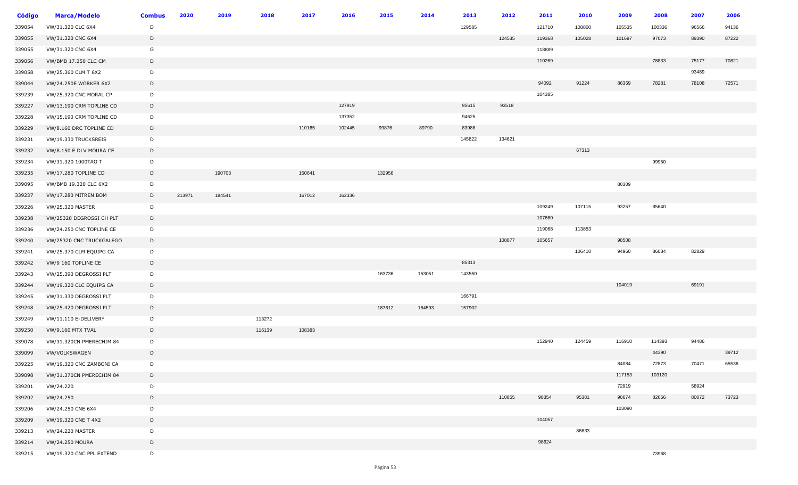| Código | <b>Marca/Modelo</b>      | <b>Combus</b> | 2020   | 2019   | 2018   | 2017   | 2016   | 2015   | 2014   | 2013   | 2012   | 2011   | 2010   | 2009   | 2008   | 2007  | 2006  |
|--------|--------------------------|---------------|--------|--------|--------|--------|--------|--------|--------|--------|--------|--------|--------|--------|--------|-------|-------|
| 339054 | VW/31.320 CLC 6X4        | D             |        |        |        |        |        |        |        | 129585 |        | 121710 | 108800 | 105535 | 100336 | 96566 | 94136 |
| 339055 | VW/31.320 CNC 6X4        | D             |        |        |        |        |        |        |        |        | 124535 | 119368 | 105028 | 101697 | 97073  | 89390 | 87222 |
| 339055 | VW/31.320 CNC 6X4        | G             |        |        |        |        |        |        |        |        |        | 118889 |        |        |        |       |       |
| 339056 | VW/BMB 17.250 CLC CM     | D             |        |        |        |        |        |        |        |        |        | 110269 |        |        | 78833  | 75177 | 70821 |
| 339058 | VW/25.360 CLM T 6X2      | D             |        |        |        |        |        |        |        |        |        |        |        |        |        | 93489 |       |
| 339044 | VW/24.250E WORKER 6X2    | D             |        |        |        |        |        |        |        |        |        | 94092  | 91224  | 86369  | 78281  | 78108 | 72571 |
| 339239 | VW/25.320 CNC MORAL CP   | D             |        |        |        |        |        |        |        |        |        | 104385 |        |        |        |       |       |
| 339227 | VW/13.190 CRM TOPLINE CD | D             |        |        |        |        | 127919 |        |        | 95615  | 93518  |        |        |        |        |       |       |
| 339228 | VW/15.190 CRM TOPLINE CD | D             |        |        |        |        | 137352 |        |        | 94625  |        |        |        |        |        |       |       |
| 339229 | VW/8.160 DRC TOPLINE CD  | D             |        |        |        | 110165 | 102445 | 99876  | 89790  | 83988  |        |        |        |        |        |       |       |
| 339231 | VW/19.330 TRUCKSREIS     | D             |        |        |        |        |        |        |        | 145822 | 134621 |        |        |        |        |       |       |
| 339232 | VW/8.150 E DLV MOURA CE  | D             |        |        |        |        |        |        |        |        |        |        | 67313  |        |        |       |       |
| 339234 | VW/31.320 1000TAO T      | D             |        |        |        |        |        |        |        |        |        |        |        |        | 99950  |       |       |
| 339235 | VW/17.280 TOPLINE CD     | D             |        | 190703 |        | 150641 |        | 132956 |        |        |        |        |        |        |        |       |       |
| 339095 | VW/BMB 19.320 CLC 6X2    | D             |        |        |        |        |        |        |        |        |        |        |        | 80309  |        |       |       |
| 339237 | VW/17.280 MITREN BOM     | D             | 213971 | 184541 |        | 167012 | 162336 |        |        |        |        |        |        |        |        |       |       |
| 339226 | VW/25.320 MASTER         | D             |        |        |        |        |        |        |        |        |        | 109249 | 107115 | 93257  | 85640  |       |       |
| 339238 | VW/25320 DEGROSSI CH PLT | D             |        |        |        |        |        |        |        |        |        | 107660 |        |        |        |       |       |
| 339236 | VW/24.250 CNC TOPLINE CE | D             |        |        |        |        |        |        |        |        |        | 119068 | 113853 |        |        |       |       |
| 339240 | VW/25320 CNC TRUCKGALEGO | D             |        |        |        |        |        |        |        |        | 108877 | 105657 |        | 98508  |        |       |       |
| 339241 | VW/25.370 CLM EQUIPG CA  | D             |        |        |        |        |        |        |        |        |        |        | 106410 | 94960  | 86034  | 82829 |       |
| 339242 | VW/9 160 TOPLINE CE      | D             |        |        |        |        |        |        |        | 85313  |        |        |        |        |        |       |       |
| 339243 | VW/25.390 DEGROSSI PLT   | D             |        |        |        |        |        | 163736 | 153051 | 143550 |        |        |        |        |        |       |       |
| 339244 | VW/19.320 CLC EQUIPG CA  | D             |        |        |        |        |        |        |        |        |        |        |        | 104019 |        | 69191 |       |
| 339245 | VW/31.330 DEGROSSI PLT   | D             |        |        |        |        |        |        |        | 166791 |        |        |        |        |        |       |       |
| 339248 | VW/25.420 DEGROSSI PLT   | D             |        |        |        |        |        | 187612 | 164593 | 157902 |        |        |        |        |        |       |       |
| 339249 | VW/11.110 E-DELIVERY     | D             |        |        | 113272 |        |        |        |        |        |        |        |        |        |        |       |       |
| 339250 | VW/9.160 MTX TVAL        | D             |        |        | 116139 | 108383 |        |        |        |        |        |        |        |        |        |       |       |
| 339078 | VW/31.320CN PMERECHIM 84 | D             |        |        |        |        |        |        |        |        |        | 152940 | 124459 | 116910 | 114393 | 94486 |       |
| 339099 | VW/VOLKSWAGEN            | D             |        |        |        |        |        |        |        |        |        |        |        |        | 44390  |       | 39712 |
| 339225 | VW/19.320 CNC ZAMBONI CA | D             |        |        |        |        |        |        |        |        |        |        |        | 84084  | 72873  | 70471 | 65536 |
| 339098 | VW/31.370CN PMERECHIM 84 | D             |        |        |        |        |        |        |        |        |        |        |        | 117153 | 103120 |       |       |
| 339201 | VW/24.220                | D             |        |        |        |        |        |        |        |        |        |        |        | 72919  |        | 58924 |       |
| 339202 | VW/24.250                | D             |        |        |        |        |        |        |        |        | 110855 | 98354  | 95381  | 90674  | 82666  | 80072 | 73723 |
| 339206 | VW/24.250 CNE 6X4        | D             |        |        |        |        |        |        |        |        |        |        |        | 103090 |        |       |       |
| 339209 | VW/19.320 CNE T 4X2      | D             |        |        |        |        |        |        |        |        |        | 104057 |        |        |        |       |       |
| 339213 | VW/24.220 MASTER         | D             |        |        |        |        |        |        |        |        |        |        | 86633  |        |        |       |       |
| 339214 | VW/24.250 MOURA          | D             |        |        |        |        |        |        |        |        |        | 98624  |        |        |        |       |       |
| 339215 | VW/19.320 CNC PPL EXTEND | D             |        |        |        |        |        |        |        |        |        |        |        |        | 73968  |       |       |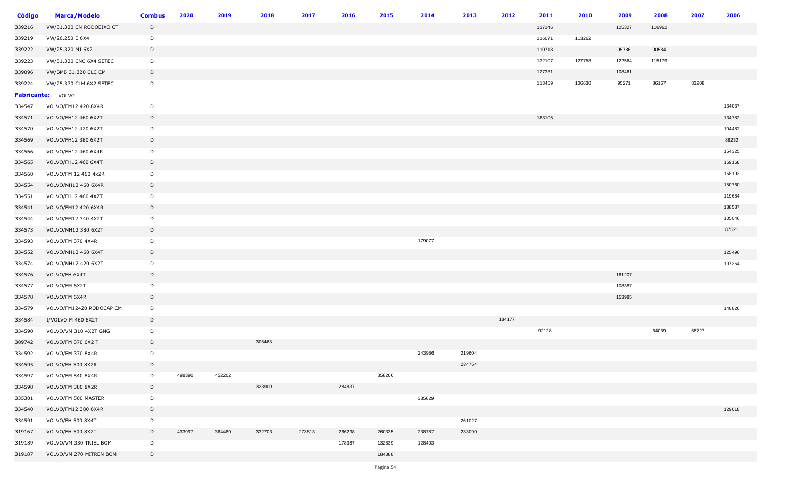| <b>Código</b> | <b>Marca/Modelo</b>      | <b>Combus</b> | 2020   | 2019   | 2018   | 2017   | 2016   | 2015   | 2014   | 2013   | 2012   | 2011   | 2010   | 2009   | 2008   | 2007  | 2006   |
|---------------|--------------------------|---------------|--------|--------|--------|--------|--------|--------|--------|--------|--------|--------|--------|--------|--------|-------|--------|
| 339216        | VW/31.320 CN RODOEIXO CT | D             |        |        |        |        |        |        |        |        |        | 137146 |        | 125327 | 116962 |       |        |
| 339219        | VW/26.250 E 6X4          | D             |        |        |        |        |        |        |        |        |        | 116071 | 113262 |        |        |       |        |
| 339222        | VW/25.320 MJ 6X2         | D             |        |        |        |        |        |        |        |        |        | 110718 |        | 95786  | 90584  |       |        |
| 339223        | VW/31.320 CNC 6X4 SETEC  | D             |        |        |        |        |        |        |        |        |        | 132107 | 127758 | 122564 | 115179 |       |        |
| 339096        | VW/BMB 31.320 CLC CM     | D             |        |        |        |        |        |        |        |        |        | 127331 |        | 108461 |        |       |        |
| 339224        | VW/25.370 CLM 6X2 SETEC  | D             |        |        |        |        |        |        |        |        |        | 113459 | 106630 | 95271  | 86167  | 83208 |        |
|               | <b>Fabricante:</b> VOLVO |               |        |        |        |        |        |        |        |        |        |        |        |        |        |       |        |
| 334547        | VOLVO/FM12 420 8X4R      | D             |        |        |        |        |        |        |        |        |        |        |        |        |        |       | 134037 |
| 334571        | VOLVO/FH12 460 6X2T      | D             |        |        |        |        |        |        |        |        |        | 183105 |        |        |        |       | 134782 |
| 334570        | VOLVO/FH12 420 6X2T      | D             |        |        |        |        |        |        |        |        |        |        |        |        |        |       | 104482 |
| 334569        | VOLVO/FH12 380 6X2T      | D             |        |        |        |        |        |        |        |        |        |        |        |        |        |       | 88232  |
| 334566        | VOLVO/FH12 460 6X4R      | D             |        |        |        |        |        |        |        |        |        |        |        |        |        |       | 154325 |
| 334565        | VOLVO/FH12 460 6X4T      | D             |        |        |        |        |        |        |        |        |        |        |        |        |        |       | 169168 |
| 334560        | VOLVO/FM 12 460 4x2R     | D             |        |        |        |        |        |        |        |        |        |        |        |        |        |       | 158193 |
| 334554        | VOLVO/NH12 460 6X4R      | D             |        |        |        |        |        |        |        |        |        |        |        |        |        |       | 150760 |
| 334551        | VOLVO/FH12 460 4X2T      | D             |        |        |        |        |        |        |        |        |        |        |        |        |        |       | 119684 |
| 334541        | VOLVO/FM12 420 6X4R      | D             |        |        |        |        |        |        |        |        |        |        |        |        |        |       | 138587 |
| 334544        | VOLVO/FM12 340 4X2T      | D             |        |        |        |        |        |        |        |        |        |        |        |        |        |       | 105046 |
| 334573        | VOLVO/NH12 380 6X2T      | D             |        |        |        |        |        |        |        |        |        |        |        |        |        |       | 87521  |
| 334593        | VOLVO/FM 370 4X4R        | D             |        |        |        |        |        |        | 179077 |        |        |        |        |        |        |       |        |
| 334552        | VOLVO/NH12 460 6X4T      | D             |        |        |        |        |        |        |        |        |        |        |        |        |        |       | 125496 |
| 334574        | VOLVO/NH12 420 6X2T      | D             |        |        |        |        |        |        |        |        |        |        |        |        |        |       | 107364 |
| 334576        | VOLVO/FH 6X4T            | D             |        |        |        |        |        |        |        |        |        |        |        | 161207 |        |       |        |
| 334577        | VOLVO/FM 6X2T            | D             |        |        |        |        |        |        |        |        |        |        |        | 108387 |        |       |        |
| 334578        | VOLVO/FM 6X4R            | D             |        |        |        |        |        |        |        |        |        |        |        | 153985 |        |       |        |
| 334579        | VOLVO/FM12420 RODOCAP CM | D             |        |        |        |        |        |        |        |        |        |        |        |        |        |       | 148826 |
| 334584        | I/VOLVO M 460 6X2T       | D             |        |        |        |        |        |        |        |        | 184177 |        |        |        |        |       |        |
| 334590        | VOLVO/VM 310 4X2T GNG    | D             |        |        |        |        |        |        |        |        |        | 92128  |        |        | 64039  | 58727 |        |
| 309742        | VOLVO/FM 370 6X2 T       | D             |        |        | 305463 |        |        |        |        |        |        |        |        |        |        |       |        |
| 334592        | VOLVO/FM 370 8X4R        | D             |        |        |        |        |        |        | 243986 | 219604 |        |        |        |        |        |       |        |
| 334595        | VOLVO/FH 500 8X2R        | D             |        |        |        |        |        |        |        | 234754 |        |        |        |        |        |       |        |
| 334597        | VOLVO/FM 540 8X4R        | D             | 498390 | 452202 |        |        |        | 358206 |        |        |        |        |        |        |        |       |        |
| 334598        | VOLVO/FM 380 8X2R        | D             |        |        | 323900 |        | 284837 |        |        |        |        |        |        |        |        |       |        |
| 335301        | VOLVO/FM 500 MASTER      | D             |        |        |        |        |        |        | 335629 |        |        |        |        |        |        |       |        |
| 334540        | VOLVO/FM12 380 6X4R      | D             |        |        |        |        |        |        |        |        |        |        |        |        |        |       | 129018 |
| 334591        | VOLVO/FH 500 8X4T        | D             |        |        |        |        |        |        |        | 261027 |        |        |        |        |        |       |        |
| 319167        | VOLVO/FH 500 8X2T        | D             | 433997 | 364480 | 332703 | 273813 | 266238 | 260335 | 238787 | 233090 |        |        |        |        |        |       |        |
| 319189        | VOLVO/VM 330 TRIEL BOM   | D             |        |        |        |        | 178387 | 132839 | 128403 |        |        |        |        |        |        |       |        |
| 319187        | VOLVO/VM 270 MITREN BOM  | D             |        |        |        |        |        | 184388 |        |        |        |        |        |        |        |       |        |
|               |                          |               |        |        |        |        |        |        |        |        |        |        |        |        |        |       |        |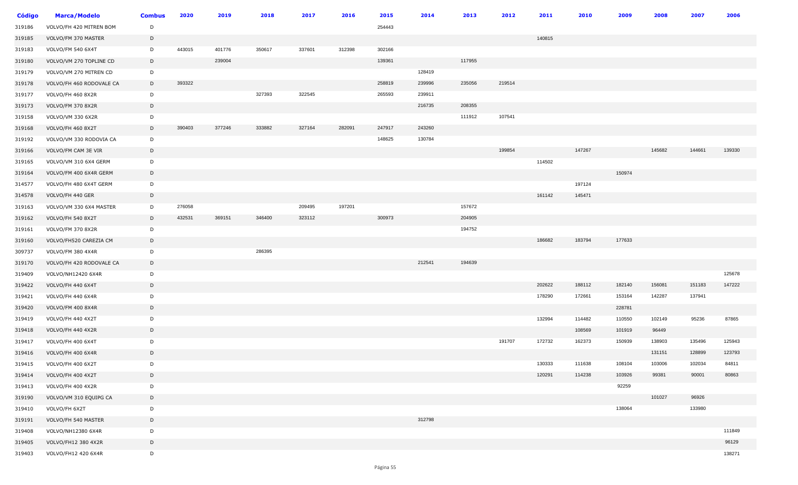| <b>Código</b> | <b>Marca/Modelo</b>      | <b>Combus</b> | 2020   | 2019   | 2018   | 2017   | 2016   | 2015   | 2014   | 2013   | 2012   | 2011   | 2010   | 2009   | 2008   | 2007   | 2006   |
|---------------|--------------------------|---------------|--------|--------|--------|--------|--------|--------|--------|--------|--------|--------|--------|--------|--------|--------|--------|
| 319186        | VOLVO/FH 420 MITREN BOM  | D             |        |        |        |        |        | 254443 |        |        |        |        |        |        |        |        |        |
| 319185        | VOLVO/FM 370 MASTER      | D             |        |        |        |        |        |        |        |        |        | 140815 |        |        |        |        |        |
| 319183        | VOLVO/FM 540 6X4T        | D             | 443015 | 401776 | 350617 | 337601 | 312398 | 302166 |        |        |        |        |        |        |        |        |        |
| 319180        | VOLVO/VM 270 TOPLINE CD  | D             |        | 239004 |        |        |        | 139361 |        | 117955 |        |        |        |        |        |        |        |
| 319179        | VOLVO/VM 270 MITREN CD   | D             |        |        |        |        |        |        | 128419 |        |        |        |        |        |        |        |        |
| 319178        | VOLVO/FH 460 RODOVALE CA | D             | 393322 |        |        |        |        | 258819 | 239996 | 235056 | 219514 |        |        |        |        |        |        |
| 319177        | VOLVO/FH 460 8X2R        | D             |        |        | 327393 | 322545 |        | 265593 | 239911 |        |        |        |        |        |        |        |        |
| 319173        | VOLVO/FM 370 8X2R        | D             |        |        |        |        |        |        | 216735 | 208355 |        |        |        |        |        |        |        |
| 319158        | VOLVO/VM 330 6X2R        | D             |        |        |        |        |        |        |        | 111912 | 107541 |        |        |        |        |        |        |
| 319168        | VOLVO/FH 460 8X2T        | D             | 390403 | 377246 | 333882 | 327164 | 282091 | 247917 | 243260 |        |        |        |        |        |        |        |        |
| 319192        | VOLVO/VM 330 RODOVIA CA  | D             |        |        |        |        |        | 148625 | 130784 |        |        |        |        |        |        |        |        |
| 319166        | VOLVO/FM CAM 3E VIR      | D             |        |        |        |        |        |        |        |        | 199854 |        | 147267 |        | 145682 | 144661 | 139330 |
| 319165        | VOLVO/VM 310 6X4 GERM    | D             |        |        |        |        |        |        |        |        |        | 114502 |        |        |        |        |        |
| 319164        | VOLVO/FM 400 6X4R GERM   | D             |        |        |        |        |        |        |        |        |        |        |        | 150974 |        |        |        |
| 314577        | VOLVO/FH 480 6X4T GERM   | D             |        |        |        |        |        |        |        |        |        |        | 197124 |        |        |        |        |
| 314578        | VOLVO/FH 440 GER         | D             |        |        |        |        |        |        |        |        |        | 161142 | 145471 |        |        |        |        |
| 319163        | VOLVO/VM 330 6X4 MASTER  | D             | 276058 |        |        | 209495 | 197201 |        |        | 157672 |        |        |        |        |        |        |        |
| 319162        | VOLVO/FH 540 8X2T        | D             | 432531 | 369151 | 346400 | 323112 |        | 300973 |        | 204905 |        |        |        |        |        |        |        |
| 319161        | VOLVO/FM 370 8X2R        | D             |        |        |        |        |        |        |        | 194752 |        |        |        |        |        |        |        |
| 319160        | VOLVO/FH520 CAREZIA CM   | D             |        |        |        |        |        |        |        |        |        | 186682 | 183794 | 177633 |        |        |        |
| 309737        | VOLVO/FM 380 4X4R        | D             |        |        | 286395 |        |        |        |        |        |        |        |        |        |        |        |        |
| 319170        | VOLVO/FH 420 RODOVALE CA | D             |        |        |        |        |        |        | 212541 | 194639 |        |        |        |        |        |        |        |
| 319409        | VOLVO/NH12420 6X4R       | D             |        |        |        |        |        |        |        |        |        |        |        |        |        |        | 125678 |
| 319422        | VOLVO/FH 440 6X4T        | $\mathsf{D}$  |        |        |        |        |        |        |        |        |        | 202622 | 188112 | 182140 | 156081 | 151183 | 147222 |
| 319421        | VOLVO/FH 440 6X4R        | D             |        |        |        |        |        |        |        |        |        | 178290 | 172661 | 153164 | 142287 | 137941 |        |
| 319420        | VOLVO/FM 400 8X4R        | D             |        |        |        |        |        |        |        |        |        |        |        | 228781 |        |        |        |
| 319419        | VOLVO/FH 440 4X2T        | D             |        |        |        |        |        |        |        |        |        | 132994 | 114482 | 110550 | 102149 | 95236  | 87865  |
| 319418        | VOLVO/FH 440 4X2R        | D             |        |        |        |        |        |        |        |        |        |        | 108569 | 101919 | 96449  |        |        |
| 319417        | VOLVO/FH 400 6X4T        | D             |        |        |        |        |        |        |        |        | 191707 | 172732 | 162373 | 150939 | 138903 | 135496 | 125943 |
| 319416        | VOLVO/FH 400 6X4R        | D             |        |        |        |        |        |        |        |        |        |        |        |        | 131151 | 128899 | 123793 |
| 319415        | VOLVO/FH 400 6X2T        | D             |        |        |        |        |        |        |        |        |        | 130333 | 111638 | 108104 | 103006 | 102034 | 84811  |
| 319414        | VOLVO/FH 400 4X2T        | D             |        |        |        |        |        |        |        |        |        | 120291 | 114238 | 103926 | 99381  | 90001  | 80863  |
| 319413        | VOLVO/FH 400 4X2R        | D             |        |        |        |        |        |        |        |        |        |        |        | 92259  |        |        |        |
| 319190        | VOLVO/VM 310 EQUIPG CA   | D             |        |        |        |        |        |        |        |        |        |        |        |        | 101027 | 96926  |        |
| 319410        | VOLVO/FH 6X2T            | D             |        |        |        |        |        |        |        |        |        |        |        | 138064 |        | 133980 |        |
| 319191        | VOLVO/FH 540 MASTER      | D             |        |        |        |        |        |        | 312798 |        |        |        |        |        |        |        |        |
| 319408        | VOLVO/NH12380 6X4R       | D             |        |        |        |        |        |        |        |        |        |        |        |        |        |        | 111849 |
| 319405        | VOLVO/FH12 380 4X2R      | D             |        |        |        |        |        |        |        |        |        |        |        |        |        |        | 96129  |
| 319403        | VOLVO/FH12 420 6X4R      | D             |        |        |        |        |        |        |        |        |        |        |        |        |        |        | 138271 |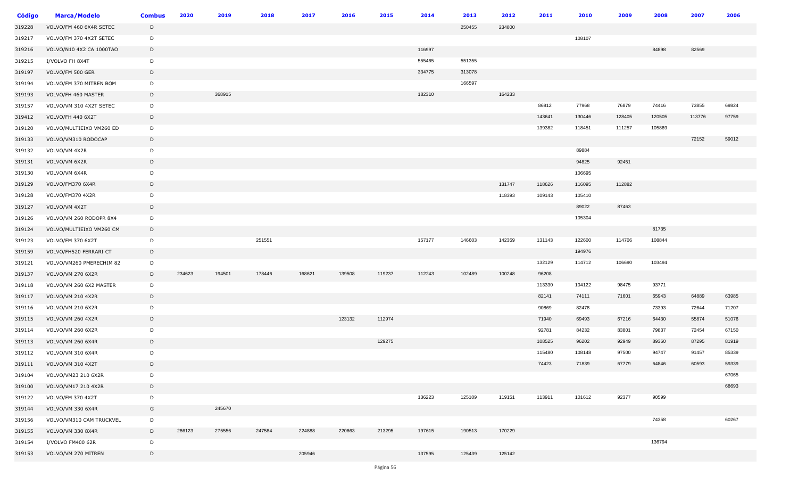| <b>Código</b> | Marca/Modelo             | <b>Combus</b> | 2020   | 2019   | 2018   | 2017   | 2016   | 2015   | 2014   | 2013   | 2012   | 2011   | 2010   | 2009   |        | 200    | 2006  |
|---------------|--------------------------|---------------|--------|--------|--------|--------|--------|--------|--------|--------|--------|--------|--------|--------|--------|--------|-------|
| 319228        | VOLVO/FM 460 6X4R SETEC  | D             |        |        |        |        |        |        |        | 250455 | 234800 |        |        |        |        |        |       |
| 319217        | VOLVO/FM 370 4X2T SETEC  | D             |        |        |        |        |        |        |        |        |        |        | 108107 |        |        |        |       |
| 319216        | VOLVO/N10 4X2 CA 1000TAO | D             |        |        |        |        |        |        | 116997 |        |        |        |        |        | 84898  | 82569  |       |
| 319215        | I/VOLVO FH 8X4T          | D             |        |        |        |        |        |        | 555465 | 551355 |        |        |        |        |        |        |       |
| 319197        | VOLVO/FM 500 GER         | D             |        |        |        |        |        |        | 334775 | 313078 |        |        |        |        |        |        |       |
| 319194        | VOLVO/FM 370 MITREN BOM  | D             |        |        |        |        |        |        |        | 166597 |        |        |        |        |        |        |       |
| 319193        | VOLVO/FH 460 MASTER      | $\mathsf D$   |        | 368915 |        |        |        |        | 182310 |        | 164233 |        |        |        |        |        |       |
| 319157        | VOLVO/VM 310 4X2T SETEC  | D             |        |        |        |        |        |        |        |        |        | 86812  | 77968  | 76879  | 74416  | 73855  | 69824 |
| 319412        | VOLVO/FH 440 6X2T        | D             |        |        |        |        |        |        |        |        |        | 143641 | 130446 | 128405 | 120505 | 113776 | 97759 |
| 319120        | VOLVO/MULTIEIXO VM260 ED | D             |        |        |        |        |        |        |        |        |        | 139382 | 118451 | 111257 | 105869 |        |       |
| 319133        | VOLVO/VM310 RODOCAP      | $\mathsf{D}$  |        |        |        |        |        |        |        |        |        |        |        |        |        | 72152  | 59012 |
| 319132        | VOLVO/VM 4X2R            | D             |        |        |        |        |        |        |        |        |        |        | 89884  |        |        |        |       |
| 319131        | VOLVO/VM 6X2R            | D             |        |        |        |        |        |        |        |        |        |        | 94825  | 92451  |        |        |       |
| 319130        | VOLVO/VM 6X4R            | D             |        |        |        |        |        |        |        |        |        |        | 106695 |        |        |        |       |
| 319129        | VOLVO/FM370 6X4R         | D             |        |        |        |        |        |        |        |        | 131747 | 118626 | 116095 | 112882 |        |        |       |
| 319128        | VOLVO/FM370 4X2R         | D             |        |        |        |        |        |        |        |        | 118393 | 109143 | 105410 |        |        |        |       |
| 319127        | VOLVO/VM 4X2T            | D             |        |        |        |        |        |        |        |        |        |        | 89022  | 87463  |        |        |       |
| 319126        | VOLVO/VM 260 RODOPR 8X4  | D             |        |        |        |        |        |        |        |        |        |        | 105304 |        |        |        |       |
| 319124        | VOLVO/MULTIEIXO VM260 CM | D             |        |        |        |        |        |        |        |        |        |        |        |        | 81735  |        |       |
| 319123        | VOLVO/FM 370 6X2T        | D             |        |        | 251551 |        |        |        | 157177 | 146603 | 142359 | 131143 | 122600 | 114706 | 108844 |        |       |
| 319159        | VOLVO/FH520 FERRARI CT   | D             |        |        |        |        |        |        |        |        |        |        | 194976 |        |        |        |       |
| 319121        | VOLVO/VM260 PMERECHIM 82 | D             |        |        |        |        |        |        |        |        |        | 132129 | 114712 | 106690 | 103494 |        |       |
| 319137        | VOLVO/VM 270 6X2R        | D             | 234623 | 194501 | 178446 | 168621 | 139508 | 119237 | 112243 | 102489 | 100248 | 96208  |        |        |        |        |       |
| 319118        | VOLVO/VM 260 6X2 MASTER  | D             |        |        |        |        |        |        |        |        |        | 113330 | 104122 | 98475  | 93771  |        |       |
| 319117        | VOLVO/VM 210 4X2R        | D             |        |        |        |        |        |        |        |        |        | 82141  | 74111  | 71601  | 65943  | 64889  | 63985 |
| 319116        | VOLVO/VM 210 6X2R        | D             |        |        |        |        |        |        |        |        |        | 90869  | 82478  |        | 73393  | 72644  | 71207 |
| 319115        | <b>VOLVO/VM 260 4X2R</b> | $\mathsf D$   |        |        |        |        | 123132 | 112974 |        |        |        | 71940  | 69493  | 67216  | 64430  | 55874  | 51076 |
| 319114        | VOLVO/VM 260 6X2R        | D             |        |        |        |        |        |        |        |        |        | 92781  | 84232  | 83801  | 79837  | 72454  | 67150 |
| 319113        | <b>VOLVO/VM 260 6X4R</b> | $\mathsf D$   |        |        |        |        |        | 129275 |        |        |        | 108525 | 96202  | 92949  | 89360  | 87295  | 81919 |
| 319112        | VOLVO/VM 310 6X4R        | D             |        |        |        |        |        |        |        |        |        | 115480 | 108148 | 97500  | 94747  | 91457  | 85339 |
| 319111        | VOLVO/VM 310 4X2T        | D             |        |        |        |        |        |        |        |        |        | 74423  | 71839  | 67779  | 64846  | 60593  | 59339 |
| 319104        | VOLVO/VM23 210 6X2R      | D             |        |        |        |        |        |        |        |        |        |        |        |        |        |        | 67065 |
| 319100        | VOLVO/VM17 210 4X2R      | D             |        |        |        |        |        |        |        |        |        |        |        |        |        |        | 68693 |
| 319122        | VOLVO/FM 370 4X2T        | D             |        |        |        |        |        |        | 136223 | 125109 | 119151 | 113911 | 101612 | 92377  | 90599  |        |       |
| 319144        | VOLVO/VM 330 6X4R        | G             |        | 245670 |        |        |        |        |        |        |        |        |        |        |        |        |       |
| 319156        | VOLVO/VM310 CAM TRUCKVEL | D             |        |        |        |        |        |        |        |        |        |        |        |        | 74358  |        | 60267 |
| 319155        | VOLVO/VM 330 8X4R        | D             | 286123 | 275556 | 247584 | 224888 | 220663 | 213295 | 197615 | 190513 | 170229 |        |        |        |        |        |       |
| 319154        | I/VOLVO FM400 62R        | D             |        |        |        |        |        |        |        |        |        |        |        |        | 136794 |        |       |
| 319153        | VOLVO/VM 270 MITREN      | D             |        |        |        | 205946 |        |        | 137595 | 125439 | 125142 |        |        |        |        |        |       |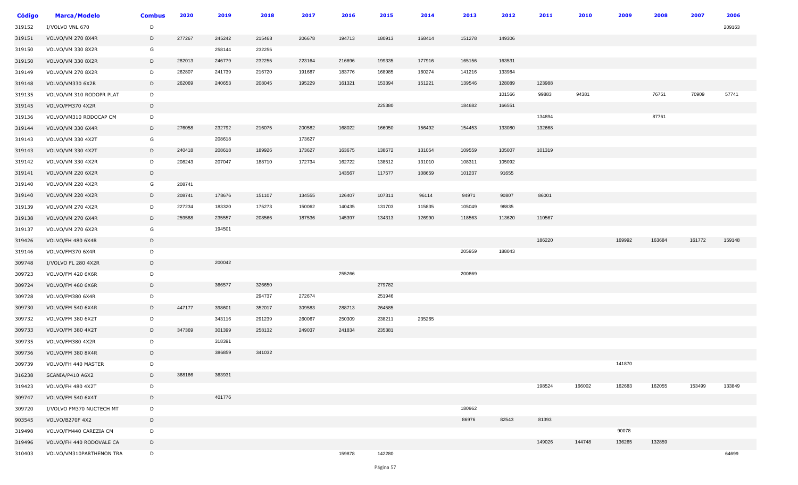| Código | <b>Marca/Modelo</b>      | <b>Combus</b> | 2020   | 2019   | 2018   | 2017   | 2016   | 2015   | 2014   | 2013   | 2012   | 2011   | 2010   | 2009   | 2008   | 2007   | 2006   |
|--------|--------------------------|---------------|--------|--------|--------|--------|--------|--------|--------|--------|--------|--------|--------|--------|--------|--------|--------|
| 319152 | I/VOLVO VNL 670          | D             |        |        |        |        |        |        |        |        |        |        |        |        |        |        | 209163 |
| 319151 | <b>VOLVO/VM 270 8X4R</b> | D             | 277267 | 245242 | 215468 | 206678 | 194713 | 180913 | 168414 | 151278 | 149306 |        |        |        |        |        |        |
| 319150 | VOLVO/VM 330 8X2R        | G             |        | 258144 | 232255 |        |        |        |        |        |        |        |        |        |        |        |        |
| 319150 | VOLVO/VM 330 8X2R        | D             | 282013 | 246779 | 232255 | 223164 | 216696 | 199335 | 177916 | 165156 | 163531 |        |        |        |        |        |        |
| 319149 | VOLVO/VM 270 8X2R        | D             | 262807 | 241739 | 216720 | 191687 | 183776 | 168985 | 160274 | 141216 | 133984 |        |        |        |        |        |        |
| 319148 | VOLVO/VM330 6X2R         | D             | 262069 | 240653 | 208045 | 195229 | 161321 | 153394 | 151221 | 139546 | 128089 | 123988 |        |        |        |        |        |
| 319135 | VOLVO/VM 310 RODOPR PLAT | D             |        |        |        |        |        |        |        |        | 101566 | 99883  | 94381  |        | 76751  | 70909  | 57741  |
| 319145 | VOLVO/FM370 4X2R         | D             |        |        |        |        |        | 225380 |        | 184682 | 166551 |        |        |        |        |        |        |
| 319136 | VOLVO/VM310 RODOCAP CM   | D             |        |        |        |        |        |        |        |        |        | 134894 |        |        | 87761  |        |        |
| 319144 | VOLVO/VM 330 6X4R        | D             | 276058 | 232792 | 216075 | 200582 | 168022 | 166050 | 156492 | 154453 | 133080 | 132668 |        |        |        |        |        |
| 319143 | VOLVO/VM 330 4X2T        | G             |        | 208618 |        | 173627 |        |        |        |        |        |        |        |        |        |        |        |
| 319143 | VOLVO/VM 330 4X2T        | D             | 240418 | 208618 | 189926 | 173627 | 163675 | 138672 | 131054 | 109559 | 105007 | 101319 |        |        |        |        |        |
| 319142 | VOLVO/VM 330 4X2R        | D             | 208243 | 207047 | 188710 | 172734 | 162722 | 138512 | 131010 | 108311 | 105092 |        |        |        |        |        |        |
| 319141 | VOLVO/VM 220 6X2R        | D             |        |        |        |        | 143567 | 117577 | 108659 | 101237 | 91655  |        |        |        |        |        |        |
| 319140 | VOLVO/VM 220 4X2R        | G             | 208741 |        |        |        |        |        |        |        |        |        |        |        |        |        |        |
| 319140 | VOLVO/VM 220 4X2R        | D             | 208741 | 178676 | 151107 | 134555 | 126407 | 107311 | 96114  | 94971  | 90807  | 86001  |        |        |        |        |        |
| 319139 | VOLVO/VM 270 4X2R        | D             | 227234 | 183320 | 175273 | 150062 | 140435 | 131703 | 115835 | 105049 | 98835  |        |        |        |        |        |        |
| 319138 | <b>VOLVO/VM 270 6X4R</b> | D             | 259588 | 235557 | 208566 | 187536 | 145397 | 134313 | 126990 | 118563 | 113620 | 110567 |        |        |        |        |        |
| 319137 | VOLVO/VM 270 6X2R        | G             |        | 194501 |        |        |        |        |        |        |        |        |        |        |        |        |        |
| 319426 | VOLVO/FH 480 6X4R        | D             |        |        |        |        |        |        |        |        |        | 186220 |        | 169992 | 163684 | 161772 | 159148 |
| 319146 | VOLVO/FM370 6X4R         | D             |        |        |        |        |        |        |        | 205959 | 188043 |        |        |        |        |        |        |
| 309748 | I/VOLVO FL 280 4X2R      | D             |        | 200042 |        |        |        |        |        |        |        |        |        |        |        |        |        |
| 309723 | VOLVO/FM 420 6X6R        | D             |        |        |        |        | 255266 |        |        | 200869 |        |        |        |        |        |        |        |
| 309724 | VOLVO/FM 460 6X6R        | D             |        | 366577 | 326650 |        |        | 279782 |        |        |        |        |        |        |        |        |        |
| 309728 | VOLVO/FM380 6X4R         | D             |        |        | 294737 | 272674 |        | 251946 |        |        |        |        |        |        |        |        |        |
| 309730 | VOLVO/FM 540 6X4R        | D             | 447177 | 398601 | 352017 | 309583 | 288713 | 264585 |        |        |        |        |        |        |        |        |        |
| 309732 | VOLVO/FM 380 6X2T        | D             |        | 343116 | 291239 | 260067 | 250309 | 238211 | 235265 |        |        |        |        |        |        |        |        |
| 309733 | VOLVO/FM 380 4X2T        | D             | 347369 | 301399 | 258132 | 249037 | 241834 | 235381 |        |        |        |        |        |        |        |        |        |
| 309735 | VOLVO/FM380 4X2R         | D             |        | 318391 |        |        |        |        |        |        |        |        |        |        |        |        |        |
| 309736 | VOLVO/FM 380 8X4R        | D             |        | 386859 | 341032 |        |        |        |        |        |        |        |        |        |        |        |        |
| 309739 | VOLVO/FH 440 MASTER      | D             |        |        |        |        |        |        |        |        |        |        |        | 141870 |        |        |        |
| 316238 | SCANIA/P410 A6X2         | D             | 368166 | 363931 |        |        |        |        |        |        |        |        |        |        |        |        |        |
| 319423 | VOLVO/FH 480 4X2T        | D             |        |        |        |        |        |        |        |        |        | 198524 | 166002 | 162683 | 162055 | 153499 | 133849 |
| 309747 | VOLVO/FM 540 6X4T        | D             |        | 401776 |        |        |        |        |        |        |        |        |        |        |        |        |        |
| 309720 | I/VOLVO FM370 NUCTECH MT | D             |        |        |        |        |        |        |        | 180962 |        |        |        |        |        |        |        |
| 903545 | <b>VOLVO/B270F 4X2</b>   | D             |        |        |        |        |        |        |        | 86976  | 82543  | 81393  |        |        |        |        |        |
| 319498 | VOLVO/FM440 CAREZIA CM   | D             |        |        |        |        |        |        |        |        |        |        |        | 90078  |        |        |        |
| 319496 | VOLVO/FH 440 RODOVALE CA | D             |        |        |        |        |        |        |        |        |        | 149026 | 144748 | 136265 | 132859 |        |        |
| 310403 | VOLVO/VM310PARTHENON TRA | D             |        |        |        |        | 159878 | 142280 |        |        |        |        |        |        |        |        | 64699  |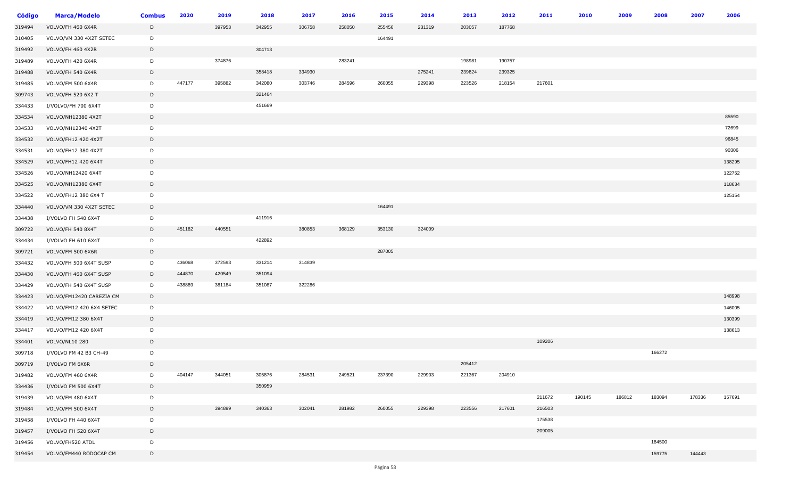| <b>Código</b> | <b>Marca/Modelo</b>       | <b>Combus</b> | 2020   | 2019   | 2018   | 2017   | 2016   | 2015   | 2014   | 2013   | 2012   | 2011   | 2010   | 2009   | 2008   | 2007   | 2006   |
|---------------|---------------------------|---------------|--------|--------|--------|--------|--------|--------|--------|--------|--------|--------|--------|--------|--------|--------|--------|
| 319494        | VOLVO/FH 460 6X4R         | D             |        | 397953 | 342955 | 306758 | 258050 | 255456 | 231319 | 203057 | 187768 |        |        |        |        |        |        |
| 310405        | VOLVO/VM 330 4X2T SETEC   | D             |        |        |        |        |        | 164491 |        |        |        |        |        |        |        |        |        |
| 319492        | VOLVO/FH 460 4X2R         | D             |        |        | 304713 |        |        |        |        |        |        |        |        |        |        |        |        |
| 319489        | VOLVO/FH 420 6X4R         | D             |        | 374876 |        |        | 283241 |        |        | 198981 | 190757 |        |        |        |        |        |        |
| 319488        | VOLVO/FH 540 6X4R         | D             |        |        | 358418 | 334930 |        |        | 275241 | 239824 | 239325 |        |        |        |        |        |        |
| 319485        | VOLVO/FM 500 6X4R         | D             | 447177 | 395882 | 342080 | 303746 | 284596 | 260055 | 229398 | 223526 | 218154 | 217601 |        |        |        |        |        |
| 309743        | <b>VOLVO/FH 520 6X2 T</b> | D             |        |        | 321464 |        |        |        |        |        |        |        |        |        |        |        |        |
| 334433        | I/VOLVO/FH 700 6X4T       | D             |        |        | 451669 |        |        |        |        |        |        |        |        |        |        |        |        |
| 334534        | VOLVO/NH12380 4X2T        | D             |        |        |        |        |        |        |        |        |        |        |        |        |        |        | 85590  |
| 334533        | VOLVO/NH12340 4X2T        | D             |        |        |        |        |        |        |        |        |        |        |        |        |        |        | 72699  |
| 334532        | VOLVO/FH12 420 4X2T       | D             |        |        |        |        |        |        |        |        |        |        |        |        |        |        | 96845  |
| 334531        | VOLVO/FH12 380 4X2T       | D             |        |        |        |        |        |        |        |        |        |        |        |        |        |        | 90306  |
| 334529        | VOLVO/FH12 420 6X4T       | D             |        |        |        |        |        |        |        |        |        |        |        |        |        |        | 138295 |
| 334526        | VOLVO/NH12420 6X4T        | D             |        |        |        |        |        |        |        |        |        |        |        |        |        |        | 122752 |
| 334525        | VOLVO/NH12380 6X4T        | D             |        |        |        |        |        |        |        |        |        |        |        |        |        |        | 118634 |
| 334522        | VOLVO/FH12 380 6X4 T      | D             |        |        |        |        |        |        |        |        |        |        |        |        |        |        | 125154 |
| 334440        | VOLVO/VM 330 4X2T SETEC   | D             |        |        |        |        |        | 164491 |        |        |        |        |        |        |        |        |        |
| 334438        | I/VOLVO FH 540 6X4T       | D             |        |        | 411916 |        |        |        |        |        |        |        |        |        |        |        |        |
| 309722        | VOLVO/FH 540 8X4T         | D             | 451182 | 440551 |        | 380853 | 368129 | 353130 | 324009 |        |        |        |        |        |        |        |        |
| 334434        | I/VOLVO FH 610 6X4T       | D             |        |        | 422892 |        |        |        |        |        |        |        |        |        |        |        |        |
| 309721        | VOLVO/FM 500 6X6R         | D             |        |        |        |        |        | 287005 |        |        |        |        |        |        |        |        |        |
| 334432        | VOLVO/FH 500 6X4T SUSP    | D             | 436068 | 372593 | 331214 | 314839 |        |        |        |        |        |        |        |        |        |        |        |
| 334430        | VOLVO/FH 460 6X4T SUSP    | D             | 444870 | 420549 | 351094 |        |        |        |        |        |        |        |        |        |        |        |        |
| 334429        | VOLVO/FH 540 6X4T SUSP    | D             | 438889 | 381184 | 351087 | 322286 |        |        |        |        |        |        |        |        |        |        |        |
| 334423        | VOLVO/FM12420 CAREZIA CM  | D             |        |        |        |        |        |        |        |        |        |        |        |        |        |        | 148998 |
| 334422        | VOLVO/FM12 420 6X4 SETEC  | D             |        |        |        |        |        |        |        |        |        |        |        |        |        |        | 146005 |
| 334419        | VOLVO/FM12 380 6X4T       | D             |        |        |        |        |        |        |        |        |        |        |        |        |        |        | 130399 |
| 334417        | VOLVO/FM12 420 6X4T       | D             |        |        |        |        |        |        |        |        |        |        |        |        |        |        | 138613 |
| 334401        | VOLVO/NL10 280            | D             |        |        |        |        |        |        |        |        |        | 109206 |        |        |        |        |        |
| 309718        | I/VOLVO FM 42 B3 CH-49    | D             |        |        |        |        |        |        |        |        |        |        |        |        | 166272 |        |        |
| 309719        | I/VOLVO FM 6X6R           | D             |        |        |        |        |        |        |        | 205412 |        |        |        |        |        |        |        |
| 319482        | VOLVO/FM 460 6X4R         | D             | 404147 | 344051 | 305876 | 284531 | 249521 | 237390 | 229903 | 221367 | 204910 |        |        |        |        |        |        |
| 334436        | I/VOLVO FM 500 6X4T       | D             |        |        | 350959 |        |        |        |        |        |        |        |        |        |        |        |        |
| 319439        | VOLVO/FM 480 6X4T         | D             |        |        |        |        |        |        |        |        |        | 211672 | 190145 | 186812 | 183094 | 178336 | 157691 |
| 319484        | VOLVO/FM 500 6X4T         | D             |        | 394899 | 340363 | 302041 | 281982 | 260055 | 229398 | 223556 | 217601 | 216503 |        |        |        |        |        |
| 319458        | I/VOLVO FH 440 6X4T       | D             |        |        |        |        |        |        |        |        |        | 175538 |        |        |        |        |        |
| 319457        | I/VOLVO FH 520 6X4T       | D             |        |        |        |        |        |        |        |        |        | 209005 |        |        |        |        |        |
| 319456        | VOLVO/FH520 ATDL          | D             |        |        |        |        |        |        |        |        |        |        |        |        | 184500 |        |        |
| 319454        | VOLVO/FM440 RODOCAP CM    | D             |        |        |        |        |        |        |        |        |        |        |        |        | 159775 | 144443 |        |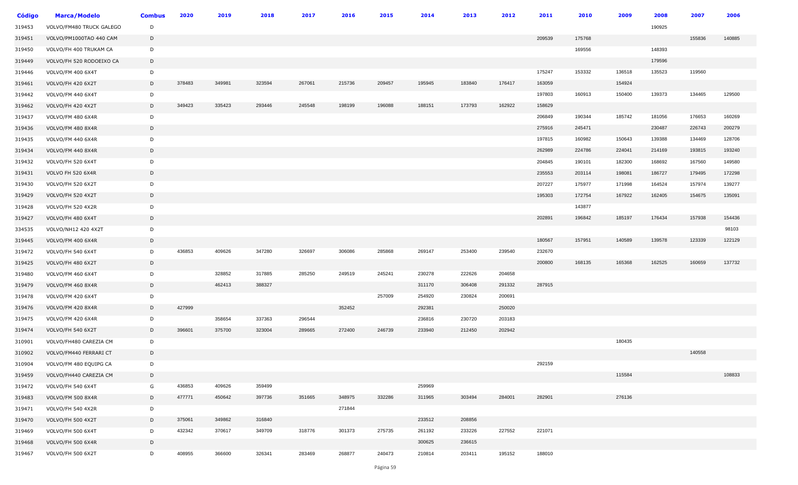| Código | <b>Marca/Modelo</b>      | <b>Combus</b> | 2020   | 2019   | 2018   | 2017   | 2016   | 2015   | 2014   | 2013   | 2012   | 2011   | 2010   | 2009   | 2008   | 2007   | 2006   |
|--------|--------------------------|---------------|--------|--------|--------|--------|--------|--------|--------|--------|--------|--------|--------|--------|--------|--------|--------|
| 319453 | VOLVO/FM480 TRUCK GALEGO | D             |        |        |        |        |        |        |        |        |        |        |        |        | 190925 |        |        |
| 319451 | VOLVO/PM1000TAO 440 CAM  | D             |        |        |        |        |        |        |        |        |        | 209539 | 175768 |        |        | 155836 | 140885 |
| 319450 | VOLVO/FH 400 TRUKAM CA   | D             |        |        |        |        |        |        |        |        |        |        | 169556 |        | 148393 |        |        |
| 319449 | VOLVO/FH 520 RODOEIXO CA | D             |        |        |        |        |        |        |        |        |        |        |        |        | 179596 |        |        |
| 319446 | VOLVO/FM 400 6X4T        | D             |        |        |        |        |        |        |        |        |        | 175247 | 153332 | 136518 | 135523 | 119560 |        |
| 319461 | VOLVO/FH 420 6X2T        | D             | 378483 | 349981 | 323594 | 267061 | 215736 | 209457 | 195945 | 183840 | 176417 | 163059 |        | 154924 |        |        |        |
| 319442 | VOLVO/FM 440 6X4T        | D             |        |        |        |        |        |        |        |        |        | 197803 | 160913 | 150400 | 139373 | 134465 | 129500 |
| 319462 | VOLVO/FH 420 4X2T        | D             | 349423 | 335423 | 293446 | 245548 | 198199 | 196088 | 188151 | 173793 | 162922 | 158629 |        |        |        |        |        |
| 319437 | VOLVO/FM 480 6X4R        | D             |        |        |        |        |        |        |        |        |        | 206849 | 190344 | 185742 | 181056 | 176653 | 160269 |
| 319436 | VOLVO/FM 480 8X4R        | D             |        |        |        |        |        |        |        |        |        | 275916 | 245471 |        | 230487 | 226743 | 200279 |
| 319435 | VOLVO/FM 440 6X4R        | D             |        |        |        |        |        |        |        |        |        | 197815 | 160982 | 150643 | 139388 | 134469 | 128706 |
| 319434 | VOLVO/FM 440 8X4R        | D             |        |        |        |        |        |        |        |        |        | 262989 | 224786 | 224041 | 214169 | 193815 | 193240 |
| 319432 | VOLVO/FH 520 6X4T        | D             |        |        |        |        |        |        |        |        |        | 204845 | 190101 | 182300 | 168692 | 167560 | 149580 |
| 319431 | VOLVO FH 520 6X4R        | D             |        |        |        |        |        |        |        |        |        | 235553 | 203114 | 198081 | 186727 | 179495 | 172298 |
| 319430 | VOLVO/FH 520 6X2T        | D             |        |        |        |        |        |        |        |        |        | 207227 | 175977 | 171998 | 164524 | 157974 | 139277 |
| 319429 | VOLVO/FH 520 4X2T        | D             |        |        |        |        |        |        |        |        |        | 195303 | 172754 | 167922 | 162405 | 154675 | 135091 |
| 319428 | VOLVO/FH 520 4X2R        | D             |        |        |        |        |        |        |        |        |        |        | 143877 |        |        |        |        |
| 319427 | VOLVO/FH 480 6X4T        | D             |        |        |        |        |        |        |        |        |        | 202891 | 196842 | 185197 | 176434 | 157938 | 154436 |
| 334535 | VOLVO/NH12 420 4X2T      | D             |        |        |        |        |        |        |        |        |        |        |        |        |        |        | 98103  |
| 319445 | VOLVO/FM 400 6X4R        | D             |        |        |        |        |        |        |        |        |        | 180567 | 157951 | 140589 | 139578 | 123339 | 122129 |
| 319472 | VOLVO/FH 540 6X4T        | D             | 436853 | 409626 | 347280 | 326697 | 306086 | 285868 | 269147 | 253400 | 239540 | 232670 |        |        |        |        |        |
| 319425 | VOLVO/FH 480 6X2T        | D             |        |        |        |        |        |        |        |        |        | 200800 | 168135 | 165368 | 162525 | 160659 | 137732 |
| 319480 | VOLVO/FM 460 6X4T        | D             |        | 328852 | 317885 | 285250 | 249519 | 245241 | 230278 | 222626 | 204658 |        |        |        |        |        |        |
| 319479 | VOLVO/FM 460 8X4R        | D             |        | 462413 | 388327 |        |        |        | 311170 | 306408 | 291332 | 287915 |        |        |        |        |        |
| 319478 | VOLVO/FM 420 6X4T        | D             |        |        |        |        |        | 257009 | 254920 | 230824 | 200691 |        |        |        |        |        |        |
| 319476 | VOLVO/FM 420 8X4R        | D             | 427999 |        |        |        | 352452 |        | 292381 |        | 250020 |        |        |        |        |        |        |
| 319475 | VOLVO/FM 420 6X4R        | D             |        | 358654 | 337363 | 296544 |        |        | 236816 | 230720 | 203183 |        |        |        |        |        |        |
| 319474 | VOLVO/FH 540 6X2T        | D             | 396601 | 375700 | 323004 | 289665 | 272400 | 246739 | 233940 | 212450 | 202942 |        |        |        |        |        |        |
| 310901 | VOLVO/FH480 CAREZIA CM   | D             |        |        |        |        |        |        |        |        |        |        |        | 180435 |        |        |        |
| 310902 | VOLVO/FM440 FERRARI CT   | $\mathsf{D}$  |        |        |        |        |        |        |        |        |        |        |        |        |        | 140558 |        |
| 310904 | VOLVO/FM 480 EQUIPG CA   | D             |        |        |        |        |        |        |        |        |        | 292159 |        |        |        |        |        |
| 319459 | VOLVO/FH440 CAREZIA CM   | D             |        |        |        |        |        |        |        |        |        |        |        | 115584 |        |        | 108833 |
| 319472 | VOLVO/FH 540 6X4T        | G             | 436853 | 409626 | 359499 |        |        |        | 259969 |        |        |        |        |        |        |        |        |
| 319483 | VOLVO/FM 500 8X4R        | D             | 477771 | 450642 | 397736 | 351665 | 348975 | 332286 | 311965 | 303494 | 284001 | 282901 |        | 276136 |        |        |        |
| 319471 | VOLVO/FH 540 4X2R        | D             |        |        |        |        | 271844 |        |        |        |        |        |        |        |        |        |        |
| 319470 | VOLVO/FH 500 4X2T        | D             | 375061 | 349862 | 316840 |        |        |        | 233512 | 208856 |        |        |        |        |        |        |        |
| 319469 | VOLVO/FH 500 6X4T        | D             | 432342 | 370617 | 349709 | 318776 | 301373 | 275735 | 261192 | 233226 | 227552 | 221071 |        |        |        |        |        |
| 319468 | VOLVO/FH 500 6X4R        | D             |        |        |        |        |        |        | 300625 | 236615 |        |        |        |        |        |        |        |
| 319467 | VOLVO/FH 500 6X2T        | D             | 408955 | 366600 | 326341 | 283469 | 268877 | 240473 | 210814 | 203411 | 195152 | 188010 |        |        |        |        |        |